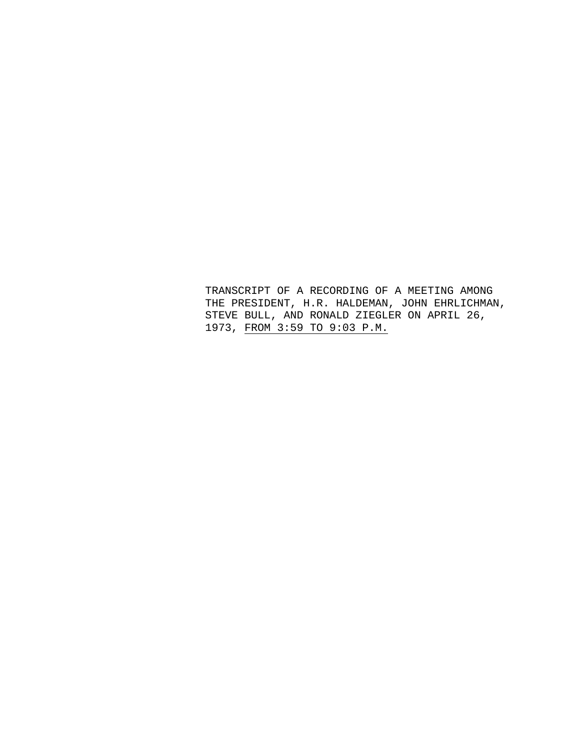TRANSCRIPT OF A RECORDING OF A MEETING AMONG THE PRESIDENT, H.R. HALDEMAN, JOHN EHRLICHMAN, STEVE BULL, AND RONALD ZIEGLER ON APRIL 26, 1973, FROM 3:59 TO 9:03 P.M.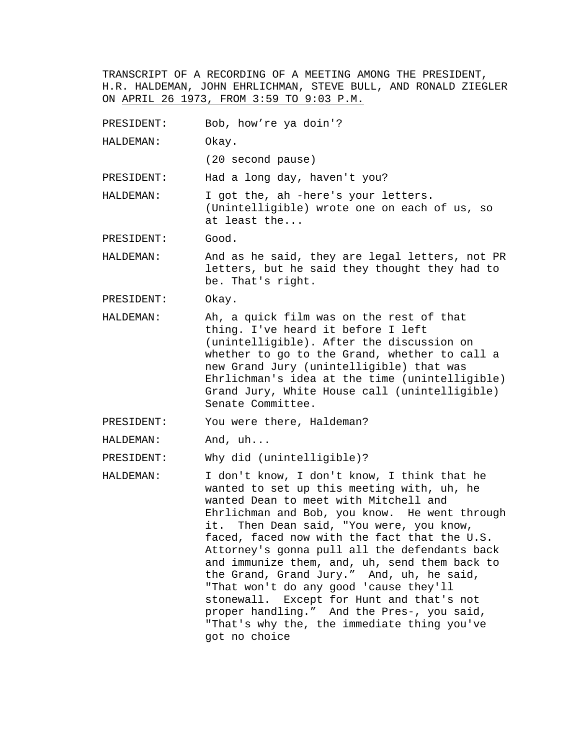TRANSCRIPT OF A RECORDING OF A MEETING AMONG THE PRESIDENT, H.R. HALDEMAN, JOHN EHRLICHMAN, STEVE BULL, AND RONALD ZIEGLER ON APRIL 26 1973, FROM 3:59 TO 9:03 P.M.

PRESIDENT: Bob, how're ya doin'?

HALDEMAN: Okay.

(20 second pause)

PRESIDENT: Had a long day, haven't you?

HALDEMAN: I got the, ah -here's your letters. (Unintelligible) wrote one on each of us, so at least the...

PRESIDENT: Good.

HALDEMAN: And as he said, they are legal letters, not PR letters, but he said they thought they had to be. That's right.

PRESIDENT: Okay.

HALDEMAN: Ah, a quick film was on the rest of that thing. I've heard it before I left (unintelligible). After the discussion on whether to go to the Grand, whether to call a new Grand Jury (unintelligible) that was Ehrlichman's idea at the time (unintelligible) Grand Jury, White House call (unintelligible) Senate Committee.

PRESIDENT: You were there, Haldeman?

HALDEMAN: And, uh...

PRESIDENT: Why did (unintelligible)?

HALDEMAN: I don't know, I don't know, I think that he wanted to set up this meeting with, uh, he wanted Dean to meet with Mitchell and Ehrlichman and Bob, you know. He went through it. Then Dean said, "You were, you know, faced, faced now with the fact that the U.S. Attorney's gonna pull all the defendants back and immunize them, and, uh, send them back to the Grand, Grand Jury." And, uh, he said, "That won't do any good 'cause they'll stonewall. Except for Hunt and that's not proper handling." And the Pres-, you said, "That's why the, the immediate thing you've got no choice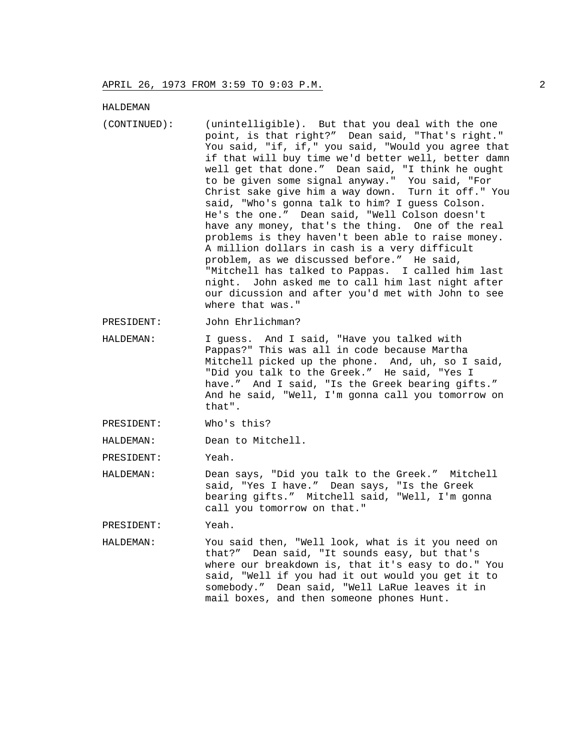- (CONTINUED): (unintelligible). But that you deal with the one point, is that right?" Dean said, "That's right." You said, "if, if," you said, "Would you agree that if that will buy time we'd better well, better damn well get that done." Dean said, "I think he ought to be given some signal anyway." You said, "For Christ sake give him a way down. Turn it off." You said, "Who's gonna talk to him? I guess Colson. He's the one." Dean said, "Well Colson doesn't have any money, that's the thing. One of the real problems is they haven't been able to raise money. A million dollars in cash is a very difficult problem, as we discussed before." He said, "Mitchell has talked to Pappas. I called him last night. John asked me to call him last night after our dicussion and after you'd met with John to see where that was."
- PRESIDENT: John Ehrlichman?
- HALDEMAN: I guess. And I said, "Have you talked with Pappas?" This was all in code because Martha Mitchell picked up the phone. And, uh, so I said, "Did you talk to the Greek." He said, "Yes I have." And I said, "Is the Greek bearing gifts." And he said, "Well, I'm gonna call you tomorrow on that".
- PRESIDENT: Who's this?
- HALDEMAN: Dean to Mitchell.

PRESIDENT: Yeah.

- HALDEMAN: Dean says, "Did you talk to the Greek." Mitchell said, "Yes I have." Dean says, "Is the Greek bearing gifts." Mitchell said, "Well, I'm gonna call you tomorrow on that."
- PRESIDENT: Yeah.
- HALDEMAN: You said then, "Well look, what is it you need on that?" Dean said, "It sounds easy, but that's where our breakdown is, that it's easy to do." You said, "Well if you had it out would you get it to somebody." Dean said, "Well LaRue leaves it in mail boxes, and then someone phones Hunt.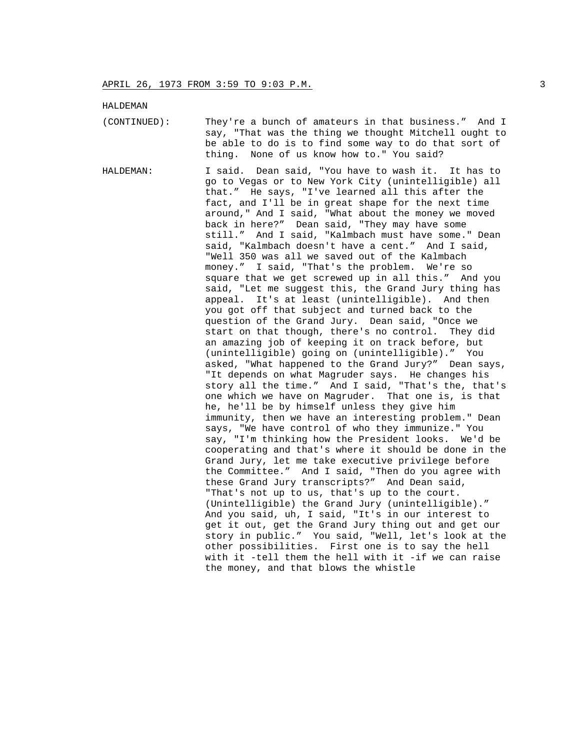(CONTINUED): They're a bunch of amateurs in that business." And I say, "That was the thing we thought Mitchell ought to be able to do is to find some way to do that sort of thing. None of us know how to." You said?

HALDEMAN: I said. Dean said, "You have to wash it. It has to go to Vegas or to New York City (unintelligible) all that." He says, "I've learned all this after the fact, and I'll be in great shape for the next time around," And I said, "What about the money we moved back in here?" Dean said, "They may have some still." And I said, "Kalmbach must have some." Dean said, "Kalmbach doesn't have a cent." And I said, "Well 350 was all we saved out of the Kalmbach money." I said, "That's the problem. We're so square that we get screwed up in all this." And you said, "Let me suggest this, the Grand Jury thing has appeal. It's at least (unintelligible). And then you got off that subject and turned back to the question of the Grand Jury. Dean said, "Once we start on that though, there's no control. They did an amazing job of keeping it on track before, but (unintelligible) going on (unintelligible)." You asked, "What happened to the Grand Jury?" Dean says, "It depends on what Magruder says. He changes his story all the time." And I said, "That's the, that's one which we have on Magruder. That one is, is that he, he'll be by himself unless they give him immunity, then we have an interesting problem." Dean says, "We have control of who they immunize." You say, "I'm thinking how the President looks. We'd be cooperating and that's where it should be done in the Grand Jury, let me take executive privilege before the Committee." And I said, "Then do you agree with these Grand Jury transcripts?" And Dean said, "That's not up to us, that's up to the court. (Unintelligible) the Grand Jury (unintelligible)." And you said, uh, I said, "It's in our interest to get it out, get the Grand Jury thing out and get our story in public." You said, "Well, let's look at the other possibilities. First one is to say the hell with it -tell them the hell with it -if we can raise the money, and that blows the whistle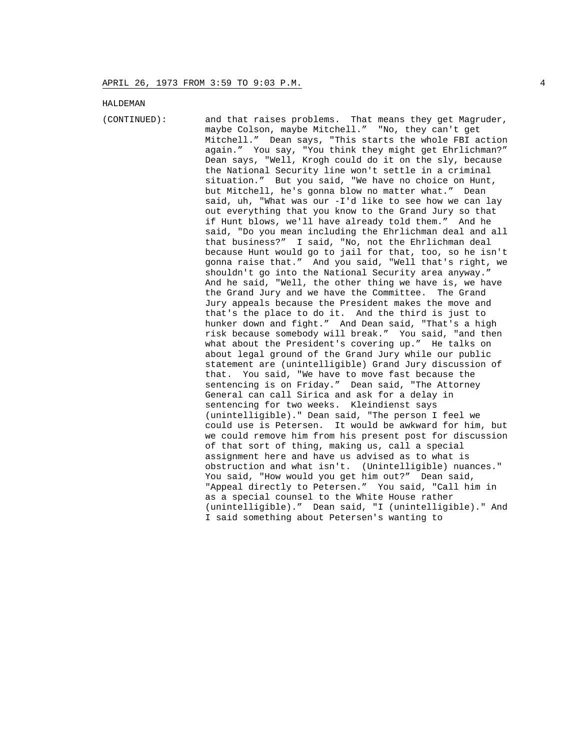(CONTINUED): and that raises problems. That means they get Magruder, maybe Colson, maybe Mitchell." "No, they can't get Mitchell." Dean says, "This starts the whole FBI action again." You say, "You think they might get Ehrlichman?" Dean says, "Well, Krogh could do it on the sly, because the National Security line won't settle in a criminal situation." But you said, "We have no choice on Hunt, but Mitchell, he's gonna blow no matter what." Dean said, uh, "What was our -I'd like to see how we can lay out everything that you know to the Grand Jury so that if Hunt blows, we'll have already told them." And he said, "Do you mean including the Ehrlichman deal and all that business?" I said, "No, not the Ehrlichman deal because Hunt would go to jail for that, too, so he isn't gonna raise that." And you said, "Well that's right, we shouldn't go into the National Security area anyway." And he said, "Well, the other thing we have is, we have the Grand Jury and we have the Committee. The Grand Jury appeals because the President makes the move and that's the place to do it. And the third is just to hunker down and fight." And Dean said, "That's a high risk because somebody will break." You said, "and then what about the President's covering up." He talks on about legal ground of the Grand Jury while our public statement are (unintelligible) Grand Jury discussion of that. You said, "We have to move fast because the sentencing is on Friday." Dean said, "The Attorney General can call Sirica and ask for a delay in sentencing for two weeks. Kleindienst says (unintelligible)." Dean said, "The person I feel we could use is Petersen. It would be awkward for him, but we could remove him from his present post for discussion of that sort of thing, making us, call a special assignment here and have us advised as to what is obstruction and what isn't. (Unintelligible) nuances." You said, "How would you get him out?" Dean said, "Appeal directly to Petersen." You said, "Call him in as a special counsel to the White House rather (unintelligible)." Dean said, "I (unintelligible)." And I said something about Petersen's wanting to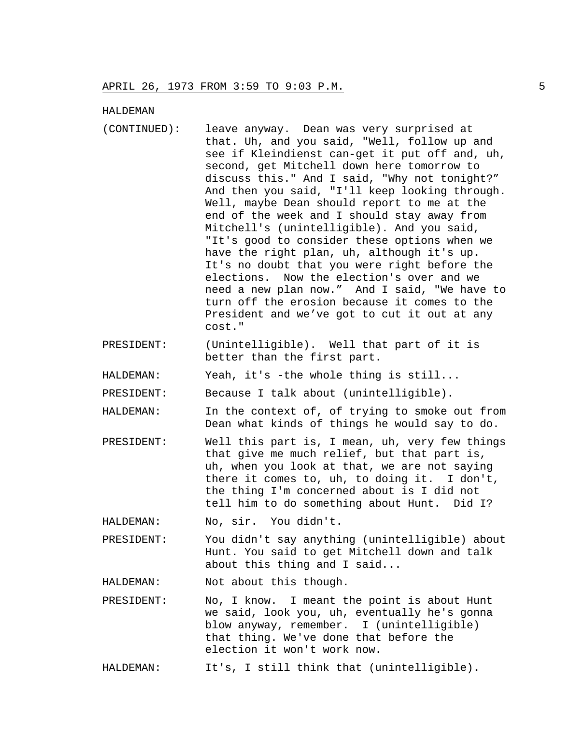- (CONTINUED): leave anyway. Dean was very surprised at that. Uh, and you said, "Well, follow up and see if Kleindienst can-get it put off and, uh, second, get Mitchell down here tomorrow to discuss this." And I said, "Why not tonight?" And then you said, "I'll keep looking through. Well, maybe Dean should report to me at the end of the week and I should stay away from Mitchell's (unintelligible). And you said, "It's good to consider these options when we have the right plan, uh, although it's up. It's no doubt that you were right before the elections. Now the election's over and we need a new plan now." And I said, "We have to turn off the erosion because it comes to the President and we've got to cut it out at any cost."
- PRESIDENT: (Unintelligible). Well that part of it is better than the first part.
- HALDEMAN: Yeah, it's -the whole thing is still...

PRESIDENT: Because I talk about (unintelligible).

- HALDEMAN: In the context of, of trying to smoke out from Dean what kinds of things he would say to do.
- PRESIDENT: Well this part is, I mean, uh, very few things that give me much relief, but that part is, uh, when you look at that, we are not saying there it comes to, uh, to doing it. I don't, the thing I'm concerned about is I did not tell him to do something about Hunt. Did I?
- HALDEMAN: No, sir. You didn't.
- PRESIDENT: You didn't say anything (unintelligible) about Hunt. You said to get Mitchell down and talk about this thing and I said...

HALDEMAN: Not about this though.

PRESIDENT: No, I know. I meant the point is about Hunt we said, look you, uh, eventually he's gonna blow anyway, remember. I (unintelligible) that thing. We've done that before the election it won't work now.

HALDEMAN: It's, I still think that (unintelligible).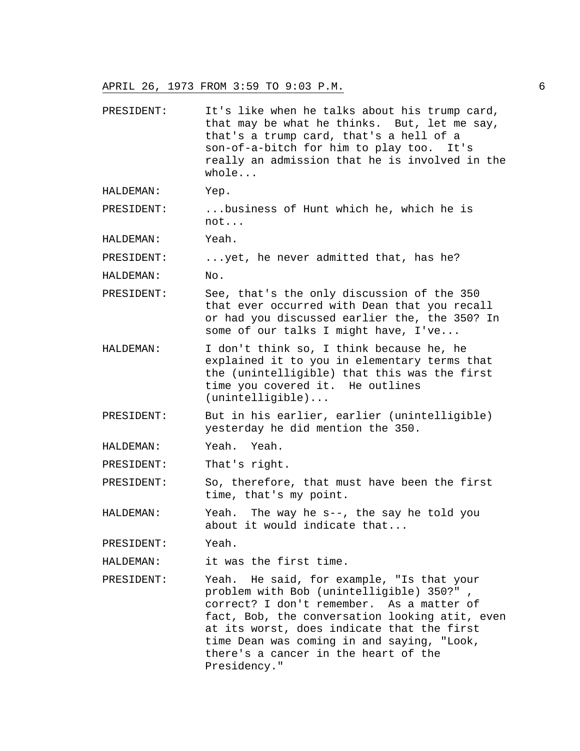PRESIDENT: It's like when he talks about his trump card, that may be what he thinks. But, let me say, that's a trump card, that's a hell of a son-of-a-bitch for him to play too. It's really an admission that he is involved in the whole... HALDEMAN: Yep. PRESIDENT: ...business of Hunt which he, which he is not... HALDEMAN: Yeah. PRESIDENT: ...yet, he never admitted that, has he? HALDEMAN: No. PRESIDENT: See, that's the only discussion of the 350 that ever occurred with Dean that you recall or had you discussed earlier the, the 350? In some of our talks I might have, I've... HALDEMAN: I don't think so, I think because he, he explained it to you in elementary terms that the (unintelligible) that this was the first time you covered it. He outlines (unintelligible)... PRESIDENT: But in his earlier, earlier (unintelligible) yesterday he did mention the 350. HALDEMAN: Yeah. Yeah. PRESIDENT: That's right. PRESIDENT: So, therefore, that must have been the first time, that's my point. HALDEMAN: Yeah. The way he s--, the say he told you about it would indicate that... PRESIDENT: Yeah. HALDEMAN: it was the first time. PRESIDENT: Yeah. He said, for example, "Is that your problem with Bob (unintelligible) 350?" , correct? I don't remember. As a matter of fact, Bob, the conversation looking atit, even at its worst, does indicate that the first time Dean was coming in and saying, "Look, there's a cancer in the heart of the Presidency."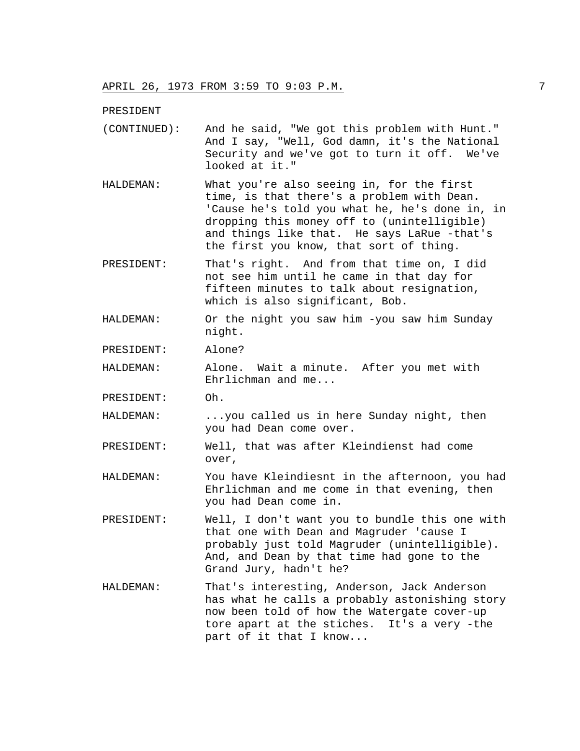PRESIDENT

- (CONTINUED): And he said, "We got this problem with Hunt." And I say, "Well, God damn, it's the National Security and we've got to turn it off. We've looked at it."
- HALDEMAN: What you're also seeing in, for the first time, is that there's a problem with Dean. 'Cause he's told you what he, he's done in, in dropping this money off to (unintelligible) and things like that. He says LaRue -that's the first you know, that sort of thing.
- PRESIDENT: That's right. And from that time on, I did not see him until he came in that day for fifteen minutes to talk about resignation, which is also significant, Bob.
- HALDEMAN: Or the night you saw him -you saw him Sunday night.
- PRESIDENT: Alone?

HALDEMAN: Alone. Wait a minute. After you met with Ehrlichman and me...

PRESIDENT: Oh.

HALDEMAN: ...you called us in here Sunday night, then you had Dean come over.

- PRESIDENT: Well, that was after Kleindienst had come over,
- HALDEMAN: You have Kleindiesnt in the afternoon, you had Ehrlichman and me come in that evening, then you had Dean come in.
- PRESIDENT: Well, I don't want you to bundle this one with that one with Dean and Magruder 'cause I probably just told Magruder (unintelligible). And, and Dean by that time had gone to the Grand Jury, hadn't he?
- HALDEMAN: That's interesting, Anderson, Jack Anderson has what he calls a probably astonishing story now been told of how the Watergate cover-up tore apart at the stiches. It's a very -the part of it that I know...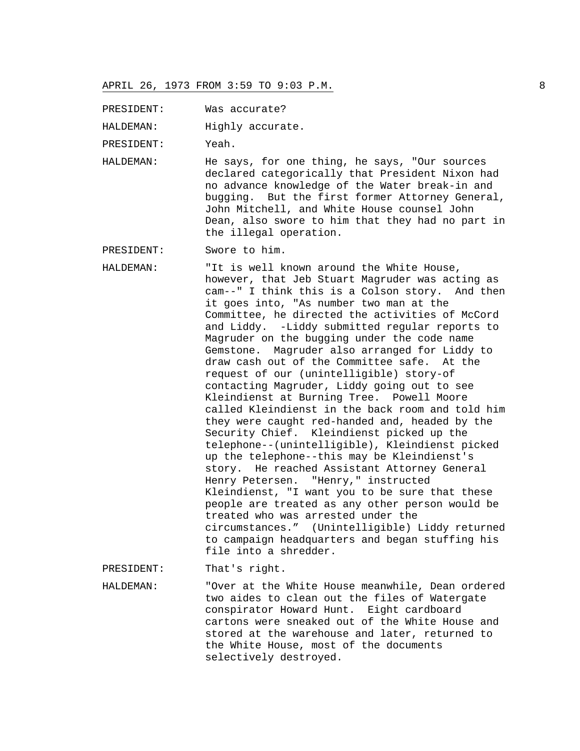- PRESIDENT: Was accurate?
- HALDEMAN: Highly accurate.

PRESIDENT: Yeah.

HALDEMAN: He says, for one thing, he says, "Our sources declared categorically that President Nixon had no advance knowledge of the Water break-in and bugging. But the first former Attorney General, John Mitchell, and White House counsel John Dean, also swore to him that they had no part in the illegal operation.

PRESIDENT: Swore to him.

HALDEMAN: "It is well known around the White House, however, that Jeb Stuart Magruder was acting as cam--" I think this is a Colson story. And then it goes into, "As number two man at the Committee, he directed the activities of McCord and Liddy. -Liddy submitted regular reports to Magruder on the bugging under the code name Gemstone. Magruder also arranged for Liddy to draw cash out of the Committee safe. At the request of our (unintelligible) story-of contacting Magruder, Liddy going out to see Kleindienst at Burning Tree. Powell Moore called Kleindienst in the back room and told him they were caught red-handed and, headed by the Security Chief. Kleindienst picked up the telephone--(unintelligible), Kleindienst picked up the telephone--this may be Kleindienst's story. He reached Assistant Attorney General Henry Petersen. "Henry," instructed Kleindienst, "I want you to be sure that these people are treated as any other person would be treated who was arrested under the circumstances." (Unintelligible) Liddy returned to campaign headquarters and began stuffing his file into a shredder.

PRESIDENT: That's right.

HALDEMAN: "Over at the White House meanwhile, Dean ordered two aides to clean out the files of Watergate conspirator Howard Hunt. Eight cardboard cartons were sneaked out of the White House and stored at the warehouse and later, returned to the White House, most of the documents selectively destroyed.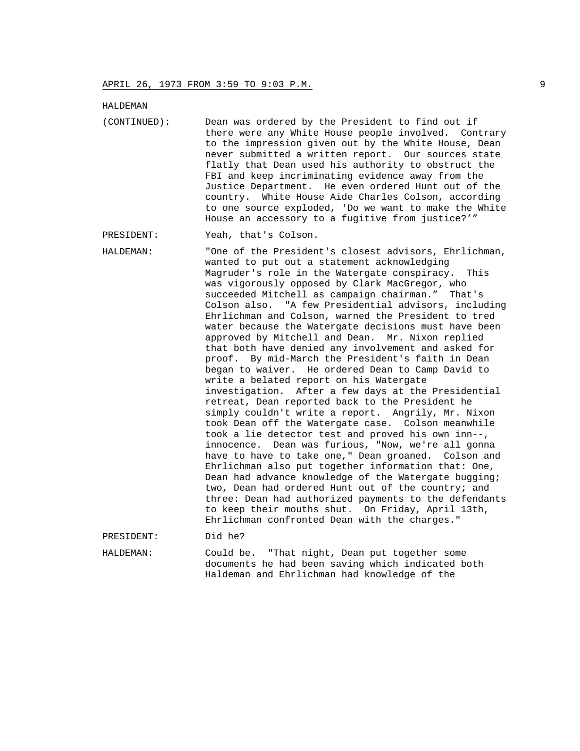- (CONTINUED): Dean was ordered by the President to find out if there were any White House people involved. Contrary to the impression given out by the White House, Dean never submitted a written report. Our sources state flatly that Dean used his authority to obstruct the FBI and keep incriminating evidence away from the Justice Department. He even ordered Hunt out of the country. White House Aide Charles Colson, according to one source exploded, 'Do we want to make the White House an accessory to a fugitive from justice?'"
- PRESIDENT: Yeah, that's Colson.

HALDEMAN: "One of the President's closest advisors, Ehrlichman, wanted to put out a statement acknowledging Magruder's role in the Watergate conspiracy. This was vigorously opposed by Clark MacGregor, who succeeded Mitchell as campaign chairman." That's Colson also. "A few Presidential advisors, including Ehrlichman and Colson, warned the President to tred water because the Watergate decisions must have been approved by Mitchell and Dean. Mr. Nixon replied that both have denied any involvement and asked for proof. By mid-March the President's faith in Dean began to waiver. He ordered Dean to Camp David to write a belated report on his Watergate investigation. After a few days at the Presidential retreat, Dean reported back to the President he simply couldn't write a report. Angrily, Mr. Nixon took Dean off the Watergate case. Colson meanwhile took a lie detector test and proved his own inn--, innocence. Dean was furious, "Now, we're all gonna have to have to take one," Dean groaned. Colson and Ehrlichman also put together information that: One, Dean had advance knowledge of the Watergate bugging; two, Dean had ordered Hunt out of the country; and three: Dean had authorized payments to the defendants to keep their mouths shut. On Friday, April 13th, Ehrlichman confronted Dean with the charges." PRESIDENT: Did he?

HALDEMAN: Could be. "That night, Dean put together some documents he had been saving which indicated both Haldeman and Ehrlichman had knowledge of the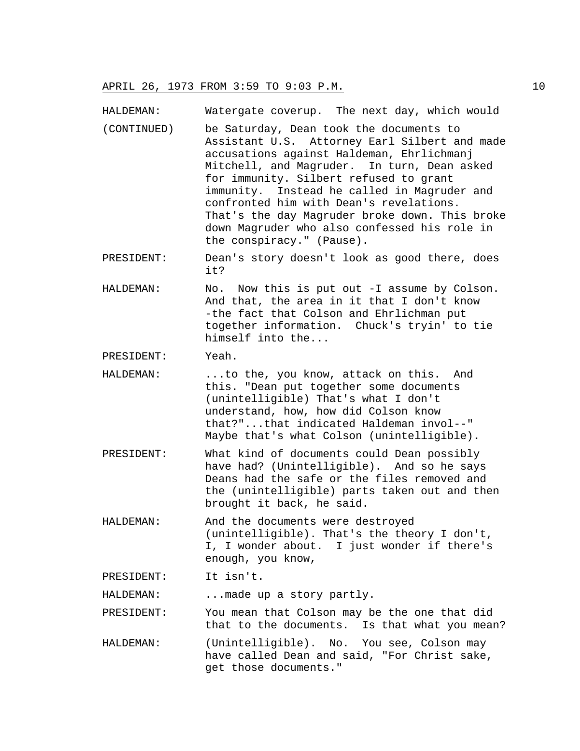HALDEMAN: Watergate coverup. The next day, which would

- (CONTINUED) be Saturday, Dean took the documents to Assistant U.S. Attorney Earl Silbert and made accusations against Haldeman, Ehrlichmanj Mitchell, and Magruder. In turn, Dean asked for immunity. Silbert refused to grant immunity. Instead he called in Magruder and confronted him with Dean's revelations. That's the day Magruder broke down. This broke down Magruder who also confessed his role in the conspiracy." (Pause).
- PRESIDENT: Dean's story doesn't look as good there, does it?
- HALDEMAN: No. Now this is put out -I assume by Colson. And that, the area in it that I don't know -the fact that Colson and Ehrlichman put together information. Chuck's tryin' to tie himself into the...
- PRESIDENT: Yeah.
- HALDEMAN: ...to the, you know, attack on this. And this. "Dean put together some documents (unintelligible) That's what I don't understand, how, how did Colson know that?"...that indicated Haldeman invol--" Maybe that's what Colson (unintelligible).
- PRESIDENT: What kind of documents could Dean possibly have had? (Unintelligible). And so he says Deans had the safe or the files removed and the (unintelligible) parts taken out and then brought it back, he said.
- HALDEMAN: And the documents were destroyed (unintelligible). That's the theory I don't, I, I wonder about. I just wonder if there's enough, you know,

PRESIDENT: It isn't.

HALDEMAN: ... made up a story partly.

PRESIDENT: You mean that Colson may be the one that did that to the documents. Is that what you mean?

HALDEMAN: (Unintelligible). No. You see, Colson may have called Dean and said, "For Christ sake, get those documents."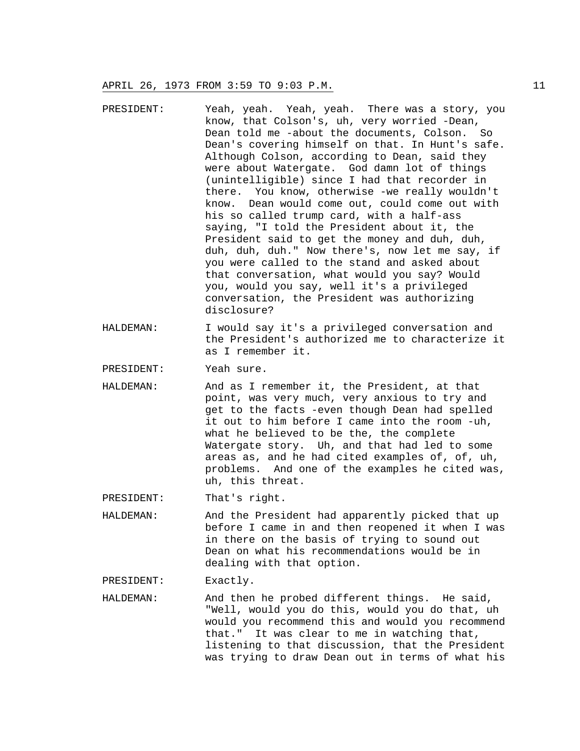- PRESIDENT: Yeah, yeah. Yeah, yeah. There was a story, you know, that Colson's, uh, very worried -Dean, Dean told me -about the documents, Colson. So Dean's covering himself on that. In Hunt's safe. Although Colson, according to Dean, said they were about Watergate. God damn lot of things (unintelligible) since I had that recorder in there. You know, otherwise -we really wouldn't know. Dean would come out, could come out with his so called trump card, with a half-ass saying, "I told the President about it, the President said to get the money and duh, duh, duh, duh, duh." Now there's, now let me say, if you were called to the stand and asked about that conversation, what would you say? Would you, would you say, well it's a privileged conversation, the President was authorizing disclosure?
- HALDEMAN: I would say it's a privileged conversation and the President's authorized me to characterize it as I remember it.

PRESIDENT: Yeah sure.

HALDEMAN: And as I remember it, the President, at that point, was very much, very anxious to try and get to the facts -even though Dean had spelled it out to him before I came into the room -uh, what he believed to be the, the complete Watergate story. Uh, and that had led to some areas as, and he had cited examples of, of, uh, problems. And one of the examples he cited was, uh, this threat.

PRESIDENT: That's right.

HALDEMAN: And the President had apparently picked that up before I came in and then reopened it when I was in there on the basis of trying to sound out Dean on what his recommendations would be in dealing with that option.

PRESIDENT: Exactly.

HALDEMAN: And then he probed different things. He said, "Well, would you do this, would you do that, uh would you recommend this and would you recommend that." It was clear to me in watching that, listening to that discussion, that the President was trying to draw Dean out in terms of what his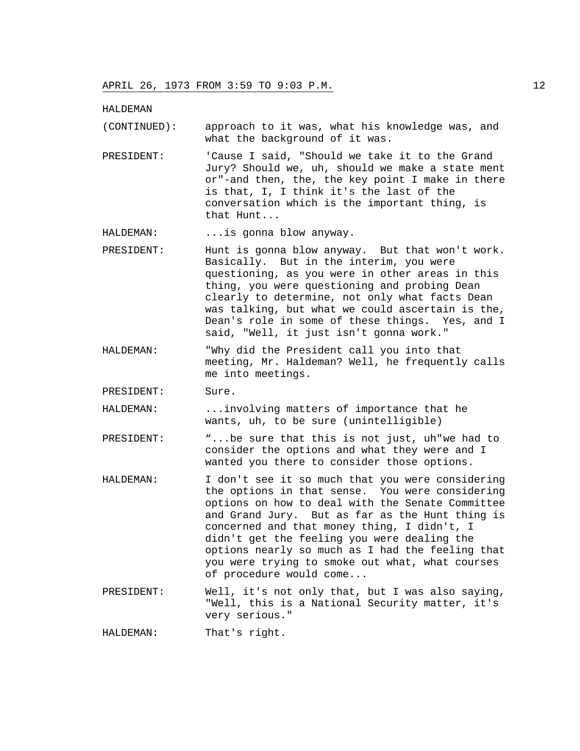(CONTINUED): approach to it was, what his knowledge was, and what the background of it was.

- PRESIDENT: 'Cause I said, "Should we take it to the Grand Jury? Should we, uh, should we make a state ment or"-and then, the, the key point I make in there is that, I, I think it's the last of the conversation which is the important thing, is that Hunt...
- HALDEMAN: ...is gonna blow anyway.
- PRESIDENT: Hunt is gonna blow anyway. But that won't work. Basically. But in the interim, you were questioning, as you were in other areas in this thing, you were questioning and probing Dean clearly to determine, not only what facts Dean was talking, but what we could ascertain is the, Dean's role in some of these things. Yes, and I said, "Well, it just isn't gonna work."
- HALDEMAN: "Why did the President call you into that meeting, Mr. Haldeman? Well, he frequently calls me into meetings.

PRESIDENT: Sure.

HALDEMAN: ...involving matters of importance that he wants, uh, to be sure (unintelligible)

- PRESIDENT: "...be sure that this is not just, uh"we had to consider the options and what they were and I wanted you there to consider those options.
- HALDEMAN: I don't see it so much that you were considering the options in that sense. You were considering options on how to deal with the Senate Committee and Grand Jury. But as far as the Hunt thing is concerned and that money thing, I didn't, I didn't get the feeling you were dealing the options nearly so much as I had the feeling that you were trying to smoke out what, what courses of procedure would come...
- PRESIDENT: Well, it's not only that, but I was also saying, "Well, this is a National Security matter, it's very serious."

HALDEMAN: That's right.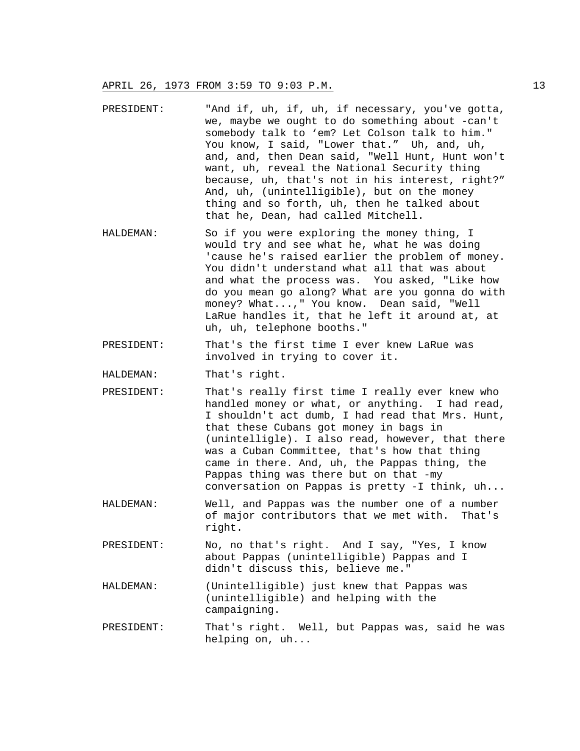- PRESIDENT: "And if, uh, if, uh, if necessary, you've gotta, we, maybe we ought to do something about -can't somebody talk to 'em? Let Colson talk to him." You know, I said, "Lower that." Uh, and, uh, and, and, then Dean said, "Well Hunt, Hunt won't want, uh, reveal the National Security thing because, uh, that's not in his interest, right?" And, uh, (unintelligible), but on the money thing and so forth, uh, then he talked about that he, Dean, had called Mitchell.
- HALDEMAN: So if you were exploring the money thing, I would try and see what he, what he was doing 'cause he's raised earlier the problem of money. You didn't understand what all that was about and what the process was. You asked, "Like how do you mean go along? What are you gonna do with money? What...," You know. Dean said, "Well LaRue handles it, that he left it around at, at uh, uh, telephone booths."
- PRESIDENT: That's the first time I ever knew LaRue was involved in trying to cover it.
- HALDEMAN: That's right.
- PRESIDENT: That's really first time I really ever knew who handled money or what, or anything. I had read, I shouldn't act dumb, I had read that Mrs. Hunt, that these Cubans got money in bags in (unintelligle). I also read, however, that there was a Cuban Committee, that's how that thing came in there. And, uh, the Pappas thing, the Pappas thing was there but on that -my conversation on Pappas is pretty -I think, uh...
- HALDEMAN: Well, and Pappas was the number one of a number of major contributors that we met with. That's right.
- PRESIDENT: No, no that's right. And I say, "Yes, I know about Pappas (unintelligible) Pappas and I didn't discuss this, believe me."
- HALDEMAN: (Unintelligible) just knew that Pappas was (unintelligible) and helping with the campaigning.
- PRESIDENT: That's right. Well, but Pappas was, said he was helping on, uh...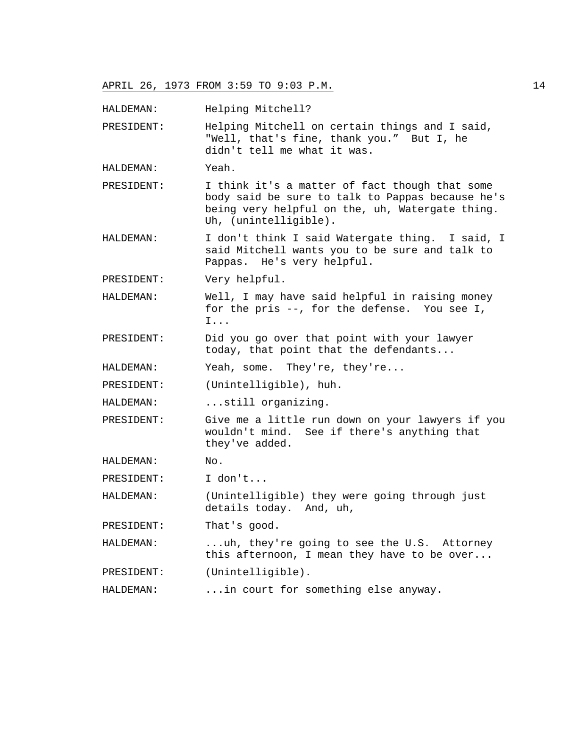HALDEMAN: Helping Mitchell?

PRESIDENT: Helping Mitchell on certain things and I said, "Well, that's fine, thank you." But I, he didn't tell me what it was.

HALDEMAN: Yeah.

PRESIDENT: I think it's a matter of fact though that some body said be sure to talk to Pappas because he's being very helpful on the, uh, Watergate thing. Uh, (unintelligible).

HALDEMAN: I don't think I said Watergate thing. I said, I said Mitchell wants you to be sure and talk to Pappas. He's very helpful.

PRESIDENT: Very helpful.

HALDEMAN: Well, I may have said helpful in raising money for the pris --, for the defense. You see I, I...

PRESIDENT: Did you go over that point with your lawyer today, that point that the defendants...

HALDEMAN: Yeah, some. They're, they're...

PRESIDENT: (Unintelligible), huh.

HALDEMAN: ...still organizing.

PRESIDENT: Give me a little run down on your lawyers if you wouldn't mind. See if there's anything that they've added.

HALDEMAN: No.

PRESIDENT: I don't...

HALDEMAN: (Unintelligible) they were going through just details today. And, uh,

PRESIDENT: That's good.

HALDEMAN: ...uh, they're going to see the U.S. Attorney this afternoon, I mean they have to be over...

PRESIDENT: (Unintelligible).

HALDEMAN: ...in court for something else anyway.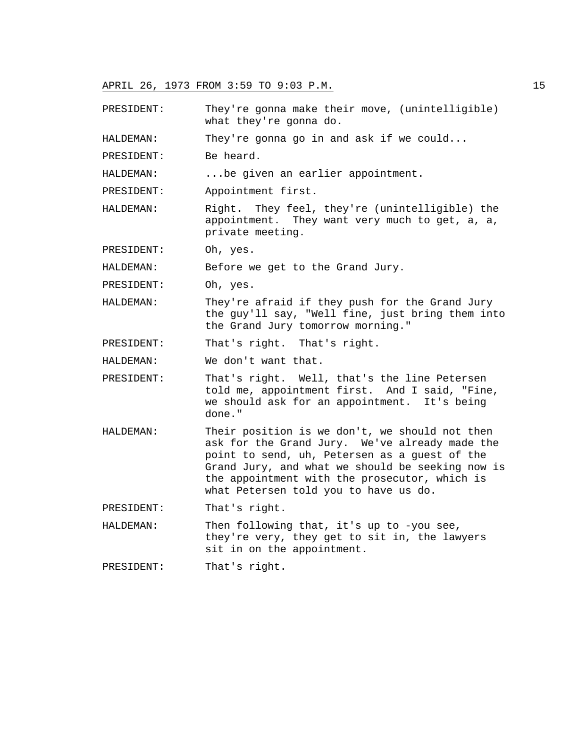- PRESIDENT: They're gonna make their move, (unintelligible) what they're gonna do.
- HALDEMAN: They're gonna go in and ask if we could...

PRESIDENT: Be heard.

HALDEMAN: ...be given an earlier appointment.

- PRESIDENT: Appointment first.
- HALDEMAN: Right. They feel, they're (unintelligible) the appointment. They want very much to get, a, a, private meeting.
- PRESIDENT: Oh, yes.

HALDEMAN: Before we get to the Grand Jury.

PRESIDENT: Oh, yes.

- HALDEMAN: They're afraid if they push for the Grand Jury the guy'll say, "Well fine, just bring them into the Grand Jury tomorrow morning."
- PRESIDENT: That's right. That's right.

HALDEMAN: We don't want that.

- PRESIDENT: That's right. Well, that's the line Petersen told me, appointment first. And I said, "Fine, we should ask for an appointment. It's being done."
- HALDEMAN: Their position is we don't, we should not then ask for the Grand Jury. We've already made the point to send, uh, Petersen as a guest of the Grand Jury, and what we should be seeking now is the appointment with the prosecutor, which is what Petersen told you to have us do.

PRESIDENT: That's right.

HALDEMAN: Then following that, it's up to -you see, they're very, they get to sit in, the lawyers sit in on the appointment.

PRESIDENT: That's right.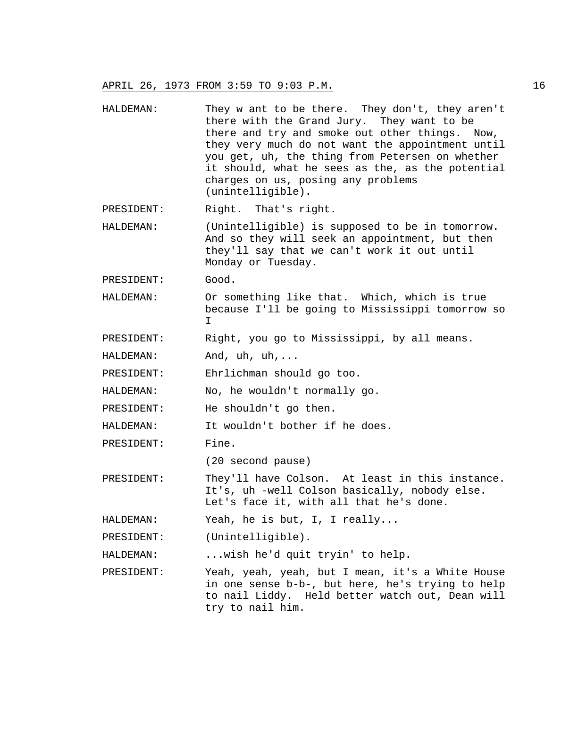- HALDEMAN: They w ant to be there. They don't, they aren't there with the Grand Jury. They want to be there and try and smoke out other things. Now, they very much do not want the appointment until you get, uh, the thing from Petersen on whether it should, what he sees as the, as the potential charges on us, posing any problems (unintelligible).
- PRESIDENT: Right. That's right.
- HALDEMAN: (Unintelligible) is supposed to be in tomorrow. And so they will seek an appointment, but then they'll say that we can't work it out until Monday or Tuesday.
- PRESIDENT: Good.
- HALDEMAN: Or something like that. Which, which is true because I'll be going to Mississippi tomorrow so  $\mathsf{T}$
- PRESIDENT: Right, you go to Mississippi, by all means.
- HALDEMAN: And, uh, uh, ...
- PRESIDENT: Ehrlichman should go too.
- HALDEMAN: No, he wouldn't normally go.
- PRESIDENT: He shouldn't go then.

HALDEMAN: It wouldn't bother if he does.

- PRESIDENT: Fine.
	- (20 second pause)
- PRESIDENT: They'll have Colson. At least in this instance. It's, uh -well Colson basically, nobody else. Let's face it, with all that he's done.

HALDEMAN: Yeah, he is but, I, I really...

PRESIDENT: (Unintelligible).

HALDEMAN: ...wish he'd quit tryin' to help.

PRESIDENT: Yeah, yeah, yeah, but I mean, it's a White House in one sense b-b-, but here, he's trying to help to nail Liddy. Held better watch out, Dean will try to nail him.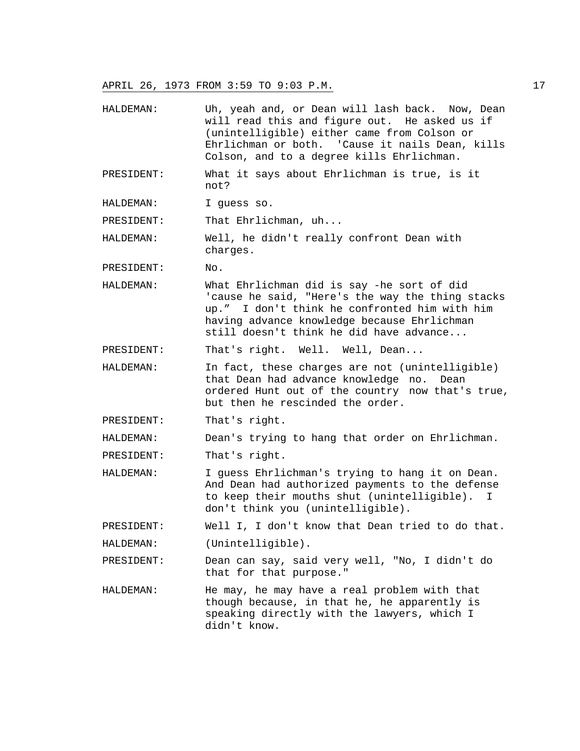HALDEMAN: Uh, yeah and, or Dean will lash back. Now, Dean will read this and figure out. He asked us if (unintelligible) either came from Colson or Ehrlichman or both. 'Cause it nails Dean, kills Colson, and to a degree kills Ehrlichman. PRESIDENT: What it says about Ehrlichman is true, is it not? HALDEMAN: I guess so. PRESIDENT: That Ehrlichman, uh... HALDEMAN: Well, he didn't really confront Dean with charges. PRESIDENT: No. HALDEMAN: What Ehrlichman did is say -he sort of did 'cause he said, "Here's the way the thing stacks up." I don't think he confronted him with him having advance knowledge because Ehrlichman still doesn't think he did have advance... PRESIDENT: That's right. Well. Well, Dean... HALDEMAN: In fact, these charges are not (unintelligible) that Dean had advance knowledge no. Dean ordered Hunt out of the country now that's true, but then he rescinded the order. PRESIDENT: That's right. HALDEMAN: Dean's trying to hang that order on Ehrlichman. PRESIDENT: That's right. HALDEMAN: I guess Ehrlichman's trying to hang it on Dean. And Dean had authorized payments to the defense to keep their mouths shut (unintelligible). I don't think you (unintelligible). PRESIDENT: Well I, I don't know that Dean tried to do that. HALDEMAN: (Unintelligible). PRESIDENT: Dean can say, said very well, "No, I didn't do that for that purpose." HALDEMAN: He may, he may have a real problem with that though because, in that he, he apparently is speaking directly with the lawyers, which I didn't know.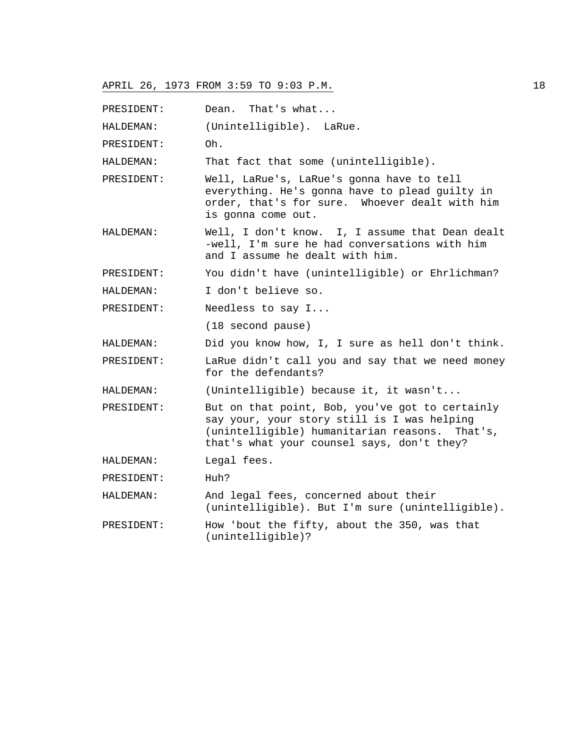PRESIDENT: Dean. That's what...

HALDEMAN: (Unintelligible). LaRue.

PRESIDENT: Oh.

HALDEMAN: That fact that some (unintelligible).

- PRESIDENT: Well, LaRue's, LaRue's gonna have to tell everything. He's gonna have to plead guilty in order, that's for sure. Whoever dealt with him is gonna come out.
- HALDEMAN: Well, I don't know. I, I assume that Dean dealt -well, I'm sure he had conversations with him and I assume he dealt with him.

PRESIDENT: You didn't have (unintelligible) or Ehrlichman?

HALDEMAN: I don't believe so.

PRESIDENT: Needless to say I...

(18 second pause)

HALDEMAN: Did you know how, I, I sure as hell don't think.

PRESIDENT: LaRue didn't call you and say that we need money for the defendants?

HALDEMAN: (Unintelligible) because it, it wasn't...

- PRESIDENT: But on that point, Bob, you've got to certainly say your, your story still is I was helping (unintelligible) humanitarian reasons. That's, that's what your counsel says, don't they?
- HALDEMAN: Legal fees.

PRESIDENT: Huh?

HALDEMAN: And legal fees, concerned about their (unintelligible). But I'm sure (unintelligible).

PRESIDENT: How 'bout the fifty, about the 350, was that (unintelligible)?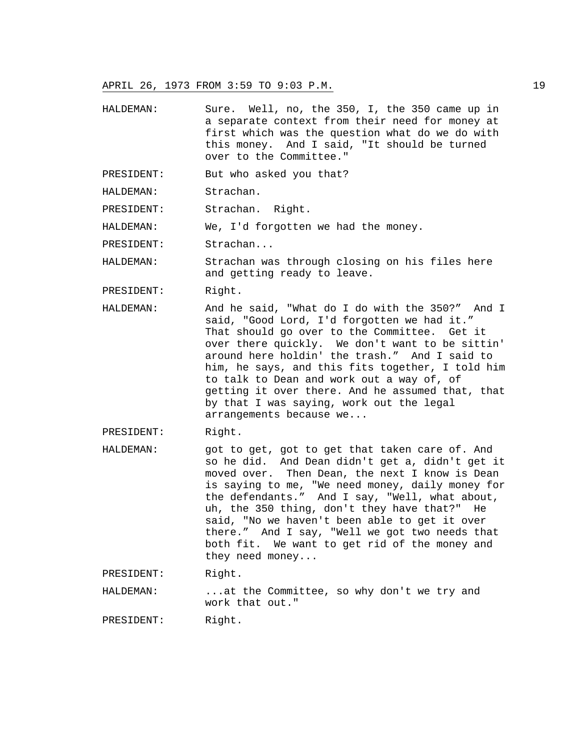HALDEMAN: Sure. Well, no, the 350, I, the 350 came up in a separate context from their need for money at first which was the question what do we do with this money. And I said, "It should be turned over to the Committee."

PRESIDENT: But who asked you that?

HALDEMAN: Strachan.

PRESIDENT: Strachan. Right.

HALDEMAN: We, I'd forgotten we had the money.

PRESIDENT: Strachan...

HALDEMAN: Strachan was through closing on his files here and getting ready to leave.

PRESIDENT: Right.

HALDEMAN: And he said, "What do I do with the 350?" And I said, "Good Lord, I'd forgotten we had it." That should go over to the Committee. Get it over there quickly. We don't want to be sittin' around here holdin' the trash." And I said to him, he says, and this fits together, I told him to talk to Dean and work out a way of, of getting it over there. And he assumed that, that by that I was saying, work out the legal arrangements because we...

PRESIDENT: Right.

HALDEMAN: got to get, got to get that taken care of. And so he did. And Dean didn't get a, didn't get it moved over. Then Dean, the next I know is Dean is saying to me, "We need money, daily money for the defendants." And I say, "Well, what about, uh, the 350 thing, don't they have that?" He said, "No we haven't been able to get it over there." And I say, "Well we got two needs that both fit. We want to get rid of the money and they need money...

PRESIDENT: Right.

HALDEMAN: ...at the Committee, so why don't we try and work that out."

PRESIDENT: Right.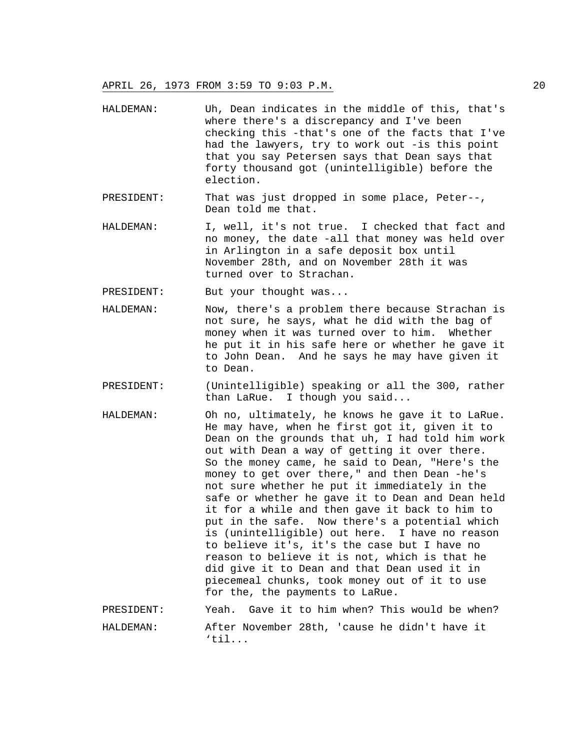- HALDEMAN: Uh, Dean indicates in the middle of this, that's where there's a discrepancy and I've been checking this -that's one of the facts that I've had the lawyers, try to work out -is this point that you say Petersen says that Dean says that forty thousand got (unintelligible) before the election.
- PRESIDENT: That was just dropped in some place, Peter--, Dean told me that.
- HALDEMAN: I, well, it's not true. I checked that fact and no money, the date -all that money was held over in Arlington in a safe deposit box until November 28th, and on November 28th it was turned over to Strachan.
- PRESIDENT: But your thought was...
- HALDEMAN: Now, there's a problem there because Strachan is not sure, he says, what he did with the bag of money when it was turned over to him. Whether he put it in his safe here or whether he gave it to John Dean. And he says he may have given it to Dean.
- PRESIDENT: (Unintelligible) speaking or all the 300, rather than LaRue. I though you said...
- HALDEMAN: Oh no, ultimately, he knows he gave it to LaRue. He may have, when he first got it, given it to Dean on the grounds that uh, I had told him work out with Dean a way of getting it over there. So the money came, he said to Dean, "Here's the money to get over there," and then Dean -he's not sure whether he put it immediately in the safe or whether he gave it to Dean and Dean held it for a while and then gave it back to him to put in the safe. Now there's a potential which is (unintelligible) out here. I have no reason to believe it's, it's the case but I have no reason to believe it is not, which is that he did give it to Dean and that Dean used it in piecemeal chunks, took money out of it to use for the, the payments to LaRue.
- PRESIDENT: Yeah. Gave it to him when? This would be when? HALDEMAN: After November 28th, 'cause he didn't have it 'til...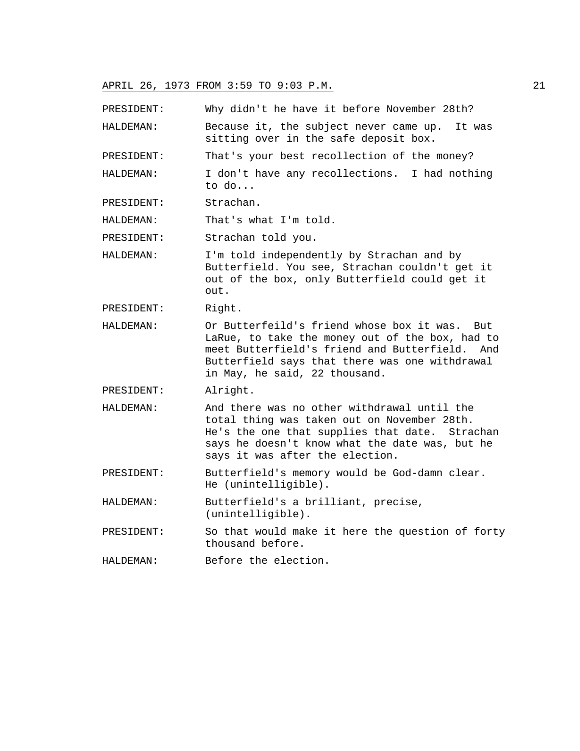PRESIDENT: Why didn't he have it before November 28th? HALDEMAN: Because it, the subject never came up. It was sitting over in the safe deposit box. PRESIDENT: That's your best recollection of the money? HALDEMAN: I don't have any recollections. I had nothing to do... PRESIDENT: Strachan. HALDEMAN: That's what I'm told. PRESIDENT: Strachan told you.

HALDEMAN: I'm told independently by Strachan and by Butterfield. You see, Strachan couldn't get it out of the box, only Butterfield could get it out.

PRESIDENT: Right.

HALDEMAN: Or Butterfeild's friend whose box it was. But LaRue, to take the money out of the box, had to meet Butterfield's friend and Butterfield. And Butterfield says that there was one withdrawal in May, he said, 22 thousand.

PRESIDENT: Alright.

HALDEMAN: And there was no other withdrawal until the total thing was taken out on November 28th. He's the one that supplies that date. Strachan says he doesn't know what the date was, but he says it was after the election.

PRESIDENT: Butterfield's memory would be God-damn clear. He (unintelligible).

HALDEMAN: Butterfield's a brilliant, precise, (unintelligible).

PRESIDENT: So that would make it here the question of forty thousand before.

HALDEMAN: Before the election.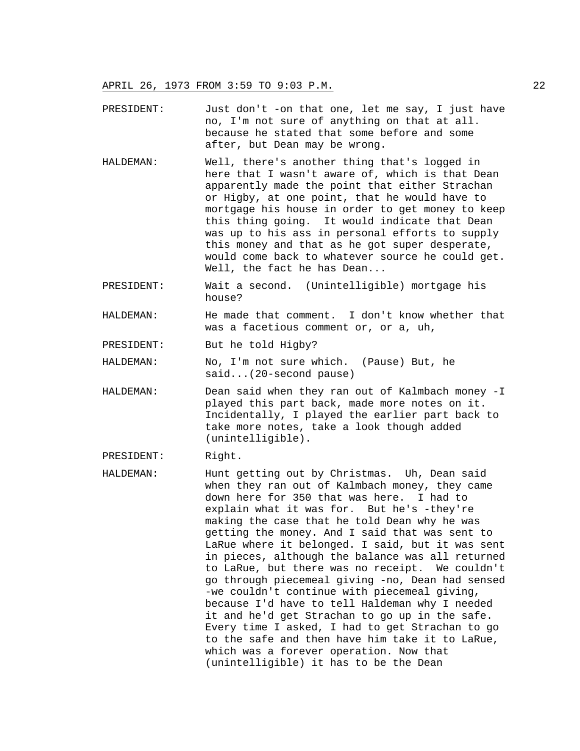- PRESIDENT: Just don't -on that one, let me say, I just have no, I'm not sure of anything on that at all. because he stated that some before and some after, but Dean may be wrong.
- HALDEMAN: Well, there's another thing that's logged in here that I wasn't aware of, which is that Dean apparently made the point that either Strachan or Higby, at one point, that he would have to mortgage his house in order to get money to keep this thing going. It would indicate that Dean was up to his ass in personal efforts to supply this money and that as he got super desperate, would come back to whatever source he could get. Well, the fact he has Dean...
- PRESIDENT: Wait a second. (Unintelligible) mortgage his house?
- HALDEMAN: He made that comment. I don't know whether that was a facetious comment or, or a, uh,
- PRESIDENT: But he told Higby?
- HALDEMAN: No, I'm not sure which. (Pause) But, he said...(20-second pause)
- HALDEMAN: Dean said when they ran out of Kalmbach money -I played this part back, made more notes on it. Incidentally, I played the earlier part back to take more notes, take a look though added (unintelligible).
- PRESIDENT: Right.
- HALDEMAN: Hunt getting out by Christmas. Uh, Dean said when they ran out of Kalmbach money, they came down here for 350 that was here. I had to explain what it was for. But he's -they're making the case that he told Dean why he was getting the money. And I said that was sent to LaRue where it belonged. I said, but it was sent in pieces, although the balance was all returned to LaRue, but there was no receipt. We couldn't go through piecemeal giving -no, Dean had sensed -we couldn't continue with piecemeal giving, because I'd have to tell Haldeman why I needed it and he'd get Strachan to go up in the safe. Every time I asked, I had to get Strachan to go to the safe and then have him take it to LaRue, which was a forever operation. Now that (unintelligible) it has to be the Dean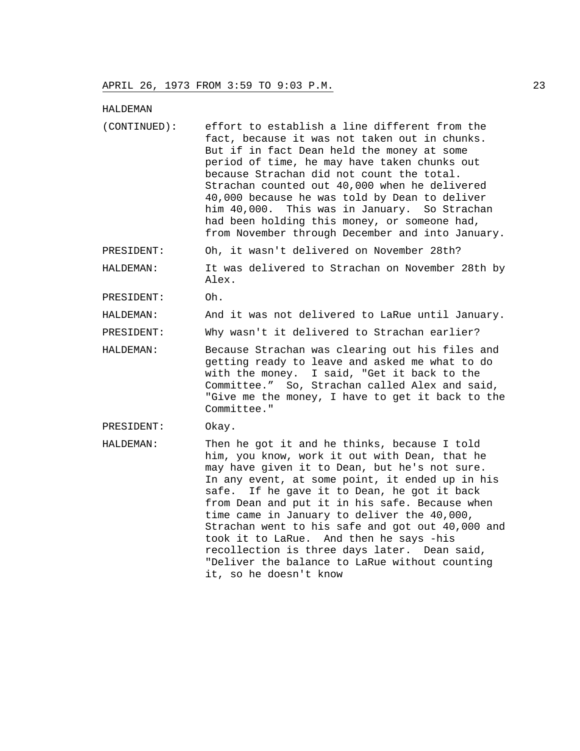- (CONTINUED): effort to establish a line different from the fact, because it was not taken out in chunks. But if in fact Dean held the money at some period of time, he may have taken chunks out because Strachan did not count the total. Strachan counted out 40,000 when he delivered 40,000 because he was told by Dean to deliver him 40,000. This was in January. So Strachan had been holding this money, or someone had, from November through December and into January.
- PRESIDENT: Oh, it wasn't delivered on November 28th?

HALDEMAN: It was delivered to Strachan on November 28th by Alex.

PRESIDENT: Oh.

HALDEMAN: And it was not delivered to LaRue until January.

PRESIDENT: Why wasn't it delivered to Strachan earlier?

- HALDEMAN: Because Strachan was clearing out his files and getting ready to leave and asked me what to do with the money. I said, "Get it back to the Committee." So, Strachan called Alex and said, "Give me the money, I have to get it back to the Committee."
- PRESIDENT: Okay.
- HALDEMAN: Then he got it and he thinks, because I told him, you know, work it out with Dean, that he may have given it to Dean, but he's not sure. In any event, at some point, it ended up in his safe. If he gave it to Dean, he got it back from Dean and put it in his safe. Because when time came in January to deliver the 40,000, Strachan went to his safe and got out 40,000 and took it to LaRue. And then he says -his recollection is three days later. Dean said, "Deliver the balance to LaRue without counting it, so he doesn't know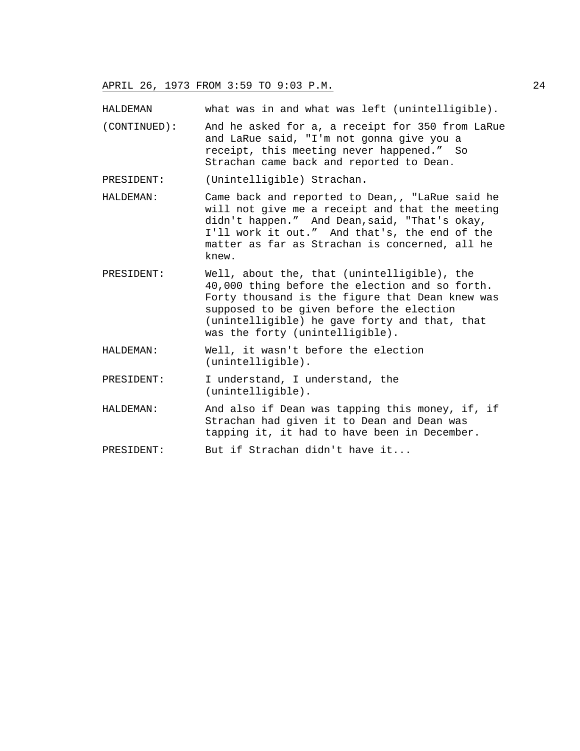HALDEMAN what was in and what was left (unintelligible).

- (CONTINUED): And he asked for a, a receipt for 350 from LaRue and LaRue said, "I'm not gonna give you a receipt, this meeting never happened." So Strachan came back and reported to Dean.
- PRESIDENT: (Unintelligible) Strachan.
- HALDEMAN: Came back and reported to Dean,, "LaRue said he will not give me a receipt and that the meeting didn't happen." And Dean,said, "That's okay, I'll work it out." And that's, the end of the matter as far as Strachan is concerned, all he knew.
- PRESIDENT: Well, about the, that (unintelligible), the 40,000 thing before the election and so forth. Forty thousand is the figure that Dean knew was supposed to be given before the election (unintelligible) he gave forty and that, that was the forty (unintelligible).
- HALDEMAN: Well, it wasn't before the election (unintelligible).
- PRESIDENT: I understand, I understand, the (unintelligible).
- HALDEMAN: And also if Dean was tapping this money, if, if Strachan had given it to Dean and Dean was tapping it, it had to have been in December.
- PRESIDENT: But if Strachan didn't have it...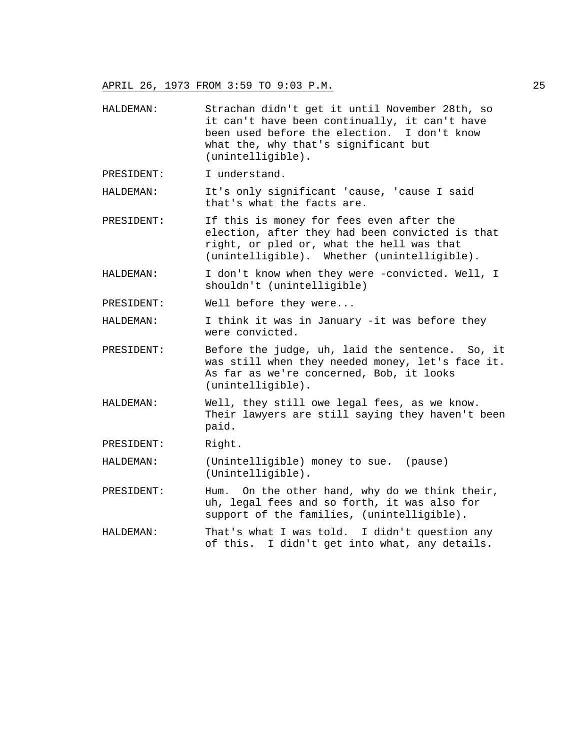HALDEMAN: Strachan didn't get it until November 28th, so it can't have been continually, it can't have been used before the election. I don't know what the, why that's significant but (unintelligible). PRESIDENT: I understand. HALDEMAN: It's only significant 'cause, 'cause I said that's what the facts are. PRESIDENT: If this is money for fees even after the election, after they had been convicted is that right, or pled or, what the hell was that (unintelligible). Whether (unintelligible). HALDEMAN: I don't know when they were -convicted. Well, I shouldn't (unintelligible) PRESIDENT: Well before they were... HALDEMAN: I think it was in January -it was before they were convicted. PRESIDENT: Before the judge, uh, laid the sentence. So, it was still when they needed money, let's face it. As far as we're concerned, Bob, it looks (unintelligible). HALDEMAN: Well, they still owe legal fees, as we know. Their lawyers are still saying they haven't been paid.

PRESIDENT: Right.

HALDEMAN: (Unintelligible) money to sue. (pause) (Unintelligible).

PRESIDENT: Hum. On the other hand, why do we think their, uh, legal fees and so forth, it was also for support of the families, (unintelligible).

HALDEMAN: That's what I was told. I didn't question any of this. I didn't get into what, any details.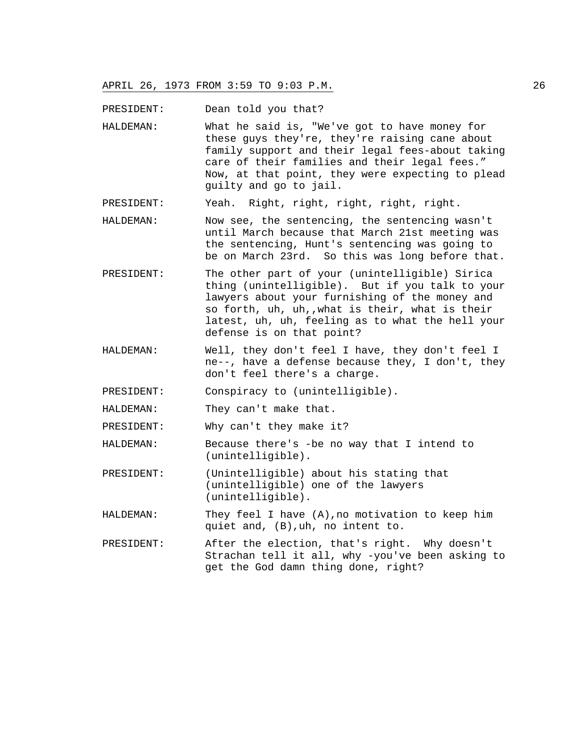PRESIDENT: Dean told you that?

- HALDEMAN: What he said is, "We've got to have money for these guys they're, they're raising cane about family support and their legal fees-about taking care of their families and their legal fees." Now, at that point, they were expecting to plead guilty and go to jail.
- PRESIDENT: Yeah. Right, right, right, right, right.
- HALDEMAN: Now see, the sentencing, the sentencing wasn't until March because that March 21st meeting was the sentencing, Hunt's sentencing was going to be on March 23rd. So this was long before that.
- PRESIDENT: The other part of your (unintelligible) Sirica thing (unintelligible). But if you talk to your lawyers about your furnishing of the money and so forth, uh, uh,,what is their, what is their latest, uh, uh, feeling as to what the hell your defense is on that point?
- HALDEMAN: Well, they don't feel I have, they don't feel I ne--, have a defense because they, I don't, they don't feel there's a charge.
- PRESIDENT: Conspiracy to (unintelligible).
- HALDEMAN: They can't make that.
- PRESIDENT: Why can't they make it?
- HALDEMAN: Because there's -be no way that I intend to (unintelligible).
- PRESIDENT: (Unintelligible) about his stating that (unintelligible) one of the lawyers (unintelligible).
- HALDEMAN: They feel I have (A),no motivation to keep him quiet and, (B),uh, no intent to.
- PRESIDENT: After the election, that's right. Why doesn't Strachan tell it all, why -you've been asking to get the God damn thing done, right?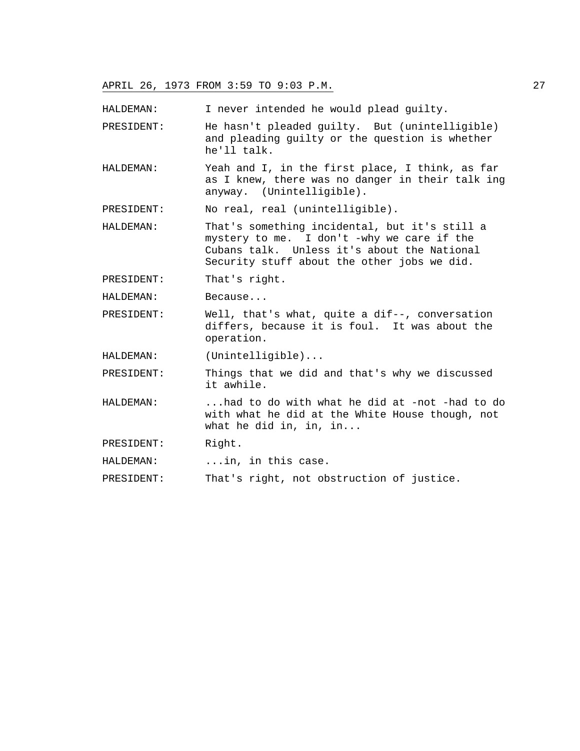HALDEMAN: I never intended he would plead guilty.

PRESIDENT: He hasn't pleaded guilty. But (unintelligible) and pleading guilty or the question is whether he'll talk.

HALDEMAN: Yeah and I, in the first place, I think, as far as I knew, there was no danger in their talk ing anyway. (Unintelligible).

PRESIDENT: No real, real (unintelligible).

- HALDEMAN: That's something incidental, but it's still a mystery to me. I don't -why we care if the Cubans talk. Unless it's about the National Security stuff about the other jobs we did.
- PRESIDENT: That's right.

HALDEMAN: Because...

- PRESIDENT: Well, that's what, quite a dif--, conversation differs, because it is foul. It was about the operation.
- HALDEMAN: (Unintelligible)...
- PRESIDENT: Things that we did and that's why we discussed it awhile.
- HALDEMAN: ...had to do with what he did at -not -had to do with what he did at the White House though, not what he did in, in, in...
- PRESIDENT: Right.
- HALDEMAN: ...in, in this case.
- PRESIDENT: That's right, not obstruction of justice.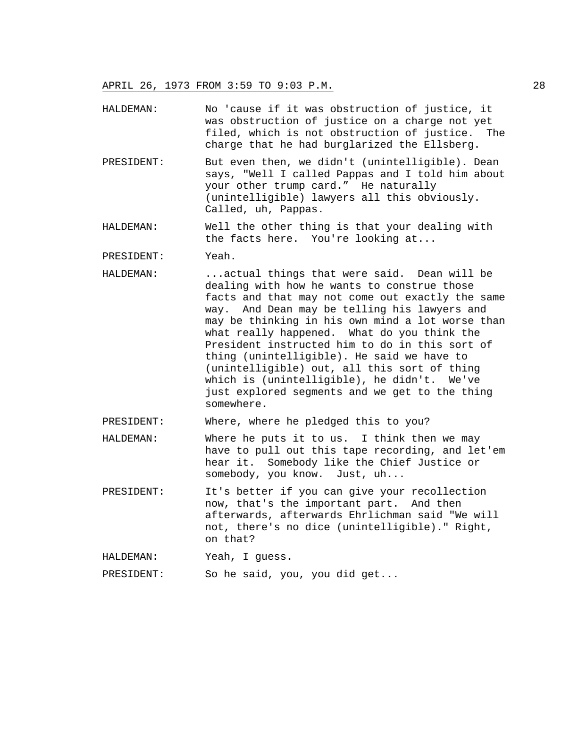- HALDEMAN: No 'cause if it was obstruction of justice, it was obstruction of justice on a charge not yet filed, which is not obstruction of justice. The charge that he had burglarized the Ellsberg.
- PRESIDENT: But even then, we didn't (unintelligible). Dean says, "Well I called Pappas and I told him about your other trump card." He naturally (unintelligible) lawyers all this obviously. Called, uh, Pappas.
- HALDEMAN: Well the other thing is that your dealing with the facts here. You're looking at...

PRESIDENT: Yeah.

HALDEMAN: ...actual things that were said. Dean will be dealing with how he wants to construe those facts and that may not come out exactly the same way. And Dean may be telling his lawyers and may be thinking in his own mind a lot worse than what really happened. What do you think the President instructed him to do in this sort of thing (unintelligible). He said we have to (unintelligible) out, all this sort of thing which is (unintelligible), he didn't. We've just explored segments and we get to the thing somewhere.

PRESIDENT: Where, where he pledged this to you?

- HALDEMAN: Where he puts it to us. I think then we may have to pull out this tape recording, and let'em hear it. Somebody like the Chief Justice or somebody, you know. Just, uh...
- PRESIDENT: It's better if you can give your recollection now, that's the important part. And then afterwards, afterwards Ehrlichman said "We will not, there's no dice (unintelligible)." Right, on that?

HALDEMAN: Yeah, I guess.

PRESIDENT: So he said, you, you did get...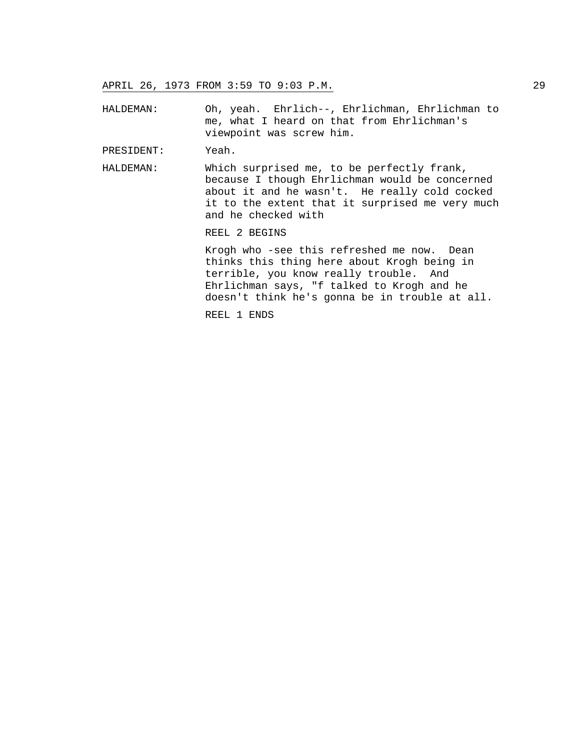HALDEMAN: Oh, yeah. Ehrlich--, Ehrlichman, Ehrlichman to me, what I heard on that from Ehrlichman's viewpoint was screw him.

PRESIDENT: Yeah.

HALDEMAN: Which surprised me, to be perfectly frank, because I though Ehrlichman would be concerned about it and he wasn't. He really cold cocked it to the extent that it surprised me very much and he checked with

REEL 2 BEGINS

Krogh who -see this refreshed me now. Dean thinks this thing here about Krogh being in terrible, you know really trouble. And Ehrlichman says, "f talked to Krogh and he doesn't think he's gonna be in trouble at all.

REEL 1 ENDS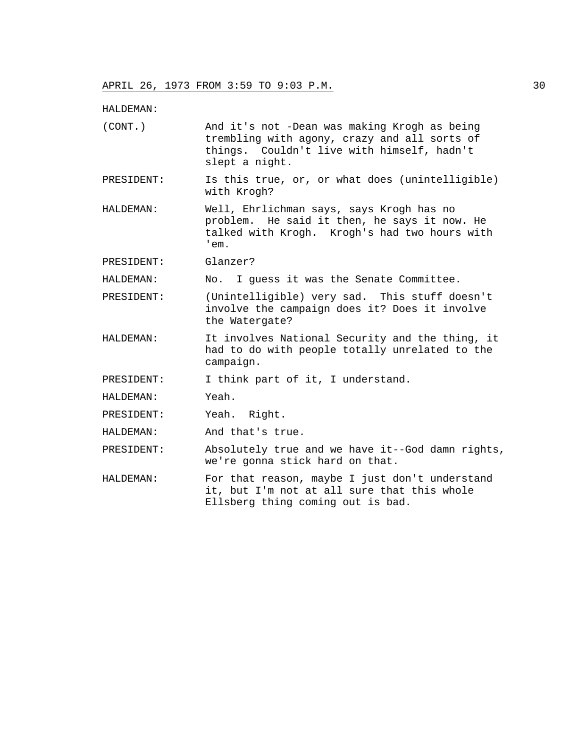| (CONT.) | And it's not -Dean was making Krogh as being |
|---------|----------------------------------------------|
|         | trembling with agony, crazy and all sorts of |
|         | things. Couldn't live with himself, hadn't   |
|         | slept a night.                               |

- PRESIDENT: Is this true, or, or what does (unintelligible) with Krogh?
- HALDEMAN: Well, Ehrlichman says, says Krogh has no problem. He said it then, he says it now. He talked with Krogh. Krogh's had two hours with 'em.

PRESIDENT: Glanzer?

HALDEMAN: No. I guess it was the Senate Committee.

PRESIDENT: (Unintelligible) very sad. This stuff doesn't involve the campaign does it? Does it involve the Watergate?

HALDEMAN: It involves National Security and the thing, it had to do with people totally unrelated to the campaign.

PRESIDENT: I think part of it, I understand.

HALDEMAN: Yeah.

- PRESIDENT: Yeah. Right.
- HALDEMAN: And that's true.

PRESIDENT: Absolutely true and we have it--God damn rights, we're gonna stick hard on that.

HALDEMAN: For that reason, maybe I just don't understand it, but I'm not at all sure that this whole Ellsberg thing coming out is bad.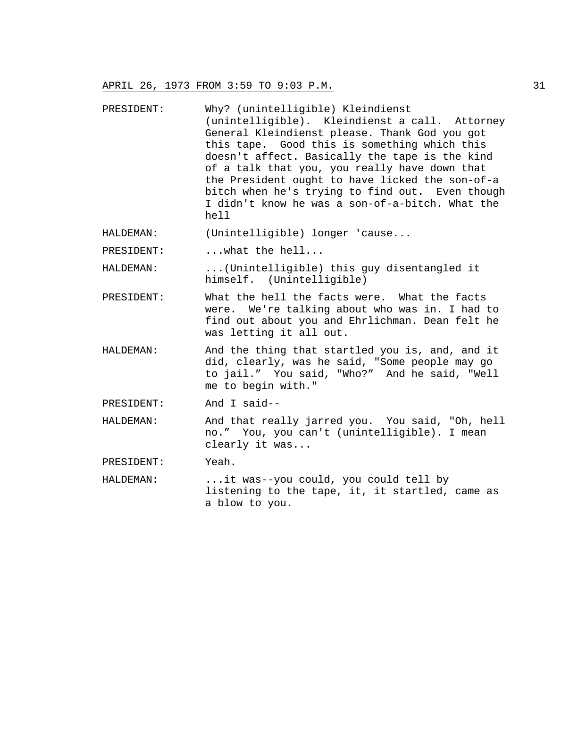- PRESIDENT: Why? (unintelligible) Kleindienst (unintelligible). Kleindienst a call. Attorney General Kleindienst please. Thank God you got this tape. Good this is something which this doesn't affect. Basically the tape is the kind of a talk that you, you really have down that the President ought to have licked the son-of-a bitch when he's trying to find out. Even though I didn't know he was a son-of-a-bitch. What the hell
- HALDEMAN: (Unintelligible) longer 'cause...
- PRESIDENT: ... what the hell...

HALDEMAN: ...(Unintelligible) this guy disentangled it himself. (Unintelligible)

- PRESIDENT: What the hell the facts were. What the facts were. We're talking about who was in. I had to find out about you and Ehrlichman. Dean felt he was letting it all out.
- HALDEMAN: And the thing that startled you is, and, and it did, clearly, was he said, "Some people may go to jail." You said, "Who?" And he said, "Well me to begin with."
- PRESIDENT: And I said--
- HALDEMAN: And that really jarred you. You said, "Oh, hell no." You, you can't (unintelligible). I mean clearly it was...
- PRESIDENT: Yeah.
- HALDEMAN: ...it was--you could, you could tell by listening to the tape, it, it startled, came as a blow to you.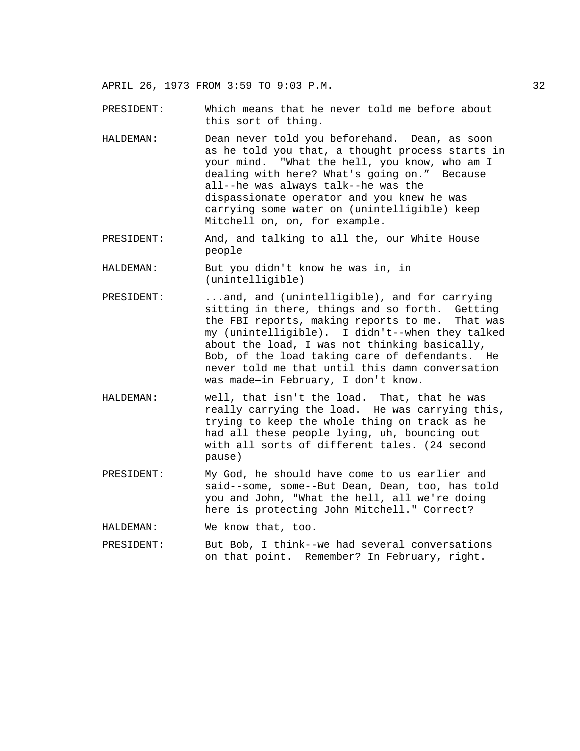PRESIDENT: Which means that he never told me before about this sort of thing.

- HALDEMAN: Dean never told you beforehand. Dean, as soon as he told you that, a thought process starts in your mind. "What the hell, you know, who am I dealing with here? What's going on." Because all--he was always talk--he was the dispassionate operator and you knew he was carrying some water on (unintelligible) keep Mitchell on, on, for example.
- PRESIDENT: And, and talking to all the, our White House people

HALDEMAN: But you didn't know he was in, in (unintelligible)

- PRESIDENT: ...and, and (unintelligible), and for carrying sitting in there, things and so forth. Getting the FBI reports, making reports to me. That was my (unintelligible). I didn't--when they talked about the load, I was not thinking basically, Bob, of the load taking care of defendants. He never told me that until this damn conversation was made—in February, I don't know.
- HALDEMAN: well, that isn't the load. That, that he was really carrying the load. He was carrying this, trying to keep the whole thing on track as he had all these people lying, uh, bouncing out with all sorts of different tales. (24 second pause)
- PRESIDENT: My God, he should have come to us earlier and said--some, some--But Dean, Dean, too, has told you and John, "What the hell, all we're doing here is protecting John Mitchell." Correct?
- HALDEMAN: We know that, too.
- PRESIDENT: But Bob, I think--we had several conversations on that point. Remember? In February, right.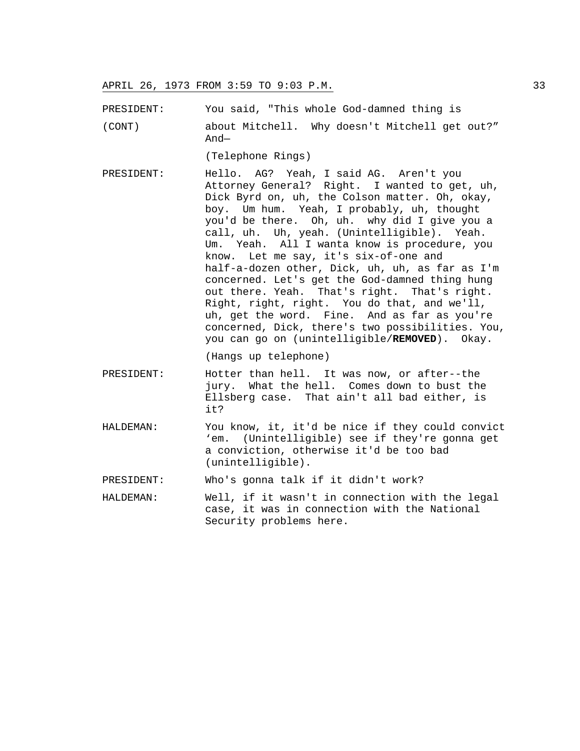PRESIDENT: You said, "This whole God-damned thing is

(CONT) about Mitchell. Why doesn't Mitchell get out?" And—

(Telephone Rings)

PRESIDENT: Hello. AG? Yeah, I said AG. Aren't you Attorney General? Right. I wanted to get, uh, Dick Byrd on, uh, the Colson matter. Oh, okay, boy. Um hum. Yeah, I probably, uh, thought you'd be there. Oh, uh. why did I give you a call, uh. Uh, yeah. (Unintelligible). Yeah. Um. Yeah. All I wanta know is procedure, you know. Let me say, it's six-of-one and half-a-dozen other, Dick, uh, uh, as far as I'm concerned. Let's get the God-damned thing hung out there. Yeah. That's right. That's right. Right, right, right. You do that, and we'll, uh, get the word. Fine. And as far as you're concerned, Dick, there's two possibilities. You, you can go on (unintelligible/**REMOVED**). Okay.

(Hangs up telephone)

- PRESIDENT: Hotter than hell. It was now, or after--the jury. What the hell. Comes down to bust the Ellsberg case. That ain't all bad either, is it?
- HALDEMAN: You know, it, it'd be nice if they could convict 'em. (Unintelligible) see if they're gonna get a conviction, otherwise it'd be too bad (unintelligible).

PRESIDENT: Who's gonna talk if it didn't work?

HALDEMAN: Well, if it wasn't in connection with the legal case, it was in connection with the National Security problems here.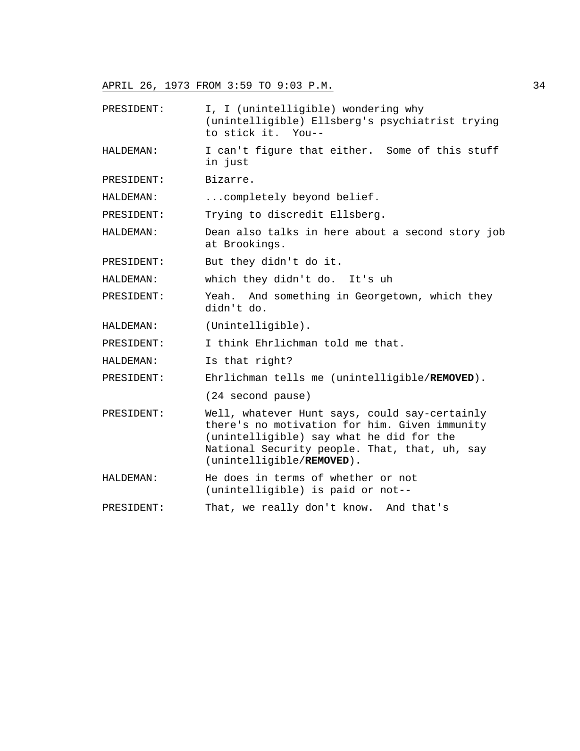PRESIDENT: I, I (unintelligible) wondering why (unintelligible) Ellsberg's psychiatrist trying to stick it. You-- HALDEMAN: I can't figure that either. Some of this stuff in just PRESIDENT: Bizarre. HALDEMAN: ...completely beyond belief. PRESIDENT: Trying to discredit Ellsberg. HALDEMAN: Dean also talks in here about a second story job at Brookings. PRESIDENT: But they didn't do it. HALDEMAN: which they didn't do. It's uh PRESIDENT: Yeah. And something in Georgetown, which they didn't do. HALDEMAN: (Unintelligible). PRESIDENT: I think Ehrlichman told me that. HALDEMAN: Is that right? PRESIDENT: Ehrlichman tells me (unintelligible/**REMOVED**). (24 second pause) PRESIDENT: Well, whatever Hunt says, could say-certainly there's no motivation for him. Given immunity (unintelligible) say what he did for the National Security people. That, that, uh, say (unintelligible/**REMOVED**). HALDEMAN: He does in terms of whether or not (unintelligible) is paid or not-- PRESIDENT: That, we really don't know. And that's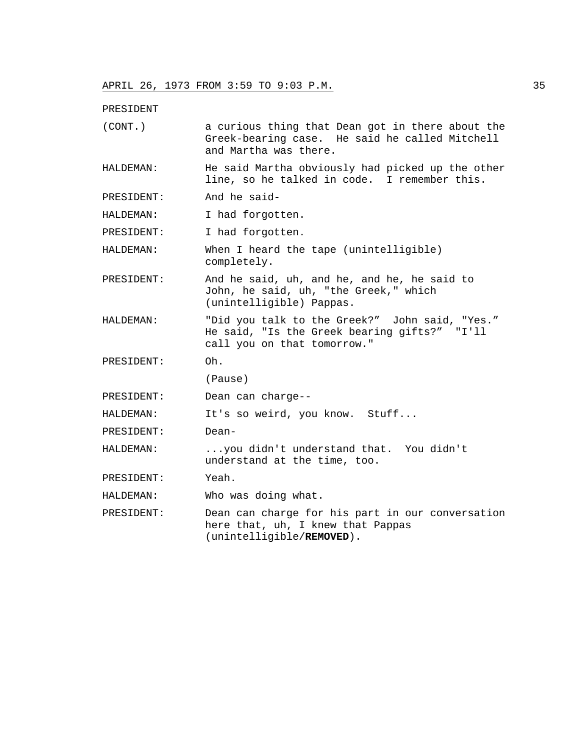PRESIDENT

| (CONT. ) | a curious thing that Dean got in there about the |  |  |  |
|----------|--------------------------------------------------|--|--|--|
|          | Greek-bearing case. He said he called Mitchell   |  |  |  |
|          | and Martha was there.                            |  |  |  |

- HALDEMAN: He said Martha obviously had picked up the other line, so he talked in code. I remember this.
- PRESIDENT: And he said-
- HALDEMAN: I had forgotten.

PRESIDENT: I had forgotten.

HALDEMAN: When I heard the tape (unintelligible) completely.

- PRESIDENT: And he said, uh, and he, and he, he said to John, he said, uh, "the Greek," which (unintelligible) Pappas.
- HALDEMAN: "Did you talk to the Greek?" John said, "Yes." He said, "Is the Greek bearing gifts?" "I'll call you on that tomorrow."
- PRESIDENT: Oh.
	- (Pause)
- PRESIDENT: Dean can charge--

HALDEMAN: It's so weird, you know. Stuff...

PRESIDENT: Dean-

HALDEMAN: ...you didn't understand that. You didn't understand at the time, too.

PRESIDENT: Yeah.

HALDEMAN: Who was doing what.

PRESIDENT: Dean can charge for his part in our conversation here that, uh, I knew that Pappas (unintelligible/**REMOVED**).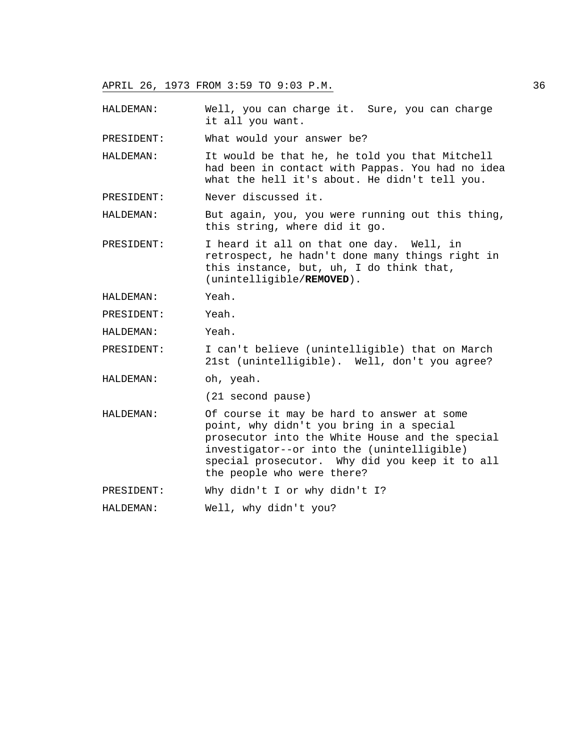APRIL 26, 1973 FROM 3:59 TO 9:03 P.M. 36 2010 12:03 P.M. 36

HALDEMAN: Well, you can charge it. Sure, you can charge it all you want.

PRESIDENT: What would your answer be?

- HALDEMAN: It would be that he, he told you that Mitchell had been in contact with Pappas. You had no idea what the hell it's about. He didn't tell you.
- PRESIDENT: Never discussed it.
- HALDEMAN: But again, you, you were running out this thing, this string, where did it go.
- PRESIDENT: I heard it all on that one day. Well, in retrospect, he hadn't done many things right in this instance, but, uh, I do think that, (unintelligible/**REMOVED**).
- HALDEMAN: Yeah.
- PRESIDENT: Yeah.
- HALDEMAN: Yeah.

PRESIDENT: I can't believe (unintelligible) that on March 21st (unintelligible). Well, don't you agree?

HALDEMAN: oh, yeah.

- (21 second pause)
- HALDEMAN: Of course it may be hard to answer at some point, why didn't you bring in a special prosecutor into the White House and the special investigator--or into the (unintelligible) special prosecutor. Why did you keep it to all the people who were there?
- PRESIDENT: Why didn't I or why didn't I?

HALDEMAN: Well, why didn't you?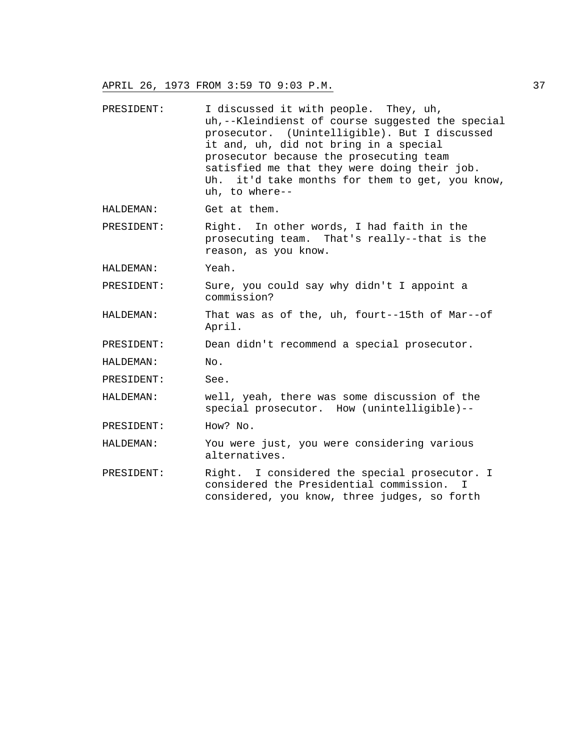- PRESIDENT: I discussed it with people. They, uh, uh,--Kleindienst of course suggested the special prosecutor. (Unintelligible). But I discussed it and, uh, did not bring in a special prosecutor because the prosecuting team satisfied me that they were doing their job. Uh. it'd take months for them to get, you know, uh, to where--
- HALDEMAN: Get at them.
- PRESIDENT: Right. In other words, I had faith in the prosecuting team. That's really--that is the reason, as you know.
- HALDEMAN: Yeah.

PRESIDENT: Sure, you could say why didn't I appoint a commission?

- HALDEMAN: That was as of the, uh, fourt--15th of Mar--of April.
- PRESIDENT: Dean didn't recommend a special prosecutor.
- HALDEMAN: No.
- PRESIDENT: See.
- HALDEMAN: well, yeah, there was some discussion of the special prosecutor. How (unintelligible)--
- PRESIDENT: How? No.

HALDEMAN: You were just, you were considering various alternatives.

PRESIDENT: Right. I considered the special prosecutor. I considered the Presidential commission. I considered, you know, three judges, so forth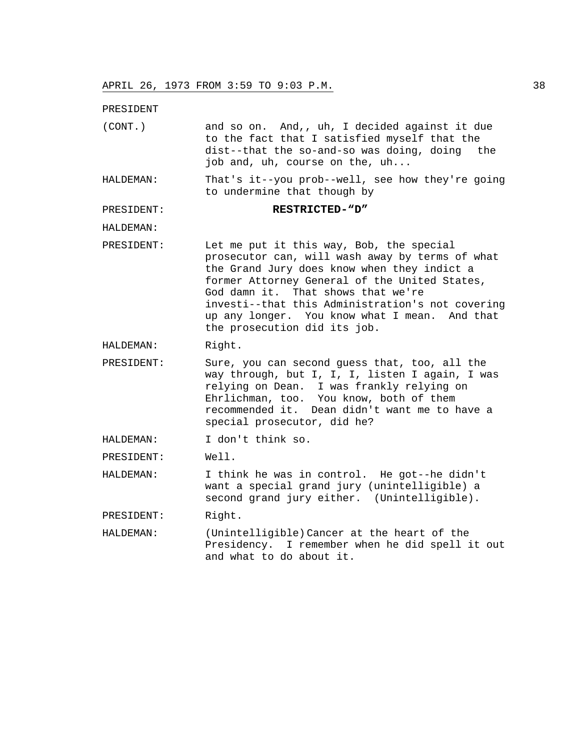PRESIDENT

- (CONT.) and so on. And,, uh, I decided against it due to the fact that I satisfied myself that the dist--that the so-and-so was doing, doing the job and, uh, course on the, uh...
- HALDEMAN: That's it--you prob--well, see how they're going to undermine that though by

# PRESIDENT: **RESTRICTED-"D"**

HALDEMAN:

PRESIDENT: Let me put it this way, Bob, the special prosecutor can, will wash away by terms of what the Grand Jury does know when they indict a former Attorney General of the United States, God damn it. That shows that we're investi--that this Administration's not covering up any longer. You know what I mean. And that the prosecution did its job.

HALDEMAN: Right.

PRESIDENT: Sure, you can second guess that, too, all the way through, but I, I, I, listen I again, I was relying on Dean. I was frankly relying on Ehrlichman, too. You know, both of them recommended it. Dean didn't want me to have a special prosecutor, did he?

HALDEMAN: I don't think so.

PRESIDENT: Well.

HALDEMAN: I think he was in control. He got--he didn't want a special grand jury (unintelligible) a second grand jury either. (Unintelligible).

PRESIDENT: Right.

HALDEMAN: (Unintelligible) Cancer at the heart of the Presidency. I remember when he did spell it out and what to do about it.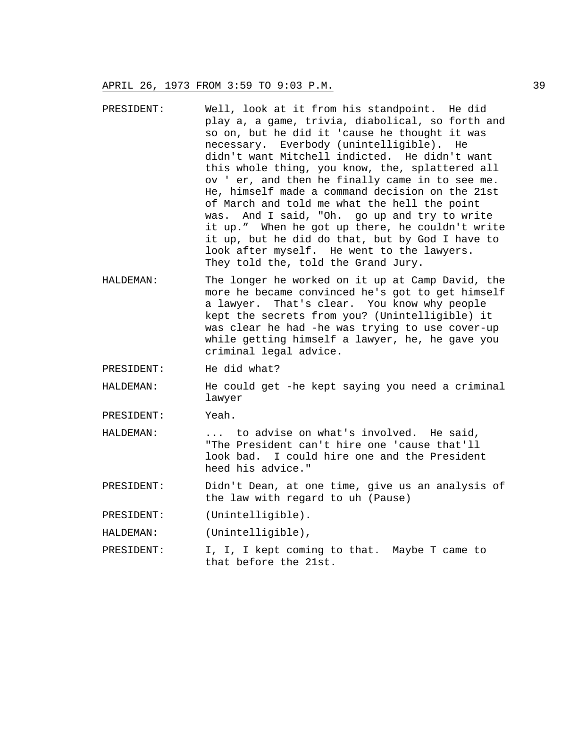- PRESIDENT: Well, look at it from his standpoint. He did play a, a game, trivia, diabolical, so forth and so on, but he did it 'cause he thought it was necessary. Everbody (unintelligible). He didn't want Mitchell indicted. He didn't want this whole thing, you know, the, splattered all ov ' er, and then he finally came in to see me. He, himself made a command decision on the 21st of March and told me what the hell the point was. And I said, "Oh. go up and try to write it up." When he got up there, he couldn't write it up, but he did do that, but by God I have to look after myself. He went to the lawyers. They told the, told the Grand Jury.
- HALDEMAN: The longer he worked on it up at Camp David, the more he became convinced he's got to get himself a lawyer. That's clear. You know why people kept the secrets from you? (Unintelligible) it was clear he had -he was trying to use cover-up while getting himself a lawyer, he, he gave you criminal legal advice.
- PRESIDENT: He did what?
- HALDEMAN: He could get -he kept saying you need a criminal lawyer
- PRESIDENT: Yeah.
- HALDEMAN: ... to advise on what's involved. He said, "The President can't hire one 'cause that'll look bad. I could hire one and the President heed his advice."
- PRESIDENT: Didn't Dean, at one time, give us an analysis of the law with regard to uh (Pause)
- PRESIDENT: (Unintelligible).
- HALDEMAN: (Unintelligible),
- PRESIDENT: I, I, I kept coming to that. Maybe T came to that before the 21st.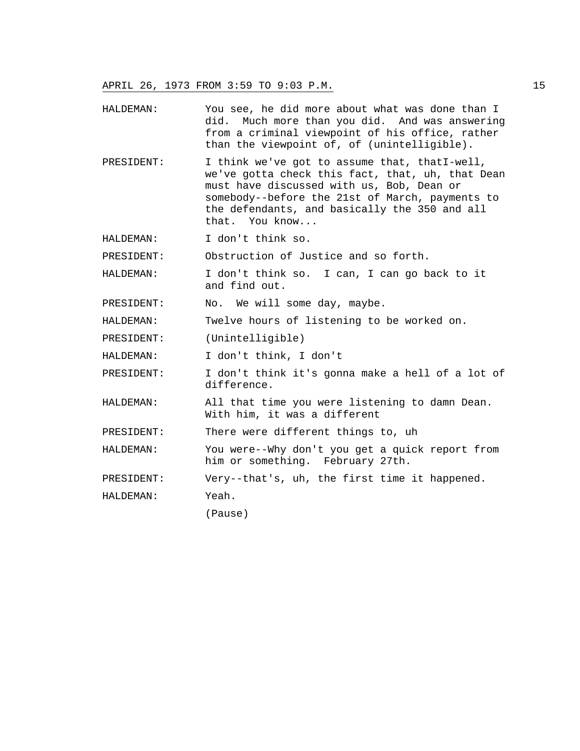- HALDEMAN: You see, he did more about what was done than I did. Much more than you did. And was answering from a criminal viewpoint of his office, rather than the viewpoint of, of (unintelligible).
- PRESIDENT: I think we've got to assume that, thatI-well, we've gotta check this fact, that, uh, that Dean must have discussed with us, Bob, Dean or somebody--before the 21st of March, payments to the defendants, and basically the 350 and all that. You know...
- HALDEMAN: I don't think so.

PRESIDENT: Obstruction of Justice and so forth.

- HALDEMAN: I don't think so. I can, I can go back to it and find out.
- PRESIDENT: No. We will some day, maybe.
- HALDEMAN: Twelve hours of listening to be worked on.
- PRESIDENT: (Unintelligible)
- HALDEMAN: I don't think, I don't
- PRESIDENT: I don't think it's gonna make a hell of a lot of difference.
- HALDEMAN: All that time you were listening to damn Dean. With him, it was a different

PRESIDENT: There were different things to, uh

- HALDEMAN: You were--Why don't you get a quick report from him or something. February 27th.
- PRESIDENT: Very--that's, uh, the first time it happened.
- HALDEMAN: Yeah.

(Pause)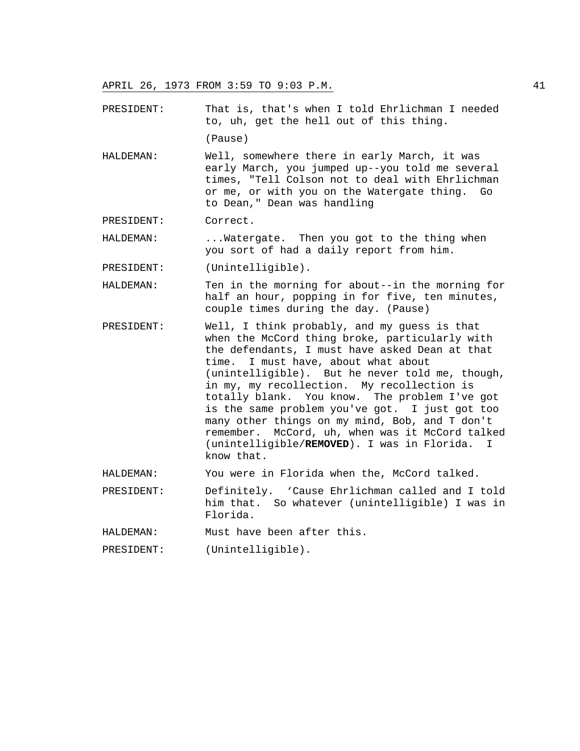PRESIDENT: That is, that's when I told Ehrlichman I needed to, uh, get the hell out of this thing.

(Pause)

- HALDEMAN: Well, somewhere there in early March, it was early March, you jumped up--you told me several times, "Tell Colson not to deal with Ehrlichman or me, or with you on the Watergate thing. Go to Dean," Dean was handling
- PRESIDENT: Correct.

HALDEMAN: ... Watergate. Then you got to the thing when you sort of had a daily report from him.

PRESIDENT: (Unintelligible).

HALDEMAN: Ten in the morning for about--in the morning for half an hour, popping in for five, ten minutes, couple times during the day. (Pause)

- PRESIDENT: Well, I think probably, and my guess is that when the McCord thing broke, particularly with the defendants, I must have asked Dean at that time. I must have, about what about (unintelligible). But he never told me, though, in my, my recollection. My recollection is totally blank. You know. The problem I've got is the same problem you've got. I just got too many other things on my mind, Bob, and T don't remember. McCord, uh, when was it McCord talked (unintelligible/**REMOVED**). I was in Florida. I know that.
- HALDEMAN: You were in Florida when the, McCord talked.
- PRESIDENT: Definitely. 'Cause Ehrlichman called and I told him that. So whatever (unintelligible) I was in Florida.

HALDEMAN: Must have been after this.

PRESIDENT: (Unintelligible).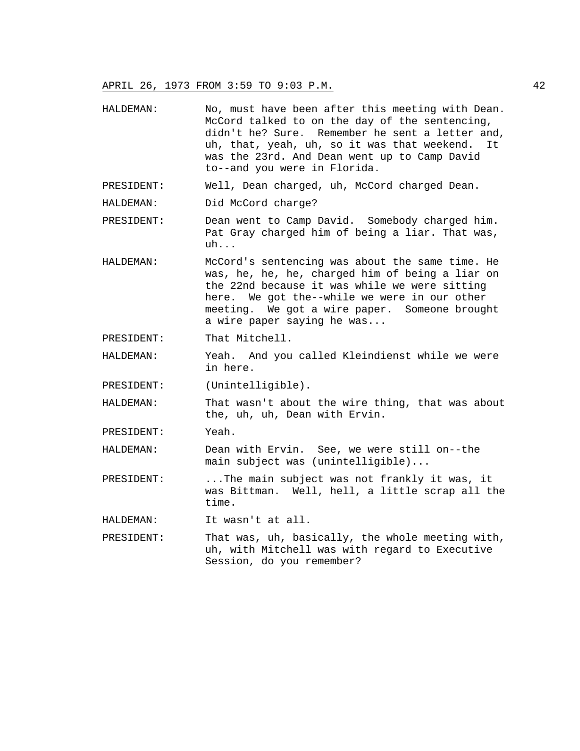- HALDEMAN: No, must have been after this meeting with Dean. McCord talked to on the day of the sentencing, didn't he? Sure. Remember he sent a letter and, uh, that, yeah, uh, so it was that weekend. It was the 23rd. And Dean went up to Camp David to--and you were in Florida.
- PRESIDENT: Well, Dean charged, uh, McCord charged Dean.
- HALDEMAN: Did McCord charge?
- PRESIDENT: Dean went to Camp David. Somebody charged him. Pat Gray charged him of being a liar. That was, uh...
- HALDEMAN: McCord's sentencing was about the same time. He was, he, he, he, charged him of being a liar on the 22nd because it was while we were sitting here. We got the--while we were in our other meeting. We got a wire paper. Someone brought a wire paper saying he was...
- PRESIDENT: That Mitchell.
- HALDEMAN: Yeah. And you called Kleindienst while we were in here.
- PRESIDENT: (Unintelligible).

HALDEMAN: That wasn't about the wire thing, that was about the, uh, uh, Dean with Ervin.

- PRESIDENT: Yeah.
- HALDEMAN: Dean with Ervin. See, we were still on--the main subject was (unintelligible)...
- PRESIDENT: ...The main subject was not frankly it was, it was Bittman. Well, hell, a little scrap all the time.

HALDEMAN: It wasn't at all.

PRESIDENT: That was, uh, basically, the whole meeting with, uh, with Mitchell was with regard to Executive Session, do you remember?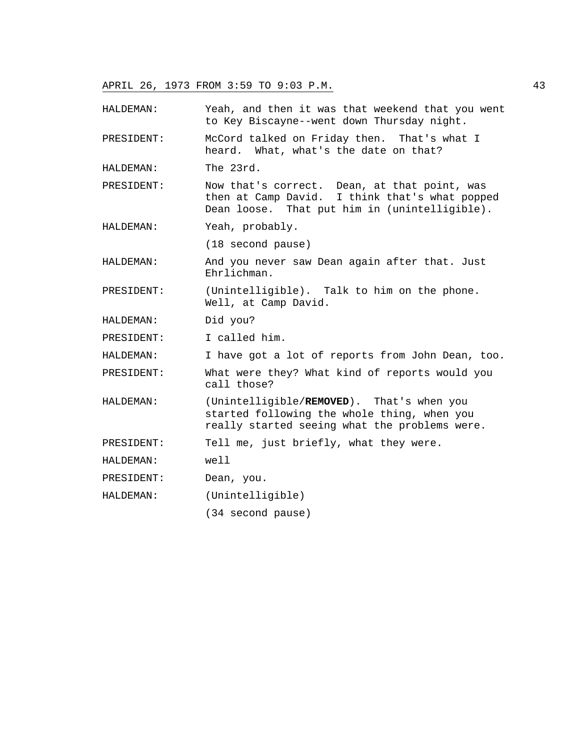HALDEMAN: Yeah, and then it was that weekend that you went to Key Biscayne--went down Thursday night.

PRESIDENT: McCord talked on Friday then. That's what I heard. What, what's the date on that?

HALDEMAN: The 23rd.

- PRESIDENT: Now that's correct. Dean, at that point, was then at Camp David. I think that's what popped Dean loose. That put him in (unintelligible).
- HALDEMAN: Yeah, probably.

(18 second pause)

- HALDEMAN: And you never saw Dean again after that. Just Ehrlichman.
- PRESIDENT: (Unintelligible). Talk to him on the phone. Well, at Camp David.
- HALDEMAN: Did you?
- PRESIDENT: I called him.
- HALDEMAN: I have got a lot of reports from John Dean, too.
- PRESIDENT: What were they? What kind of reports would you call those?
- HALDEMAN: (Unintelligible/**REMOVED**). That's when you started following the whole thing, when you really started seeing what the problems were.
- PRESIDENT: Tell me, just briefly, what they were.
- HALDEMAN: well
- PRESIDENT: Dean, you.

HALDEMAN: (Unintelligible)

(34 second pause)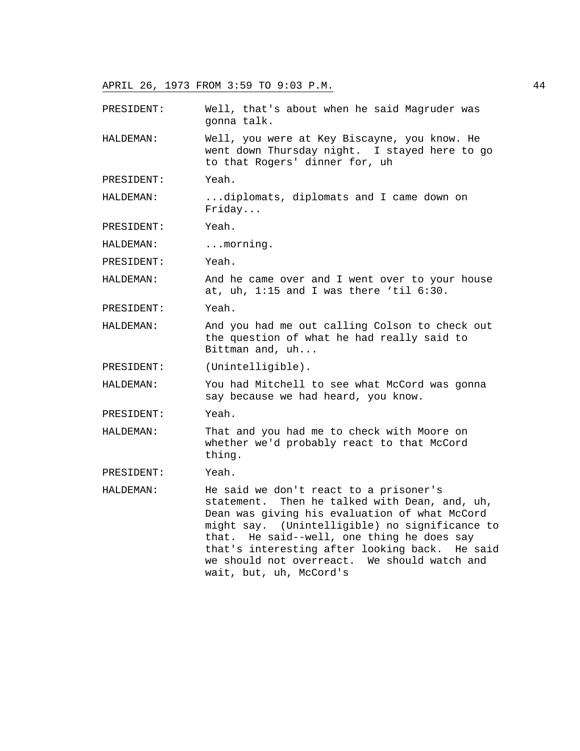PRESIDENT: Well, that's about when he said Magruder was gonna talk.

HALDEMAN: Well, you were at Key Biscayne, you know. He went down Thursday night. I stayed here to go to that Rogers' dinner for, uh

PRESIDENT: Yeah.

HALDEMAN: ...diplomats, diplomats and I came down on Friday...

PRESIDENT: Yeah.

HALDEMAN: ... morning.

PRESIDENT: Yeah.

HALDEMAN: And he came over and I went over to your house at, uh, 1:15 and I was there 'til 6:30.

PRESIDENT: Yeah.

HALDEMAN: And you had me out calling Colson to check out the question of what he had really said to Bittman and, uh...

PRESIDENT: (Unintelligible).

HALDEMAN: You had Mitchell to see what McCord was gonna say because we had heard, you know.

PRESIDENT: Yeah.

HALDEMAN: That and you had me to check with Moore on whether we'd probably react to that McCord thing.

PRESIDENT: Yeah.

HALDEMAN: He said we don't react to a prisoner's statement. Then he talked with Dean, and, uh, Dean was giving his evaluation of what McCord might say. (Unintelligible) no significance to that. He said--well, one thing he does say that's interesting after looking back. He said we should not overreact. We should watch and wait, but, uh, McCord's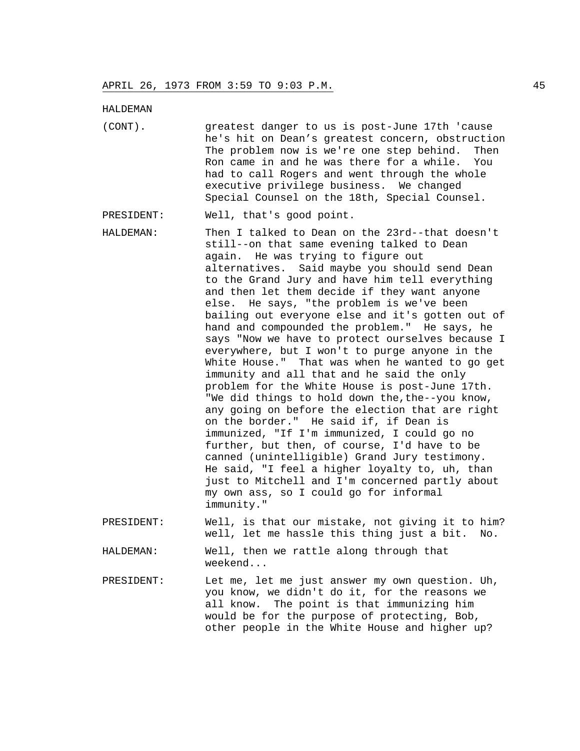- (CONT). greatest danger to us is post-June 17th 'cause he's hit on Dean's greatest concern, obstruction The problem now is we're one step behind. Then Ron came in and he was there for a while. You had to call Rogers and went through the whole executive privilege business. We changed Special Counsel on the 18th, Special Counsel.
- PRESIDENT: Well, that's good point.
- HALDEMAN: Then I talked to Dean on the 23rd--that doesn't still--on that same evening talked to Dean again. He was trying to figure out alternatives. Said maybe you should send Dean to the Grand Jury and have him tell everything and then let them decide if they want anyone else. He says, "the problem is we've been bailing out everyone else and it's gotten out of hand and compounded the problem." He says, he says "Now we have to protect ourselves because I everywhere, but I won't to purge anyone in the White House." That was when he wanted to go get immunity and all that and he said the only problem for the White House is post-June 17th. "We did things to hold down the,the--you know, any going on before the election that are right on the border." He said if, if Dean is immunized, "If I'm immunized, I could go no further, but then, of course, I'd have to be canned (unintelligible) Grand Jury testimony. He said, "I feel a higher loyalty to, uh, than just to Mitchell and I'm concerned partly about my own ass, so I could go for informal immunity."
- PRESIDENT: Well, is that our mistake, not giving it to him? well, let me hassle this thing just a bit. No.
- HALDEMAN: Well, then we rattle along through that weekend...
- PRESIDENT: Let me, let me just answer my own question. Uh, you know, we didn't do it, for the reasons we all know. The point is that immunizing him would be for the purpose of protecting, Bob, other people in the White House and higher up?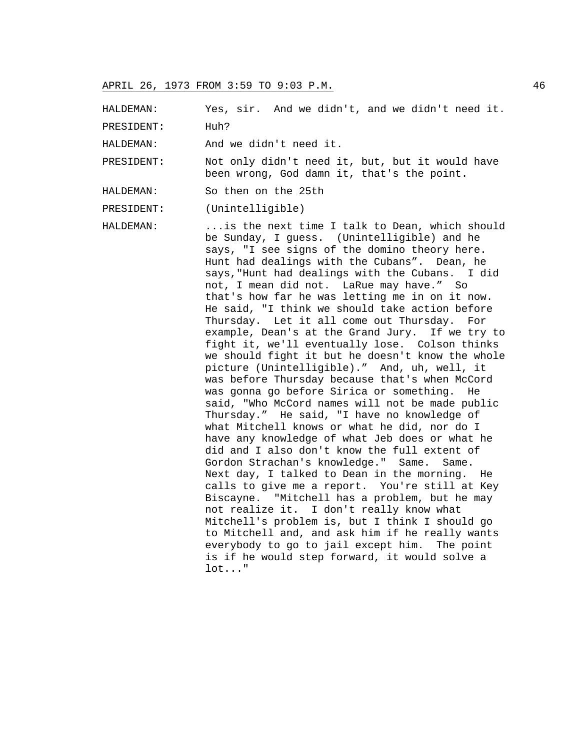HALDEMAN: Yes, sir. And we didn't, and we didn't need it.

PRESIDENT: Huh?

HALDEMAN: And we didn't need it.

PRESIDENT: Not only didn't need it, but, but it would have been wrong, God damn it, that's the point.

HALDEMAN: So then on the 25th

PRESIDENT: (Unintelligible)

HALDEMAN: ...is the next time I talk to Dean, which should be Sunday, I guess. (Unintelligible) and he says, "I see signs of the domino theory here. Hunt had dealings with the Cubans". Dean, he says,"Hunt had dealings with the Cubans. I did not, I mean did not. LaRue may have." So that's how far he was letting me in on it now. He said, "I think we should take action before Thursday. Let it all come out Thursday. For example, Dean's at the Grand Jury. If we try to fight it, we'll eventually lose. Colson thinks we should fight it but he doesn't know the whole picture (Unintelligible)." And, uh, well, it was before Thursday because that's when McCord was gonna go before Sirica or something. He said, "Who McCord names will not be made public Thursday." He said, "I have no knowledge of what Mitchell knows or what he did, nor do I have any knowledge of what Jeb does or what he did and I also don't know the full extent of Gordon Strachan's knowledge." Same. Same. Next day, I talked to Dean in the morning. He calls to give me a report. You're still at Key Biscayne. "Mitchell has a problem, but he may not realize it. I don't really know what Mitchell's problem is, but I think I should go to Mitchell and, and ask him if he really wants everybody to go to jail except him. The point is if he would step forward, it would solve a lot..."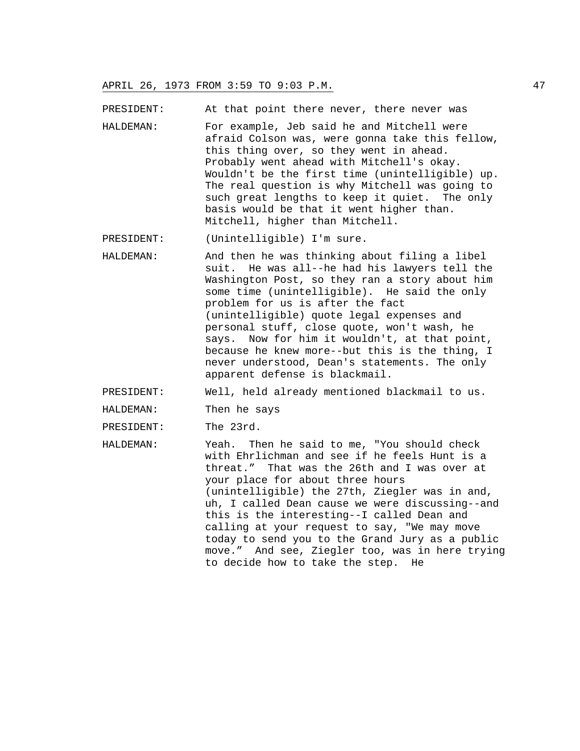PRESIDENT: At that point there never, there never was

- HALDEMAN: For example, Jeb said he and Mitchell were afraid Colson was, were gonna take this fellow, this thing over, so they went in ahead. Probably went ahead with Mitchell's okay. Wouldn't be the first time (unintelligible) up. The real question is why Mitchell was going to such great lengths to keep it quiet. The only basis would be that it went higher than. Mitchell, higher than Mitchell.
- PRESIDENT: (Unintelligible) I'm sure.
- HALDEMAN: And then he was thinking about filing a libel suit. He was all--he had his lawyers tell the Washington Post, so they ran a story about him some time (unintelligible). He said the only problem for us is after the fact (unintelligible) quote legal expenses and personal stuff, close quote, won't wash, he says. Now for him it wouldn't, at that point, because he knew more--but this is the thing, I never understood, Dean's statements. The only apparent defense is blackmail.
- PRESIDENT: Well, held already mentioned blackmail to us.

HALDEMAN: Then he says

PRESIDENT: The 23rd.

HALDEMAN: Yeah. Then he said to me, "You should check with Ehrlichman and see if he feels Hunt is a threat." That was the 26th and I was over at your place for about three hours (unintelligible) the 27th, Ziegler was in and, uh, I called Dean cause we were discussing--and this is the interesting--I called Dean and calling at your request to say, "We may move today to send you to the Grand Jury as a public move." And see, Ziegler too, was in here trying to decide how to take the step. He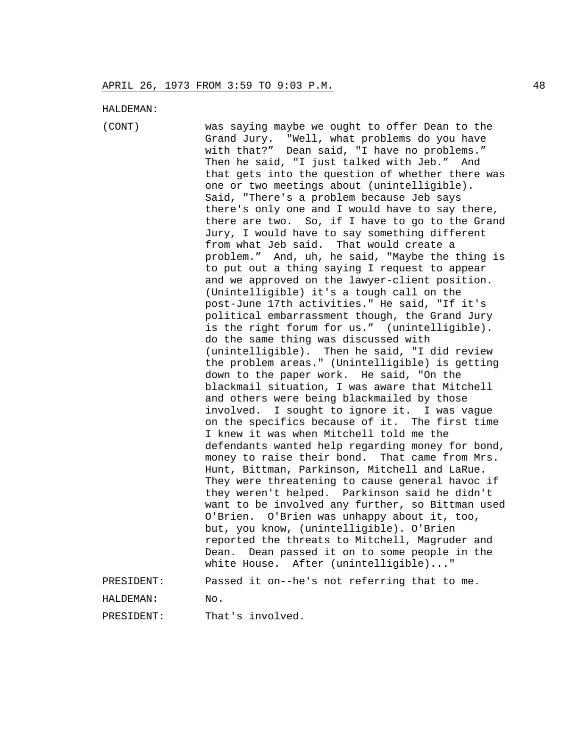(CONT) was saying maybe we ought to offer Dean to the Grand Jury. "Well, what problems do you have with that?" Dean said, "I have no problems." Then he said, "I just talked with Jeb." And that gets into the question of whether there was one or two meetings about (unintelligible). Said, "There's a problem because Jeb says there's only one and I would have to say there, there are two. So, if I have to go to the Grand Jury, I would have to say something different from what Jeb said. That would create a problem." And, uh, he said, "Maybe the thing is to put out a thing saying I request to appear and we approved on the lawyer-client position. (Unintelligible) it's a tough call on the post-June 17th activities." He said, "If it's political embarrassment though, the Grand Jury is the right forum for us." (unintelligible). do the same thing was discussed with (unintelligible). Then he said, "I did review the problem areas." (Unintelligible) is getting down to the paper work. He said, "On the blackmail situation, I was aware that Mitchell and others were being blackmailed by those involved. I sought to ignore it. I was vague on the specifics because of it. The first time I knew it was when Mitchell told me the defendants wanted help regarding money for bond, money to raise their bond. That came from Mrs. Hunt, Bittman, Parkinson, Mitchell and LaRue. They were threatening to cause general havoc if they weren't helped. Parkinson said he didn't want to be involved any further, so Bittman used O'Brien. O'Brien was unhappy about it, too, but, you know, (unintelligible). O'Brien reported the threats to Mitchell, Magruder and Dean. Dean passed it on to some people in the white House. After (unintelligible)..." PRESIDENT: Passed it on--he's not referring that to me. HALDEMAN: No. PRESIDENT: That's involved.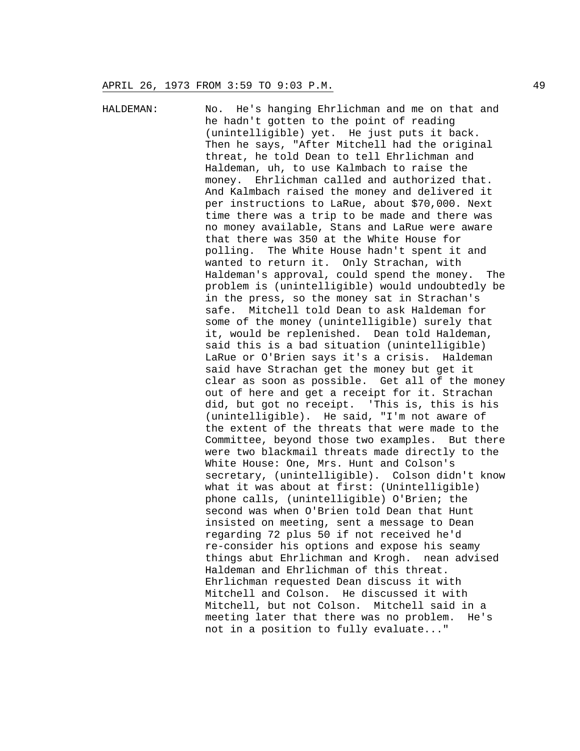HALDEMAN: No. He's hanging Ehrlichman and me on that and he hadn't gotten to the point of reading (unintelligible) yet. He just puts it back. Then he says, "After Mitchell had the original threat, he told Dean to tell Ehrlichman and Haldeman, uh, to use Kalmbach to raise the money. Ehrlichman called and authorized that. And Kalmbach raised the money and delivered it per instructions to LaRue, about \$70,000. Next time there was a trip to be made and there was no money available, Stans and LaRue were aware that there was 350 at the White House for polling. The White House hadn't spent it and wanted to return it. Only Strachan, with Haldeman's approval, could spend the money. The problem is (unintelligible) would undoubtedly be in the press, so the money sat in Strachan's safe. Mitchell told Dean to ask Haldeman for some of the money (unintelligible) surely that it, would be replenished. Dean told Haldeman, said this is a bad situation (unintelligible) LaRue or O'Brien says it's a crisis. Haldeman said have Strachan get the money but get it clear as soon as possible. Get all of the money out of here and get a receipt for it. Strachan did, but got no receipt. 'This is, this is his (unintelligible). He said, "I'm not aware of the extent of the threats that were made to the Committee, beyond those two examples. But there were two blackmail threats made directly to the White House: One, Mrs. Hunt and Colson's secretary, (unintelligible). Colson didn't know what it was about at first: (Unintelligible) phone calls, (unintelligible) O'Brien; the second was when O'Brien told Dean that Hunt insisted on meeting, sent a message to Dean regarding 72 plus 50 if not received he'd re-consider his options and expose his seamy things abut Ehrlichman and Krogh. nean advised Haldeman and Ehrlichman of this threat. Ehrlichman requested Dean discuss it with Mitchell and Colson. He discussed it with Mitchell, but not Colson. Mitchell said in a meeting later that there was no problem. He's not in a position to fully evaluate..."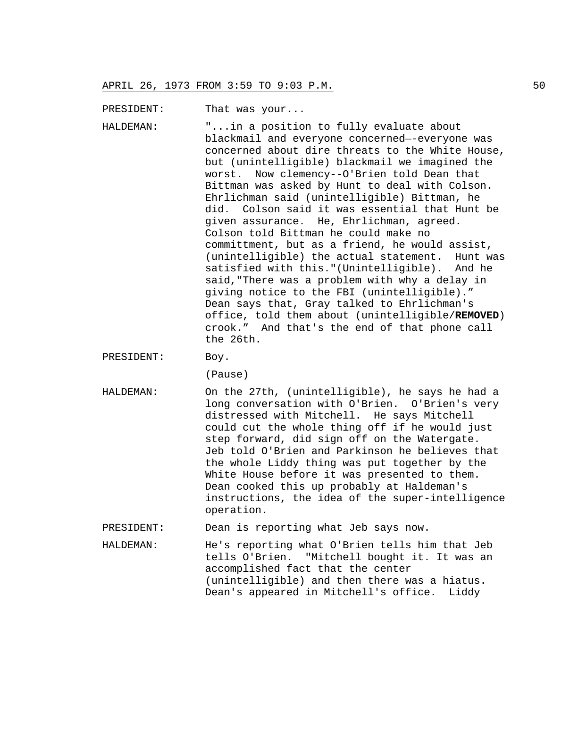PRESIDENT: That was your...

HALDEMAN: "...in a position to fully evaluate about blackmail and everyone concerned—-everyone was concerned about dire threats to the White House, but (unintelligible) blackmail we imagined the worst. Now clemency--O'Brien told Dean that Bittman was asked by Hunt to deal with Colson. Ehrlichman said (unintelligible) Bittman, he did. Colson said it was essential that Hunt be given assurance. He, Ehrlichman, agreed. Colson told Bittman he could make no committment, but as a friend, he would assist, (unintelligible) the actual statement. Hunt was satisfied with this."(Unintelligible). And he said,"There was a problem with why a delay in giving notice to the FBI (unintelligible)." Dean says that, Gray talked to Ehrlichman's office, told them about (unintelligible/**REMOVED**) crook." And that's the end of that phone call the 26th.

PRESIDENT: Boy.

(Pause)

HALDEMAN: On the 27th, (unintelligible), he says he had a long conversation with O'Brien. O'Brien's very distressed with Mitchell. He says Mitchell could cut the whole thing off if he would just step forward, did sign off on the Watergate. Jeb told O'Brien and Parkinson he believes that the whole Liddy thing was put together by the White House before it was presented to them. Dean cooked this up probably at Haldeman's instructions, the idea of the super-intelligence operation.

PRESIDENT: Dean is reporting what Jeb says now.

HALDEMAN: He's reporting what O'Brien tells him that Jeb tells O'Brien. "Mitchell bought it. It was an accomplished fact that the center (unintelligible) and then there was a hiatus. Dean's appeared in Mitchell's office. Liddy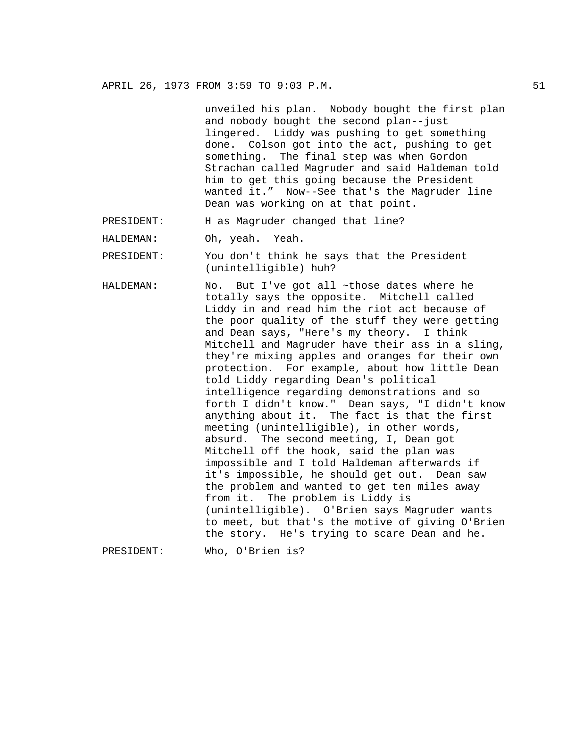unveiled his plan. Nobody bought the first plan and nobody bought the second plan--just lingered. Liddy was pushing to get something done. Colson got into the act, pushing to get something. The final step was when Gordon Strachan called Magruder and said Haldeman told him to get this going because the President wanted it." Now--See that's the Magruder line Dean was working on at that point.

PRESIDENT: H as Magruder changed that line?

HALDEMAN: Oh, yeah. Yeah.

PRESIDENT: You don't think he says that the President (unintelligible) huh?

HALDEMAN: No. But I've got all ~those dates where he totally says the opposite. Mitchell called Liddy in and read him the riot act because of the poor quality of the stuff they were getting and Dean says, "Here's my theory. I think Mitchell and Magruder have their ass in a sling, they're mixing apples and oranges for their own protection. For example, about how little Dean told Liddy regarding Dean's political intelligence regarding demonstrations and so forth I didn't know." Dean says, "I didn't know anything about it. The fact is that the first meeting (unintelligible), in other words, absurd. The second meeting, I, Dean got Mitchell off the hook, said the plan was impossible and I told Haldeman afterwards if it's impossible, he should get out. Dean saw the problem and wanted to get ten miles away from it. The problem is Liddy is (unintelligible). O'Brien says Magruder wants to meet, but that's the motive of giving O'Brien the story. He's trying to scare Dean and he.

PRESIDENT: Who, O'Brien is?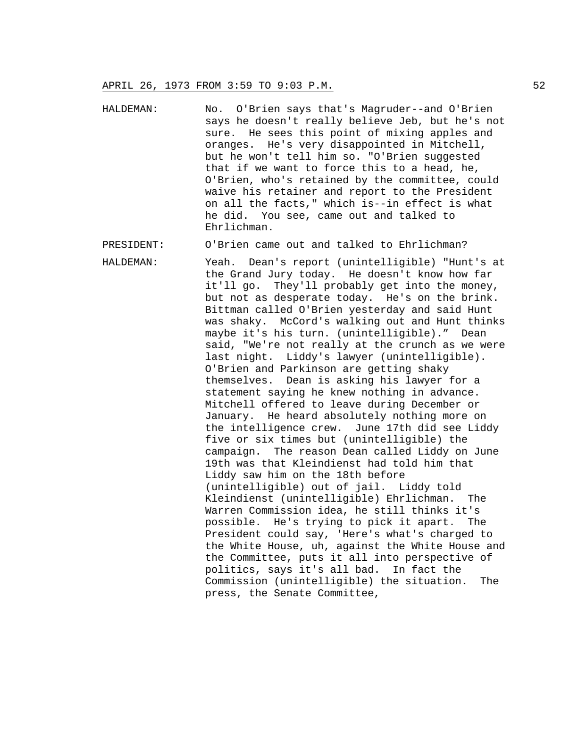- HALDEMAN: No. O'Brien says that's Magruder--and O'Brien says he doesn't really believe Jeb, but he's not sure. He sees this point of mixing apples and oranges. He's very disappointed in Mitchell, but he won't tell him so. "O'Brien suggested that if we want to force this to a head, he, O'Brien, who's retained by the committee, could waive his retainer and report to the President on all the facts," which is--in effect is what he did. You see, came out and talked to Ehrlichman.
- PRESIDENT: O'Brien came out and talked to Ehrlichman?
- HALDEMAN: Yeah. Dean's report (unintelligible) "Hunt's at the Grand Jury today. He doesn't know how far it'll go. They'll probably get into the money, but not as desperate today. He's on the brink. Bittman called O'Brien yesterday and said Hunt was shaky. McCord's walking out and Hunt thinks maybe it's his turn. (unintelligible)." Dean said, "We're not really at the crunch as we were last night. Liddy's lawyer (unintelligible). O'Brien and Parkinson are getting shaky themselves. Dean is asking his lawyer for a statement saying he knew nothing in advance. Mitchell offered to leave during December or January. He heard absolutely nothing more on the intelligence crew. June 17th did see Liddy five or six times but (unintelligible) the campaign. The reason Dean called Liddy on June 19th was that Kleindienst had told him that Liddy saw him on the 18th before (unintelligible) out of jail. Liddy told Kleindienst (unintelligible) Ehrlichman. The Warren Commission idea, he still thinks it's possible. He's trying to pick it apart. The President could say, 'Here's what's charged to the White House, uh, against the White House and the Committee, puts it all into perspective of politics, says it's all bad. In fact the Commission (unintelligible) the situation. The press, the Senate Committee,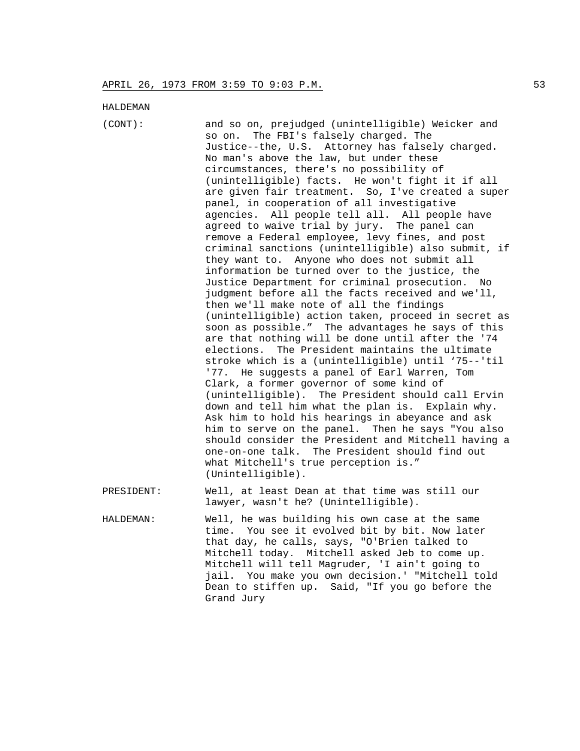| $(CONT)$ : | and so on, prejudged (unintelligible) Weicker and<br>The FBI's falsely charged. The<br>so on.<br>Justice--the, U.S. Attorney has falsely charged.<br>No man's above the law, but under these<br>circumstances, there's no possibility of<br>(unintelligible) facts. He won't fight it if all<br>are given fair treatment. So, I've created a super<br>panel, in cooperation of all investigative<br>agencies. All people tell all. All people have<br>agreed to waive trial by jury. The panel can<br>remove a Federal employee, levy fines, and post<br>criminal sanctions (unintelligible) also submit, if<br>they want to. Anyone who does not submit all<br>information be turned over to the justice, the<br>Justice Department for criminal prosecution. No<br>judgment before all the facts received and we'll,<br>then we'll make note of all the findings<br>(unintelligible) action taken, proceed in secret as<br>soon as possible." The advantages he says of this<br>are that nothing will be done until after the '74<br>The President maintains the ultimate<br>elections.<br>stroke which is a (unintelligible) until '75--'til<br>'77. He suggests a panel of Earl Warren, Tom<br>Clark, a former governor of some kind of<br>(unintelligible). The President should call Ervin<br>down and tell him what the plan is. Explain why.<br>Ask him to hold his hearings in abeyance and ask<br>him to serve on the panel. Then he says "You also<br>should consider the President and Mitchell having a<br>one-on-one talk. The President should find out<br>what Mitchell's true perception is."<br>(Unintelligible). |
|------------|-------------------------------------------------------------------------------------------------------------------------------------------------------------------------------------------------------------------------------------------------------------------------------------------------------------------------------------------------------------------------------------------------------------------------------------------------------------------------------------------------------------------------------------------------------------------------------------------------------------------------------------------------------------------------------------------------------------------------------------------------------------------------------------------------------------------------------------------------------------------------------------------------------------------------------------------------------------------------------------------------------------------------------------------------------------------------------------------------------------------------------------------------------------------------------------------------------------------------------------------------------------------------------------------------------------------------------------------------------------------------------------------------------------------------------------------------------------------------------------------------------------------------------------------------------------------------------------------------------------------------------------|
| PRESIDENT: | Well, at least Dean at that time was still our<br>lawyer, wasn't he? (Unintelligible).                                                                                                                                                                                                                                                                                                                                                                                                                                                                                                                                                                                                                                                                                                                                                                                                                                                                                                                                                                                                                                                                                                                                                                                                                                                                                                                                                                                                                                                                                                                                              |
| HALDEMAN:  | Well, he was building his own case at the same<br>time. You see it evolved bit by bit. Now later<br>that day, he calls, says, "O'Brien talked to<br>Mitchell today. Mitchell asked Jeb to come up.<br>Mitchell will tell Magruder, 'I ain't going to<br>jail. You make you own decision.' "Mitchell told                                                                                                                                                                                                                                                                                                                                                                                                                                                                                                                                                                                                                                                                                                                                                                                                                                                                                                                                                                                                                                                                                                                                                                                                                                                                                                                            |

Dean to stiffen up. Said, "If you go before the

Grand Jury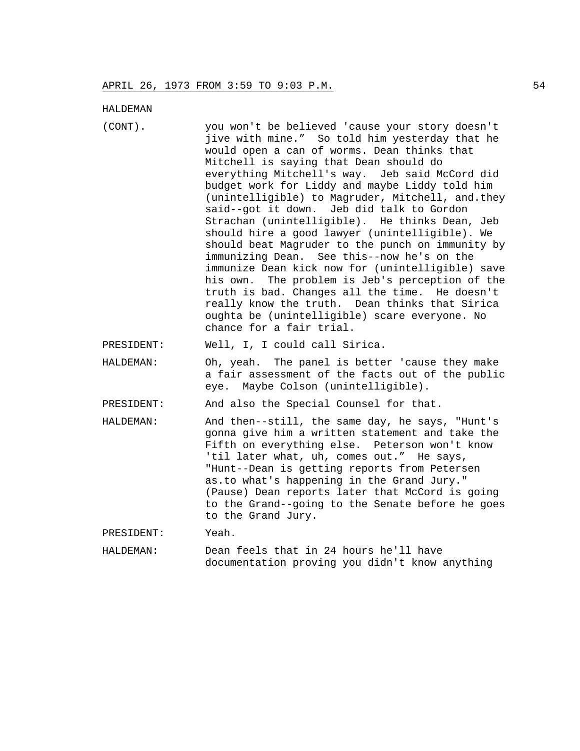| $(CONT)$ . | you won't be believed 'cause your story doesn't  |
|------------|--------------------------------------------------|
|            | jive with mine." So told him yesterday that he   |
|            | would open a can of worms. Dean thinks that      |
|            | Mitchell is saying that Dean should do           |
|            | everything Mitchell's way. Jeb said McCord did   |
|            | budget work for Liddy and maybe Liddy told him   |
|            | (unintelligible) to Magruder, Mitchell, and.they |
|            | said--got it down. Jeb did talk to Gordon        |
|            | Strachan (unintelligible). He thinks Dean, Jeb   |
|            | should hire a good lawyer (unintelligible). We   |
|            | should beat Magruder to the punch on immunity by |
|            | immunizing Dean. See this--now he's on the       |
|            | immunize Dean kick now for (unintelligible) save |
|            | his own. The problem is Jeb's perception of the  |
|            | truth is bad. Changes all the time. He doesn't   |
|            | really know the truth. Dean thinks that Sirica   |
|            | oughta be (unintelligible) scare everyone. No    |
|            | chance for a fair trial.                         |

PRESIDENT: Well, I, I could call Sirica.

HALDEMAN: Oh, yeah. The panel is better 'cause they make a fair assessment of the facts out of the public eye. Maybe Colson (unintelligible).

PRESIDENT: And also the Special Counsel for that.

HALDEMAN: And then--still, the same day, he says, "Hunt's gonna give him a written statement and take the Fifth on everything else. Peterson won't know 'til later what, uh, comes out." He says, "Hunt--Dean is getting reports from Petersen as.to what's happening in the Grand Jury." (Pause) Dean reports later that McCord is going to the Grand--going to the Senate before he goes to the Grand Jury.

PRESIDENT: Yeah.

| HALDEMAN: | Dean feels that in 24 hours he'll have |  |  |  |                                                |
|-----------|----------------------------------------|--|--|--|------------------------------------------------|
|           |                                        |  |  |  | documentation proving you didn't know anything |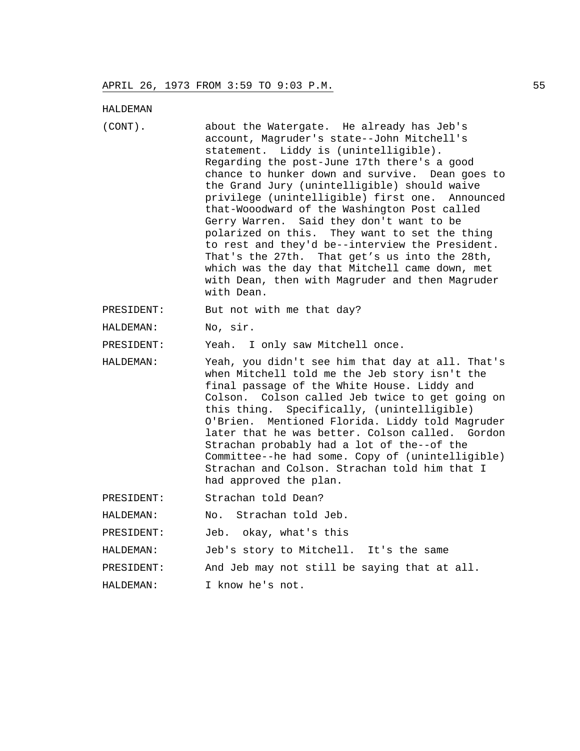| $(CONT)$ . | about the Watergate. He already has Jeb's       |
|------------|-------------------------------------------------|
|            | account, Magruder's state--John Mitchell's      |
|            | statement. Liddy is (unintelligible).           |
|            | Regarding the post-June 17th there's a good     |
|            | chance to hunker down and survive. Dean goes to |
|            | the Grand Jury (unintelligible) should waive    |
|            | privilege (unintelligible) first one. Announced |
|            | that-Wooodward of the Washington Post called    |
|            | Gerry Warren. Said they don't want to be        |
|            | polarized on this. They want to set the thing   |
|            | to rest and they'd be--interview the President. |
|            | That's the 27th. That get's us into the 28th,   |
|            | which was the day that Mitchell came down, met  |
|            | with Dean, then with Magruder and then Magruder |
|            | with Dean.                                      |

PRESIDENT: But not with me that day?

HALDEMAN: No, sir.

PRESIDENT: Yeah. I only saw Mitchell once.

- HALDEMAN: Yeah, you didn't see him that day at all. That's when Mitchell told me the Jeb story isn't the final passage of the White House. Liddy and Colson. Colson called Jeb twice to get going on this thing. Specifically, (unintelligible) O'Brien. Mentioned Florida. Liddy told Magruder later that he was better. Colson called. Gordon Strachan probably had a lot of the--of the Committee--he had some. Copy of (unintelligible) Strachan and Colson. Strachan told him that I had approved the plan.
- PRESIDENT: Strachan told Dean?

HALDEMAN: No. Strachan told Jeb.

PRESIDENT: Jeb. okay, what's this

HALDEMAN: Jeb's story to Mitchell. It's the same

PRESIDENT: And Jeb may not still be saying that at all.

HALDEMAN: I know he's not.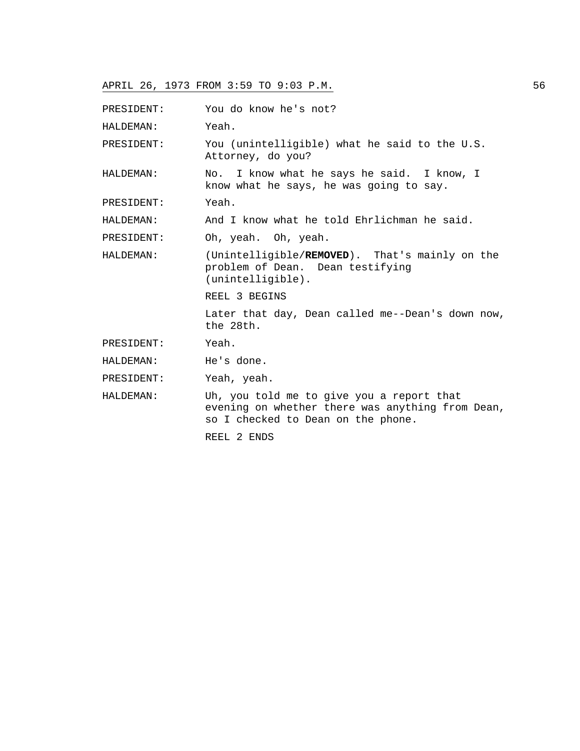| PRESIDENT: | You do know he's not?                                                                                                               |
|------------|-------------------------------------------------------------------------------------------------------------------------------------|
| HALDEMAN:  | Yeah.                                                                                                                               |
| PRESIDENT: | You (unintelligible) what he said to the U.S.<br>Attorney, do you?                                                                  |
| HALDEMAN:  | No. I know what he says he said. I know, I<br>know what he says, he was going to say.                                               |
| PRESIDENT: | Yeah.                                                                                                                               |
| HALDEMAN:  | And I know what he told Ehrlichman he said.                                                                                         |
| PRESIDENT: | Oh, yeah. Oh, yeah.                                                                                                                 |
| HALDEMAN:  | (Unintelligible/REMOVED). That's mainly on the<br>problem of Dean. Dean testifying<br>(unintelligible).                             |
|            | REEL 3 BEGINS                                                                                                                       |
|            | Later that day, Dean called me--Dean's down now,<br>the 28th.                                                                       |
| PRESIDENT: | Yeah.                                                                                                                               |
| HALDEMAN:  | He's done.                                                                                                                          |
| PRESIDENT: | Yeah, yeah.                                                                                                                         |
| HALDEMAN:  | Uh, you told me to give you a report that<br>evening on whether there was anything from Dean,<br>so I checked to Dean on the phone. |
|            | REEL 2 ENDS                                                                                                                         |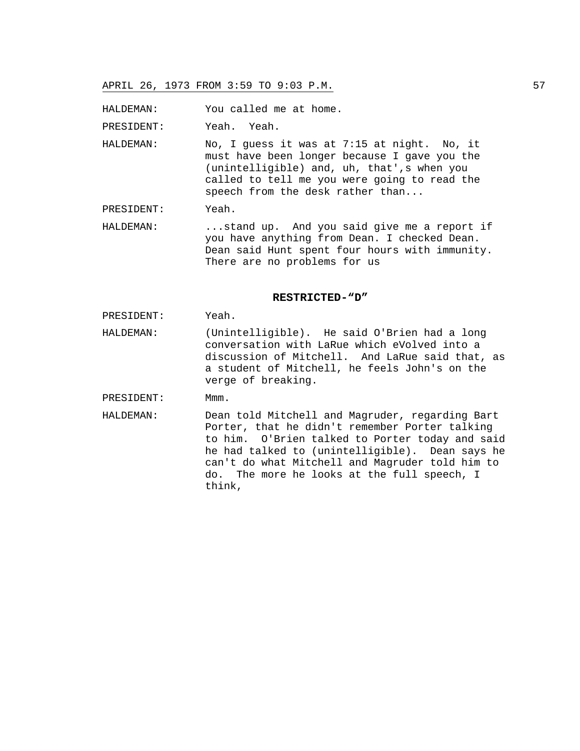HALDEMAN: You called me at home.

PRESIDENT: Yeah. Yeah.

HALDEMAN: No, I guess it was at 7:15 at night. No, it must have been longer because I gave you the (unintelligible) and, uh, that',s when you called to tell me you were going to read the speech from the desk rather than...

PRESIDENT: Yeah.

HALDEMAN: ...stand up. And you said give me a report if you have anything from Dean. I checked Dean. Dean said Hunt spent four hours with immunity. There are no problems for us

#### **RESTRICTED-"D"**

PRESIDENT: Yeah.

- HALDEMAN: (Unintelligible). He said O'Brien had a long conversation with LaRue which eVolved into a discussion of Mitchell. And LaRue said that, as a student of Mitchell, he feels John's on the verge of breaking.
- PRESIDENT: Mmm.
- HALDEMAN: Dean told Mitchell and Magruder, regarding Bart Porter, that he didn't remember Porter talking to him. O'Brien talked to Porter today and said he had talked to (unintelligible). Dean says he can't do what Mitchell and Magruder told him to do. The more he looks at the full speech, I think,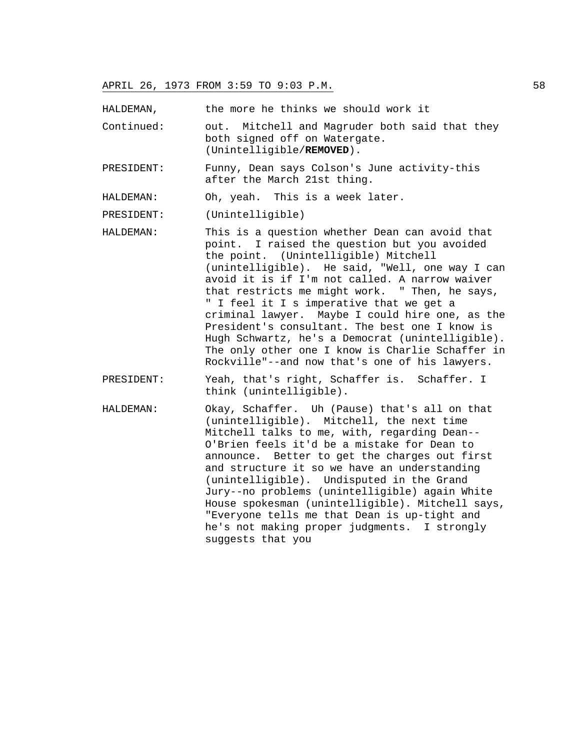HALDEMAN, the more he thinks we should work it

Continued: out. Mitchell and Magruder both said that they both signed off on Watergate. (Unintelligible/**REMOVED**).

PRESIDENT: Funny, Dean says Colson's June activity-this after the March 21st thing.

HALDEMAN: Oh, yeah. This is a week later.

- PRESIDENT: (Unintelligible)
- HALDEMAN: This is a question whether Dean can avoid that point. I raised the question but you avoided the point. (Unintelligible) Mitchell (unintelligible). He said, "Well, one way I can avoid it is if I'm not called. A narrow waiver that restricts me might work. " Then, he says, " I feel it I s imperative that we get a criminal lawyer. Maybe I could hire one, as the President's consultant. The best one I know is Hugh Schwartz, he's a Democrat (unintelligible). The only other one I know is Charlie Schaffer in Rockville"--and now that's one of his lawyers.
- PRESIDENT: Yeah, that's right, Schaffer is. Schaffer. I think (unintelligible).
- HALDEMAN: Okay, Schaffer. Uh (Pause) that's all on that (unintelligible). Mitchell, the next time Mitchell talks to me, with, regarding Dean-- O'Brien feels it'd be a mistake for Dean to announce. Better to get the charges out first and structure it so we have an understanding (unintelligible). Undisputed in the Grand Jury--no problems (unintelligible) again White House spokesman (unintelligible). Mitchell says, "Everyone tells me that Dean is up-tight and he's not making proper judgments. I strongly suggests that you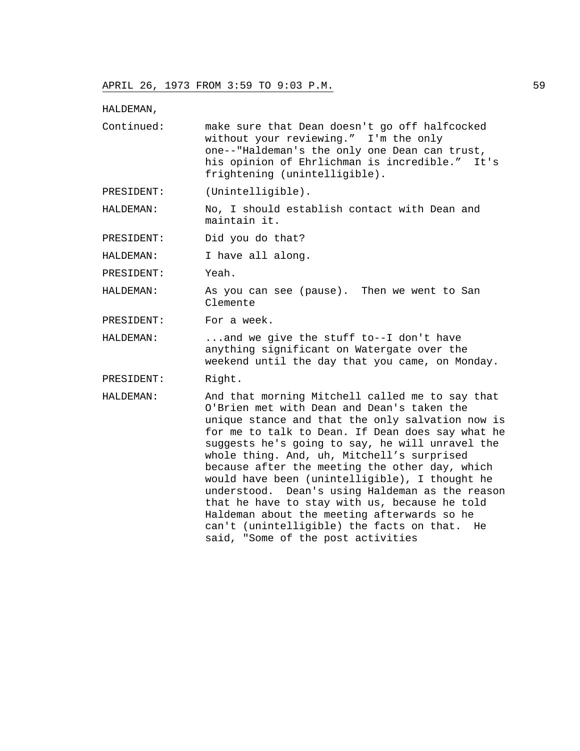Continued: make sure that Dean doesn't go off halfcocked without your reviewing." I'm the only one--"Haldeman's the only one Dean can trust, his opinion of Ehrlichman is incredible." It's frightening (unintelligible).

PRESIDENT: (Unintelligible).

- HALDEMAN: No, I should establish contact with Dean and maintain it.
- PRESIDENT: Did you do that?
- HALDEMAN: I have all along.

PRESIDENT: Yeah.

HALDEMAN: As you can see (pause). Then we went to San Clemente

PRESIDENT: For a week.

HALDEMAN: ...and we give the stuff to--I don't have anything significant on Watergate over the weekend until the day that you came, on Monday.

PRESIDENT: Right.

HALDEMAN: And that morning Mitchell called me to say that O'Brien met with Dean and Dean's taken the unique stance and that the only salvation now is for me to talk to Dean. If Dean does say what he suggests he's going to say, he will unravel the whole thing. And, uh, Mitchell's surprised because after the meeting the other day, which would have been (unintelligible), I thought he understood. Dean's using Haldeman as the reason that he have to stay with us, because he told Haldeman about the meeting afterwards so he can't (unintelligible) the facts on that. He said, "Some of the post activities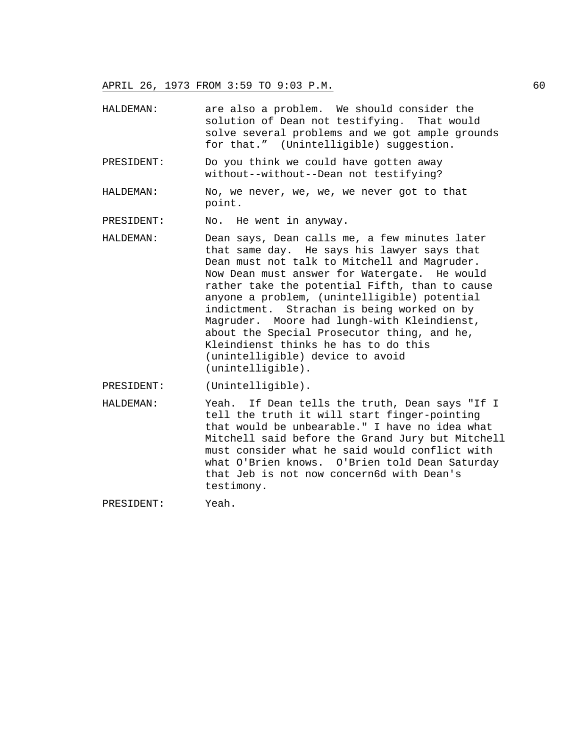- HALDEMAN: are also a problem. We should consider the solution of Dean not testifying. That would solve several problems and we got ample grounds for that." (Unintelligible) suggestion.
- PRESIDENT: Do you think we could have gotten away without--without--Dean not testifying?
- HALDEMAN: No, we never, we, we, we never got to that point.

PRESIDENT: No. He went in anyway.

- HALDEMAN: Dean says, Dean calls me, a few minutes later that same day. He says his lawyer says that Dean must not talk to Mitchell and Magruder. Now Dean must answer for Watergate. He would rather take the potential Fifth, than to cause anyone a problem, (unintelligible) potential indictment. Strachan is being worked on by Magruder. Moore had lungh-with Kleindienst, about the Special Prosecutor thing, and he, Kleindienst thinks he has to do this (unintelligible) device to avoid (unintelligible).
- PRESIDENT: (Unintelligible).
- HALDEMAN: Yeah. If Dean tells the truth, Dean says "If I tell the truth it will start finger-pointing that would be unbearable." I have no idea what Mitchell said before the Grand Jury but Mitchell must consider what he said would conflict with what O'Brien knows. O'Brien told Dean Saturday that Jeb is not now concern6d with Dean's testimony.

PRESIDENT: Yeah.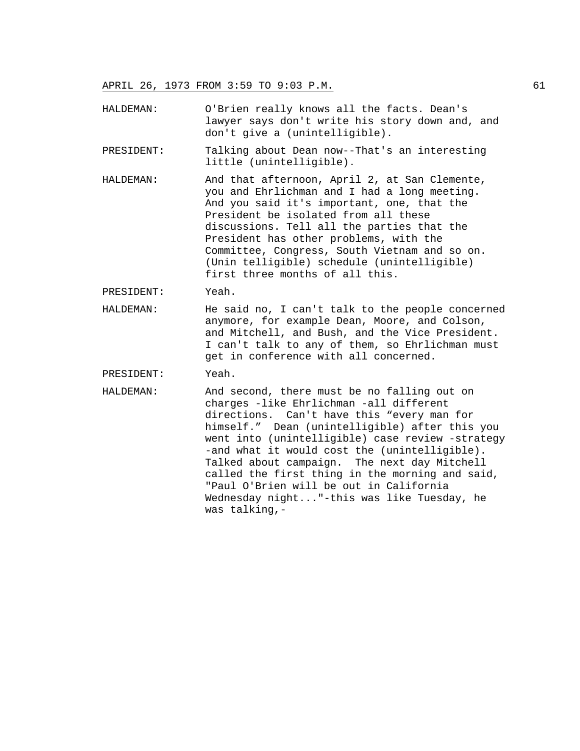- HALDEMAN: O'Brien really knows all the facts. Dean's lawyer says don't write his story down and, and don't give a (unintelligible).
- PRESIDENT: Talking about Dean now--That's an interesting little (unintelligible).
- HALDEMAN: And that afternoon, April 2, at San Clemente, you and Ehrlichman and I had a long meeting. And you said it's important, one, that the President be isolated from all these discussions. Tell all the parties that the President has other problems, with the Committee, Congress, South Vietnam and so on. (Unin telligible) schedule (unintelligible) first three months of all this.

PRESIDENT: Yeah.

HALDEMAN: He said no, I can't talk to the people concerned anymore, for example Dean, Moore, and Colson, and Mitchell, and Bush, and the Vice President. I can't talk to any of them, so Ehrlichman must get in conference with all concerned.

PRESIDENT: Yeah.

HALDEMAN: And second, there must be no falling out on charges -like Ehrlichman -all different directions. Can't have this "every man for himself." Dean (unintelligible) after this you went into (unintelligible) case review -strategy -and what it would cost the (unintelligible). Talked about campaign. The next day Mitchell called the first thing in the morning and said, "Paul O'Brien will be out in California Wednesday night..."-this was like Tuesday, he was talking,-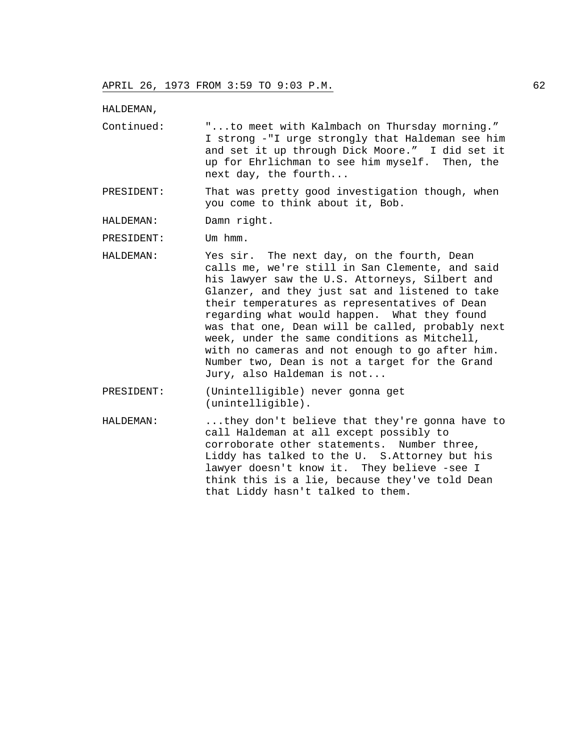- Continued: "...to meet with Kalmbach on Thursday morning." I strong -"I urge strongly that Haldeman see him and set it up through Dick Moore." I did set it up for Ehrlichman to see him myself. Then, the next day, the fourth...
- PRESIDENT: That was pretty good investigation though, when you come to think about it, Bob.

HALDEMAN: Damn right.

PRESIDENT: Um hmm.

- HALDEMAN: Yes sir. The next day, on the fourth, Dean calls me, we're still in San Clemente, and said his lawyer saw the U.S. Attorneys, Silbert and Glanzer, and they just sat and listened to take their temperatures as representatives of Dean regarding what would happen. What they found was that one, Dean will be called, probably next week, under the same conditions as Mitchell, with no cameras and not enough to go after him. Number two, Dean is not a target for the Grand Jury, also Haldeman is not...
- PRESIDENT: (Unintelligible) never gonna get (unintelligible).
- HALDEMAN: ...they don't believe that they're gonna have to call Haldeman at all except possibly to corroborate other statements. Number three, Liddy has talked to the U. S.Attorney but his lawyer doesn't know it. They believe -see I think this is a lie, because they've told Dean that Liddy hasn't talked to them.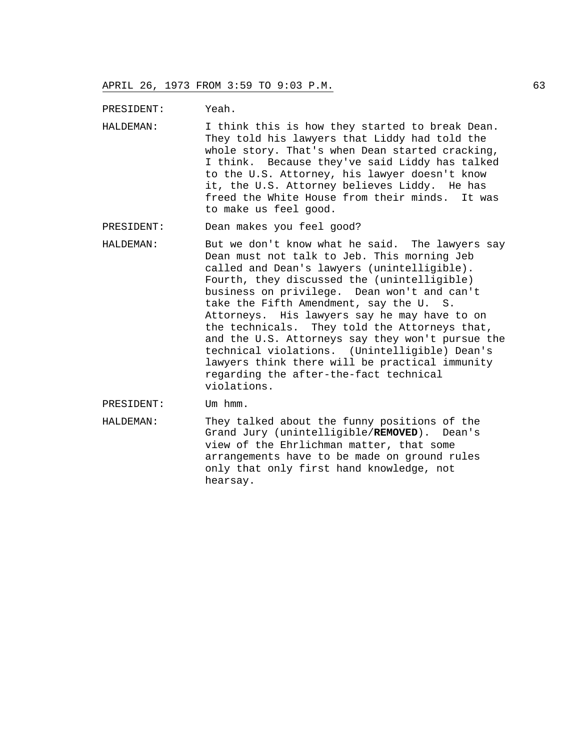PRESIDENT: Yeah.

- HALDEMAN: I think this is how they started to break Dean. They told his lawyers that Liddy had told the whole story. That's when Dean started cracking, I think. Because they've said Liddy has talked to the U.S. Attorney, his lawyer doesn't know it, the U.S. Attorney believes Liddy. He has freed the White House from their minds. It was to make us feel good.
- PRESIDENT: Dean makes you feel good?
- HALDEMAN: But we don't know what he said. The lawyers say Dean must not talk to Jeb. This morning Jeb called and Dean's lawyers (unintelligible). Fourth, they discussed the (unintelligible) business on privilege. Dean won't and can't take the Fifth Amendment, say the U. S. Attorneys. His lawyers say he may have to on the technicals. They told the Attorneys that, and the U.S. Attorneys say they won't pursue the technical violations. (Unintelligible) Dean's lawyers think there will be practical immunity regarding the after-the-fact technical violations.
- PRESIDENT: Um hmm.
- HALDEMAN: They talked about the funny positions of the Grand Jury (unintelligible/**REMOVED**). Dean's view of the Ehrlichman matter, that some arrangements have to be made on ground rules only that only first hand knowledge, not hearsay.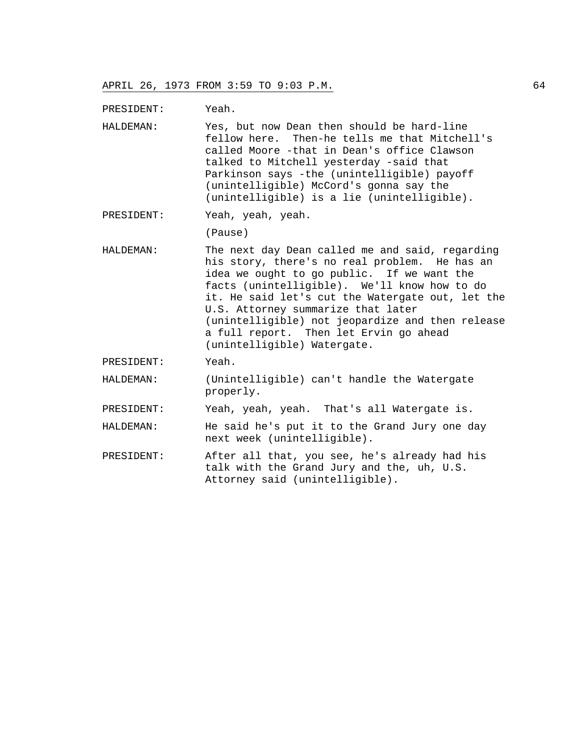PRESIDENT: Yeah.

- HALDEMAN: Yes, but now Dean then should be hard-line fellow here. Then-he tells me that Mitchell's called Moore -that in Dean's office Clawson talked to Mitchell yesterday -said that Parkinson says -the (unintelligible) payoff (unintelligible) McCord's gonna say the (unintelligible) is a lie (unintelligible).
- PRESIDENT: Yeah, yeah, yeah.

(Pause)

- HALDEMAN: The next day Dean called me and said, regarding his story, there's no real problem. He has an idea we ought to go public. If we want the facts (unintelligible). We'll know how to do it. He said let's cut the Watergate out, let the U.S. Attorney summarize that later (unintelligible) not jeopardize and then release a full report. Then let Ervin go ahead (unintelligible) Watergate.
- PRESIDENT: Yeah.
- HALDEMAN: (Unintelligible) can't handle the Watergate properly.
- PRESIDENT: Yeah, yeah, yeah. That's all Watergate is.
- HALDEMAN: He said he's put it to the Grand Jury one day next week (unintelligible).
- PRESIDENT: After all that, you see, he's already had his talk with the Grand Jury and the, uh, U.S. Attorney said (unintelligible).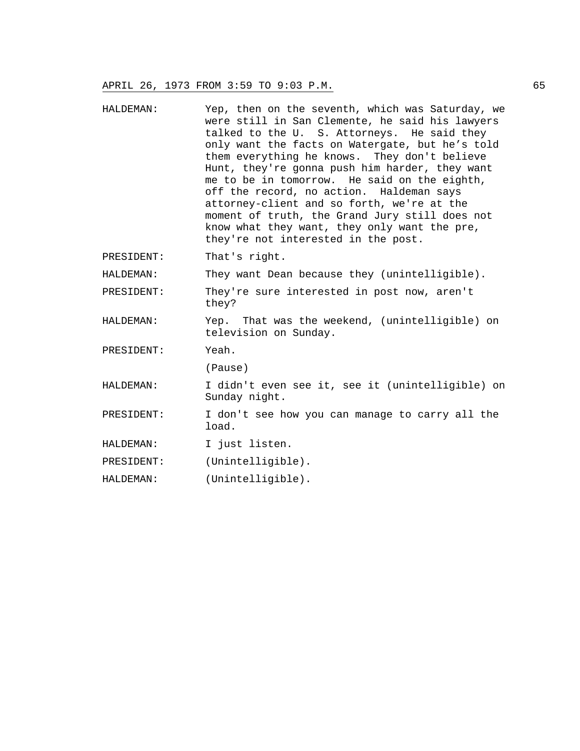- HALDEMAN: Yep, then on the seventh, which was Saturday, we were still in San Clemente, he said his lawyers talked to the U. S. Attorneys. He said they only want the facts on Watergate, but he's told them everything he knows. They don't believe Hunt, they're gonna push him harder, they want me to be in tomorrow. He said on the eighth, off the record, no action. Haldeman says attorney-client and so forth, we're at the moment of truth, the Grand Jury still does not know what they want, they only want the pre, they're not interested in the post. PRESIDENT: That's right.
- 

HALDEMAN: They want Dean because they (unintelligible).

- PRESIDENT: They're sure interested in post now, aren't they?
- HALDEMAN: Yep. That was the weekend, (unintelligible) on television on Sunday.
- PRESIDENT: Yeah.

(Pause)

- HALDEMAN: I didn't even see it, see it (unintelligible) on Sunday night.
- PRESIDENT: I don't see how you can manage to carry all the load.
- HALDEMAN: I just listen.

PRESIDENT: (Unintelligible).

HALDEMAN: (Unintelligible).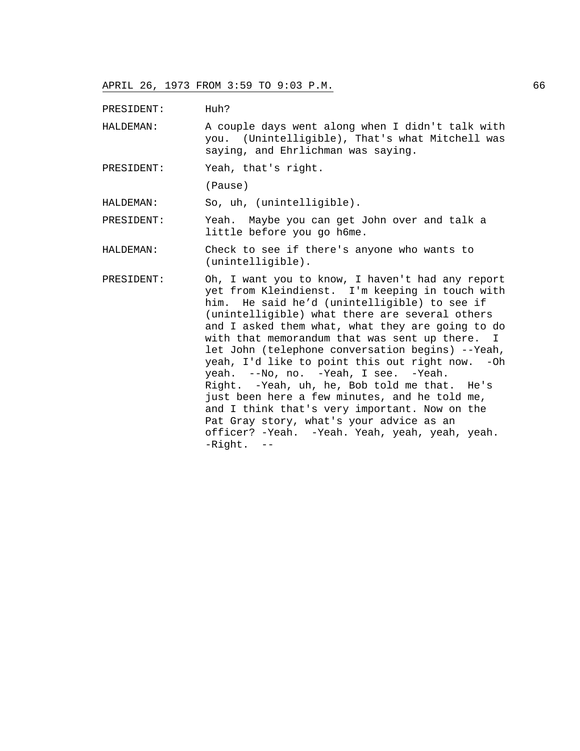PRESIDENT: Huh?

HALDEMAN: A couple days went along when I didn't talk with you. (Unintelligible), That's what Mitchell was saying, and Ehrlichman was saying.

PRESIDENT: Yeah, that's right.

(Pause)

HALDEMAN: So, uh, (unintelligible).

PRESIDENT: Yeah. Maybe you can get John over and talk a little before you go h6me.

HALDEMAN: Check to see if there's anyone who wants to (unintelligible).

PRESIDENT: Oh, I want you to know, I haven't had any report yet from Kleindienst. I'm keeping in touch with him. He said he'd (unintelligible) to see if (unintelligible) what there are several others and I asked them what, what they are going to do with that memorandum that was sent up there. I let John (telephone conversation begins) --Yeah, yeah, I'd like to point this out right now. -Oh yeah. --No, no. -Yeah, I see. -Yeah. Right. -Yeah, uh, he, Bob told me that. He's just been here a few minutes, and he told me, and I think that's very important. Now on the Pat Gray story, what's your advice as an officer? -Yeah. -Yeah. Yeah, yeah, yeah, yeah.  $-Right.$  --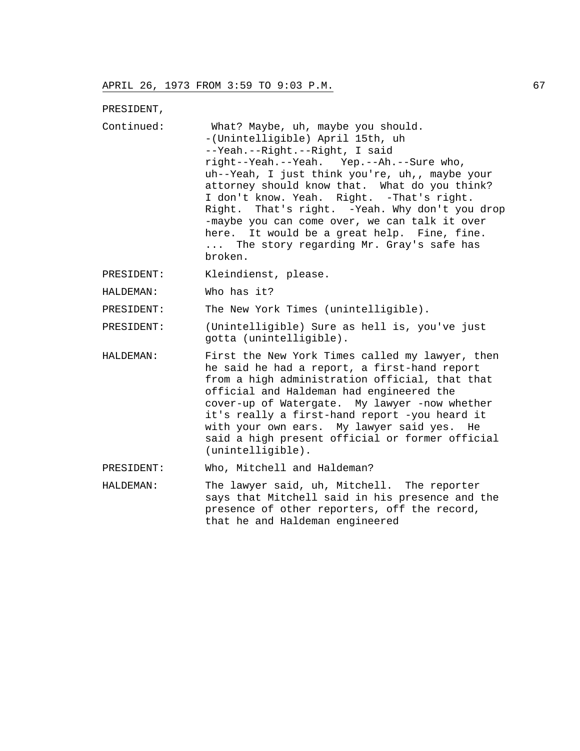PRESIDENT,

- Continued: What? Maybe, uh, maybe you should. -(Unintelligible) April 15th, uh --Yeah.--Right.--Right, I said right--Yeah.--Yeah. Yep.--Ah.--Sure who, uh--Yeah, I just think you're, uh,, maybe your attorney should know that. What do you think? I don't know. Yeah. Right. -That's right. Right. That's right. -Yeah. Why don't you drop -maybe you can come over, we can talk it over here. It would be a great help. Fine, fine. ... The story regarding Mr. Gray's safe has broken.
- PRESIDENT: Kleindienst, please.
- HALDEMAN: Who has it?

PRESIDENT: The New York Times (unintelligible).

- PRESIDENT: (Unintelligible) Sure as hell is, you've just gotta (unintelligible).
- HALDEMAN: First the New York Times called my lawyer, then he said he had a report, a first-hand report from a high administration official, that that official and Haldeman had engineered the cover-up of Watergate. My lawyer -now whether it's really a first-hand report -you heard it with your own ears. My lawyer said yes. He said a high present official or former official (unintelligible).
- PRESIDENT: Who, Mitchell and Haldeman?
- HALDEMAN: The lawyer said, uh, Mitchell. The reporter says that Mitchell said in his presence and the presence of other reporters, off the record, that he and Haldeman engineered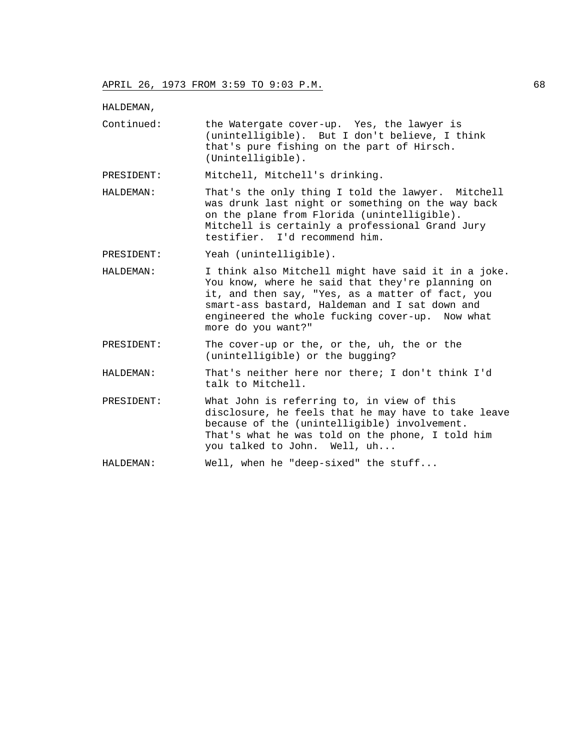Continued: the Watergate cover-up. Yes, the lawyer is (unintelligible). But I don't believe, I think that's pure fishing on the part of Hirsch. (Unintelligible).

PRESIDENT: Mitchell, Mitchell's drinking.

- HALDEMAN: That's the only thing I told the lawyer. Mitchell was drunk last night or something on the way back on the plane from Florida (unintelligible). Mitchell is certainly a professional Grand Jury testifier. I'd recommend him.
- PRESIDENT: Yeah (unintelligible).
- HALDEMAN: I think also Mitchell might have said it in a joke. You know, where he said that they're planning on it, and then say, "Yes, as a matter of fact, you smart-ass bastard, Haldeman and I sat down and engineered the whole fucking cover-up. Now what more do you want?"
- PRESIDENT: The cover-up or the, or the, uh, the or the (unintelligible) or the bugging?
- HALDEMAN: That's neither here nor there; I don't think I'd talk to Mitchell.
- PRESIDENT: What John is referring to, in view of this disclosure, he feels that he may have to take leave because of the (unintelligible) involvement. That's what he was told on the phone, I told him you talked to John. Well, uh...
- HALDEMAN: Well, when he "deep-sixed" the stuff...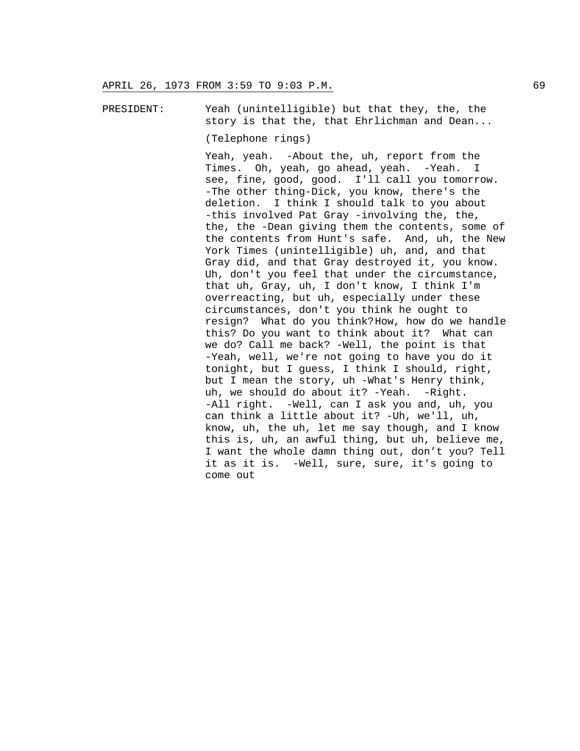PRESIDENT: Yeah (unintelligible) but that they, the, the story is that the, that Ehrlichman and Dean...

(Telephone rings)

Yeah, yeah. - About the, uh, report from the Times. Oh, yeah, go ahead, yeah. -Yeah. I see, fine, good, good. I'll call you tomorrow. -The other thing-Dick, you know, there's the deletion. I think I should talk to you about -this involved Pat Gray -involving the, the, the, the -Dean giving them the contents, some of the contents from Hunt's safe. And, uh, the New York Times (unintelligible) uh, and, and that Gray did, and that Gray destroyed it, you know. Uh, don't you feel that under the circumstance, that uh, Gray, uh, I don't know, I think I'm overreacting, but uh, especially under these circumstances, don't you think he ought to resign? What do you think?How, how do we handle this? Do you want to think about it? What can we do? Call me back? -Well, the point is that -Yeah, well, we're not going to have you do it tonight, but I guess, I think I should, right, but I mean the story, uh -What's Henry think, uh, we should do about it? -Yeah. -Right. -All right. -Well, can I ask you and, uh, you can think a little about it? -Uh, we'll, uh, know, uh, the uh, let me say though, and I know this is, uh, an awful thing, but uh, believe me, I want the whole damn thing out, don't you? Tell it as it is. -Well, sure, sure, it's going to come out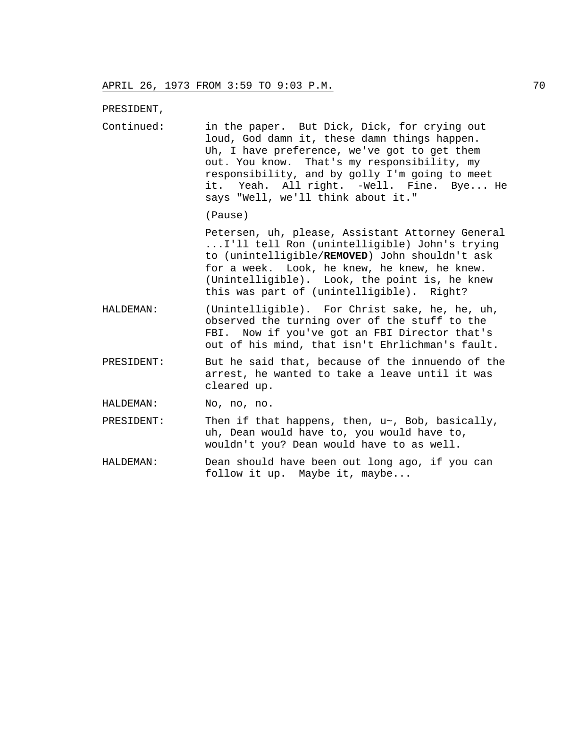PRESIDENT,

Continued: in the paper. But Dick, Dick, for crying out loud, God damn it, these damn things happen. Uh, I have preference, we've got to get them out. You know. That's my responsibility, my responsibility, and by golly I'm going to meet it. Yeah. All right. -Well. Fine. Bye... He says "Well, we'll think about it."

(Pause)

Petersen, uh, please, Assistant Attorney General ...I'll tell Ron (unintelligible) John's trying to (unintelligible/**REMOVED**) John shouldn't ask for a week. Look, he knew, he knew, he knew. (Unintelligible). Look, the point is, he knew this was part of (unintelligible). Right?

- HALDEMAN: (Unintelligible). For Christ sake, he, he, uh, observed the turning over of the stuff to the FBI. Now if you've got an FBI Director that's out of his mind, that isn't Ehrlichman's fault.
- PRESIDENT: But he said that, because of the innuendo of the arrest, he wanted to take a leave until it was cleared up.
- HALDEMAN: No, no, no.
- PRESIDENT: Then if that happens, then,  $u \sim$ , Bob, basically, uh, Dean would have to, you would have to, wouldn't you? Dean would have to as well.
- HALDEMAN: Dean should have been out long ago, if you can follow it up. Maybe it, maybe...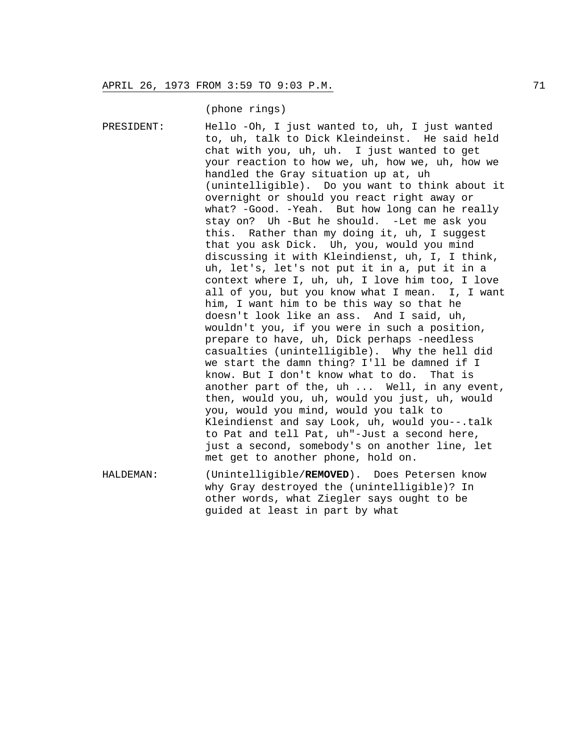(phone rings)

PRESIDENT: Hello -Oh, I just wanted to, uh, I just wanted to, uh, talk to Dick Kleindeinst. He said held chat with you, uh, uh. I just wanted to get your reaction to how we, uh, how we, uh, how we handled the Gray situation up at, uh (unintelligible). Do you want to think about it overnight or should you react right away or what? -Good. -Yeah. But how long can he really stay on? Uh -But he should. -Let me ask you this. Rather than my doing it, uh, I suggest that you ask Dick. Uh, you, would you mind discussing it with Kleindienst, uh, I, I think, uh, let's, let's not put it in a, put it in a context where I, uh, uh, I love him too, I love all of you, but you know what I mean. I, I want him, I want him to be this way so that he doesn't look like an ass. And I said, uh, wouldn't you, if you were in such a position, prepare to have, uh, Dick perhaps -needless casualties (unintelligible). Why the hell did we start the damn thing? I'll be damned if I know. But I don't know what to do. That is another part of the, uh ... Well, in any event, then, would you, uh, would you just, uh, would you, would you mind, would you talk to Kleindienst and say Look, uh, would you--.talk to Pat and tell Pat, uh"-Just a second here, just a second, somebody's on another line, let met get to another phone, hold on. HALDEMAN: (Unintelligible/**REMOVED**). Does Petersen know why Gray destroyed the (unintelligible)? In other words, what Ziegler says ought to be

guided at least in part by what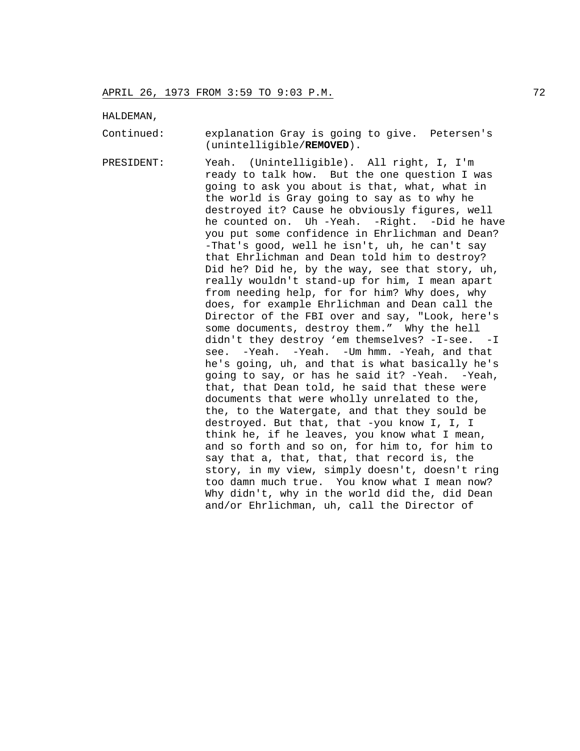HALDEMAN,

Continued: explanation Gray is going to give. Petersen's (unintelligible/**REMOVED**).

PRESIDENT: Yeah. (Unintelligible). All right, I, I'm ready to talk how. But the one question I was going to ask you about is that, what, what in the world is Gray going to say as to why he destroyed it? Cause he obviously figures, well he counted on. Uh -Yeah. -Right. -Did he have you put some confidence in Ehrlichman and Dean? -That's good, well he isn't, uh, he can't say that Ehrlichman and Dean told him to destroy? Did he? Did he, by the way, see that story, uh, really wouldn't stand-up for him, I mean apart from needing help, for for him? Why does, why does, for example Ehrlichman and Dean call the Director of the FBI over and say, "Look, here's some documents, destroy them." Why the hell didn't they destroy 'em themselves? -I-see. -I see. -Yeah. -Yeah. -Um hmm. -Yeah, and that he's going, uh, and that is what basically he's going to say, or has he said it? -Yeah. -Yeah, that, that Dean told, he said that these were documents that were wholly unrelated to the, the, to the Watergate, and that they sould be destroyed. But that, that -you know I, I, I think he, if he leaves, you know what I mean, and so forth and so on, for him to, for him to say that a, that, that, that record is, the story, in my view, simply doesn't, doesn't ring too damn much true. You know what I mean now? Why didn't, why in the world did the, did Dean and/or Ehrlichman, uh, call the Director of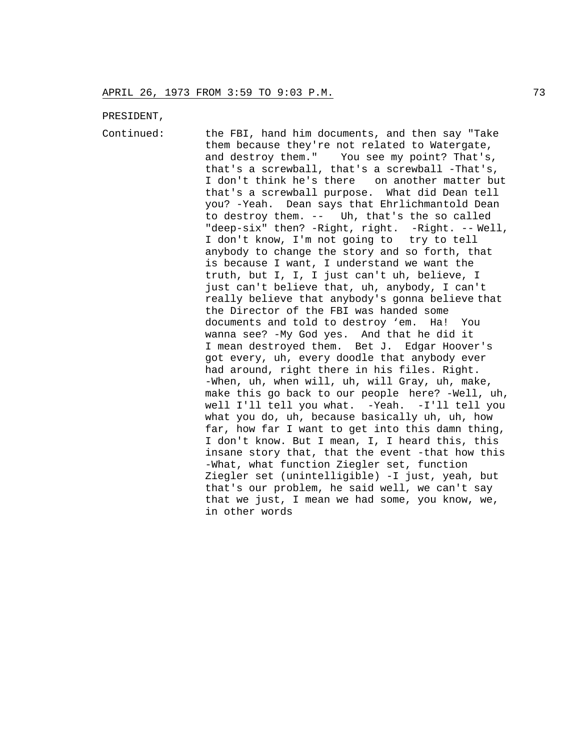Continued: the FBI, hand him documents, and then say "Take them because they're not related to Watergate, and destroy them." You see my point? That's, that's a screwball, that's a screwball -That's, I don't think he's there on another matter but that's a screwball purpose. What did Dean tell you? -Yeah. Dean says that Ehrlichmantold Dean to destroy them. -- Uh, that's the so called "deep-six" then? -Right, right. -Right. -- Well, I don't know, I'm not going to try to tell anybody to change the story and so forth, that is because I want, I understand we want the truth, but I, I, I just can't uh, believe, I just can't believe that, uh, anybody, I can't really believe that anybody's gonna believe that the Director of the FBI was handed some documents and told to destroy 'em. Ha! You wanna see? -My God yes. And that he did it I mean destroyed them. Bet J. Edgar Hoover's got every, uh, every doodle that anybody ever had around, right there in his files. Right. -When, uh, when will, uh, will Gray, uh, make, make this go back to our people here? -Well, uh, well I'll tell you what. -Yeah. -I'll tell you what you do, uh, because basically uh, uh, how far, how far I want to get into this damn thing, I don't know. But I mean, I, I heard this, this insane story that, that the event -that how this -What, what function Ziegler set, function Ziegler set (unintelligible) -I just, yeah, but that's our problem, he said well, we can't say that we just, I mean we had some, you know, we, in other words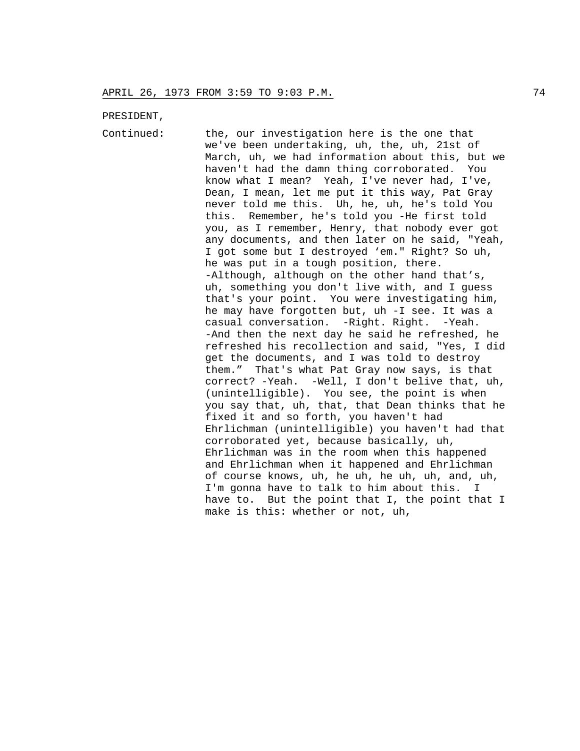Continued: the, our investigation here is the one that we've been undertaking, uh, the, uh, 21st of March, uh, we had information about this, but we haven't had the damn thing corroborated. You know what I mean? Yeah, I've never had, I've, Dean, I mean, let me put it this way, Pat Gray never told me this. Uh, he, uh, he's told You this. Remember, he's told you -He first told you, as I remember, Henry, that nobody ever got any documents, and then later on he said, "Yeah, I got some but I destroyed 'em." Right? So uh, he was put in a tough position, there. -Although, although on the other hand that's, uh, something you don't live with, and I guess that's your point. You were investigating him, he may have forgotten but, uh -I see. It was a casual conversation. -Right. Right. -Yeah. -And then the next day he said he refreshed, he refreshed his recollection and said, "Yes, I did get the documents, and I was told to destroy them." That's what Pat Gray now says, is that correct? -Yeah. -Well, I don't belive that, uh, (unintelligible). You see, the point is when you say that, uh, that, that Dean thinks that he fixed it and so forth, you haven't had Ehrlichman (unintelligible) you haven't had that corroborated yet, because basically, uh, Ehrlichman was in the room when this happened and Ehrlichman when it happened and Ehrlichman of course knows, uh, he uh, he uh, uh, and, uh, I'm gonna have to talk to him about this. I have to. But the point that I, the point that I make is this: whether or not, uh,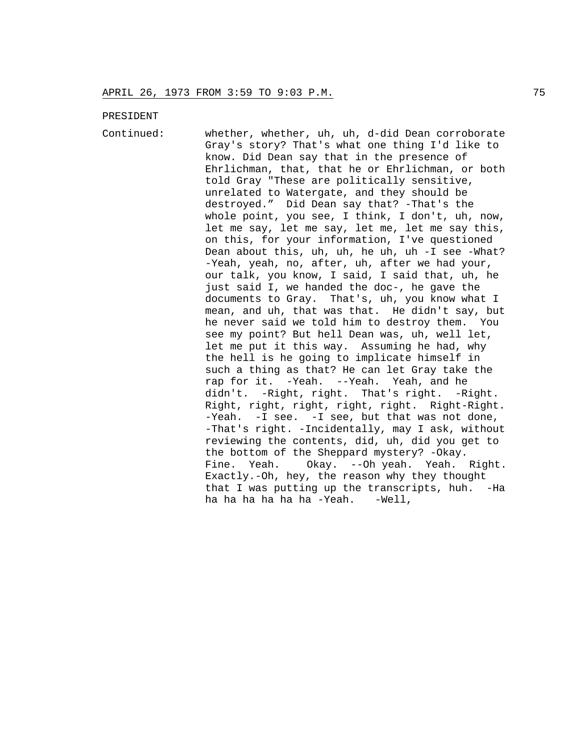Continued: whether, whether, uh, uh, d-did Dean corroborate Gray's story? That's what one thing I'd like to know. Did Dean say that in the presence of Ehrlichman, that, that he or Ehrlichman, or both told Gray "These are politically sensitive, unrelated to Watergate, and they should be destroyed." Did Dean say that? -That's the whole point, you see, I think, I don't, uh, now, let me say, let me say, let me, let me say this, on this, for your information, I've questioned Dean about this, uh, uh, he uh, uh -I see -What? -Yeah, yeah, no, after, uh, after we had your, our talk, you know, I said, I said that, uh, he just said I, we handed the doc-, he gave the documents to Gray. That's, uh, you know what I mean, and uh, that was that. He didn't say, but he never said we told him to destroy them. You see my point? But hell Dean was, uh, well let, let me put it this way. Assuming he had, why the hell is he going to implicate himself in such a thing as that? He can let Gray take the rap for it. -Yeah. --Yeah. Yeah, and he didn't. -Right, right. That's right. -Right. Right, right, right, right, right. Right-Right. -Yeah. -I see. -I see, but that was not done, -That's right. -Incidentally, may I ask, without reviewing the contents, did, uh, did you get to the bottom of the Sheppard mystery? -Okay. Fine. Yeah. Okay. --Oh yeah. Yeah. Right. Exactly.-Oh, hey, the reason why they thought that I was putting up the transcripts, huh. -Ha ha ha ha ha ha -Yeah. -Well,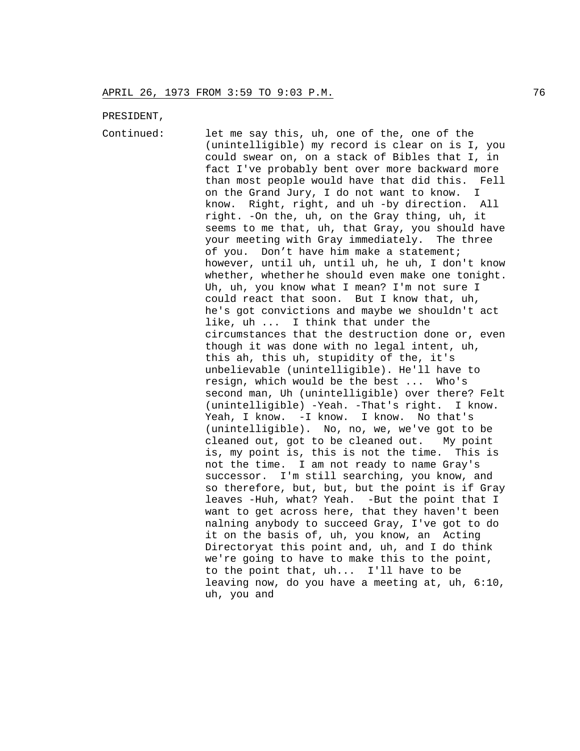Continued: let me say this, uh, one of the, one of the (unintelligible) my record is clear on is I, you could swear on, on a stack of Bibles that I, in fact I've probably bent over more backward more than most people would have that did this. Fell on the Grand Jury, I do not want to know. I know. Right, right, and uh -by direction. All right. -On the, uh, on the Gray thing, uh, it seems to me that, uh, that Gray, you should have your meeting with Gray immediately. The three of you. Don't have him make a statement; however, until uh, until uh, he uh, I don't know whether, whether he should even make one tonight. Uh, uh, you know what I mean? I'm not sure I could react that soon. But I know that, uh, he's got convictions and maybe we shouldn't act like, uh ... I think that under the circumstances that the destruction done or, even though it was done with no legal intent, uh, this ah, this uh, stupidity of the, it's unbelievable (unintelligible). He'll have to resign, which would be the best ... Who's second man, Uh (unintelligible) over there? Felt (unintelligible) -Yeah. -That's right. I know. Yeah, I know. -I know. I know. No that's (unintelligible). No, no, we, we've got to be cleaned out, got to be cleaned out. My point is, my point is, this is not the time. This is not the time. I am not ready to name Gray's successor. I'm still searching, you know, and so therefore, but, but, but the point is if Gray leaves -Huh, what? Yeah. -But the point that I want to get across here, that they haven't been nalning anybody to succeed Gray, I've got to do it on the basis of, uh, you know, an Acting Directoryat this point and, uh, and I do think we're going to have to make this to the point, to the point that, uh... I'll have to be leaving now, do you have a meeting at, uh, 6:10, uh, you and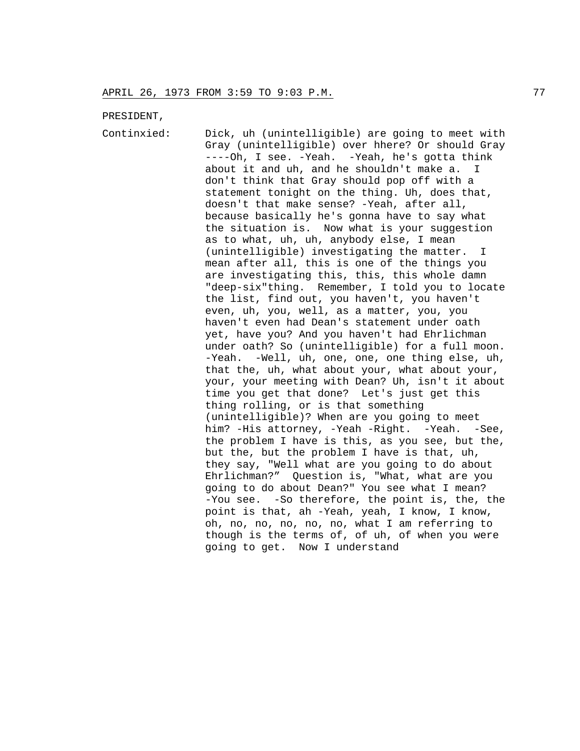Continxied: Dick, uh (unintelligible) are going to meet with Gray (unintelligible) over hhere? Or should Gray ----Oh, I see. -Yeah. -Yeah, he's gotta think about it and uh, and he shouldn't make a. I don't think that Gray should pop off with a statement tonight on the thing. Uh, does that, doesn't that make sense? -Yeah, after all, because basically he's gonna have to say what the situation is. Now what is your suggestion as to what, uh, uh, anybody else, I mean (unintelligible) investigating the matter. I mean after all, this is one of the things you are investigating this, this, this whole damn "deep-six"thing. Remember, I told you to locate the list, find out, you haven't, you haven't even, uh, you, well, as a matter, you, you haven't even had Dean's statement under oath yet, have you? And you haven't had Ehrlichman under oath? So (unintelligible) for a full moon. -Yeah. -Well, uh, one, one, one thing else, uh, that the, uh, what about your, what about your, your, your meeting with Dean? Uh, isn't it about time you get that done? Let's just get this thing rolling, or is that something (unintelligible)? When are you going to meet him? -His attorney, -Yeah -Right. -Yeah. -See, the problem I have is this, as you see, but the, but the, but the problem I have is that, uh, they say, "Well what are you going to do about Ehrlichman?" Question is, "What, what are you going to do about Dean?" You see what I mean? -You see. -So therefore, the point is, the, the point is that, ah -Yeah, yeah, I know, I know, oh, no, no, no, no, no, what I am referring to though is the terms of, of uh, of when you were going to get. Now I understand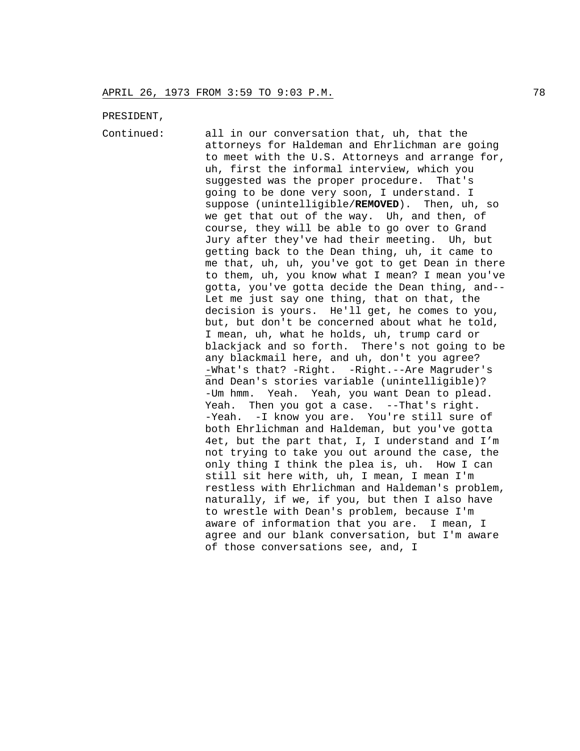Continued: all in our conversation that, uh, that the attorneys for Haldeman and Ehrlichman are going to meet with the U.S. Attorneys and arrange for, uh, first the informal interview, which you suggested was the proper procedure. That's going to be done very soon, I understand. I suppose (unintelligible/**REMOVED**). Then, uh, so we get that out of the way. Uh, and then, of course, they will be able to go over to Grand Jury after they've had their meeting. Uh, but getting back to the Dean thing, uh, it came to me that, uh, uh, you've got to get Dean in there to them, uh, you know what I mean? I mean you've gotta, you've gotta decide the Dean thing, and-- Let me just say one thing, that on that, the decision is yours. He'll get, he comes to you, but, but don't be concerned about what he told, I mean, uh, what he holds, uh, trump card or blackjack and so forth. There's not going to be any blackmail here, and uh, don't you agree? -What's that? -Right. -Right.--Are Magruder's and Dean's stories variable (unintelligible)? -Um hmm. Yeah. Yeah, you want Dean to plead. Yeah. Then you got a case. --That's right. -Yeah. -I know you are. You're still sure of both Ehrlichman and Haldeman, but you've gotta 4et, but the part that, I, I understand and I'm not trying to take you out around the case, the only thing I think the plea is, uh. How I can still sit here with, uh, I mean, I mean I'm restless with Ehrlichman and Haldeman's problem, naturally, if we, if you, but then I also have to wrestle with Dean's problem, because I'm aware of information that you are. I mean, I agree and our blank conversation, but I'm aware of those conversations see, and, I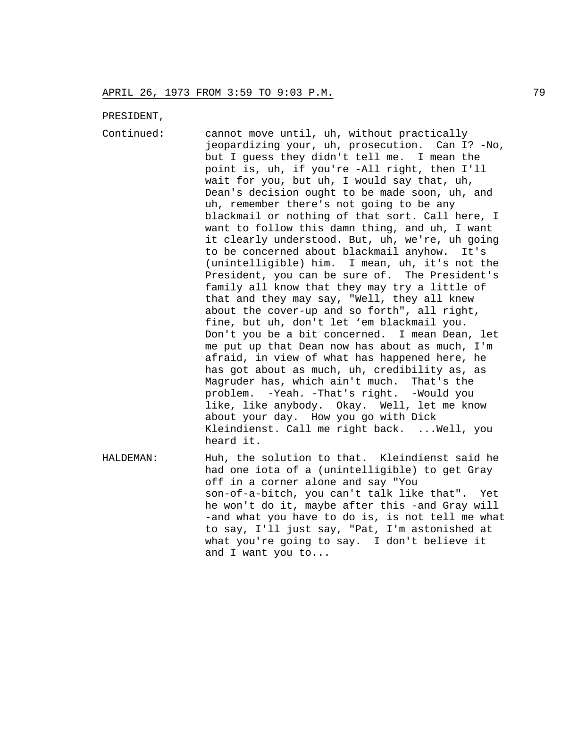- Continued: cannot move until, uh, without practically jeopardizing your, uh, prosecution. Can I? -No, but I guess they didn't tell me. I mean the point is, uh, if you're -All right, then I'll wait for you, but uh, I would say that, uh, Dean's decision ought to be made soon, uh, and uh, remember there's not going to be any blackmail or nothing of that sort. Call here, I want to follow this damn thing, and uh, I want it clearly understood. But, uh, we're, uh going to be concerned about blackmail anyhow. It's (unintelligible) him. I mean, uh, it's not the President, you can be sure of. The President's family all know that they may try a little of that and they may say, "Well, they all knew about the cover-up and so forth", all right, fine, but uh, don't let 'em blackmail you. Don't you be a bit concerned. I mean Dean, let me put up that Dean now has about as much, I'm afraid, in view of what has happened here, he has got about as much, uh, credibility as, as Magruder has, which ain't much. That's the problem. -Yeah. -That's right. -Would you like, like anybody. Okay. Well, let me know about your day. How you go with Dick Kleindienst. Call me right back. ...Well, you heard it. HALDEMAN: Huh, the solution to that. Kleindienst said he had one iota of a (unintelligible) to get Gray
	- off in a corner alone and say "You son-of-a-bitch, you can't talk like that". Yet he won't do it, maybe after this -and Gray will -and what you have to do is, is not tell me what to say, I'll just say, "Pat, I'm astonished at what you're going to say. I don't believe it and I want you to...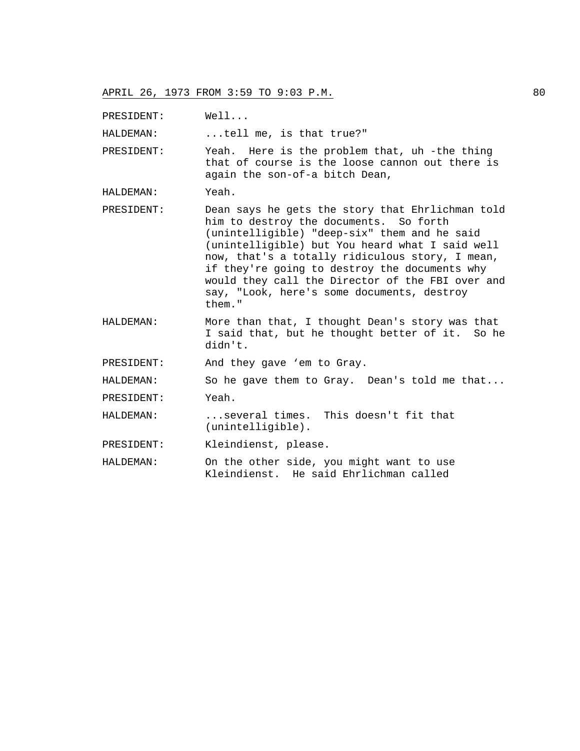PRESIDENT: Well...

HALDEMAN: ...tell me, is that true?"

- PRESIDENT: Yeah. Here is the problem that, uh -the thing that of course is the loose cannon out there is again the son-of-a bitch Dean,
- HALDEMAN: Yeah.
- PRESIDENT: Dean says he gets the story that Ehrlichman told him to destroy the documents. So forth (unintelligible) "deep-six" them and he said (unintelligible) but You heard what I said well now, that's a totally ridiculous story, I mean, if they're going to destroy the documents why would they call the Director of the FBI over and say, "Look, here's some documents, destroy them."
- HALDEMAN: More than that, I thought Dean's story was that I said that, but he thought better of it. So he didn't.
- PRESIDENT: And they gave 'em to Gray.

HALDEMAN: So he gave them to Gray. Dean's told me that...

PRESIDENT: Yeah.

- HALDEMAN: ... several times. This doesn't fit that (unintelligible).
- PRESIDENT: Kleindienst, please.
- HALDEMAN: On the other side, you might want to use Kleindienst. He said Ehrlichman called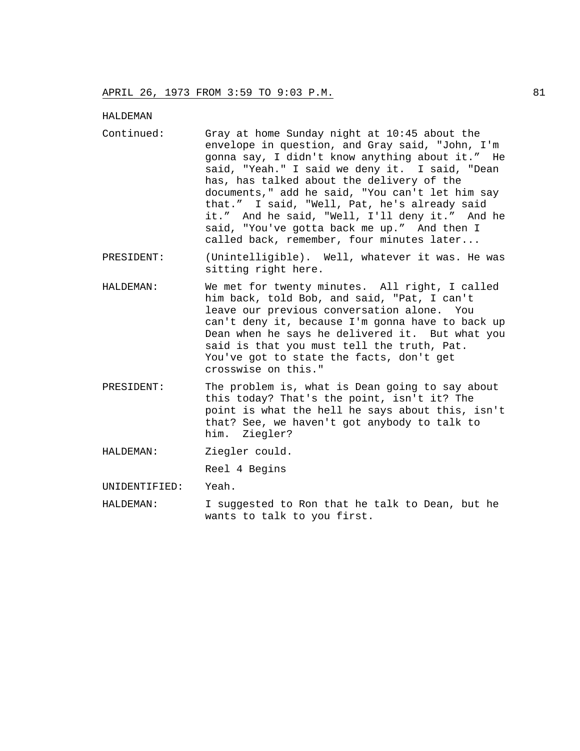HALDEMAN

- Continued: Gray at home Sunday night at 10:45 about the envelope in question, and Gray said, "John, I'm gonna say, I didn't know anything about it." He said, "Yeah." I said we deny it. I said, "Dean has, has talked about the delivery of the documents," add he said, "You can't let him say that." I said, "Well, Pat, he's already said it." And he said, "Well, I'll deny it." And he said, "You've gotta back me up." And then I called back, remember, four minutes later...
- PRESIDENT: (Unintelligible). Well, whatever it was. He was sitting right here.
- HALDEMAN: We met for twenty minutes. All right, I called him back, told Bob, and said, "Pat, I can't leave our previous conversation alone. You can't deny it, because I'm gonna have to back up Dean when he says he delivered it. But what you said is that you must tell the truth, Pat. You've got to state the facts, don't get crosswise on this."
- PRESIDENT: The problem is, what is Dean going to say about this today? That's the point, isn't it? The point is what the hell he says about this, isn't that? See, we haven't got anybody to talk to him. Ziegler?
- HALDEMAN: Ziegler could.

Reel 4 Begins

UNIDENTIFIED: Yeah.

HALDEMAN: I suggested to Ron that he talk to Dean, but he wants to talk to you first.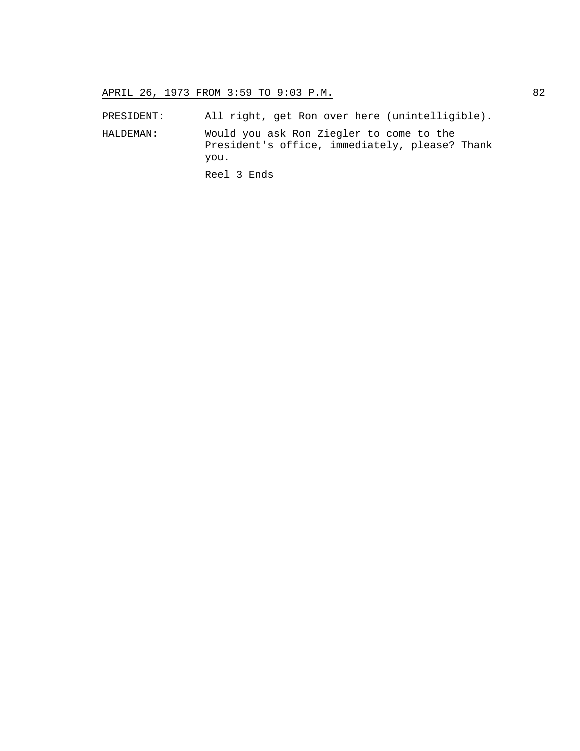PRESIDENT: All right, get Ron over here (unintelligible). HALDEMAN: Would you ask Ron Ziegler to come to the President's office, immediately, please? Thank you. Reel 3 Ends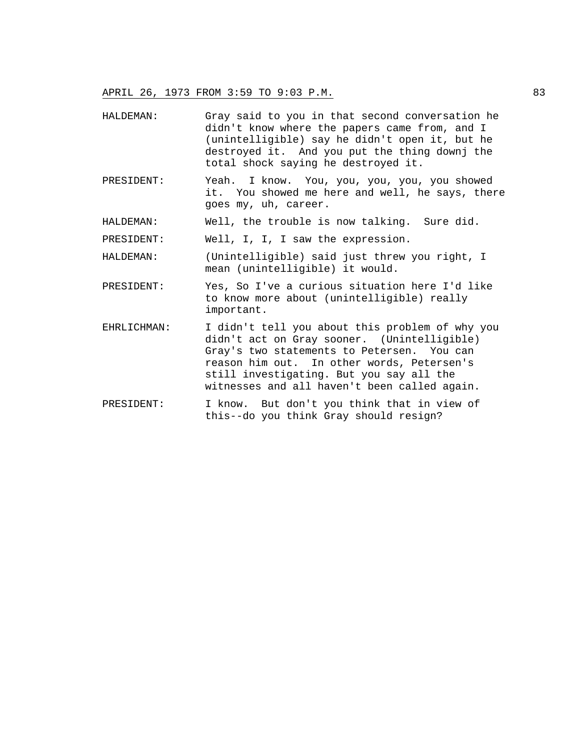- HALDEMAN: Gray said to you in that second conversation he didn't know where the papers came from, and I (unintelligible) say he didn't open it, but he destroyed it. And you put the thing downj the total shock saying he destroyed it.
- PRESIDENT: Yeah. I know. You, you, you, you, you showed it. You showed me here and well, he says, there goes my, uh, career.
- HALDEMAN: Well, the trouble is now talking. Sure did.
- PRESIDENT: Well, I, I, I saw the expression.
- HALDEMAN: (Unintelligible) said just threw you right, I mean (unintelligible) it would.
- PRESIDENT: Yes, So I've a curious situation here I'd like to know more about (unintelligible) really important.
- EHRLICHMAN: I didn't tell you about this problem of why you didn't act on Gray sooner. (Unintelligible) Gray's two statements to Petersen. You can reason him out. In other words, Petersen's still investigating. But you say all the witnesses and all haven't been called again.
- PRESIDENT: I know. But don't you think that in view of this--do you think Gray should resign?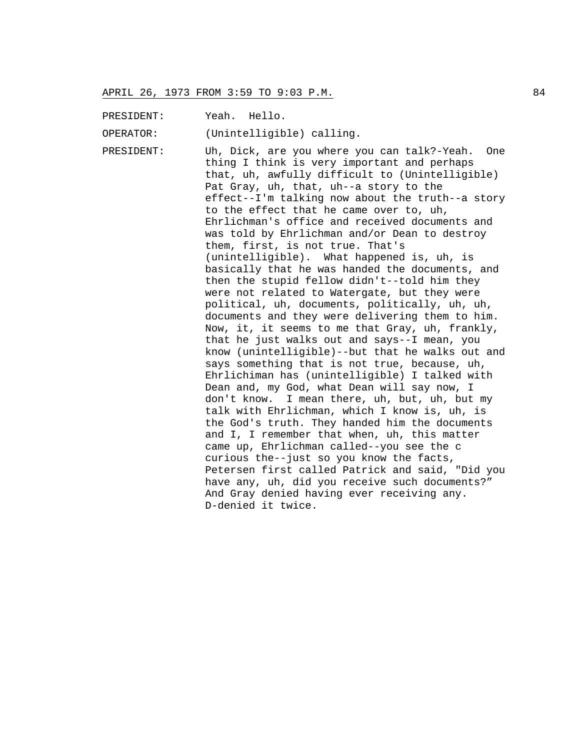PRESIDENT: Yeah. Hello.

OPERATOR: (Unintelligible) calling.

PRESIDENT: Uh, Dick, are you where you can talk?-Yeah. One thing I think is very important and perhaps that, uh, awfully difficult to (Unintelligible) Pat Gray, uh, that, uh--a story to the effect--I'm talking now about the truth--a story to the effect that he came over to, uh, Ehrlichman's office and received documents and was told by Ehrlichman and/or Dean to destroy them, first, is not true. That's (unintelligible). What happened is, uh, is basically that he was handed the documents, and then the stupid fellow didn't--told him they were not related to Watergate, but they were political, uh, documents, politically, uh, uh, documents and they were delivering them to him. Now, it, it seems to me that Gray, uh, frankly, that he just walks out and says--I mean, you know (unintelligible)--but that he walks out and says something that is not true, because, uh, Ehrlichiman has (unintelligible) I talked with Dean and, my God, what Dean will say now, I don't know. I mean there, uh, but, uh, but my talk with Ehrlichman, which I know is, uh, is the God's truth. They handed him the documents and I, I remember that when, uh, this matter came up, Ehrlichman called--you see the c curious the--just so you know the facts, Petersen first called Patrick and said, "Did you have any, uh, did you receive such documents?" And Gray denied having ever receiving any. D-denied it twice.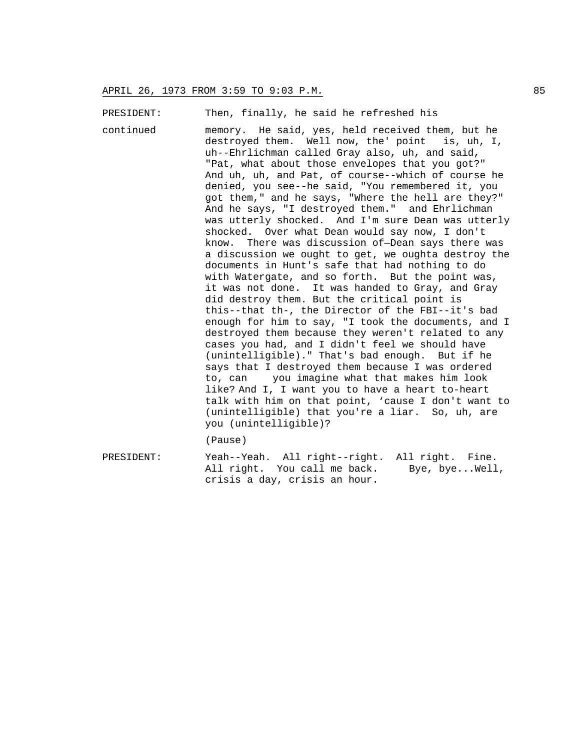PRESIDENT: Then, finally, he said he refreshed his

- continued memory. He said, yes, held received them, but he destroyed them. Well now, the' point is, uh, I, uh--Ehrlichman called Gray also, uh, and said, "Pat, what about those envelopes that you got?" And uh, uh, and Pat, of course--which of course he denied, you see--he said, "You remembered it, you got them," and he says, "Where the hell are they?" And he says, "I destroyed them." and Ehrlichman was utterly shocked. And I'm sure Dean was utterly shocked. Over what Dean would say now, I don't know. There was discussion of—Dean says there was a discussion we ought to get, we oughta destroy the documents in Hunt's safe that had nothing to do with Watergate, and so forth. But the point was, it was not done. It was handed to Gray, and Gray did destroy them. But the critical point is this--that th-, the Director of the FBI--it's bad enough for him to say, "I took the documents, and I destroyed them because they weren't related to any cases you had, and I didn't feel we should have (unintelligible)." That's bad enough. But if he says that I destroyed them because I was ordered to, can you imagine what that makes him look like? And I, I want you to have a heart to-heart talk with him on that point, 'cause I don't want to (unintelligible) that you're a liar. So, uh, are you (unintelligible)? (Pause) PRESIDENT: Yeah--Yeah. All right--right. All right. Fine.
- All right. You call me back. Bye, bye... Well, crisis a day, crisis an hour.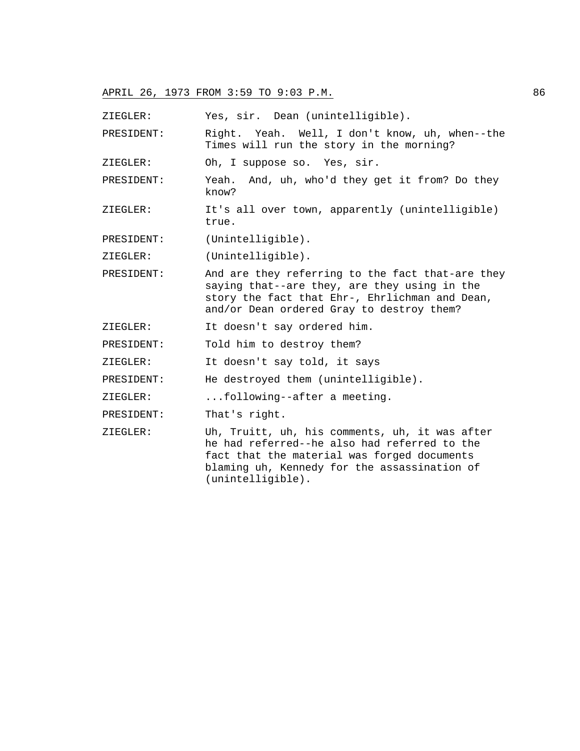ZIEGLER: Yes, sir. Dean (unintelligible). PRESIDENT: Right. Yeah. Well, I don't know, uh, when--the Times will run the story in the morning? ZIEGLER: Oh, I suppose so. Yes, sir. PRESIDENT: Yeah. And, uh, who'd they get it from? Do they know? ZIEGLER: It's all over town, apparently (unintelligible) true. PRESIDENT: (Unintelligible). ZIEGLER: (Unintelligible). PRESIDENT: And are they referring to the fact that-are they saying that--are they, are they using in the story the fact that Ehr-, Ehrlichman and Dean, and/or Dean ordered Gray to destroy them? ZIEGLER: It doesn't say ordered him. PRESIDENT: Told him to destroy them? ZIEGLER: It doesn't say told, it says PRESIDENT: He destroyed them (unintelligible). ZIEGLER: ...following--after a meeting. PRESIDENT: That's right. ZIEGLER: Uh, Truitt, uh, his comments, uh, it was after he had referred--he also had referred to the fact that the material was forged documents blaming uh, Kennedy for the assassination of (unintelligible).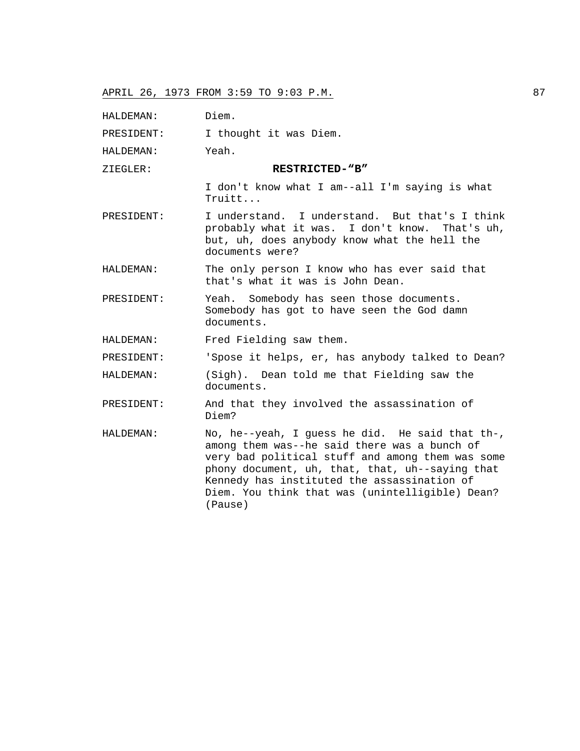HALDEMAN: Diem.

PRESIDENT: I thought it was Diem.

HALDEMAN: Yeah.

ZIEGLER: **RESTRICTED-"B"**

I don't know what I am--all I'm saying is what Truitt...

- PRESIDENT: I understand. I understand. But that's I think probably what it was. I don't know. That's uh, but, uh, does anybody know what the hell the documents were?
- HALDEMAN: The only person I know who has ever said that that's what it was is John Dean.
- PRESIDENT: Yeah. Somebody has seen those documents. Somebody has got to have seen the God damn documents.
- HALDEMAN: Fred Fielding saw them.
- PRESIDENT: Spose it helps, er, has anybody talked to Dean?
- HALDEMAN: (Sigh). Dean told me that Fielding saw the documents.
- PRESIDENT: And that they involved the assassination of Diem?
- HALDEMAN: No, he--yeah, I guess he did. He said that th-, among them was--he said there was a bunch of very bad political stuff and among them was some phony document, uh, that, that, uh--saying that Kennedy has instituted the assassination of Diem. You think that was (unintelligible) Dean? (Pause)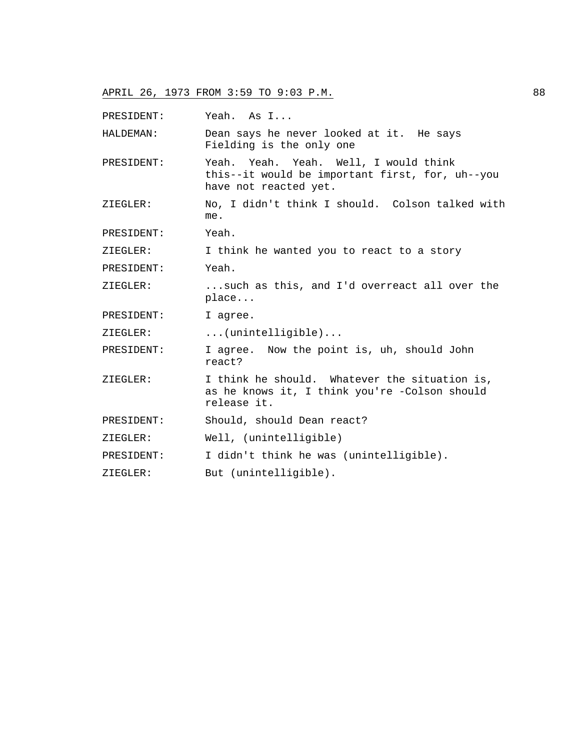| PRESIDENT: | Yeah. As I                                                                                                        |
|------------|-------------------------------------------------------------------------------------------------------------------|
| HALDEMAN:  | Dean says he never looked at it. He says<br>Fielding is the only one                                              |
| PRESIDENT: | Yeah. Yeah. Yeah. Well, I would think<br>this--it would be important first, for, uh--you<br>have not reacted yet. |
| ZIEGLER:   | No, I didn't think I should. Colson talked with<br>me.                                                            |
| PRESIDENT: | Yeah.                                                                                                             |
| ZIEGLER:   | I think he wanted you to react to a story                                                                         |
| PRESIDENT: | Yeah.                                                                                                             |
| ZIEGLER:   | such as this, and I'd overreact all over the<br>place                                                             |
| PRESIDENT: | I agree.                                                                                                          |
| ZIEGLER:   | $\ldots$ (unintelligible)                                                                                         |
| PRESIDENT: | I agree. Now the point is, uh, should John<br>react?                                                              |
| ZIEGLER:   | I think he should. Whatever the situation is,<br>as he knows it, I think you're -Colson should<br>release it.     |
| PRESIDENT: | Should, should Dean react?                                                                                        |
| ZIEGLER:   | Well, (unintelligible)                                                                                            |
| PRESIDENT: | I didn't think he was (unintelligible).                                                                           |
| ZIEGLER:   | But (unintelligible).                                                                                             |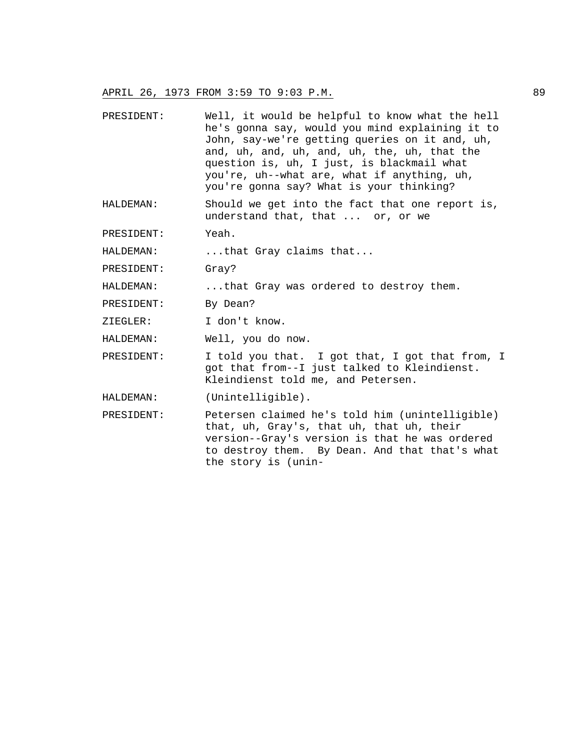- PRESIDENT: Well, it would be helpful to know what the hell he's gonna say, would you mind explaining it to John, say-we're getting queries on it and, uh, and, uh, and, uh, and, uh, the, uh, that the question is, uh, I just, is blackmail what you're, uh--what are, what if anything, uh, you're gonna say? What is your thinking?
- HALDEMAN: Should we get into the fact that one report is, understand that, that ... or, or we

PRESIDENT: Yeah.

HALDEMAN: ...that Gray claims that...

PRESIDENT: Gray?

HALDEMAN: ...that Gray was ordered to destroy them.

PRESIDENT: By Dean?

ZIEGLER: I don't know.

HALDEMAN: Well, you do now.

PRESIDENT: I told you that. I got that, I got that from, I got that from--I just talked to Kleindienst. Kleindienst told me, and Petersen.

HALDEMAN: (Unintelligible).

PRESIDENT: Petersen claimed he's told him (unintelligible) that, uh, Gray's, that uh, that uh, their version--Gray's version is that he was ordered to destroy them. By Dean. And that that's what the story is (unin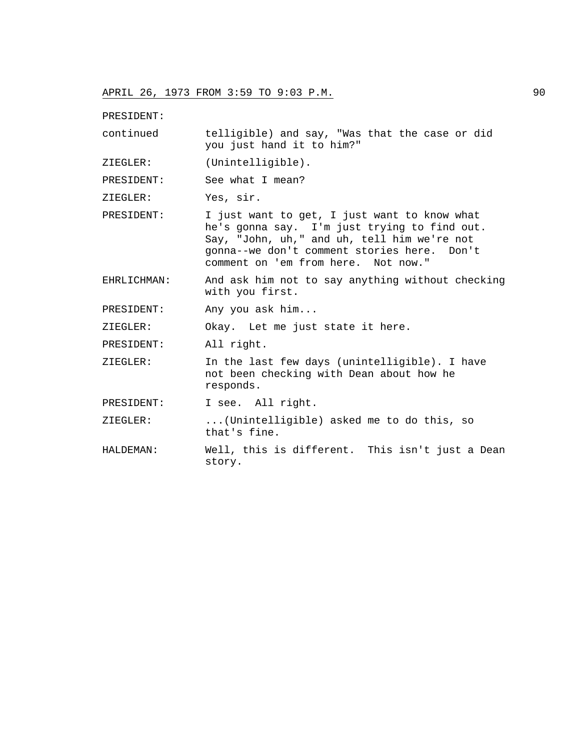PRESIDENT:

- continued telligible) and say, "Was that the case or did you just hand it to him?"
- ZIEGLER: (Unintelligible).
- PRESIDENT: See what I mean?

ZIEGLER: Yes, sir.

- PRESIDENT: I just want to get, I just want to know what he's gonna say. I'm just trying to find out. Say, "John, uh," and uh, tell him we're not gonna--we don't comment stories here. Don't comment on 'em from here. Not now."
- EHRLICHMAN: And ask him not to say anything without checking with you first.
- PRESIDENT: Any you ask him...

ZIEGLER: Okay. Let me just state it here.

PRESIDENT: All right.

ZIEGLER: In the last few days (unintelligible). I have not been checking with Dean about how he responds.

- PRESIDENT: I see. All right.
- ZIEGLER: ...(Unintelligible) asked me to do this, so that's fine.
- HALDEMAN: Well, this is different. This isn't just a Dean story.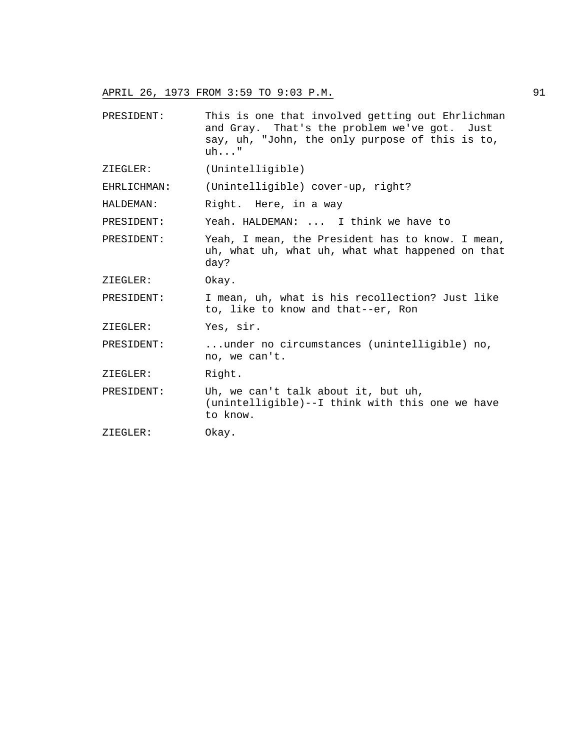- PRESIDENT: This is one that involved getting out Ehrlichman and Gray. That's the problem we've got. Just say, uh, "John, the only purpose of this is to, uh..."
- ZIEGLER: (Unintelligible)

EHRLICHMAN: (Unintelligible) cover-up, right?

- HALDEMAN: Right. Here, in a way
- PRESIDENT: Yeah. HALDEMAN: ... I think we have to
- PRESIDENT: Yeah, I mean, the President has to know. I mean, uh, what uh, what uh, what what happened on that day?
- ZIEGLER: Okay.
- PRESIDENT: I mean, uh, what is his recollection? Just like to, like to know and that--er, Ron
- ZIEGLER: Yes, sir.
- PRESIDENT: ...under no circumstances (unintelligible) no, no, we can't.

ZIEGLER: Right.

- PRESIDENT: Uh, we can't talk about it, but uh, (unintelligible)--I think with this one we have to know.
- ZIEGLER: Okay.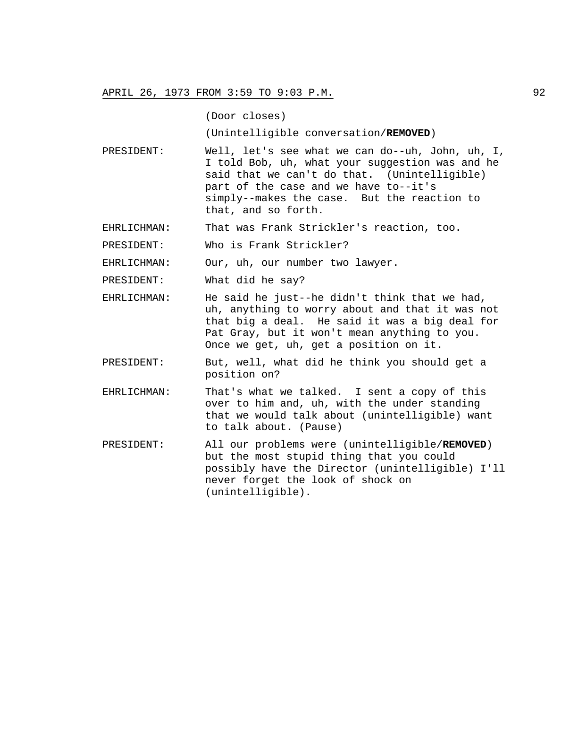(Door closes)

(Unintelligible conversation/**REMOVED**)

- PRESIDENT: Well, let's see what we can do--uh, John, uh, I, I told Bob, uh, what your suggestion was and he said that we can't do that. (Unintelligible) part of the case and we have to--it's simply--makes the case. But the reaction to that, and so forth.
- EHRLICHMAN: That was Frank Strickler's reaction, too.
- PRESIDENT: Who is Frank Strickler?

EHRLICHMAN: Our, uh, our number two lawyer.

- PRESIDENT: What did he say?
- EHRLICHMAN: He said he just--he didn't think that we had, uh, anything to worry about and that it was not that big a deal. He said it was a big deal for Pat Gray, but it won't mean anything to you. Once we get, uh, get a position on it.
- PRESIDENT: But, well, what did he think you should get a position on?
- EHRLICHMAN: That's what we talked. I sent a copy of this over to him and, uh, with the under standing that we would talk about (unintelligible) want to talk about. (Pause)
- PRESIDENT: All our problems were (unintelligible/**REMOVED**) but the most stupid thing that you could possibly have the Director (unintelligible) I'll never forget the look of shock on (unintelligible).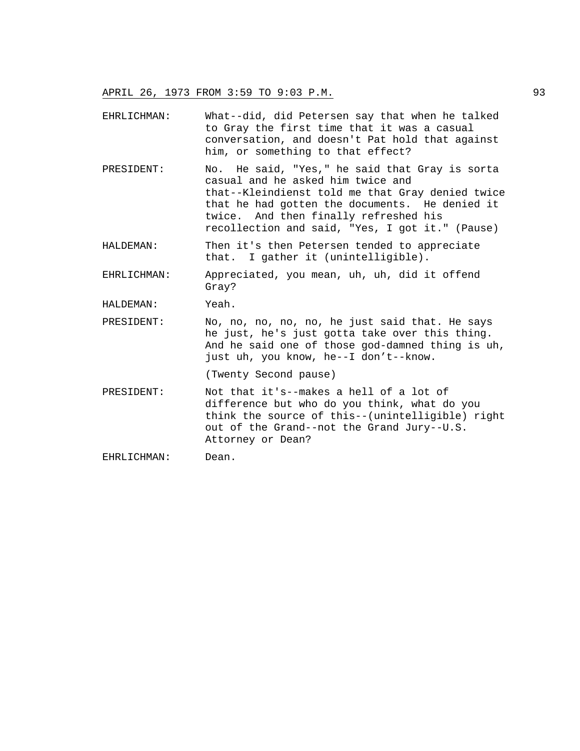EHRLICHMAN: What--did, did Petersen say that when he talked to Gray the first time that it was a casual conversation, and doesn't Pat hold that against him, or something to that effect? PRESIDENT: No. He said, "Yes," he said that Gray is sorta casual and he asked him twice and that--Kleindienst told me that Gray denied twice that he had gotten the documents. He denied it twice. And then finally refreshed his recollection and said, "Yes, I got it." (Pause) HALDEMAN: Then it's then Petersen tended to appreciate that. I gather it (unintelligible). EHRLICHMAN: Appreciated, you mean, uh, uh, did it offend Gray? HALDEMAN: Yeah. PRESIDENT: No, no, no, no, no, he just said that. He says he just, he's just gotta take over this thing. And he said one of those god-damned thing is uh, just uh, you know, he--I don't--know. (Twenty Second pause) PRESIDENT: Not that it's--makes a hell of a lot of difference but who do you think, what do you think the source of this--(unintelligible) right out of the Grand--not the Grand Jury--U.S. Attorney or Dean? EHRLICHMAN: Dean.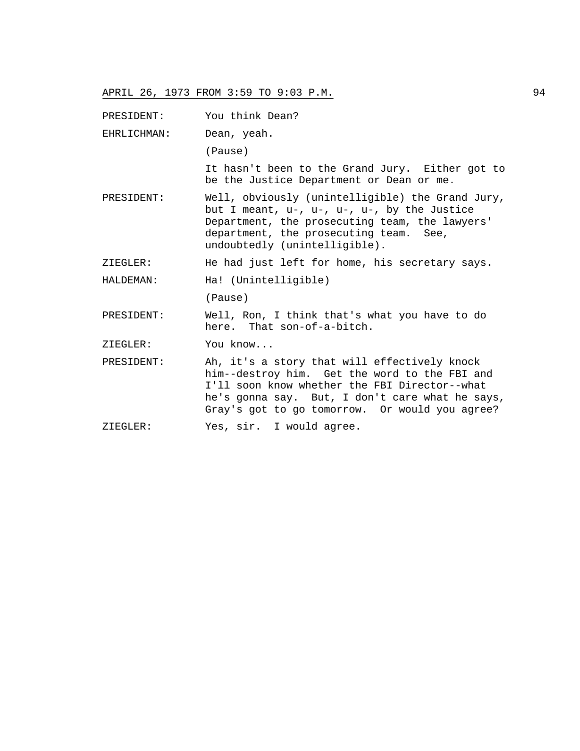PRESIDENT: You think Dean? EHRLICHMAN: Dean, yeah. (Pause) It hasn't been to the Grand Jury. Either got to be the Justice Department or Dean or me. PRESIDENT: Well, obviously (unintelligible) the Grand Jury, but I meant, u-, u-, u-, u-, by the Justice Department, the prosecuting team, the lawyers' department, the prosecuting team. See, undoubtedly (unintelligible). ZIEGLER: He had just left for home, his secretary says. HALDEMAN: Ha! (Unintelligible) (Pause) PRESIDENT: Well, Ron, I think that's what you have to do here. That son-of-a-bitch. ZIEGLER: You know... PRESIDENT: Ah, it's a story that will effectively knock him--destroy him. Get the word to the FBI and I'll soon know whether the FBI Director--what he's gonna say. But, I don't care what he says, Gray's got to go tomorrow. Or would you agree? ZIEGLER: Yes, sir. I would agree.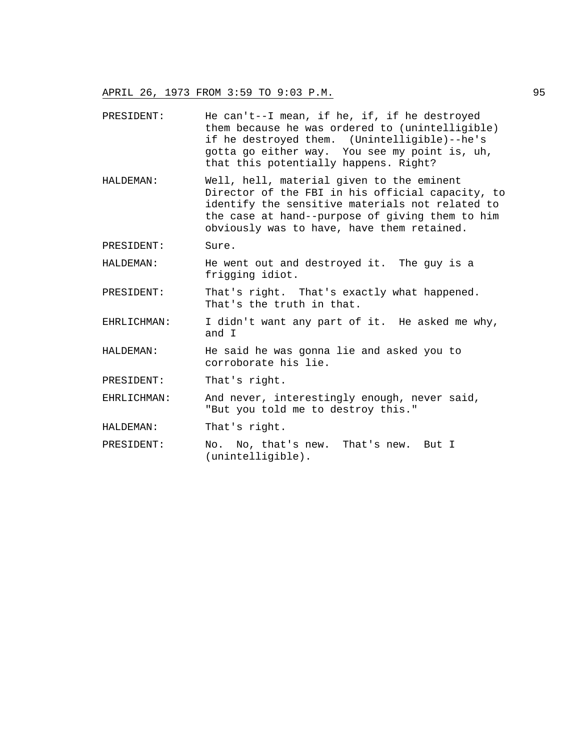PRESIDENT: He can't--I mean, if he, if, if he destroyed them because he was ordered to (unintelligible) if he destroyed them. (Unintelligible)--he's gotta go either way. You see my point is, uh, that this potentially happens. Right? HALDEMAN: Well, hell, material given to the eminent Director of the FBI in his official capacity, to identify the sensitive materials not related to the case at hand--purpose of giving them to him obviously was to have, have them retained. PRESIDENT: Sure. HALDEMAN: He went out and destroyed it. The guy is a frigging idiot. PRESIDENT: That's right. That's exactly what happened. That's the truth in that. EHRLICHMAN: I didn't want any part of it. He asked me why, and I HALDEMAN: He said he was gonna lie and asked you to corroborate his lie. PRESIDENT: That's right. EHRLICHMAN: And never, interestingly enough, never said, "But you told me to destroy this." HALDEMAN: That's right. PRESIDENT: No. No, that's new. That's new. But I (unintelligible).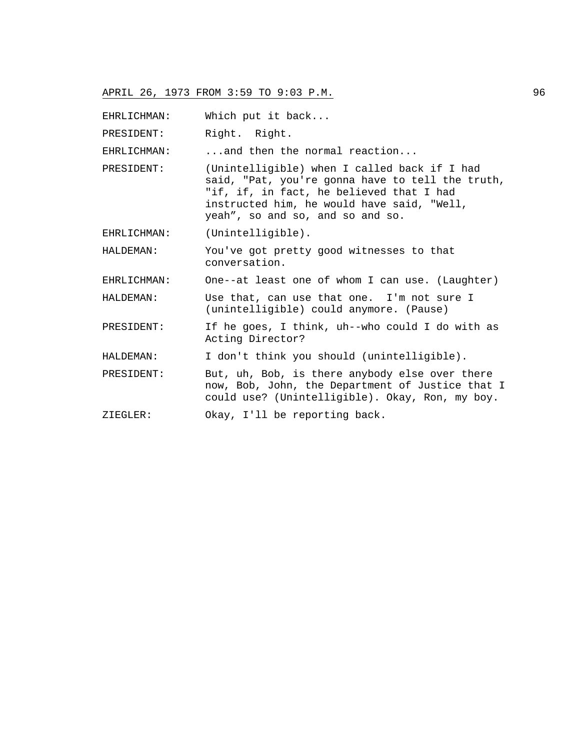EHRLICHMAN: Which put it back...

PRESIDENT: Right. Right.

EHRLICHMAN: ...and then the normal reaction...

PRESIDENT: (Unintelligible) when I called back if I had said, "Pat, you're gonna have to tell the truth, "if, if, in fact, he believed that I had instructed him, he would have said, "Well, yeah", so and so, and so and so.

EHRLICHMAN: (Unintelligible).

HALDEMAN: You've got pretty good witnesses to that conversation.

EHRLICHMAN: One--at least one of whom I can use. (Laughter)

HALDEMAN: Use that, can use that one. I'm not sure I (unintelligible) could anymore. (Pause)

PRESIDENT: If he goes, I think, uh--who could I do with as Acting Director?

HALDEMAN: I don't think you should (unintelligible).

PRESIDENT: But, uh, Bob, is there anybody else over there now, Bob, John, the Department of Justice that I could use? (Unintelligible). Okay, Ron, my boy.

```
ZIEGLER: Okay, I'll be reporting back.
```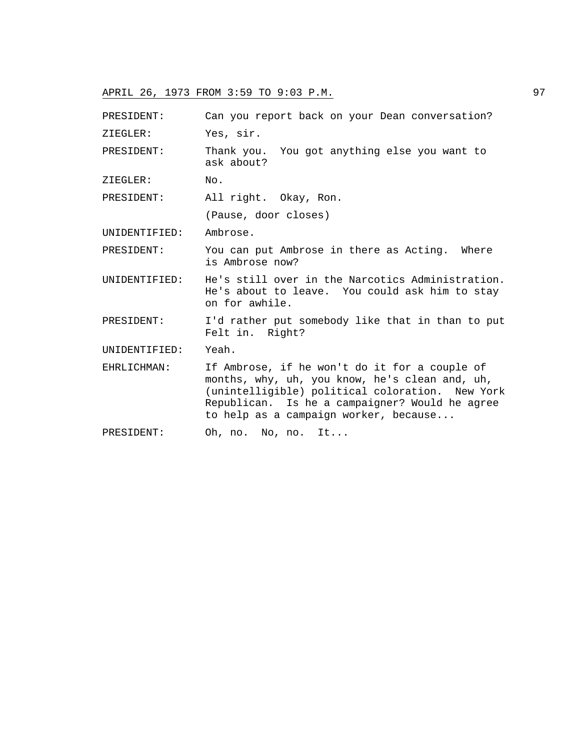| PRESIDENT:    | Can you report back on your Dean conversation?                                                                                                                                                                                                |
|---------------|-----------------------------------------------------------------------------------------------------------------------------------------------------------------------------------------------------------------------------------------------|
| ZIEGLER:      | Yes, sir.                                                                                                                                                                                                                                     |
| PRESIDENT:    | Thank you. You got anything else you want to<br>ask about?                                                                                                                                                                                    |
| ZIEGLER:      | No.                                                                                                                                                                                                                                           |
| PRESIDENT:    | All right. Okay, Ron.                                                                                                                                                                                                                         |
|               | (Pause, door closes)                                                                                                                                                                                                                          |
| UNIDENTIFIED: | Ambrose.                                                                                                                                                                                                                                      |
| PRESIDENT:    | You can put Ambrose in there as Acting.<br>Where<br>is Ambrose now?                                                                                                                                                                           |
| UNIDENTIFIED: | He's still over in the Narcotics Administration.<br>He's about to leave. You could ask him to stay<br>on for awhile.                                                                                                                          |
| PRESIDENT:    | I'd rather put somebody like that in than to put<br>Felt in. Right?                                                                                                                                                                           |
| UNIDENTIFIED: | Yeah.                                                                                                                                                                                                                                         |
| EHRLICHMAN:   | If Ambrose, if he won't do it for a couple of<br>months, why, uh, you know, he's clean and, uh,<br>(unintelligible) political coloration. New York<br>Republican. Is he a campaigner? Would he agree<br>to help as a campaign worker, because |
| PRESIDENT:    | Oh, no. $No, no.$ It                                                                                                                                                                                                                          |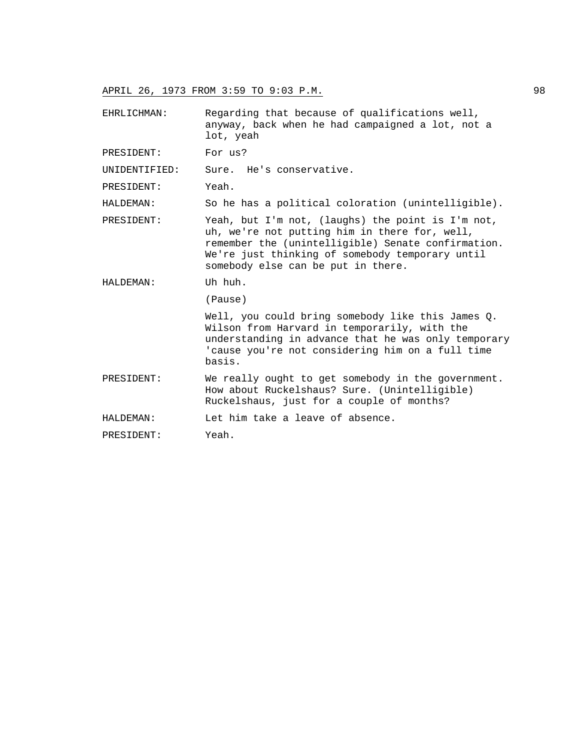APRIL 26, 1973 FROM 3:59 TO 9:03 P.M. 2008 P.M.

EHRLICHMAN: Regarding that because of qualifications well, anyway, back when he had campaigned a lot, not a lot, yeah

PRESIDENT: For us?

UNIDENTIFIED: Sure. He's conservative.

PRESIDENT: Yeah.

HALDEMAN: So he has a political coloration (unintelligible).

PRESIDENT: Yeah, but I'm not, (laughs) the point is I'm not, uh, we're not putting him in there for, well, remember the (unintelligible) Senate confirmation. We're just thinking of somebody temporary until somebody else can be put in there.

HALDEMAN: Uh huh.

(Pause)

Well, you could bring somebody like this James Q. Wilson from Harvard in temporarily, with the understanding in advance that he was only temporary 'cause you're not considering him on a full time basis.

PRESIDENT: We really ought to get somebody in the government. How about Ruckelshaus? Sure. (Unintelligible) Ruckelshaus, just for a couple of months?

HALDEMAN: Let him take a leave of absence.

PRESIDENT: Yeah.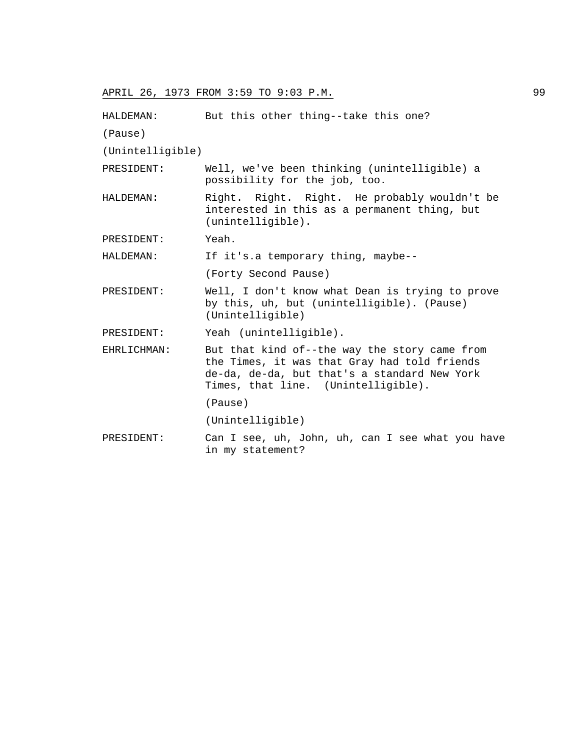HALDEMAN: But this other thing--take this one?

(Pause)

(Unintelligible)

PRESIDENT: Well, we've been thinking (unintelligible) a possibility for the job, too.

HALDEMAN: Right. Right. Right. He probably wouldn't be interested in this as a permanent thing, but (unintelligible).

PRESIDENT: Yeah.

HALDEMAN: If it's.a temporary thing, maybe--

(Forty Second Pause)

- PRESIDENT: Well, I don't know what Dean is trying to prove by this, uh, but (unintelligible). (Pause) (Unintelligible)
- PRESIDENT: Yeah (unintelligible).
- EHRLICHMAN: But that kind of--the way the story came from the Times, it was that Gray had told friends de-da, de-da, but that's a standard New York Times, that line. (Unintelligible).

(Pause)

(Unintelligible)

PRESIDENT: Can I see, uh, John, uh, can I see what you have in my statement?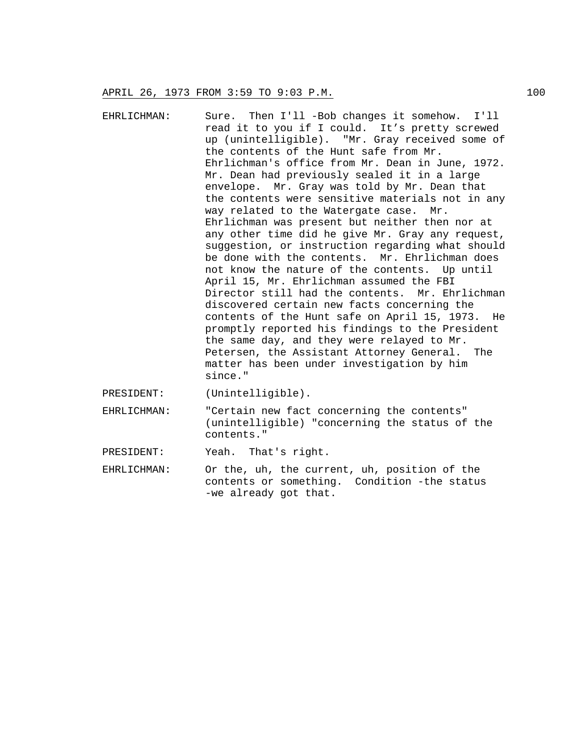- EHRLICHMAN: Sure. Then I'll -Bob changes it somehow. I'll read it to you if I could. It's pretty screwed up (unintelligible). "Mr. Gray received some of the contents of the Hunt safe from Mr. Ehrlichman's office from Mr. Dean in June, 1972. Mr. Dean had previously sealed it in a large envelope. Mr. Gray was told by Mr. Dean that the contents were sensitive materials not in any way related to the Watergate case. Mr. Ehrlichman was present but neither then nor at any other time did he give Mr. Gray any request, suggestion, or instruction regarding what should be done with the contents. Mr. Ehrlichman does not know the nature of the contents. Up until April 15, Mr. Ehrlichman assumed the FBI Director still had the contents. Mr. Ehrlichman discovered certain new facts concerning the contents of the Hunt safe on April 15, 1973. He promptly reported his findings to the President the same day, and they were relayed to Mr. Petersen, the Assistant Attorney General. The matter has been under investigation by him since."
- PRESIDENT: (Unintelligible).
- EHRLICHMAN: "Certain new fact concerning the contents" (unintelligible) "concerning the status of the contents."
- PRESIDENT: Yeah. That's right.
- EHRLICHMAN: Or the, uh, the current, uh, position of the contents or something. Condition -the status -we already got that.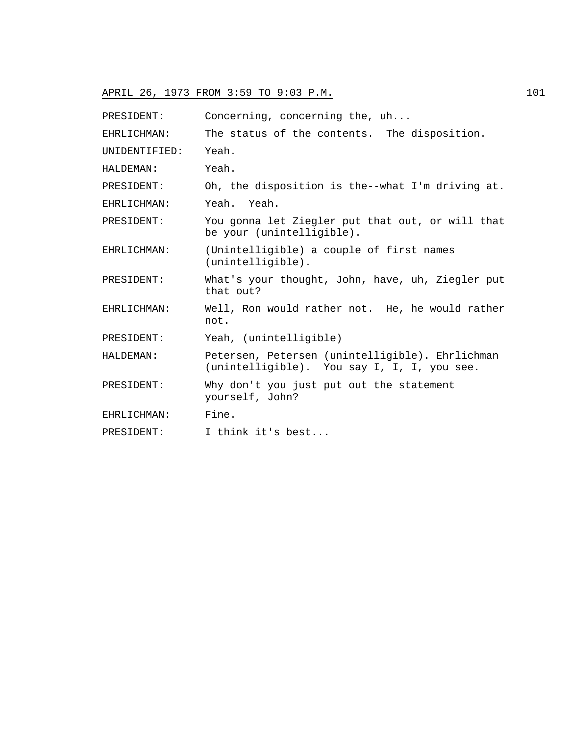| PRESIDENT:    | Concerning, concerning the, uh                                                                 |
|---------------|------------------------------------------------------------------------------------------------|
| EHRLICHMAN:   | The status of the contents. The disposition.                                                   |
| UNIDENTIFIED: | Yeah.                                                                                          |
| HALDEMAN:     | Yeah.                                                                                          |
| PRESIDENT:    | Oh, the disposition is the--what I'm driving at.                                               |
| EHRLICHMAN:   | Yeah, Yeah,                                                                                    |
| PRESIDENT:    | You gonna let Ziegler put that out, or will that<br>be your (unintelligible).                  |
| EHRLICHMAN:   | (Unintelligible) a couple of first names<br>(unintelligible).                                  |
| PRESIDENT:    | What's your thought, John, have, uh, Ziegler put<br>that out?                                  |
| EHRLICHMAN:   | Well, Ron would rather not. He, he would rather<br>not.                                        |
| PRESIDENT:    | Yeah, (unintelligible)                                                                         |
| HALDEMAN:     | Petersen, Petersen (unintelligible). Ehrlichman<br>(unintelligible). You say I, I, I, you see. |
| PRESIDENT:    | Why don't you just put out the statement<br>yourself, John?                                    |
| EHRLICHMAN:   | Fine.                                                                                          |
| PRESIDENT:    | I think it's best                                                                              |
|               |                                                                                                |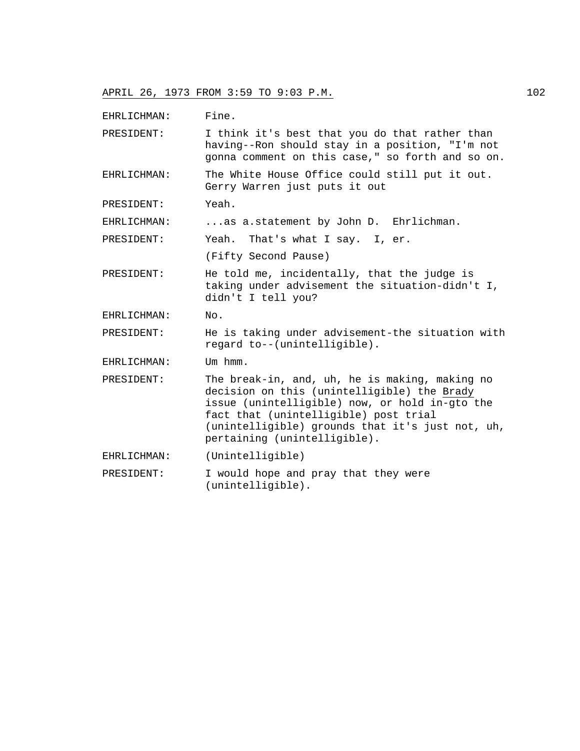EHRLICHMAN: Fine.

PRESIDENT: I think it's best that you do that rather than having--Ron should stay in a position, "I'm not gonna comment on this case," so forth and so on.

EHRLICHMAN: The White House Office could still put it out. Gerry Warren just puts it out

PRESIDENT: Yeah.

EHRLICHMAN: ...as a.statement by John D. Ehrlichman.

PRESIDENT: Yeah. That's what I say. I, er.

(Fifty Second Pause)

PRESIDENT: He told me, incidentally, that the judge is taking under advisement the situation-didn't I, didn't I tell you?

EHRLICHMAN: No.

PRESIDENT: He is taking under advisement-the situation with regard to--(unintelligible).

EHRLICHMAN: Um hmm.

PRESIDENT: The break-in, and, uh, he is making, making no decision on this (unintelligible) the Brady issue (unintelligible) now, or hold in-gto the fact that (unintelligible) post trial (unintelligible) grounds that it's just not, uh, pertaining (unintelligible).

EHRLICHMAN: (Unintelligible)

PRESIDENT: I would hope and pray that they were (unintelligible).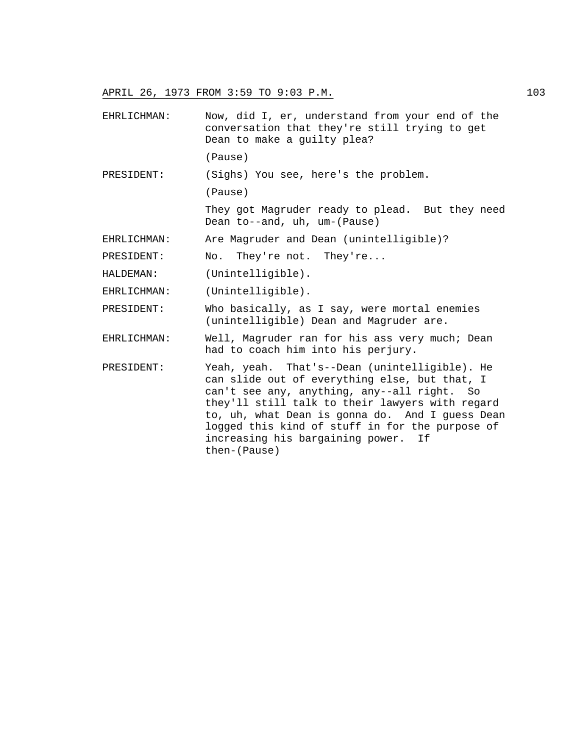EHRLICHMAN: Now, did I, er, understand from your end of the conversation that they're still trying to get Dean to make a guilty plea?

(Pause)

PRESIDENT: (Sighs) You see, here's the problem.

(Pause)

They got Magruder ready to plead. But they need Dean to--and, uh, um-(Pause)

EHRLICHMAN: Are Magruder and Dean (unintelligible)?

PRESIDENT: No. They're not. They're...

HALDEMAN: (Unintelligible).

EHRLICHMAN: (Unintelligible).

PRESIDENT: Who basically, as I say, were mortal enemies (unintelligible) Dean and Magruder are.

EHRLICHMAN: Well, Magruder ran for his ass very much; Dean had to coach him into his perjury.

PRESIDENT: Yeah, yeah. That's--Dean (unintelligible). He can slide out of everything else, but that, I can't see any, anything, any--all right. So they'll still talk to their lawyers with regard to, uh, what Dean is gonna do. And I guess Dean logged this kind of stuff in for the purpose of increasing his bargaining power. If then-(Pause)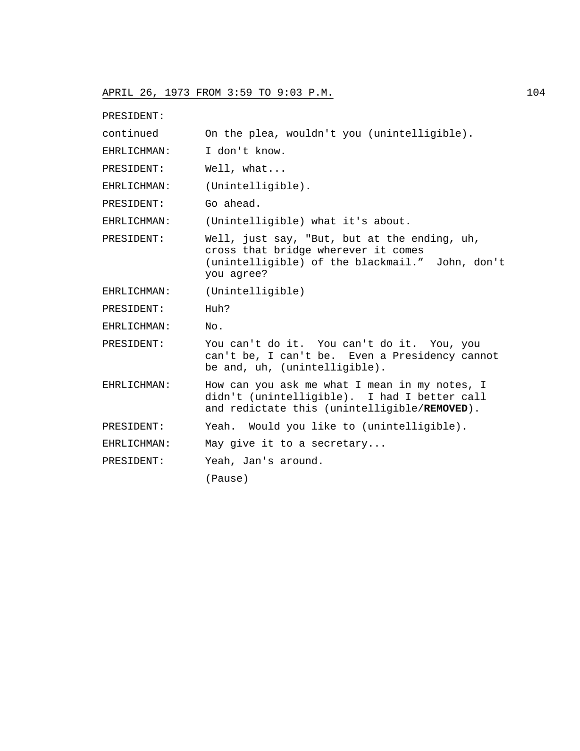PRESIDENT:

- continued On the plea, wouldn't you (unintelligible).
- EHRLICHMAN: I don't know.
- PRESIDENT: Well, what...
- EHRLICHMAN: (Unintelligible).
- PRESIDENT: Go ahead.

EHRLICHMAN: (Unintelligible) what it's about.

- PRESIDENT: Well, just say, "But, but at the ending, uh, cross that bridge wherever it comes (unintelligible) of the blackmail." John, don't you agree?
- EHRLICHMAN: (Unintelligible)
- PRESIDENT: Huh?
- EHRLICHMAN: No.
- PRESIDENT: You can't do it. You can't do it. You, you can't be, I can't be. Even a Presidency cannot be and, uh, (unintelligible).
- EHRLICHMAN: How can you ask me what I mean in my notes, I didn't (unintelligible). I had I better call and redictate this (unintelligible/**REMOVED**).

PRESIDENT: Yeah. Would you like to (unintelligible).

EHRLICHMAN: May give it to a secretary...

PRESIDENT: Yeah, Jan's around.

(Pause)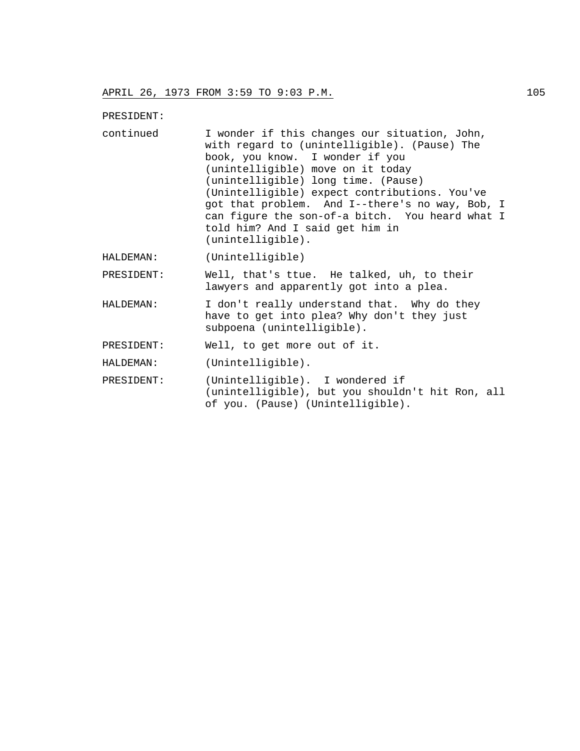PRESIDENT:

- continued I wonder if this changes our situation, John, with regard to (unintelligible). (Pause) The book, you know. I wonder if you (unintelligible) move on it today (unintelligible) long time. (Pause) (Unintelligible) expect contributions. You've got that problem. And I--there's no way, Bob, I can figure the son-of-a bitch. You heard what I told him? And I said get him in (unintelligible).
- HALDEMAN: (Unintelligible)

PRESIDENT: Well, that's ttue. He talked, uh, to their lawyers and apparently got into a plea.

HALDEMAN: I don't really understand that. Why do they have to get into plea? Why don't they just subpoena (unintelligible).

PRESIDENT: Well, to get more out of it.

HALDEMAN: (Unintelligible).

PRESIDENT: (Unintelligible). I wondered if (unintelligible), but you shouldn't hit Ron, all of you. (Pause) (Unintelligible).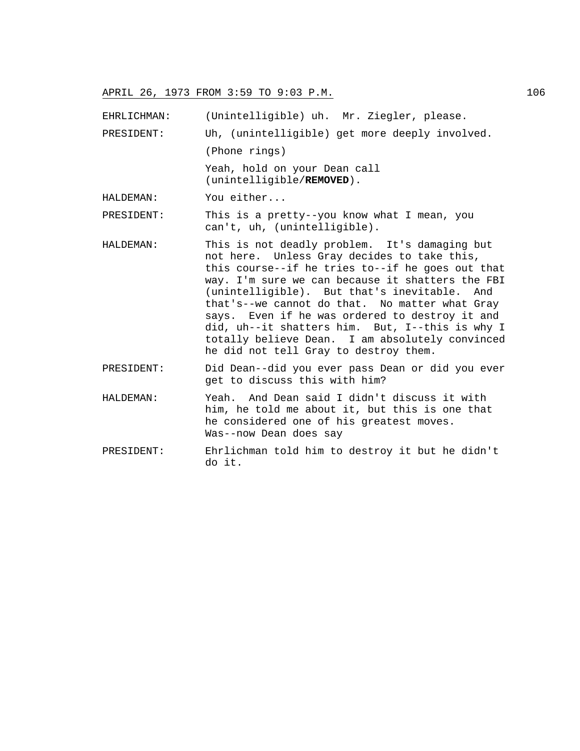EHRLICHMAN: (Unintelligible) uh. Mr. Ziegler, please.

PRESIDENT: Uh, (unintelligible) get more deeply involved.

(Phone rings)

Yeah, hold on your Dean call (unintelligible/**REMOVED**).

- HALDEMAN: You either...
- PRESIDENT: This is a pretty--you know what I mean, you can't, uh, (unintelligible).
- HALDEMAN: This is not deadly problem. It's damaging but not here. Unless Gray decides to take this, this course--if he tries to--if he goes out that way. I'm sure we can because it shatters the FBI (unintelligible). But that's inevitable. And that's--we cannot do that. No matter what Gray says. Even if he was ordered to destroy it and did, uh--it shatters him. But, I--this is why I totally believe Dean. I am absolutely convinced he did not tell Gray to destroy them.
- PRESIDENT: Did Dean--did you ever pass Dean or did you ever get to discuss this with him?
- HALDEMAN: Yeah. And Dean said I didn't discuss it with him, he told me about it, but this is one that he considered one of his greatest moves. Was--now Dean does say
- PRESIDENT: Ehrlichman told him to destroy it but he didn't do it.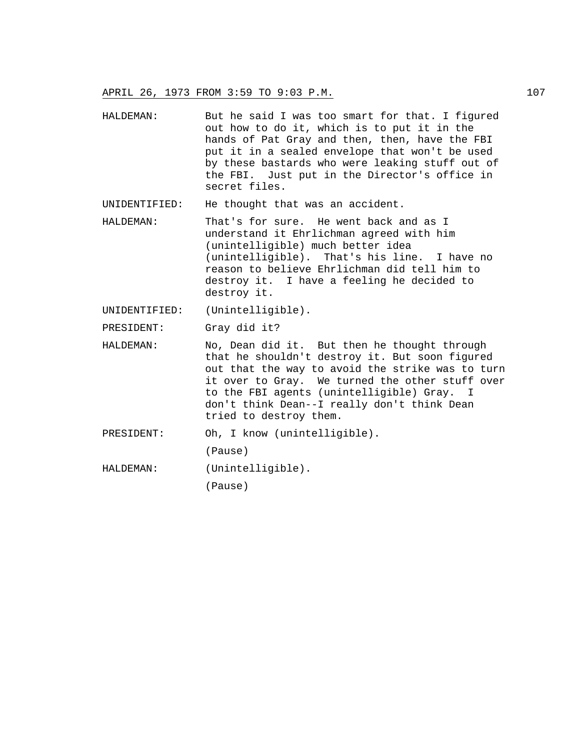- HALDEMAN: But he said I was too smart for that. I figured out how to do it, which is to put it in the hands of Pat Gray and then, then, have the FBI put it in a sealed envelope that won't be used by these bastards who were leaking stuff out of the FBI. Just put in the Director's office in secret files.
- UNIDENTIFIED: He thought that was an accident.
- HALDEMAN: That's for sure. He went back and as I understand it Ehrlichman agreed with him (unintelligible) much better idea (unintelligible). That's his line. I have no reason to believe Ehrlichman did tell him to destroy it. I have a feeling he decided to destroy it.
- UNIDENTIFIED: (Unintelligible).
- PRESIDENT: Gray did it?
- HALDEMAN: No, Dean did it. But then he thought through that he shouldn't destroy it. But soon figured out that the way to avoid the strike was to turn it over to Gray. We turned the other stuff over to the FBI agents (unintelligible) Gray. I don't think Dean--I really don't think Dean tried to destroy them.

PRESIDENT: Oh, I know (unintelligible).

- (Pause)
- HALDEMAN: (Unintelligible).

(Pause)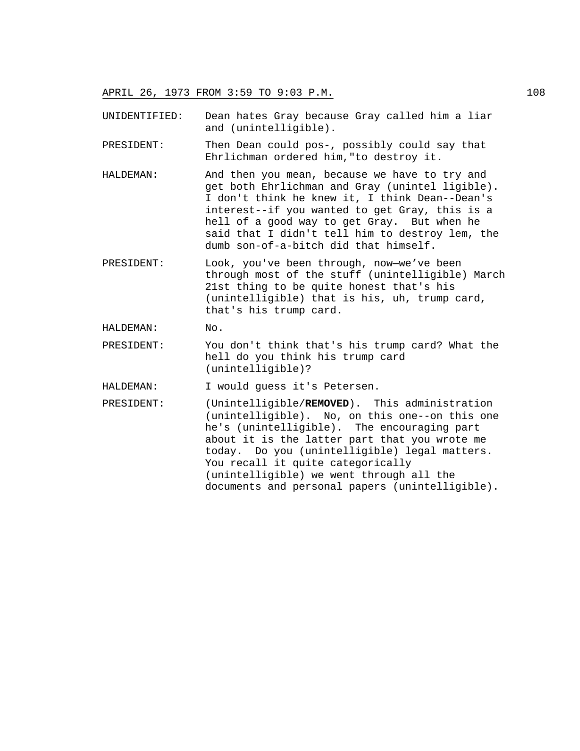- UNIDENTIFIED: Dean hates Gray because Gray called him a liar and (unintelligible).
- PRESIDENT: Then Dean could pos-, possibly could say that Ehrlichman ordered him,"to destroy it.
- HALDEMAN: And then you mean, because we have to try and get both Ehrlichman and Gray (unintel ligible). I don't think he knew it, I think Dean--Dean's interest--if you wanted to get Gray, this is a hell of a good way to get Gray. But when he said that I didn't tell him to destroy lem, the dumb son-of-a-bitch did that himself.
- PRESIDENT: Look, you've been through, now—we've been through most of the stuff (unintelligible) March 21st thing to be quite honest that's his (unintelligible) that is his, uh, trump card, that's his trump card.
- HALDEMAN: No.
- PRESIDENT: You don't think that's his trump card? What the hell do you think his trump card (unintelligible)?

HALDEMAN: I would guess it's Petersen.

PRESIDENT: (Unintelligible/**REMOVED**). This administration (unintelligible). No, on this one--on this one he's (unintelligible). The encouraging part about it is the latter part that you wrote me today. Do you (unintelligible) legal matters. You recall it quite categorically (unintelligible) we went through all the documents and personal papers (unintelligible).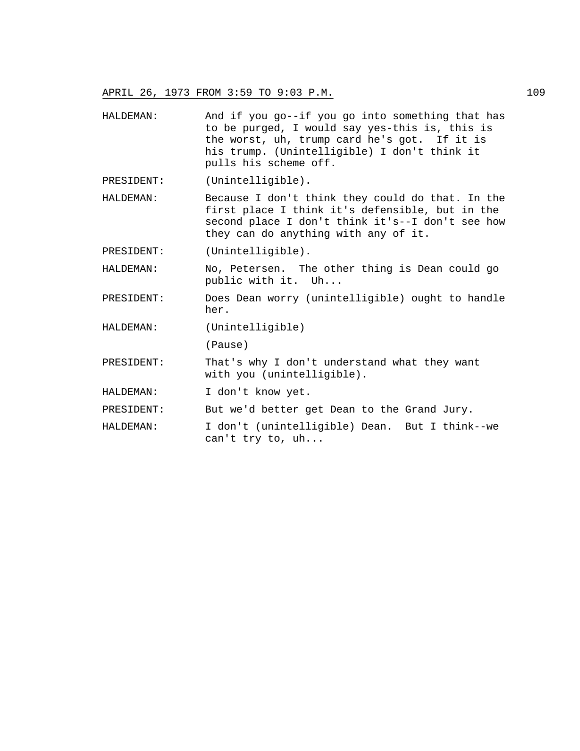- HALDEMAN: And if you go--if you go into something that has to be purged, I would say yes-this is, this is the worst, uh, trump card he's got. If it is his trump. (Unintelligible) I don't think it pulls his scheme off. PRESIDENT: (Unintelligible). HALDEMAN: Because I don't think they could do that. In the first place I think it's defensible, but in the second place I don't think it's--I don't see how they can do anything with any of it. PRESIDENT: (Unintelligible). HALDEMAN: No, Petersen. The other thing is Dean could go public with it. Uh... PRESIDENT: Does Dean worry (unintelligible) ought to handle her. HALDEMAN: (Unintelligible) (Pause) PRESIDENT: That's why I don't understand what they want with you (unintelligible). HALDEMAN: I don't know yet.
- PRESIDENT: But we'd better get Dean to the Grand Jury.
- HALDEMAN: I don't (unintelligible) Dean. But I think--we can't try to, uh...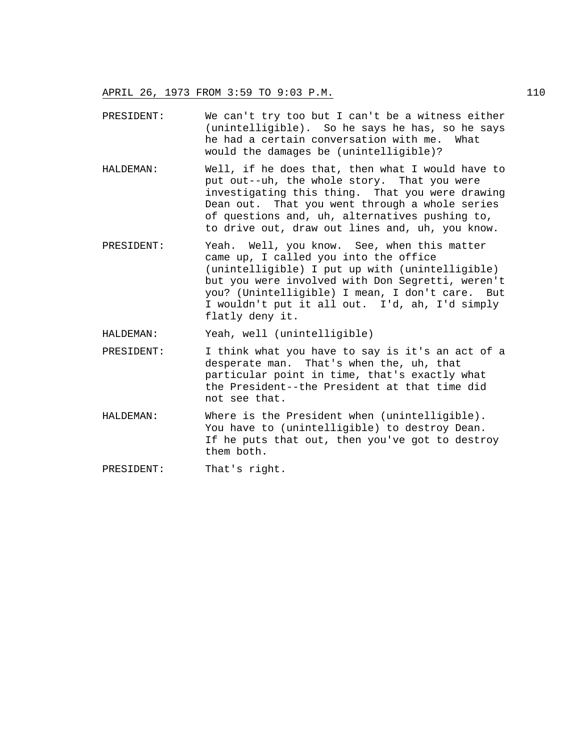- PRESIDENT: We can't try too but I can't be a witness either (unintelligible). So he says he has, so he says he had a certain conversation with me. What would the damages be (unintelligible)?
- HALDEMAN: Well, if he does that, then what I would have to put out--uh, the whole story. That you were investigating this thing. That you were drawing Dean out. That you went through a whole series of questions and, uh, alternatives pushing to, to drive out, draw out lines and, uh, you know.
- PRESIDENT: Yeah. Well, you know. See, when this matter came up, I called you into the office (unintelligible) I put up with (unintelligible) but you were involved with Don Segretti, weren't you? (Unintelligible) I mean, I don't care. But I wouldn't put it all out. I'd, ah, I'd simply flatly deny it.

HALDEMAN: Yeah, well (unintelligible)

- PRESIDENT: I think what you have to say is it's an act of a desperate man. That's when the, uh, that particular point in time, that's exactly what the President--the President at that time did not see that.
- HALDEMAN: Where is the President when (unintelligible). You have to (unintelligible) to destroy Dean. If he puts that out, then you've got to destroy them both.

PRESIDENT: That's right.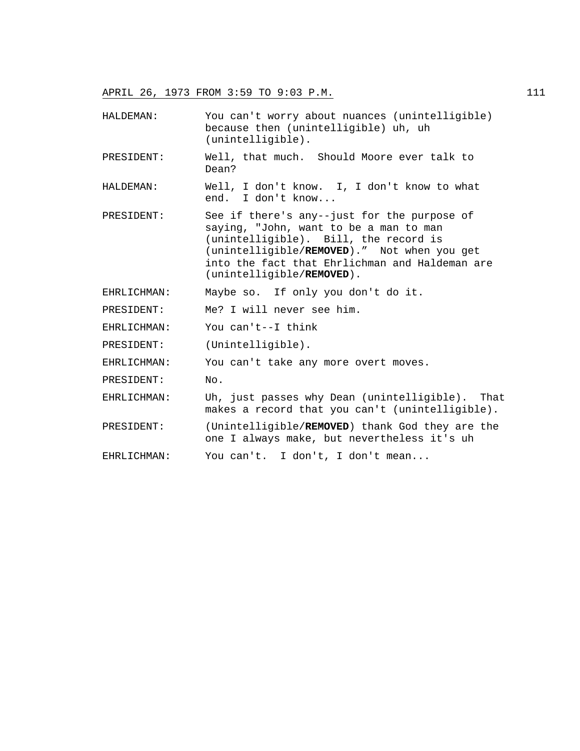| HALDEMAN:   | You can't worry about nuances (unintelligible)<br>because then (unintelligible) uh, uh<br>(unintelligible).                                                                                                                                                     |
|-------------|-----------------------------------------------------------------------------------------------------------------------------------------------------------------------------------------------------------------------------------------------------------------|
| PRESIDENT:  | Well, that much. Should Moore ever talk to<br>Dean?                                                                                                                                                                                                             |
| HALDEMAN:   | Well, I don't know. I, I don't know to what<br>end. I don't know                                                                                                                                                                                                |
| PRESIDENT:  | See if there's any--just for the purpose of<br>saying, "John, want to be a man to man<br>(unintelligible). Bill, the record is<br>(unintelligible/REMOVED)." Not when you get<br>into the fact that Ehrlichman and Haldeman are<br>$(unintelligible/REMOVED)$ . |
| EHRLICHMAN: | Maybe so. If only you don't do it.                                                                                                                                                                                                                              |
| PRESIDENT:  | Me? I will never see him.                                                                                                                                                                                                                                       |
| EHRLICHMAN: | You can't--I think                                                                                                                                                                                                                                              |
| PRESIDENT:  | (Unintelligible).                                                                                                                                                                                                                                               |
| EHRLICHMAN: | You can't take any more overt moves.                                                                                                                                                                                                                            |
| PRESIDENT:  | No.                                                                                                                                                                                                                                                             |
| EHRLICHMAN: | Uh, just passes why Dean (unintelligible). That<br>makes a record that you can't (unintelligible).                                                                                                                                                              |
| PRESIDENT:  | (Unintelligible/REMOVED) thank God they are the<br>one I always make, but nevertheless it's uh                                                                                                                                                                  |
| EHRLICHMAN: | You can't. I don't, I don't mean                                                                                                                                                                                                                                |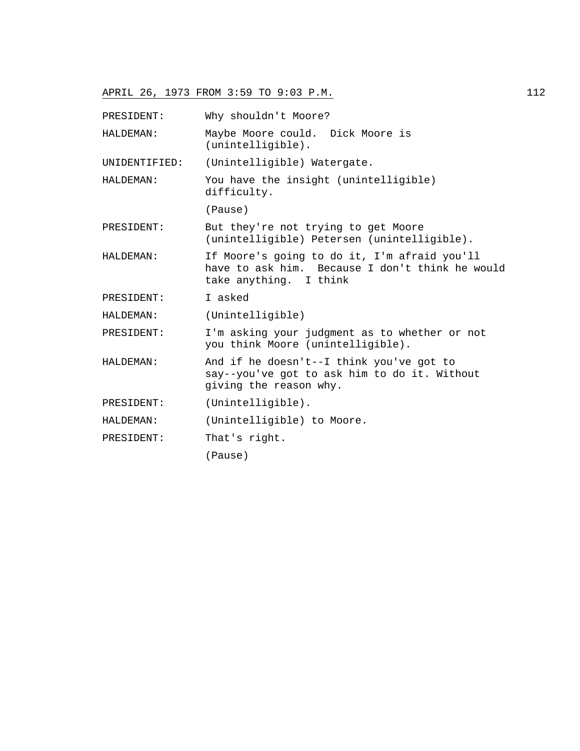| PRESIDENT:    | Why shouldn't Moore?                                                                                                      |
|---------------|---------------------------------------------------------------------------------------------------------------------------|
| HALDEMAN:     | Maybe Moore could. Dick Moore is<br>(unintelligible).                                                                     |
| UNIDENTIFIED: | (Unintelligible) Watergate.                                                                                               |
| HALDEMAN:     | You have the insight (unintelligible)<br>difficulty.                                                                      |
|               | (Pause)                                                                                                                   |
| PRESIDENT:    | But they're not trying to get Moore<br>(unintelligible) Petersen (unintelligible).                                        |
| HALDEMAN:     | If Moore's going to do it, I'm afraid you'll<br>have to ask him. Because I don't think he would<br>take anything. I think |
| PRESIDENT:    | I asked                                                                                                                   |
| HALDEMAN:     | (Unintelligible)                                                                                                          |
| PRESIDENT:    | I'm asking your judgment as to whether or not<br>you think Moore (unintelligible).                                        |
| HALDEMAN:     | And if he doesn't--I think you've got to<br>say--you've got to ask him to do it. Without<br>giving the reason why.        |
| PRESIDENT:    | (Unintelligible).                                                                                                         |
| HALDEMAN:     | (Unintelligible) to Moore.                                                                                                |
| PRESIDENT:    | That's right.                                                                                                             |
|               | (Pause)                                                                                                                   |
|               |                                                                                                                           |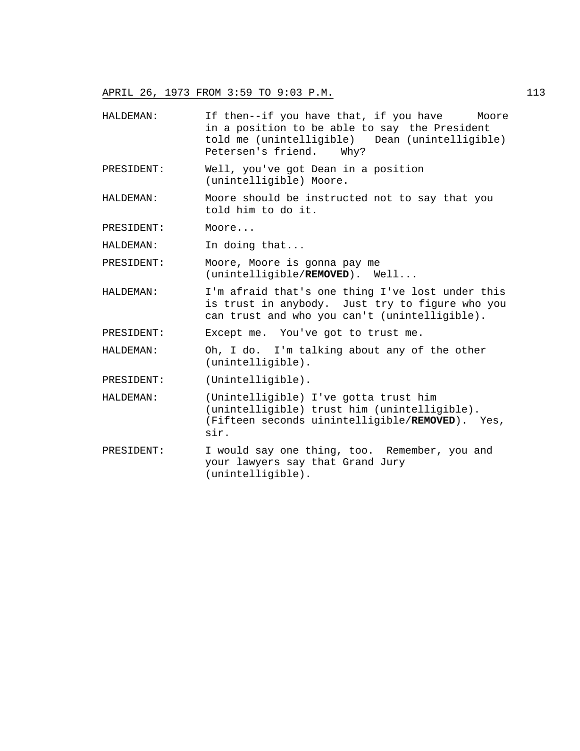- HALDEMAN: If then--if you have that, if you have Moore in a position to be able to say the President told me (unintelligible) Dean (unintelligible) Petersen's friend. Why?
- PRESIDENT: Well, you've got Dean in a position (unintelligible) Moore.
- HALDEMAN: Moore should be instructed not to say that you told him to do it.

PRESIDENT: Moore...

HALDEMAN: In doing that...

PRESIDENT: Moore, Moore is gonna pay me (unintelligible/**REMOVED**). Well...

- HALDEMAN: I'm afraid that's one thing I've lost under this is trust in anybody. Just try to figure who you can trust and who you can't (unintelligible).
- PRESIDENT: Except me. You've got to trust me.
- HALDEMAN: Oh, I do. I'm talking about any of the other (unintelligible).
- PRESIDENT: (Unintelligible).
- HALDEMAN: (Unintelligible) I've gotta trust him (unintelligible) trust him (unintelligible). (Fifteen seconds uinintelligible/**REMOVED**). Yes, sir.
- PRESIDENT: I would say one thing, too. Remember, you and your lawyers say that Grand Jury (unintelligible).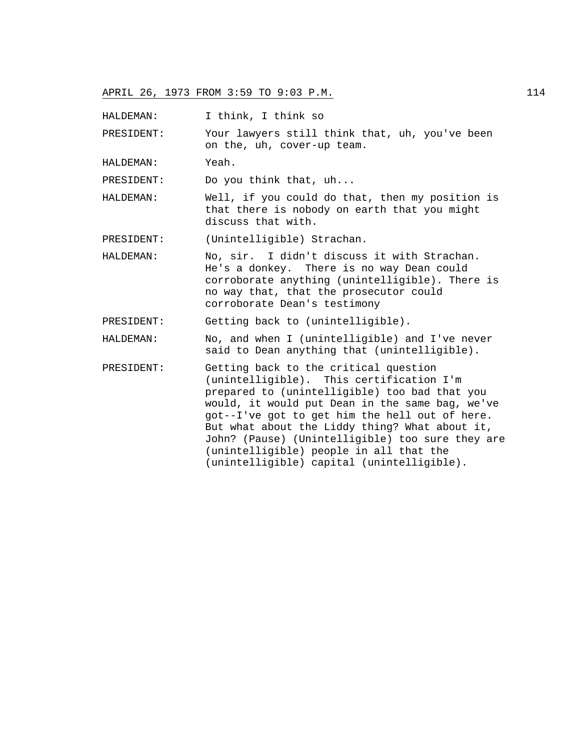HALDEMAN: I think, I think so

PRESIDENT: Your lawyers still think that, uh, you've been on the, uh, cover-up team.

HALDEMAN: Yeah.

PRESIDENT: Do you think that, uh...

HALDEMAN: Well, if you could do that, then my position is that there is nobody on earth that you might discuss that with.

PRESIDENT: (Unintelligible) Strachan.

HALDEMAN: No, sir. I didn't discuss it with Strachan. He's a donkey. There is no way Dean could corroborate anything (unintelligible). There is no way that, that the prosecutor could corroborate Dean's testimony

PRESIDENT: Getting back to (unintelligible).

- HALDEMAN: No, and when I (unintelligible) and I've never said to Dean anything that (unintelligible).
- PRESIDENT: Getting back to the critical question (unintelligible). This certification I'm prepared to (unintelligible) too bad that you would, it would put Dean in the same bag, we've got--I've got to get him the hell out of here. But what about the Liddy thing? What about it, John? (Pause) (Unintelligible) too sure they are (unintelligible) people in all that the (unintelligible) capital (unintelligible).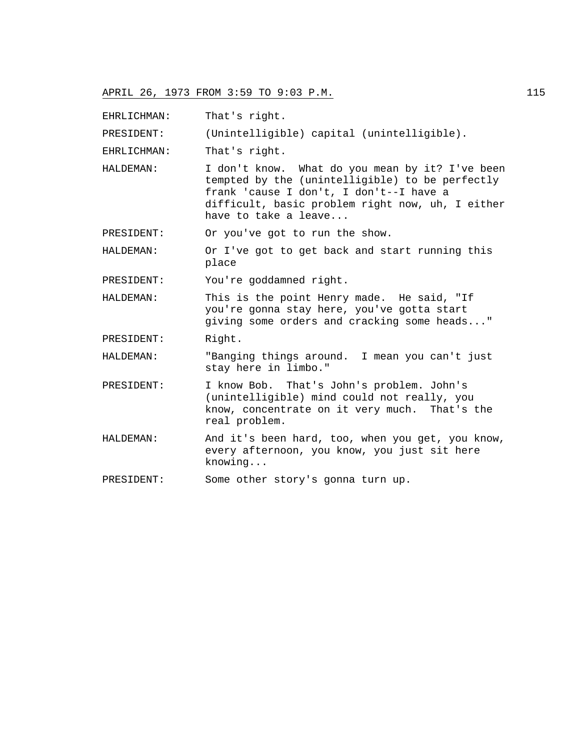EHRLICHMAN: That's right.

PRESIDENT: (Unintelligible) capital (unintelligible).

EHRLICHMAN: That's right.

HALDEMAN: I don't know. What do you mean by it? I've been tempted by the (unintelligible) to be perfectly frank 'cause I don't, I don't--I have a difficult, basic problem right now, uh, I either have to take a leave...

PRESIDENT: Or you've got to run the show.

HALDEMAN: Or I've got to get back and start running this place

PRESIDENT: You're goddamned right.

HALDEMAN: This is the point Henry made. He said, "If you're gonna stay here, you've gotta start giving some orders and cracking some heads..."

PRESIDENT: Right.

HALDEMAN: "Banging things around. I mean you can't just stay here in limbo."

PRESIDENT: I know Bob. That's John's problem. John's (unintelligible) mind could not really, you know, concentrate on it very much. That's the real problem.

HALDEMAN: And it's been hard, too, when you get, you know, every afternoon, you know, you just sit here knowing...

PRESIDENT: Some other story's gonna turn up.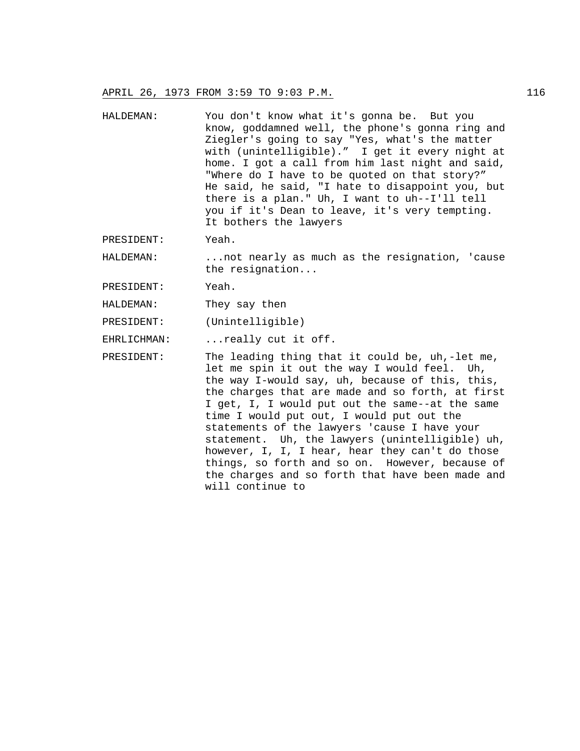HALDEMAN: You don't know what it's gonna be. But you know, goddamned well, the phone's gonna ring and Ziegler's going to say "Yes, what's the matter with (unintelligible)." I get it every night at home. I got a call from him last night and said, "Where do I have to be quoted on that story?" He said, he said, "I hate to disappoint you, but there is a plan." Uh, I want to uh--I'll tell you if it's Dean to leave, it's very tempting. It bothers the lawyers

PRESIDENT: Yeah.

HALDEMAN: ...not nearly as much as the resignation, 'cause the resignation...

PRESIDENT: Yeah.

HALDEMAN: They say then

PRESIDENT: (Unintelligible)

EHRLICHMAN: ...really cut it off.

PRESIDENT: The leading thing that it could be, uh,-let me, let me spin it out the way I would feel. Uh, the way I-would say, uh, because of this, this, the charges that are made and so forth, at first I get, I, I would put out the same--at the same time I would put out, I would put out the statements of the lawyers 'cause I have your statement. Uh, the lawyers (unintelligible) uh, however, I, I, I hear, hear they can't do those things, so forth and so on. However, because of the charges and so forth that have been made and will continue to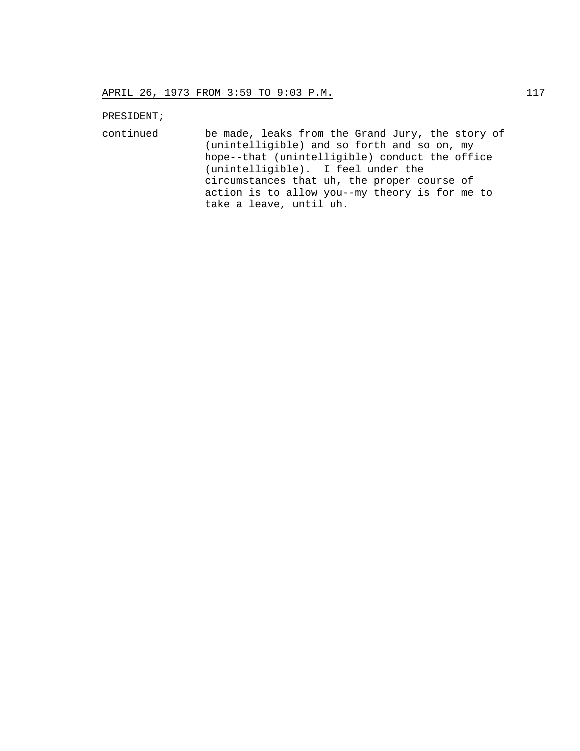PRESIDENT;

continued be made, leaks from the Grand Jury, the story of (unintelligible) and so forth and so on, my hope--that (unintelligible) conduct the office (unintelligible). I feel under the circumstances that uh, the proper course of action is to allow you--my theory is for me to take a leave, until uh.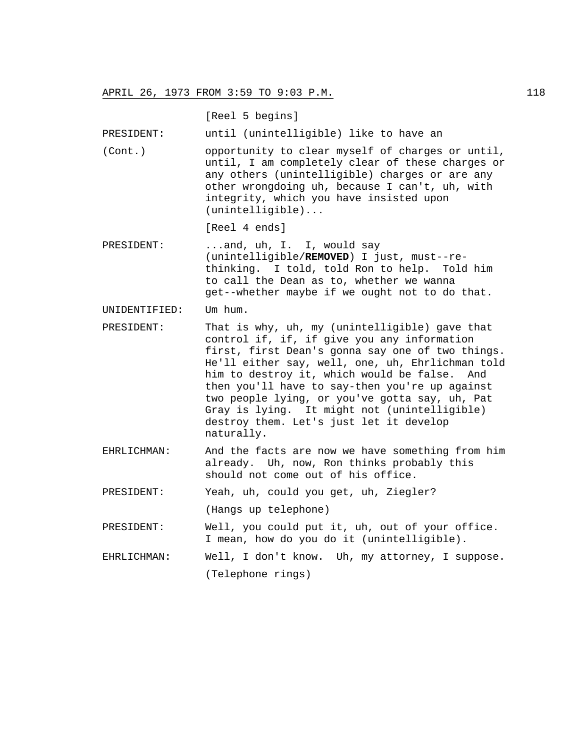[Reel 5 begins]

PRESIDENT: until (unintelligible) like to have an

(Cont.) opportunity to clear myself of charges or until, until, I am completely clear of these charges or any others (unintelligible) charges or are any other wrongdoing uh, because I can't, uh, with integrity, which you have insisted upon (unintelligible)...

[Reel 4 ends]

PRESIDENT: ...and, uh, I. I, would say (unintelligible/**REMOVED**) I just, must--rethinking. I told, told Ron to help. Told him to call the Dean as to, whether we wanna get--whether maybe if we ought not to do that.

UNIDENTIFIED: Um hum.

- PRESIDENT: That is why, uh, my (unintelligible) gave that control if, if, if give you any information first, first Dean's gonna say one of two things. He'll either say, well, one, uh, Ehrlichman told him to destroy it, which would be false. And then you'll have to say-then you're up against two people lying, or you've gotta say, uh, Pat Gray is lying. It might not (unintelligible) destroy them. Let's just let it develop naturally.
- EHRLICHMAN: And the facts are now we have something from him already. Uh, now, Ron thinks probably this should not come out of his office.

PRESIDENT: Yeah, uh, could you get, uh, Ziegler?

(Hangs up telephone)

- PRESIDENT: Well, you could put it, uh, out of your office. I mean, how do you do it (unintelligible).
- EHRLICHMAN: Well, I don't know. Uh, my attorney, I suppose. (Telephone rings)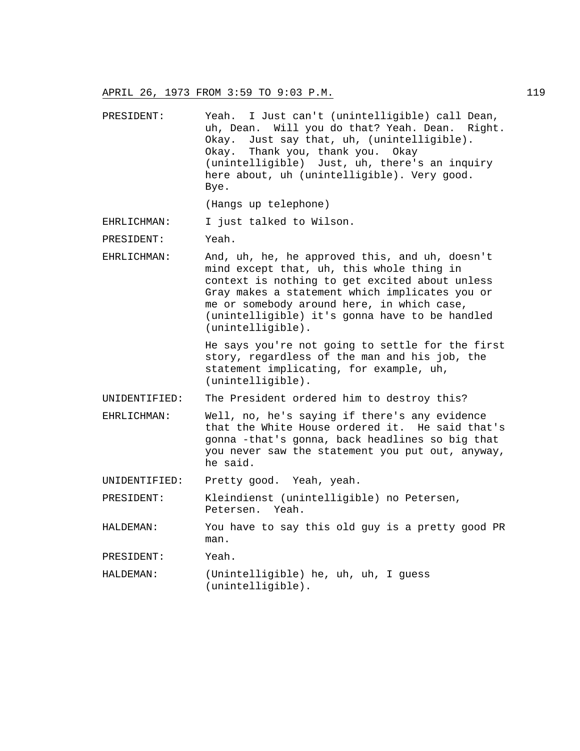PRESIDENT: Yeah. I Just can't (unintelligible) call Dean, uh, Dean. Will you do that? Yeah. Dean. Right. Okay. Just say that, uh, (unintelligible). Okay. Thank you, thank you. Okay (unintelligible) Just, uh, there's an inquiry here about, uh (unintelligible). Very good. Bye.

(Hangs up telephone)

- EHRLICHMAN: I just talked to Wilson.
- PRESIDENT: Yeah.
- EHRLICHMAN: And, uh, he, he approved this, and uh, doesn't mind except that, uh, this whole thing in context is nothing to get excited about unless Gray makes a statement which implicates you or me or somebody around here, in which case, (unintelligible) it's gonna have to be handled (unintelligible).

He says you're not going to settle for the first story, regardless of the man and his job, the statement implicating, for example, uh, (unintelligible).

UNIDENTIFIED: The President ordered him to destroy this?

- EHRLICHMAN: Well, no, he's saying if there's any evidence that the White House ordered it. He said that's gonna -that's gonna, back headlines so big that you never saw the statement you put out, anyway, he said.
- UNIDENTIFIED: Pretty good. Yeah, yeah.

PRESIDENT: Kleindienst (unintelligible) no Petersen, Petersen. Yeah.

HALDEMAN: You have to say this old guy is a pretty good PR man.

PRESIDENT: Yeah.

HALDEMAN: (Unintelligible) he, uh, uh, I guess (unintelligible).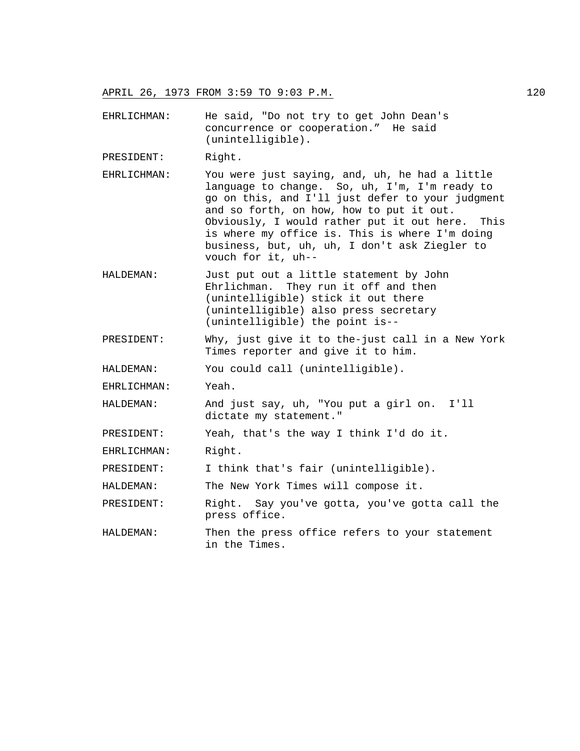EHRLICHMAN: He said, "Do not try to get John Dean's concurrence or cooperation." He said (unintelligible).

PRESIDENT: Right.

- EHRLICHMAN: You were just saying, and, uh, he had a little language to change. So, uh, I'm, I'm ready to go on this, and I'll just defer to your judgment and so forth, on how, how to put it out. Obviously, I would rather put it out here. This is where my office is. This is where I'm doing business, but, uh, uh, I don't ask Ziegler to vouch for it, uh--
- HALDEMAN: Just put out a little statement by John Ehrlichman. They run it off and then (unintelligible) stick it out there (unintelligible) also press secretary (unintelligible) the point is--
- PRESIDENT: Why, just give it to the-just call in a New York Times reporter and give it to him.

HALDEMAN: You could call (unintelligible).

EHRLICHMAN: Yeah.

- HALDEMAN: And just say, uh, "You put a girl on. I'll dictate my statement."
- PRESIDENT: Yeah, that's the way I think I'd do it.

EHRLICHMAN: Right.

PRESIDENT: I think that's fair (unintelligible).

HALDEMAN: The New York Times will compose it.

- PRESIDENT: Right. Say you've gotta, you've gotta call the press office.
- HALDEMAN: Then the press office refers to your statement in the Times.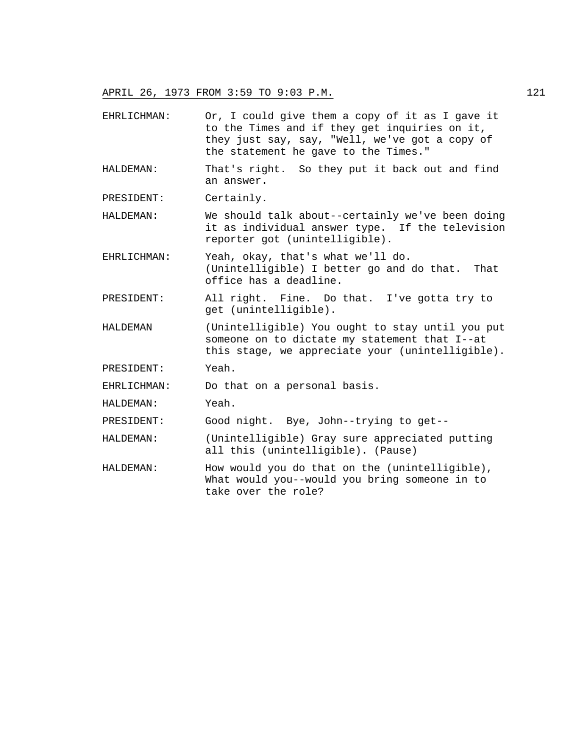- EHRLICHMAN: Or, I could give them a copy of it as I gave it to the Times and if they get inquiries on it, they just say, say, "Well, we've got a copy of the statement he gave to the Times." HALDEMAN: That's right. So they put it back out and find an answer. PRESIDENT: Certainly. HALDEMAN: We should talk about--certainly we've been doing it as individual answer type. If the television reporter got (unintelligible). EHRLICHMAN: Yeah, okay, that's what we'll do. (Unintelligible) I better go and do that. That office has a deadline. PRESIDENT: All right. Fine. Do that. I've gotta try to get (unintelligible). HALDEMAN (Unintelligible) You ought to stay until you put someone on to dictate my statement that I--at this stage, we appreciate your (unintelligible). PRESIDENT: Yeah. EHRLICHMAN: Do that on a personal basis. HALDEMAN: Yeah. PRESIDENT: Good night. Bye, John--trying to get-- HALDEMAN: (Unintelligible) Gray sure appreciated putting all this (unintelligible). (Pause)
- HALDEMAN: How would you do that on the (unintelligible), What would you--would you bring someone in to take over the role?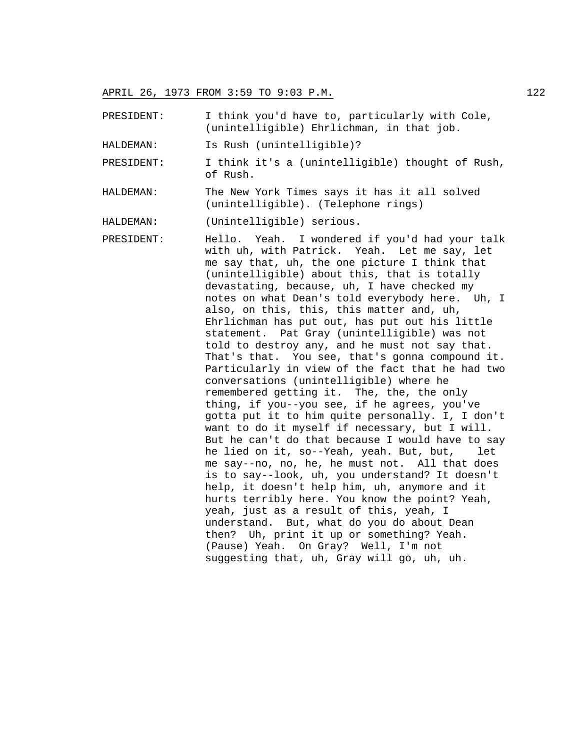PRESIDENT: I think you'd have to, particularly with Cole, (unintelligible) Ehrlichman, in that job.

HALDEMAN: Is Rush (unintelligible)?

PRESIDENT: I think it's a (unintelligible) thought of Rush, of Rush.

HALDEMAN: The New York Times says it has it all solved (unintelligible). (Telephone rings)

HALDEMAN: (Unintelligible) serious.

PRESIDENT: Hello. Yeah. I wondered if you'd had your talk with uh, with Patrick. Yeah. Let me say, let me say that, uh, the one picture I think that (unintelligible) about this, that is totally devastating, because, uh, I have checked my notes on what Dean's told everybody here. Uh, I also, on this, this, this matter and, uh, Ehrlichman has put out, has put out his little statement. Pat Gray (unintelligible) was not told to destroy any, and he must not say that. That's that. You see, that's gonna compound it. Particularly in view of the fact that he had two conversations (unintelligible) where he remembered getting it. The, the, the only thing, if you--you see, if he agrees, you've gotta put it to him quite personally. I, I don't want to do it myself if necessary, but I will. But he can't do that because I would have to say he lied on it, so--Yeah, yeah. But, but, let me say--no, no, he, he must not. All that does is to say--look, uh, you understand? It doesn't help, it doesn't help him, uh, anymore and it hurts terribly here. You know the point? Yeah, yeah, just as a result of this, yeah, I understand. But, what do you do about Dean then? Uh, print it up or something? Yeah. (Pause) Yeah. On Gray? Well, I'm not suggesting that, uh, Gray will go, uh, uh.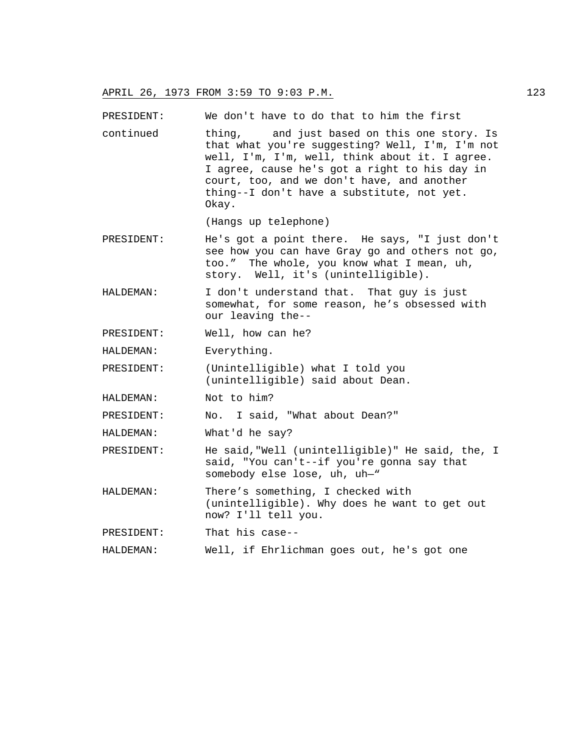PRESIDENT: We don't have to do that to him the first

continued thing, and just based on this one story. Is that what you're suggesting? Well, I'm, I'm not well, I'm, I'm, well, think about it. I agree. I agree, cause he's got a right to his day in court, too, and we don't have, and another thing--I don't have a substitute, not yet. Okay.

(Hangs up telephone)

- PRESIDENT: He's got a point there. He says, "I just don't see how you can have Gray go and others not go, too." The whole, you know what I mean, uh, story. Well, it's (unintelligible).
- HALDEMAN: I don't understand that. That guy is just somewhat, for some reason, he's obsessed with our leaving the--
- PRESIDENT: Well, how can he?
- HALDEMAN: Everything.

PRESIDENT: (Unintelligible) what I told you (unintelligible) said about Dean.

HALDEMAN: Not to him?

PRESIDENT: No. I said, "What about Dean?"

HALDEMAN: What'd he say?

PRESIDENT: He said,"Well (unintelligible)" He said, the, I said, "You can't--if you're gonna say that somebody else lose, uh, uh—"

HALDEMAN: There's something, I checked with (unintelligible). Why does he want to get out now? I'll tell you.

PRESIDENT: That his case--

HALDEMAN: Well, if Ehrlichman goes out, he's got one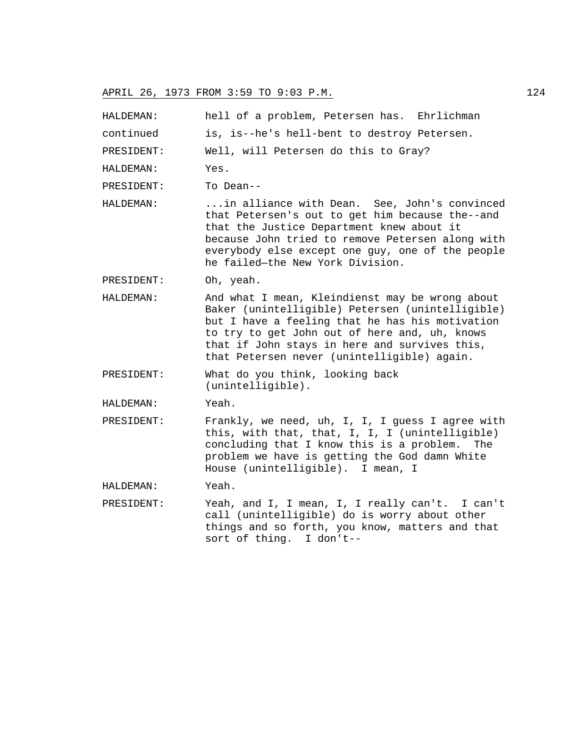HALDEMAN: hell of a problem, Petersen has. Ehrlichman

continued is, is--he's hell-bent to destroy Petersen.

PRESIDENT: Well, will Petersen do this to Gray?

HALDEMAN: Yes.

PRESIDENT: To Dean--

HALDEMAN: ...in alliance with Dean. See, John's convinced that Petersen's out to get him because the--and that the Justice Department knew about it because John tried to remove Petersen along with everybody else except one guy, one of the people he failed—the New York Division.

PRESIDENT: Oh, yeah.

- HALDEMAN: And what I mean, Kleindienst may be wrong about Baker (unintelligible) Petersen (unintelligible) but I have a feeling that he has his motivation to try to get John out of here and, uh, knows that if John stays in here and survives this, that Petersen never (unintelligible) again.
- PRESIDENT: What do you think, looking back (unintelligible).

HALDEMAN: Yeah.

PRESIDENT: Frankly, we need, uh, I, I, I guess I agree with this, with that, that, I, I, I (unintelligible) concluding that I know this is a problem. The problem we have is getting the God damn White House (unintelligible). I mean, I

HALDEMAN: Yeah.

PRESIDENT: Yeah, and I, I mean, I, I really can't. I can't call (unintelligible) do is worry about other things and so forth, you know, matters and that sort of thing. I don't--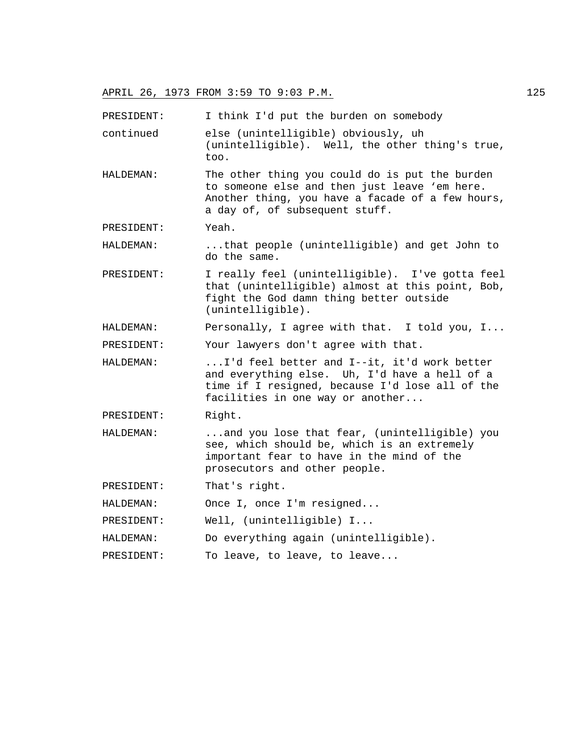PRESIDENT: I think I'd put the burden on somebody continued else (unintelligible) obviously, uh (unintelligible). Well, the other thing's true, too. HALDEMAN: The other thing you could do is put the burden to someone else and then just leave 'em here. Another thing, you have a facade of a few hours, a day of, of subsequent stuff. PRESIDENT: Yeah. HALDEMAN: ...that people (unintelligible) and get John to do the same. PRESIDENT: I really feel (unintelligible). I've gotta feel that (unintelligible) almost at this point, Bob, fight the God damn thing better outside (unintelligible). HALDEMAN: Personally, I agree with that. I told you, I... PRESIDENT: Your lawyers don't agree with that. HALDEMAN: ...I'd feel better and I--it, it'd work better and everything else. Uh, I'd have a hell of a time if I resigned, because I'd lose all of the facilities in one way or another... PRESIDENT: Right. HALDEMAN: ...and you lose that fear, (unintelligible) you see, which should be, which is an extremely important fear to have in the mind of the prosecutors and other people. PRESIDENT: That's right. HALDEMAN: Once I, once I'm resigned... PRESIDENT: Well, (unintelligible) I... HALDEMAN: Do everything again (unintelligible).

PRESIDENT: To leave, to leave, to leave...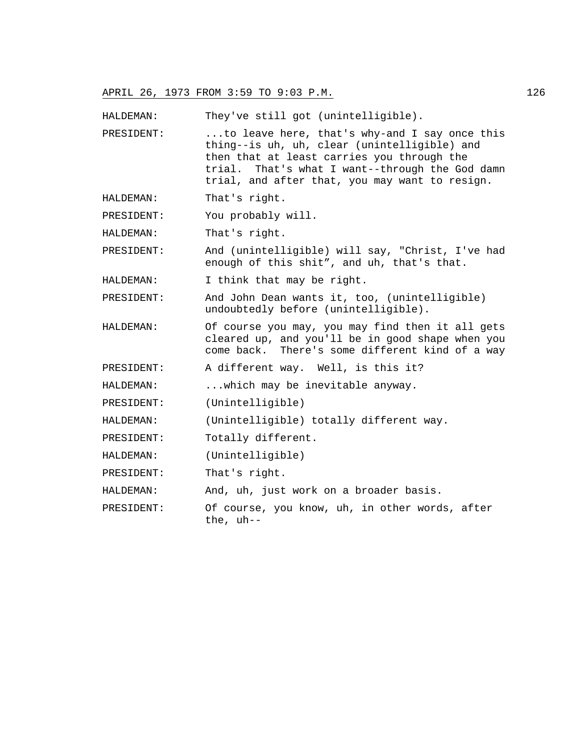HALDEMAN: They've still got (unintelligible).

- PRESIDENT: ...to leave here, that's why-and I say once this thing--is uh, uh, clear (unintelligible) and then that at least carries you through the trial. That's what I want--through the God damn trial, and after that, you may want to resign.
- HALDEMAN: That's right.
- PRESIDENT: You probably will.
- HALDEMAN: That's right.

PRESIDENT: And (unintelligible) will say, "Christ, I've had enough of this shit", and uh, that's that.

HALDEMAN: I think that may be right.

- PRESIDENT: And John Dean wants it, too, (unintelligible) undoubtedly before (unintelligible).
- HALDEMAN: Of course you may, you may find then it all gets cleared up, and you'll be in good shape when you come back. There's some different kind of a way
- PRESIDENT: A different way. Well, is this it?

HALDEMAN: ...which may be inevitable anyway.

PRESIDENT: (Unintelligible)

HALDEMAN: (Unintelligible) totally different way.

- PRESIDENT: Totally different.
- HALDEMAN: (Unintelligible)
- PRESIDENT: That's right.

HALDEMAN: And, uh, just work on a broader basis.

PRESIDENT: Of course, you know, uh, in other words, after the, uh--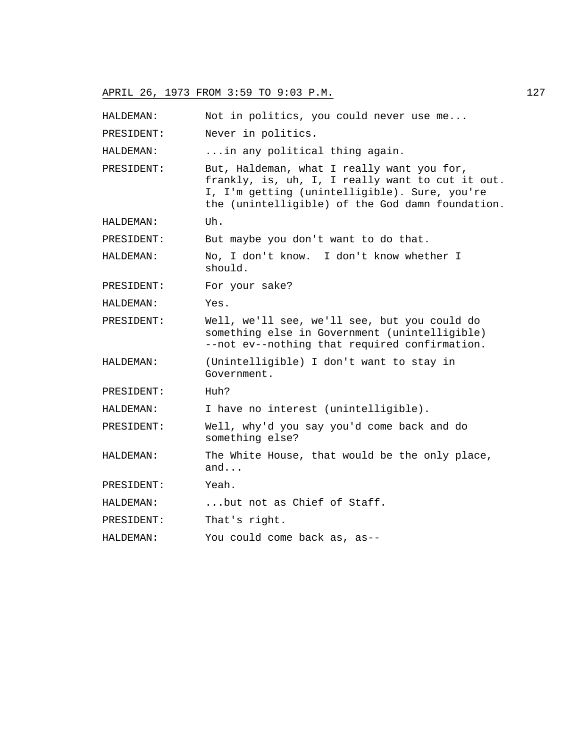- HALDEMAN: Not in politics, you could never use me...
- PRESIDENT: Never in politics.

HALDEMAN: ...in any political thing again.

- PRESIDENT: But, Haldeman, what I really want you for, frankly, is, uh, I, I really want to cut it out. I, I'm getting (unintelligible). Sure, you're the (unintelligible) of the God damn foundation.
- HALDEMAN: Uh.

PRESIDENT: But maybe you don't want to do that.

HALDEMAN: No, I don't know. I don't know whether I should.

- PRESIDENT: For your sake?
- HALDEMAN: Yes.
- PRESIDENT: Well, we'll see, we'll see, but you could do something else in Government (unintelligible) --not ev--nothing that required confirmation.
- HALDEMAN: (Unintelligible) I don't want to stay in Government.
- PRESIDENT: Huh?

HALDEMAN: I have no interest (unintelligible).

PRESIDENT: Well, why'd you say you'd come back and do something else?

- HALDEMAN: The White House, that would be the only place, and...
- PRESIDENT: Yeah.
- HALDEMAN: ...but not as Chief of Staff.
- PRESIDENT: That's right.
- HALDEMAN: You could come back as, as--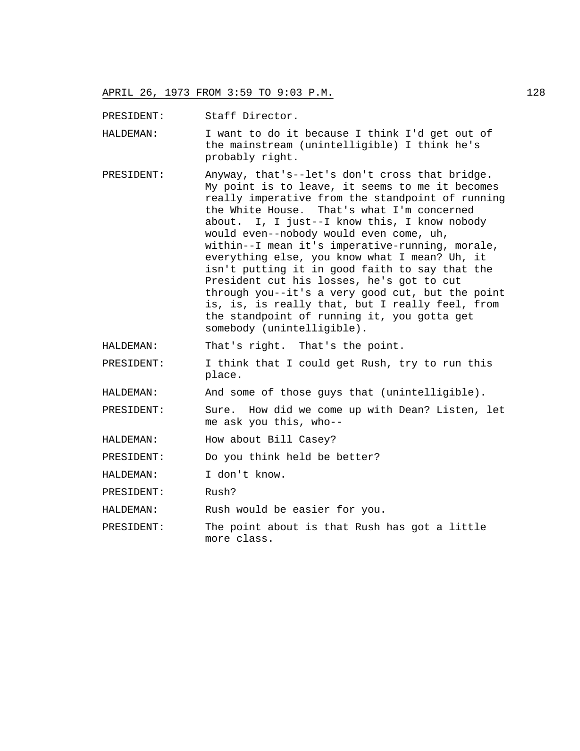PRESIDENT: Staff Director.

- HALDEMAN: I want to do it because I think I'd get out of the mainstream (unintelligible) I think he's probably right.
- PRESIDENT: Anyway, that's--let's don't cross that bridge. My point is to leave, it seems to me it becomes really imperative from the standpoint of running the White House. That's what I'm concerned about. I, I just--I know this, I know nobody would even--nobody would even come, uh, within--I mean it's imperative-running, morale, everything else, you know what I mean? Uh, it isn't putting it in good faith to say that the President cut his losses, he's got to cut through you--it's a very good cut, but the point is, is, is really that, but I really feel, from the standpoint of running it, you gotta get somebody (unintelligible).

HALDEMAN: That's right. That's the point.

PRESIDENT: I think that I could get Rush, try to run this place.

HALDEMAN: And some of those guys that (unintelligible).

- PRESIDENT: Sure. How did we come up with Dean? Listen, let me ask you this, who--
- HALDEMAN: How about Bill Casey?

PRESIDENT: Do you think held be better?

- HALDEMAN: I don't know.
- PRESIDENT: Rush?

HALDEMAN: Rush would be easier for you.

PRESIDENT: The point about is that Rush has got a little more class.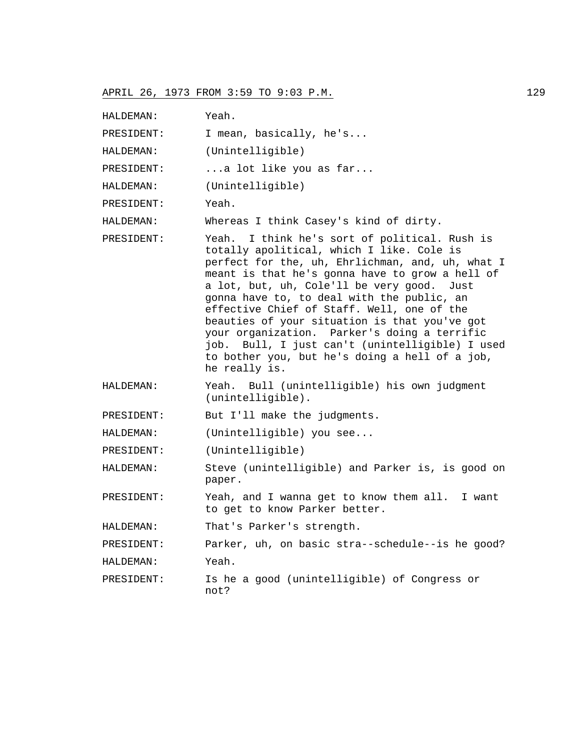- HALDEMAN: Yeah.
- PRESIDENT: I mean, basically, he's...
- HALDEMAN: (Unintelligible)
- PRESIDENT: ...a lot like you as far...
- HALDEMAN: (Unintelligible)
- PRESIDENT: Yeah.

HALDEMAN: Whereas I think Casey's kind of dirty.

- PRESIDENT: Yeah. I think he's sort of political. Rush is totally apolitical, which I like. Cole is perfect for the, uh, Ehrlichman, and, uh, what I meant is that he's gonna have to grow a hell of a lot, but, uh, Cole'll be very good. Just gonna have to, to deal with the public, an effective Chief of Staff. Well, one of the beauties of your situation is that you've got your organization. Parker's doing a terrific job. Bull, I just can't (unintelligible) I used to bother you, but he's doing a hell of a job, he really is.
- HALDEMAN: Yeah. Bull (unintelligible) his own judgment (unintelligible).

PRESIDENT: But I'll make the judgments.

HALDEMAN: (Unintelligible) you see...

PRESIDENT: (Unintelligible)

- HALDEMAN: Steve (unintelligible) and Parker is, is good on paper.
- PRESIDENT: Yeah, and I wanna get to know them all. I want to get to know Parker better.

HALDEMAN: That's Parker's strength.

PRESIDENT: Parker, uh, on basic stra--schedule--is he good?

HALDEMAN: Yeah.

PRESIDENT: Is he a good (unintelligible) of Congress or not?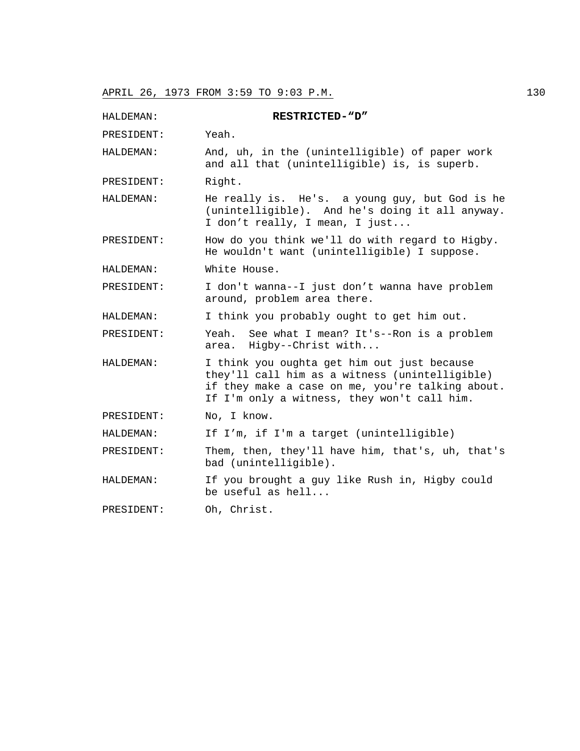HALDEMAN: **RESTRICTED-"D"** PRESIDENT: Yeah. HALDEMAN: And, uh, in the (unintelligible) of paper work and all that (unintelligible) is, is superb. PRESIDENT: Right. HALDEMAN: He really is. He's. a young guy, but God is he (unintelligible). And he's doing it all anyway. I don't really, I mean, I just... PRESIDENT: How do you think we'll do with regard to Higby. He wouldn't want (unintelligible) I suppose. HALDEMAN: White House. PRESIDENT: I don't wanna--I just don't wanna have problem around, problem area there. HALDEMAN: I think you probably ought to get him out. PRESIDENT: Yeah. See what I mean? It's--Ron is a problem area. Higby--Christ with... HALDEMAN: I think you oughta get him out just because they'll call him as a witness (unintelligible) if they make a case on me, you're talking about. If I'm only a witness, they won't call him. PRESIDENT: No, I know. HALDEMAN: If I'm, if I'm a target (unintelligible) PRESIDENT: Them, then, they'll have him, that's, uh, that's bad (unintelligible). HALDEMAN: If you brought a guy like Rush in, Higby could be useful as hell...

PRESIDENT: Oh, Christ.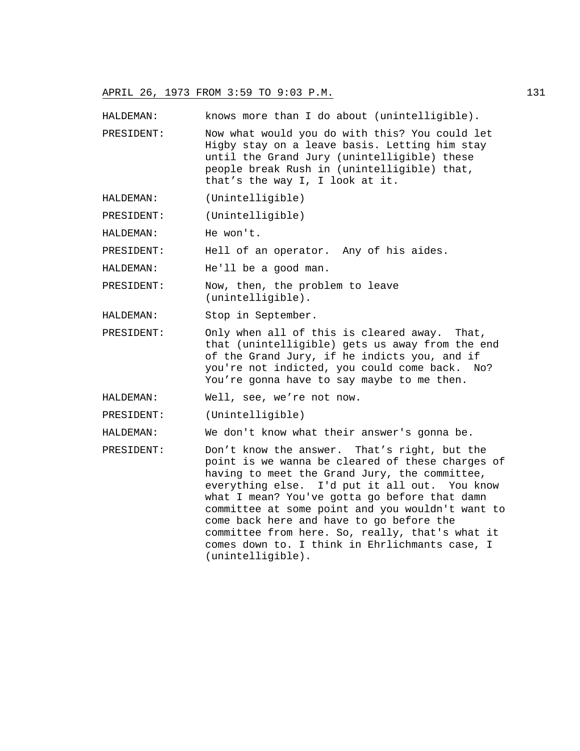PRESIDENT: Now what would you do with this? You could let Higby stay on a leave basis. Letting him stay until the Grand Jury (unintelligible) these people break Rush in (unintelligible) that, that's the way I, I look at it.

HALDEMAN: knows more than I do about (unintelligible).

- HALDEMAN: (Unintelligible)
- PRESIDENT: (Unintelligible)

HALDEMAN: He won't.

PRESIDENT: Hell of an operator. Any of his aides.

HALDEMAN: He'll be a good man.

PRESIDENT: Now, then, the problem to leave (unintelligible).

- HALDEMAN: Stop in September.
- PRESIDENT: Only when all of this is cleared away. That, that (unintelligible) gets us away from the end of the Grand Jury, if he indicts you, and if you're not indicted, you could come back. No? You're gonna have to say maybe to me then.
- HALDEMAN: Well, see, we're not now.

PRESIDENT: (Unintelligible)

HALDEMAN: We don't know what their answer's gonna be.

PRESIDENT: Don't know the answer. That's right, but the point is we wanna be cleared of these charges of having to meet the Grand Jury, the committee, everything else. I'd put it all out. You know what I mean? You've gotta go before that damn committee at some point and you wouldn't want to come back here and have to go before the committee from here. So, really, that's what it comes down to. I think in Ehrlichmants case, I (unintelligible).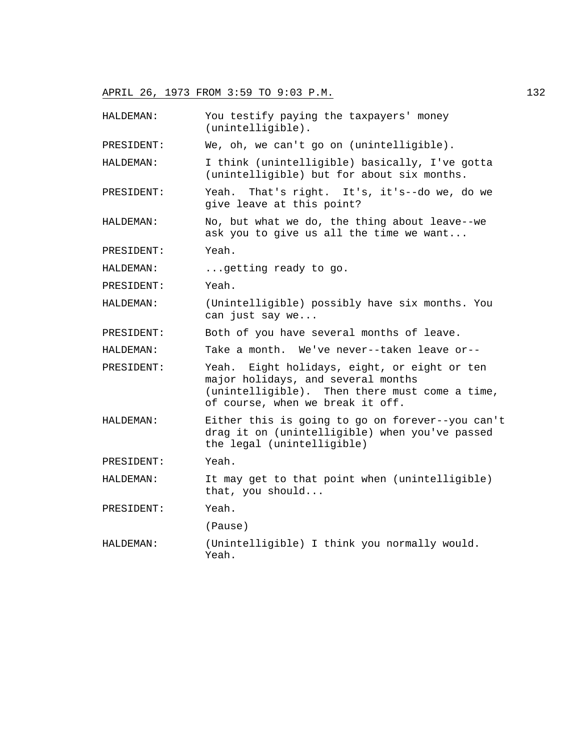HALDEMAN: You testify paying the taxpayers' money (unintelligible). PRESIDENT: We, oh, we can't go on (unintelligible). HALDEMAN: I think (unintelligible) basically, I've gotta (unintelligible) but for about six months. PRESIDENT: Yeah. That's right. It's, it's--do we, do we give leave at this point? HALDEMAN: No, but what we do, the thing about leave--we ask you to give us all the time we want... PRESIDENT: Yeah. HALDEMAN: ...getting ready to go. PRESIDENT: Yeah. HALDEMAN: (Unintelligible) possibly have six months. You can just say we... PRESIDENT: Both of you have several months of leave. HALDEMAN: Take a month. We've never--taken leave or-- PRESIDENT: Yeah. Eight holidays, eight, or eight or ten major holidays, and several months (unintelligible). Then there must come a time, of course, when we break it off. HALDEMAN: Either this is going to go on forever--you can't drag it on (unintelligible) when you've passed the legal (unintelligible) PRESIDENT: Yeah. HALDEMAN: It may get to that point when (unintelligible) that, you should... PRESIDENT: Yeah. (Pause) HALDEMAN: (Unintelligible) I think you normally would. Yeah.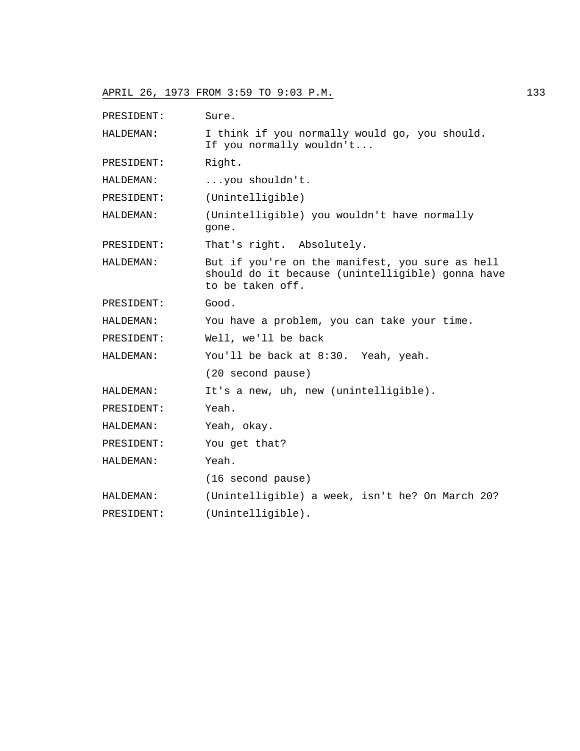| PRESIDENT:       | Sure.                                                                                                                   |
|------------------|-------------------------------------------------------------------------------------------------------------------------|
| HALDEMAN:        | I think if you normally would go, you should.<br>If you normally wouldn't                                               |
| PRESIDENT:       | Right.                                                                                                                  |
| HALDEMAN:        | you shouldn't.                                                                                                          |
| PRESIDENT:       | (Unintelligible)                                                                                                        |
| HALDEMAN:        | (Unintelligible) you wouldn't have normally<br>gone.                                                                    |
| PRESIDENT:       | That's right. Absolutely.                                                                                               |
| HALDEMAN:        | But if you're on the manifest, you sure as hell<br>should do it because (unintelligible) gonna have<br>to be taken off. |
| PRESIDENT:       | Good.                                                                                                                   |
| HALDEMAN:        | You have a problem, you can take your time.                                                                             |
| PRESIDENT:       | Well, we'll be back                                                                                                     |
| HALDEMAN:        | You'll be back at 8:30. Yeah, yeah.                                                                                     |
|                  | (20 second pause)                                                                                                       |
| HALDEMAN:        | It's a new, uh, new (unintelligible).                                                                                   |
| PRESIDENT:       | Yeah.                                                                                                                   |
| <b>HALDEMAN:</b> | Yeah, okay.                                                                                                             |
| PRESIDENT:       | You get that?                                                                                                           |
| HALDEMAN:        | Yeah.                                                                                                                   |
|                  | (16 second pause)                                                                                                       |
| HALDEMAN:        | (Unintelligible) a week, isn't he? On March 20?                                                                         |
| PRESIDENT:       | (Unintelligible).                                                                                                       |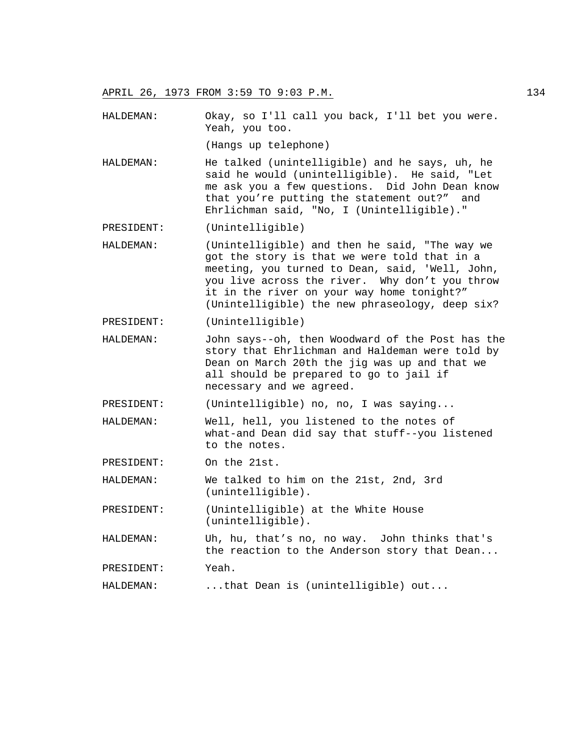HALDEMAN: Okay, so I'll call you back, I'll bet you were. Yeah, you too.

(Hangs up telephone)

- HALDEMAN: He talked (unintelligible) and he says, uh, he said he would (unintelligible). He said, "Let me ask you a few questions. Did John Dean know that you're putting the statement out?" and Ehrlichman said, "No, I (Unintelligible)."
- PRESIDENT: (Unintelligible)
- HALDEMAN: (Unintelligible) and then he said, "The way we got the story is that we were told that in a meeting, you turned to Dean, said, 'Well, John, you live across the river. Why don't you throw it in the river on your way home tonight?" (Unintelligible) the new phraseology, deep six?
- PRESIDENT: (Unintelligible)
- HALDEMAN: John says--oh, then Woodward of the Post has the story that Ehrlichman and Haldeman were told by Dean on March 20th the jig was up and that we all should be prepared to go to jail if necessary and we agreed.

PRESIDENT: (Unintelligible) no, no, I was saying...

- HALDEMAN: Well, hell, you listened to the notes of what-and Dean did say that stuff--you listened to the notes.
- PRESIDENT: On the 21st.
- HALDEMAN: We talked to him on the 21st, 2nd, 3rd (unintelligible).
- PRESIDENT: (Unintelligible) at the White House (unintelligible).
- HALDEMAN: Uh, hu, that's no, no way. John thinks that's the reaction to the Anderson story that Dean...

PRESIDENT: Yeah.

HALDEMAN: ...that Dean is (unintelligible) out...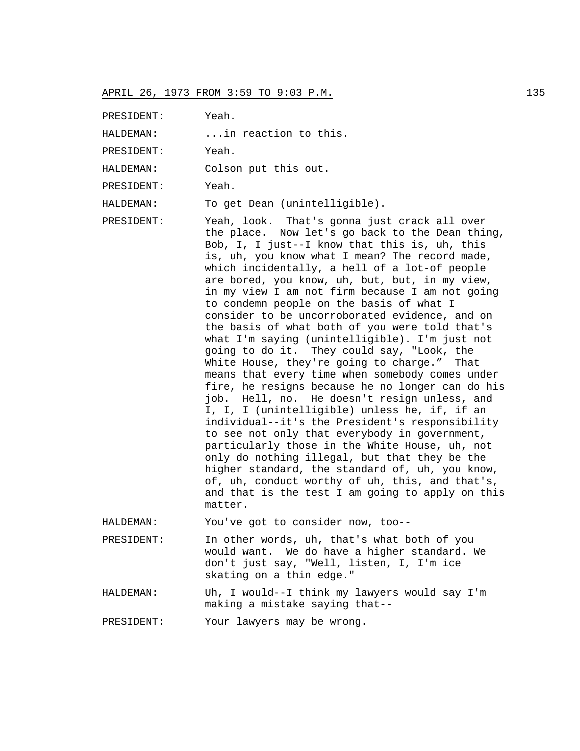PRESIDENT: Yeah.

HALDEMAN: ...in reaction to this.

PRESIDENT: Yeah.

HALDEMAN: Colson put this out.

PRESIDENT: Yeah.

HALDEMAN: To get Dean (unintelligible).

PRESIDENT: Yeah, look. That's gonna just crack all over the place. Now let's go back to the Dean thing, Bob, I, I just--I know that this is, uh, this is, uh, you know what I mean? The record made, which incidentally, a hell of a lot-of people are bored, you know, uh, but, but, in my view, in my view I am not firm because I am not going to condemn people on the basis of what I consider to be uncorroborated evidence, and on the basis of what both of you were told that's what I'm saying (unintelligible). I'm just not going to do it. They could say, "Look, the White House, they're going to charge." That means that every time when somebody comes under fire, he resigns because he no longer can do his job. Hell, no. He doesn't resign unless, and I, I, I (unintelligible) unless he, if, if an individual--it's the President's responsibility to see not only that everybody in government, particularly those in the White House, uh, not only do nothing illegal, but that they be the higher standard, the standard of, uh, you know, of, uh, conduct worthy of uh, this, and that's, and that is the test I am going to apply on this matter.

HALDEMAN: You've got to consider now, too--

- PRESIDENT: In other words, uh, that's what both of you would want. We do have a higher standard. We don't just say, "Well, listen, I, I'm ice skating on a thin edge."
- HALDEMAN: Uh, I would--I think my lawyers would say I'm making a mistake saying that--
- PRESIDENT: Your lawyers may be wrong.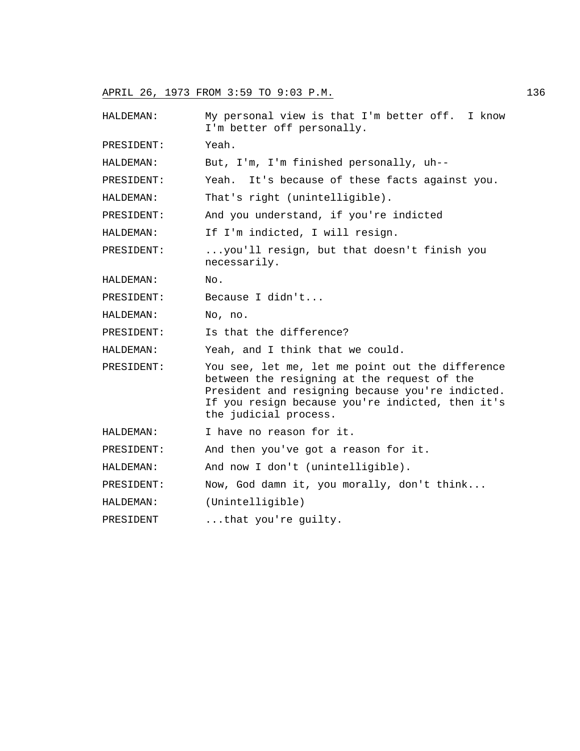| HALDEMAN:        | My personal view is that I'm better off. I know<br>I'm better off personally.                                                                                                                                                    |
|------------------|----------------------------------------------------------------------------------------------------------------------------------------------------------------------------------------------------------------------------------|
| PRESIDENT:       | Yeah.                                                                                                                                                                                                                            |
| <b>HALDEMAN:</b> | But, I'm, I'm finished personally, uh--                                                                                                                                                                                          |
| PRESIDENT:       | It's because of these facts against you.<br>Yeah.                                                                                                                                                                                |
| HALDEMAN:        | That's right (unintelligible).                                                                                                                                                                                                   |
| PRESIDENT:       | And you understand, if you're indicted                                                                                                                                                                                           |
| HALDEMAN:        | If I'm indicted, I will resign.                                                                                                                                                                                                  |
| PRESIDENT:       | you'll resign, but that doesn't finish you<br>necessarily.                                                                                                                                                                       |
| HALDEMAN:        | No.                                                                                                                                                                                                                              |
| PRESIDENT:       | Because I didn't                                                                                                                                                                                                                 |
| HALDEMAN:        | No, no.                                                                                                                                                                                                                          |
| PRESIDENT:       | Is that the difference?                                                                                                                                                                                                          |
| HALDEMAN:        | Yeah, and I think that we could.                                                                                                                                                                                                 |
| PRESIDENT:       | You see, let me, let me point out the difference<br>between the resigning at the request of the<br>President and resigning because you're indicted.<br>If you resign because you're indicted, then it's<br>the judicial process. |
| HALDEMAN:        | I have no reason for it.                                                                                                                                                                                                         |
| PRESIDENT:       | And then you've got a reason for it.                                                                                                                                                                                             |
| <b>HALDEMAN:</b> | And now I don't (unintelligible).                                                                                                                                                                                                |
| PRESIDENT:       | Now, God damn it, you morally, don't think                                                                                                                                                                                       |
| HALDEMAN:        | (Unintelligible)                                                                                                                                                                                                                 |
| PRESIDENT        | that you're guilty.                                                                                                                                                                                                              |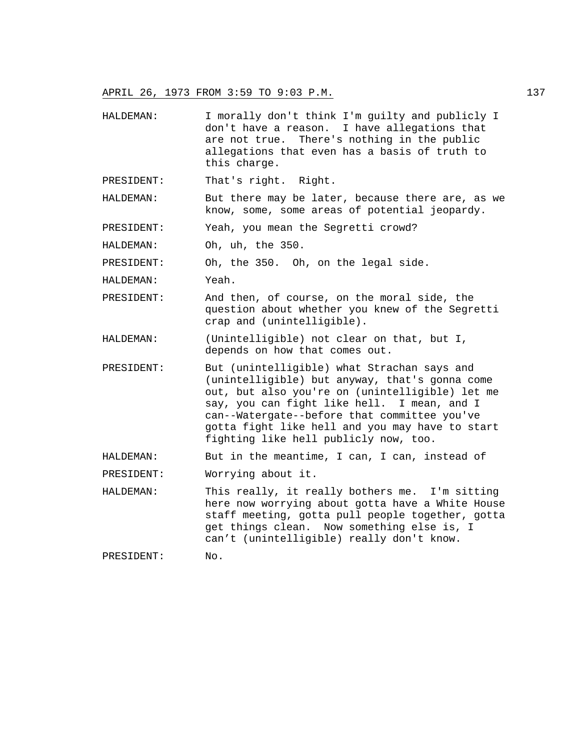- HALDEMAN: I morally don't think I'm guilty and publicly I don't have a reason. I have allegations that are not true. There's nothing in the public allegations that even has a basis of truth to this charge.
- PRESIDENT: That's right. Right.
- HALDEMAN: But there may be later, because there are, as we know, some, some areas of potential jeopardy.
- PRESIDENT: Yeah, you mean the Segretti crowd?
- HALDEMAN: Oh, uh, the 350.

PRESIDENT: Oh, the 350. Oh, on the legal side.

- HALDEMAN: Yeah.
- PRESIDENT: And then, of course, on the moral side, the question about whether you knew of the Segretti crap and (unintelligible).
- HALDEMAN: (Unintelligible) not clear on that, but I, depends on how that comes out.
- PRESIDENT: But (unintelligible) what Strachan says and (unintelligible) but anyway, that's gonna come out, but also you're on (unintelligible) let me say, you can fight like hell. I mean, and I can--Watergate--before that committee you've gotta fight like hell and you may have to start fighting like hell publicly now, too.
- HALDEMAN: But in the meantime, I can, I can, instead of
- PRESIDENT: Worrying about it.
- HALDEMAN: This really, it really bothers me. I'm sitting here now worrying about gotta have a White House staff meeting, gotta pull people together, gotta get things clean. Now something else is, I can't (unintelligible) really don't know.

```
PRESIDENT: No.
```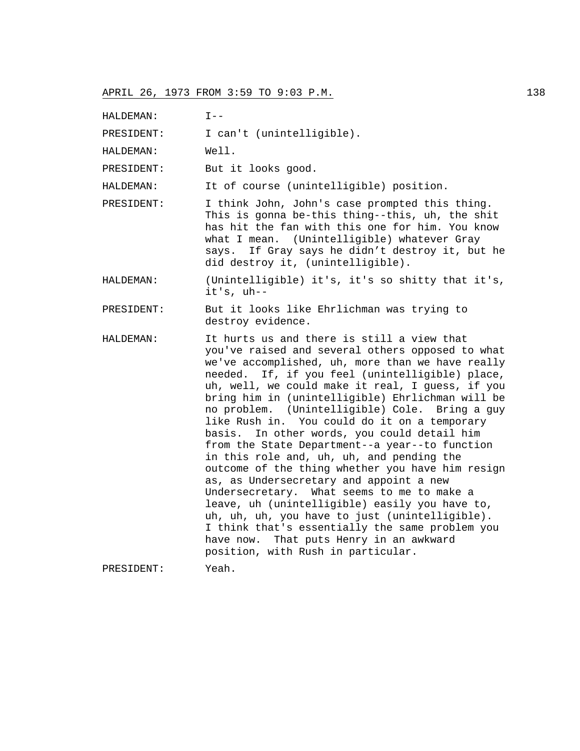HALDEMAN: I--

PRESIDENT: I can't (unintelligible).

HALDEMAN: Well.

PRESIDENT: But it looks good.

HALDEMAN: It of course (unintelligible) position.

- PRESIDENT: I think John, John's case prompted this thing. This is gonna be-this thing--this, uh, the shit has hit the fan with this one for him. You know what I mean. (Unintelligible) whatever Gray says. If Gray says he didn't destroy it, but he did destroy it, (unintelligible).
- HALDEMAN: (Unintelligible) it's, it's so shitty that it's, it's, uh--
- PRESIDENT: But it looks like Ehrlichman was trying to destroy evidence.
- HALDEMAN: It hurts us and there is still a view that you've raised and several others opposed to what we've accomplished, uh, more than we have really needed. If, if you feel (unintelligible) place, uh, well, we could make it real, I guess, if you bring him in (unintelligible) Ehrlichman will be no problem. (Unintelligible) Cole. Bring a guy like Rush in. You could do it on a temporary basis. In other words, you could detail him from the State Department--a year--to function in this role and, uh, uh, and pending the outcome of the thing whether you have him resign as, as Undersecretary and appoint a new Undersecretary. What seems to me to make a leave, uh (unintelligible) easily you have to, uh, uh, uh, you have to just (unintelligible). I think that's essentially the same problem you have now. That puts Henry in an awkward position, with Rush in particular.

PRESIDENT: Yeah.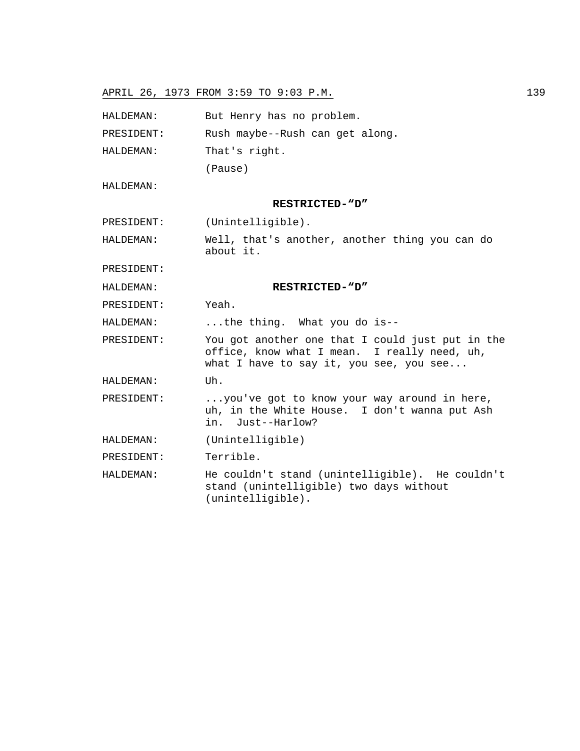| HALDEMAN:        | But Henry has no problem.                                                                                                                   |
|------------------|---------------------------------------------------------------------------------------------------------------------------------------------|
| PRESIDENT:       | Rush maybe--Rush can get along.                                                                                                             |
| HALDEMAN:        | That's right.                                                                                                                               |
|                  | (Pause)                                                                                                                                     |
| HALDEMAN:        |                                                                                                                                             |
|                  | RESTRICTED-"D"                                                                                                                              |
| PRESIDENT:       | (Unintelligible).                                                                                                                           |
| HALDEMAN:        | Well, that's another, another thing you can do<br>about it.                                                                                 |
| PRESIDENT:       |                                                                                                                                             |
| HALDEMAN:        | RESTRICTED-"D"                                                                                                                              |
| PRESIDENT:       | Yeah.                                                                                                                                       |
| <b>HALDEMAN:</b> | the thing. What you do is--                                                                                                                 |
| PRESIDENT:       | You got another one that I could just put in the<br>office, know what I mean. I really need, uh,<br>what I have to say it, you see, you see |
| HALDEMAN:        | Uh.                                                                                                                                         |
| PRESIDENT:       | you've got to know your way around in here,<br>uh, in the White House. I don't wanna put Ash<br>Just--Harlow?<br>in.                        |
| HALDEMAN:        | (Unintelligible)                                                                                                                            |
| PRESIDENT:       | Terrible.                                                                                                                                   |
| HALDEMAN:        | He couldn't stand (unintelligible). He couldn't<br>stand (unintelligible) two days without<br>(unintelligible).                             |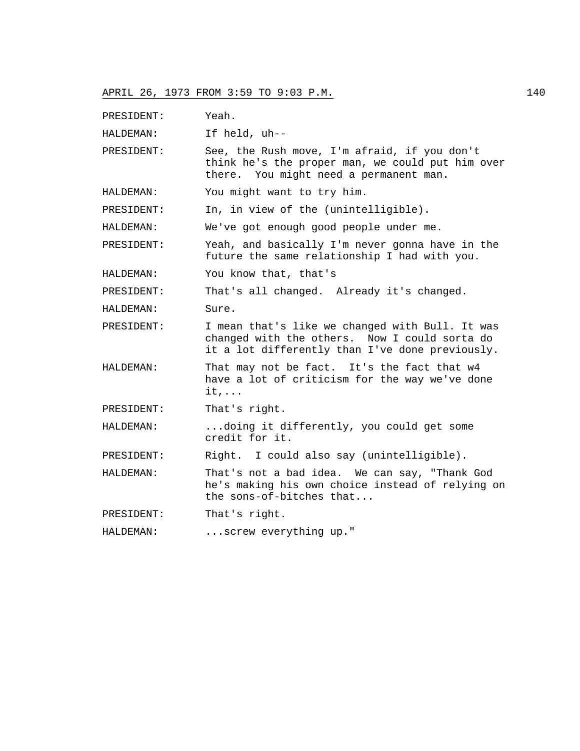PRESIDENT: Yeah.

HALDEMAN: If held, uh--

PRESIDENT: See, the Rush move, I'm afraid, if you don't think he's the proper man, we could put him over there. You might need a permanent man.

HALDEMAN: You might want to try him.

PRESIDENT: In, in view of the (unintelligible).

HALDEMAN: We've got enough good people under me.

- PRESIDENT: Yeah, and basically I'm never gonna have in the future the same relationship I had with you.
- HALDEMAN: You know that, that's

PRESIDENT: That's all changed. Already it's changed.

HALDEMAN: Sure.

- PRESIDENT: I mean that's like we changed with Bull. It was changed with the others. Now I could sorta do it a lot differently than I've done previously.
- HALDEMAN: That may not be fact. It's the fact that w4 have a lot of criticism for the way we've done it,...
- PRESIDENT: That's right.

HALDEMAN: ...doing it differently, you could get some credit for it.

PRESIDENT: Right. I could also say (unintelligible).

HALDEMAN: That's not a bad idea. We can say, "Thank God he's making his own choice instead of relying on the sons-of-bitches that...

PRESIDENT: That's right.

HALDEMAN: ... screw everything up."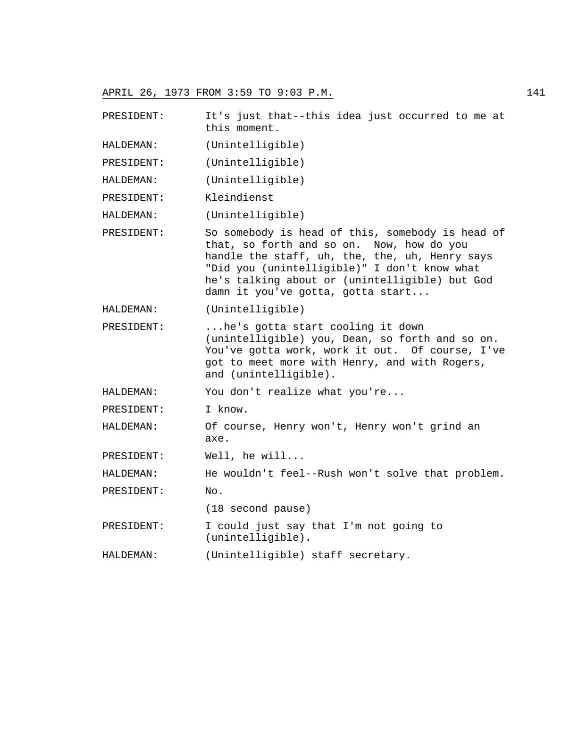- PRESIDENT: It's just that--this idea just occurred to me at this moment.
- HALDEMAN: (Unintelligible)
- PRESIDENT: (Unintelligible)
- HALDEMAN: (Unintelligible)
- PRESIDENT: Kleindienst
- HALDEMAN: (Unintelligible)
- PRESIDENT: So somebody is head of this, somebody is head of that, so forth and so on. Now, how do you handle the staff, uh, the, the, uh, Henry says "Did you (unintelligible)" I don't know what he's talking about or (unintelligible) but God damn it you've gotta, gotta start...
- HALDEMAN: (Unintelligible)
- PRESIDENT: ...he's gotta start cooling it down (unintelligible) you, Dean, so forth and so on. You've gotta work, work it out. Of course, I've got to meet more with Henry, and with Rogers, and (unintelligible).
- HALDEMAN: You don't realize what you're...
- PRESIDENT: I know.
- HALDEMAN: Of course, Henry won't, Henry won't grind an axe.
- PRESIDENT: Well, he will...
- HALDEMAN: He wouldn't feel--Rush won't solve that problem.
- PRESIDENT: No.
	- (18 second pause)

PRESIDENT: I could just say that I'm not going to (unintelligible).

HALDEMAN: (Unintelligible) staff secretary.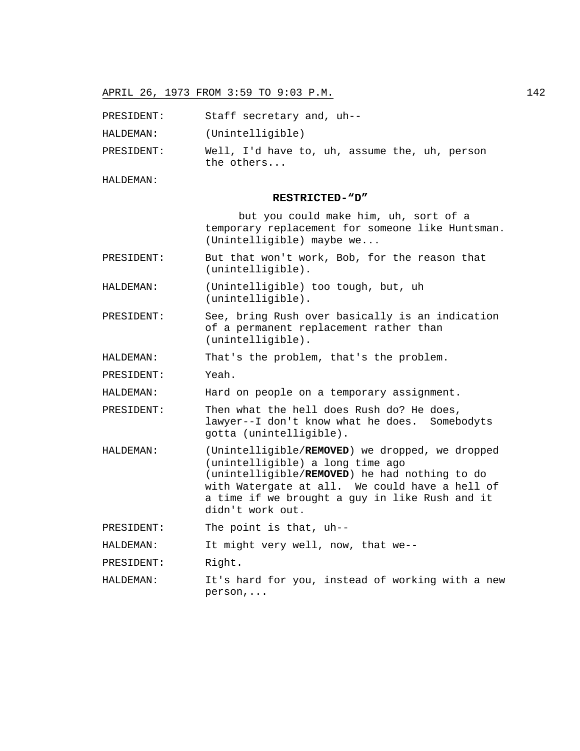PRESIDENT: Staff secretary and, uh--

HALDEMAN: (Unintelligible)

PRESIDENT: Well, I'd have to, uh, assume the, uh, person the others...

HALDEMAN:

### **RESTRICTED-"D"**

but you could make him, uh, sort of a temporary replacement for someone like Huntsman. (Unintelligible) maybe we...

PRESIDENT: But that won't work, Bob, for the reason that (unintelligible).

- HALDEMAN: (Unintelligible) too tough, but, uh (unintelligible).
- PRESIDENT: See, bring Rush over basically is an indication of a permanent replacement rather than (unintelligible).

HALDEMAN: That's the problem, that's the problem.

PRESIDENT: Yeah.

HALDEMAN: Hard on people on a temporary assignment.

- PRESIDENT: Then what the hell does Rush do? He does, lawyer--I don't know what he does. Somebodyts gotta (unintelligible).
- HALDEMAN: (Unintelligible/**REMOVED**) we dropped, we dropped (unintelligible) a long time ago (unintelligible/**REMOVED**) he had nothing to do with Watergate at all. We could have a hell of a time if we brought a guy in like Rush and it didn't work out.
- PRESIDENT: The point is that, uh--

HALDEMAN: It might very well, now, that we--

PRESIDENT: Right.

HALDEMAN: It's hard for you, instead of working with a new person,...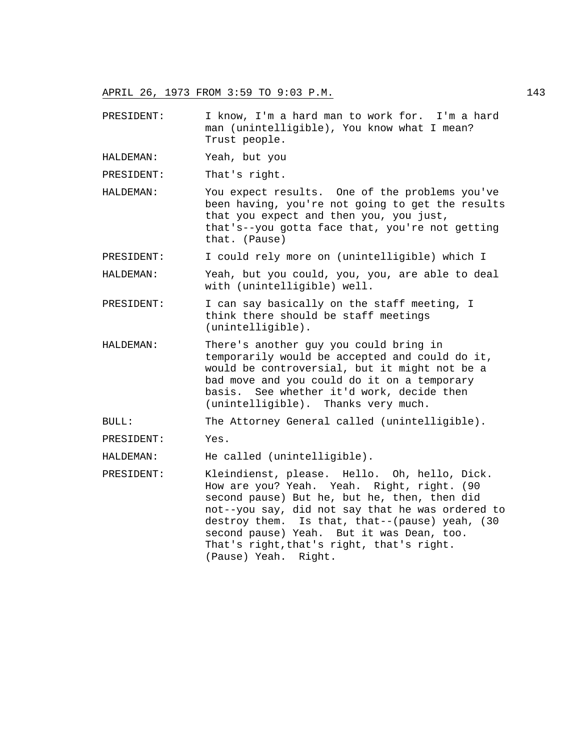- PRESIDENT: I know, I'm a hard man to work for. I'm a hard man (unintelligible), You know what I mean? Trust people.
- HALDEMAN: Yeah, but you
- PRESIDENT: That's right.
- HALDEMAN: You expect results. One of the problems you've been having, you're not going to get the results that you expect and then you, you just, that's--you gotta face that, you're not getting that. (Pause)
- PRESIDENT: I could rely more on (unintelligible) which I
- HALDEMAN: Yeah, but you could, you, you, are able to deal with (unintelligible) well.
- PRESIDENT: I can say basically on the staff meeting, I think there should be staff meetings (unintelligible).
- HALDEMAN: There's another guy you could bring in temporarily would be accepted and could do it, would be controversial, but it might not be a bad move and you could do it on a temporary basis. See whether it'd work, decide then (unintelligible). Thanks very much.

BULL: The Attorney General called (unintelligible).

PRESIDENT: Yes.

HALDEMAN: He called (unintelligible).

PRESIDENT: Kleindienst, please. Hello. Oh, hello, Dick. How are you? Yeah. Yeah. Right, right. (90 second pause) But he, but he, then, then did not--you say, did not say that he was ordered to destroy them. Is that, that--(pause) yeah, (30 second pause) Yeah. But it was Dean, too. That's right, that's right, that's right. (Pause) Yeah. Right.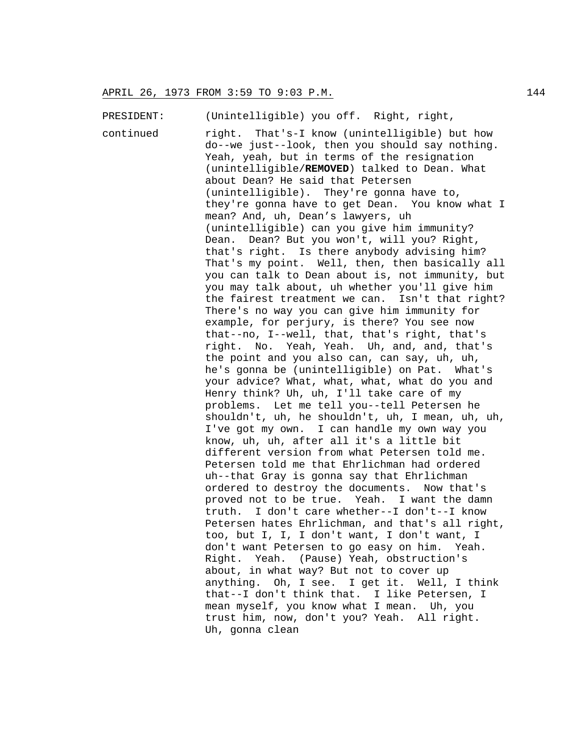PRESIDENT: (Unintelligible) you off. Right, right,

continued right. That's-I know (unintelligible) but how do--we just--look, then you should say nothing. Yeah, yeah, but in terms of the resignation (unintelligible/**REMOVED**) talked to Dean. What about Dean? He said that Petersen (unintelligible). They're gonna have to, they're gonna have to get Dean. You know what I mean? And, uh, Dean's lawyers, uh (unintelligible) can you give him immunity? Dean. Dean? But you won't, will you? Right, that's right. Is there anybody advising him? That's my point. Well, then, then basically all you can talk to Dean about is, not immunity, but you may talk about, uh whether you'll give him the fairest treatment we can. Isn't that right? There's no way you can give him immunity for example, for perjury, is there? You see now that--no, I--well, that, that's right, that's right. No. Yeah, Yeah. Uh, and, and, that's the point and you also can, can say, uh, uh, he's gonna be (unintelligible) on Pat. What's your advice? What, what, what, what do you and Henry think? Uh, uh, I'll take care of my problems. Let me tell you--tell Petersen he shouldn't, uh, he shouldn't, uh, I mean, uh, uh, I've got my own. I can handle my own way you know, uh, uh, after all it's a little bit different version from what Petersen told me. Petersen told me that Ehrlichman had ordered uh--that Gray is gonna say that Ehrlichman ordered to destroy the documents. Now that's proved not to be true. Yeah. I want the damn truth. I don't care whether--I don't--I know Petersen hates Ehrlichman, and that's all right, too, but I, I, I don't want, I don't want, I don't want Petersen to go easy on him. Yeah. Right. Yeah. (Pause) Yeah, obstruction's about, in what way? But not to cover up anything. Oh, I see. I get it. Well, I think that--I don't think that. I like Petersen, I mean myself, you know what I mean. Uh, you trust him, now, don't you? Yeah. All right. Uh, gonna clean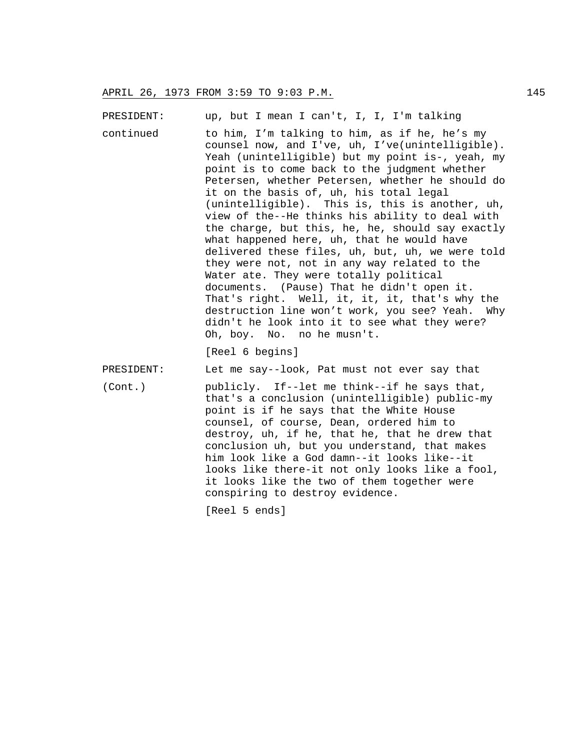PRESIDENT: up, but I mean I can't, I, I, I'm talking

continued to him, I'm talking to him, as if he, he's my counsel now, and I've, uh, I've(unintelligible). Yeah (unintelligible) but my point is-, yeah, my point is to come back to the judgment whether Petersen, whether Petersen, whether he should do it on the basis of, uh, his total legal (unintelligible). This is, this is another, uh, view of the--He thinks his ability to deal with the charge, but this, he, he, should say exactly what happened here, uh, that he would have delivered these files, uh, but, uh, we were told they were not, not in any way related to the Water ate. They were totally political documents. (Pause) That he didn't open it. That's right. Well, it, it, it, that's why the destruction line won't work, you see? Yeah. Why didn't he look into it to see what they were? Oh, boy. No. no he musn't.

[Reel 6 begins]

PRESIDENT: Let me say--look, Pat must not ever say that

(Cont.) publicly. If--let me think--if he says that, that's a conclusion (unintelligible) public-my point is if he says that the White House counsel, of course, Dean, ordered him to destroy, uh, if he, that he, that he drew that conclusion uh, but you understand, that makes him look like a God damn--it looks like--it looks like there-it not only looks like a fool, it looks like the two of them together were conspiring to destroy evidence.

[Reel 5 ends]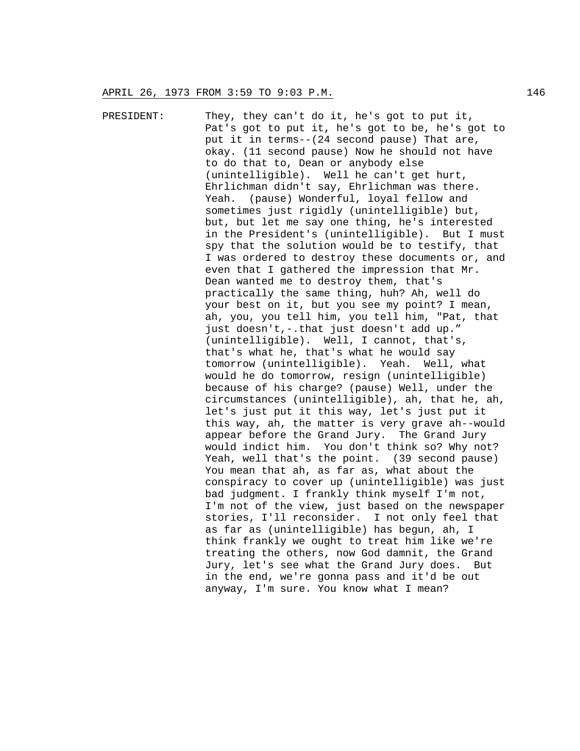PRESIDENT: They, they can't do it, he's got to put it, Pat's got to put it, he's got to be, he's got to put it in terms--(24 second pause) That are, okay. (11 second pause) Now he should not have to do that to, Dean or anybody else (unintelligible). Well he can't get hurt, Ehrlichman didn't say, Ehrlichman was there. Yeah. (pause) Wonderful, loyal fellow and sometimes just rigidly (unintelligible) but, but, but let me say one thing, he's interested in the President's (unintelligible). But I must spy that the solution would be to testify, that I was ordered to destroy these documents or, and even that I gathered the impression that Mr. Dean wanted me to destroy them, that's practically the same thing, huh? Ah, well do your best on it, but you see my point? I mean, ah, you, you tell him, you tell him, "Pat, that just doesn't,-.that just doesn't add up." (unintelligible). Well, I cannot, that's, that's what he, that's what he would say tomorrow (unintelligible). Yeah. Well, what would he do tomorrow, resign (unintelligible) because of his charge? (pause) Well, under the circumstances (unintelligible), ah, that he, ah, let's just put it this way, let's just put it this way, ah, the matter is very grave ah--would appear before the Grand Jury. The Grand Jury would indict him. You don't think so? Why not? Yeah, well that's the point. (39 second pause) You mean that ah, as far as, what about the conspiracy to cover up (unintelligible) was just bad judgment. I frankly think myself I'm not, I'm not of the view, just based on the newspaper stories, I'll reconsider. I not only feel that as far as (unintelligible) has begun, ah, I think frankly we ought to treat him like we're treating the others, now God damnit, the Grand Jury, let's see what the Grand Jury does. But in the end, we're gonna pass and it'd be out anyway, I'm sure. You know what I mean?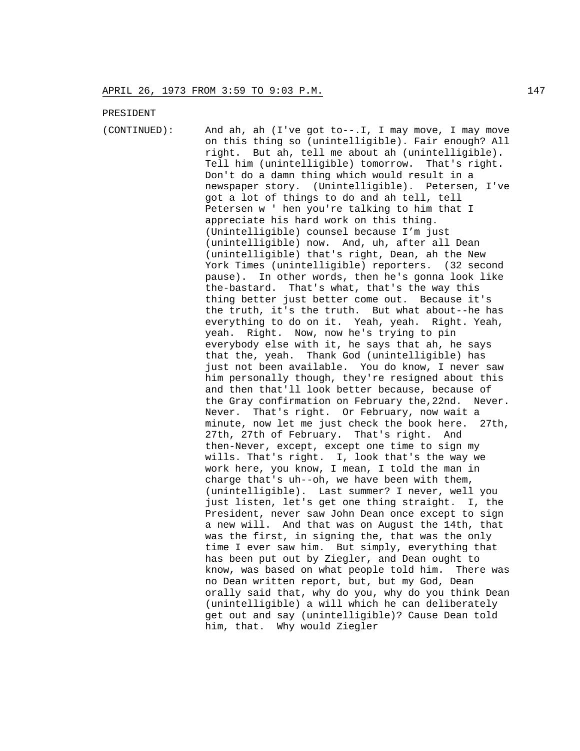PRESIDENT

(CONTINUED): And ah, ah (I've got to--.I, I may move, I may move on this thing so (unintelligible). Fair enough? All right. But ah, tell me about ah (unintelligible). Tell him (unintelligible) tomorrow. That's right. Don't do a damn thing which would result in a newspaper story. (Unintelligible). Petersen, I've got a lot of things to do and ah tell, tell Petersen w ' hen you're talking to him that I appreciate his hard work on this thing. (Unintelligible) counsel because I'm just (unintelligible) now. And, uh, after all Dean (unintelligible) that's right, Dean, ah the New York Times (unintelligible) reporters. (32 second pause). In other words, then he's gonna look like the-bastard. That's what, that's the way this thing better just better come out. Because it's the truth, it's the truth. But what about--he has everything to do on it. Yeah, yeah. Right. Yeah, yeah. Right. Now, now he's trying to pin everybody else with it, he says that ah, he says that the, yeah. Thank God (unintelligible) has just not been available. You do know, I never saw him personally though, they're resigned about this and then that'll look better because, because of the Gray confirmation on February the,22nd. Never. Never. That's right. Or February, now wait a minute, now let me just check the book here. 27th, 27th, 27th of February. That's right. And then-Never, except, except one time to sign my wills. That's right. I, look that's the way we work here, you know, I mean, I told the man in charge that's uh--oh, we have been with them, (unintelligible). Last summer? I never, well you just listen, let's get one thing straight. I, the President, never saw John Dean once except to sign a new will. And that was on August the 14th, that was the first, in signing the, that was the only time I ever saw him. But simply, everything that has been put out by Ziegler, and Dean ought to know, was based on what people told him. There was no Dean written report, but, but my God, Dean orally said that, why do you, why do you think Dean (unintelligible) a will which he can deliberately get out and say (unintelligible)? Cause Dean told him, that. Why would Ziegler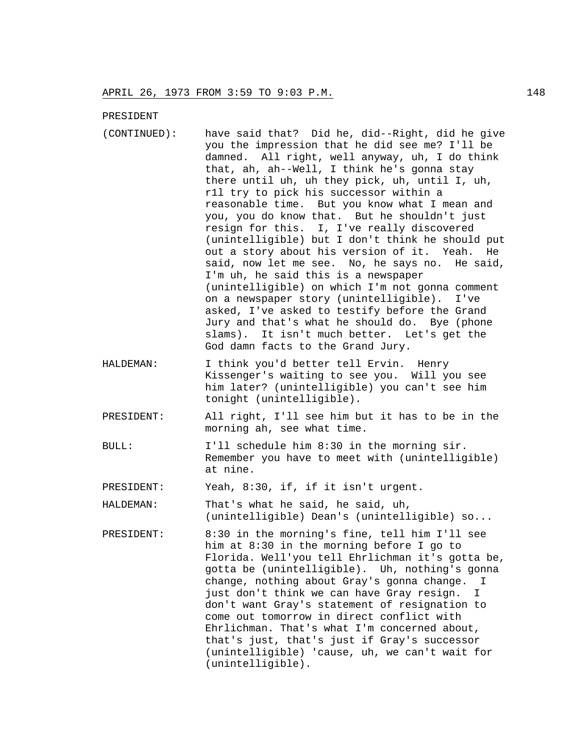PRESIDENT

- (CONTINUED): have said that? Did he, did--Right, did he give you the impression that he did see me? I'll be damned. All right, well anyway, uh, I do think that, ah, ah--Well, I think he's gonna stay there until uh, uh they pick, uh, until I, uh, r1l try to pick his successor within a reasonable time. But you know what I mean and you, you do know that. But he shouldn't just resign for this. I, I've really discovered (unintelligible) but I don't think he should put out a story about his version of it. Yeah. He said, now let me see. No, he says no. He said, I'm uh, he said this is a newspaper (unintelligible) on which I'm not gonna comment on a newspaper story (unintelligible). I've asked, I've asked to testify before the Grand Jury and that's what he should do. Bye (phone slams). It isn't much better. Let's get the God damn facts to the Grand Jury.
- HALDEMAN: I think you'd better tell Ervin. Henry Kissenger's waiting to see you. Will you see him later? (unintelligible) you can't see him tonight (unintelligible).
- PRESIDENT: All right, I'll see him but it has to be in the morning ah, see what time.
- BULL: I'll schedule him 8:30 in the morning sir. Remember you have to meet with (unintelligible) at nine.

PRESIDENT: Yeah, 8:30, if, if it isn't urgent.

HALDEMAN: That's what he said, he said, uh, (unintelligible) Dean's (unintelligible) so...

PRESIDENT: 8:30 in the morning's fine, tell him I'll see him at 8:30 in the morning before I go to Florida. Well'you tell Ehrlichman it's gotta be, gotta be (unintelligible). Uh, nothing's gonna change, nothing about Gray's gonna change. I just don't think we can have Gray resign. I don't want Gray's statement of resignation to come out tomorrow in direct conflict with Ehrlichman. That's what I'm concerned about, that's just, that's just if Gray's successor (unintelligible) 'cause, uh, we can't wait for (unintelligible).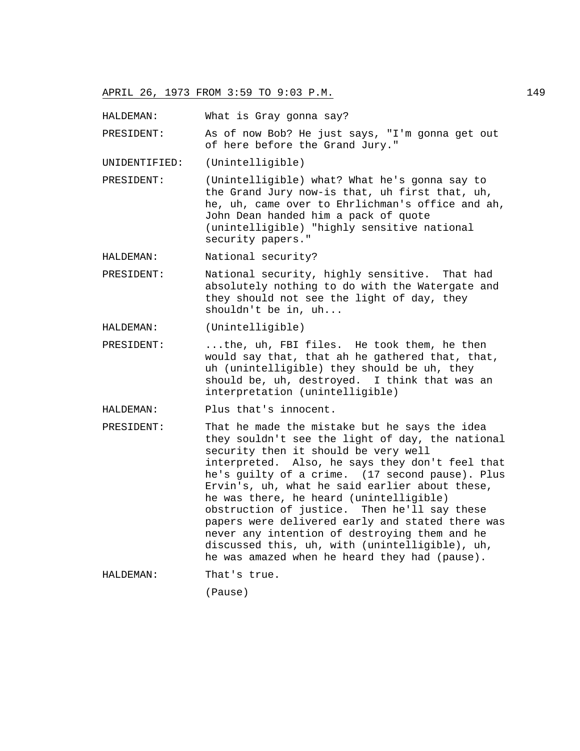HALDEMAN: What is Gray gonna say?

PRESIDENT: As of now Bob? He just says, "I'm gonna get out of here before the Grand Jury."

UNIDENTIFIED: (Unintelligible)

PRESIDENT: (Unintelligible) what? What he's gonna say to the Grand Jury now-is that, uh first that, uh, he, uh, came over to Ehrlichman's office and ah, John Dean handed him a pack of quote (unintelligible) "highly sensitive national security papers."

HALDEMAN: National security?

- PRESIDENT: National security, highly sensitive. That had absolutely nothing to do with the Watergate and they should not see the light of day, they shouldn't be in, uh...
- HALDEMAN: (Unintelligible)
- PRESIDENT: ...the, uh, FBI files. He took them, he then would say that, that ah he gathered that, that, uh (unintelligible) they should be uh, they should be, uh, destroyed. I think that was an interpretation (unintelligible)

HALDEMAN: Plus that's innocent.

PRESIDENT: That he made the mistake but he says the idea they souldn't see the light of day, the national security then it should be very well interpreted. Also, he says they don't feel that he's guilty of a crime. (17 second pause). Plus Ervin's, uh, what he said earlier about these, he was there, he heard (unintelligible) obstruction of justice. Then he'll say these papers were delivered early and stated there was never any intention of destroying them and he discussed this, uh, with (unintelligible), uh, he was amazed when he heard they had (pause).

HALDEMAN: That's true.

(Pause)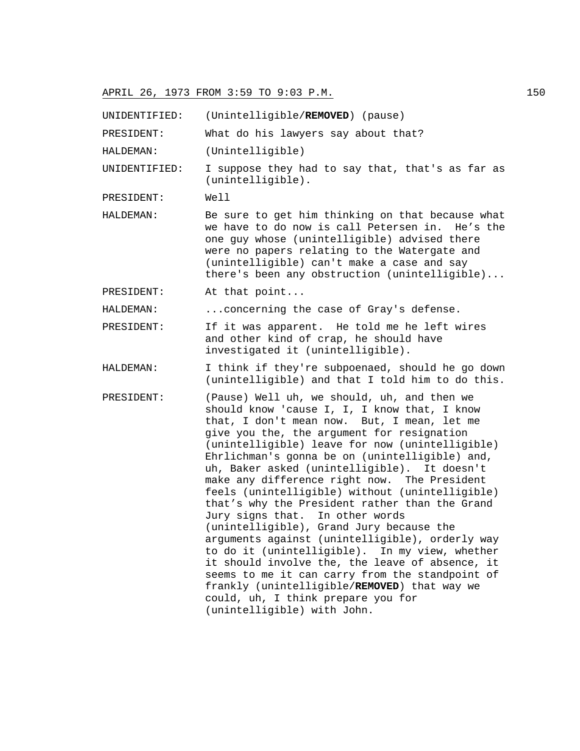UNIDENTIFIED: (Unintelligible/**REMOVED**) (pause)

PRESIDENT: What do his lawyers say about that?

HALDEMAN: (Unintelligible)

UNIDENTIFIED: I suppose they had to say that, that's as far as (unintelligible).

PRESIDENT: Well

- HALDEMAN: Be sure to get him thinking on that because what we have to do now is call Petersen in. He's the one guy whose (unintelligible) advised there were no papers relating to the Watergate and (unintelligible) can't make a case and say there's been any obstruction (unintelligible)...
- PRESIDENT: At that point...

HALDEMAN: ...concerning the case of Gray's defense.

- PRESIDENT: If it was apparent. He told me he left wires and other kind of crap, he should have investigated it (unintelligible).
- HALDEMAN: I think if they're subpoenaed, should he go down (unintelligible) and that I told him to do this.
- PRESIDENT: (Pause) Well uh, we should, uh, and then we should know 'cause I, I, I know that, I know that, I don't mean now. But, I mean, let me give you the, the argument for resignation (unintelligible) leave for now (unintelligible) Ehrlichman's gonna be on (unintelligible) and, uh, Baker asked (unintelligible). It doesn't make any difference right now. The President feels (unintelligible) without (unintelligible) that's why the President rather than the Grand Jury signs that. In other words (unintelligible), Grand Jury because the arguments against (unintelligible), orderly way to do it (unintelligible). In my view, whether it should involve the, the leave of absence, it seems to me it can carry from the standpoint of frankly (unintelligible/**REMOVED**) that way we could, uh, I think prepare you for (unintelligible) with John.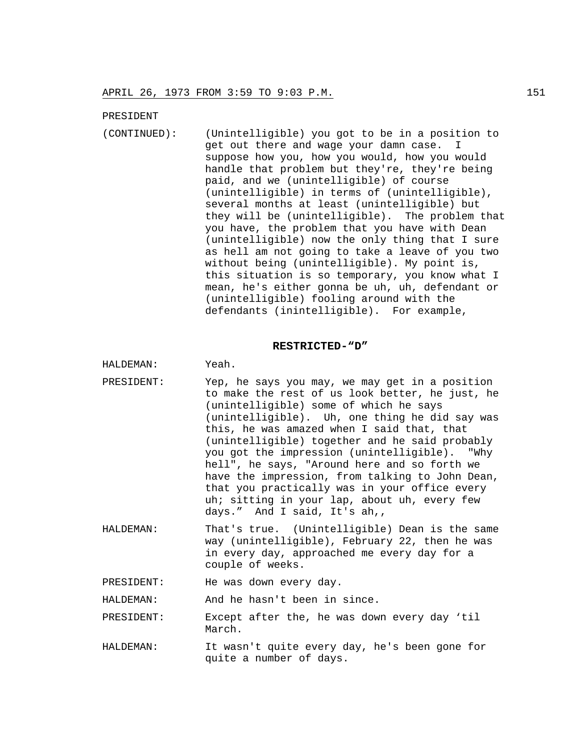PRESIDENT

(CONTINUED): (Unintelligible) you got to be in a position to get out there and wage your damn case. I suppose how you, how you would, how you would handle that problem but they're, they're being paid, and we (unintelligible) of course (unintelligible) in terms of (unintelligible), several months at least (unintelligible) but they will be (unintelligible). The problem that you have, the problem that you have with Dean (unintelligible) now the only thing that I sure as hell am not going to take a leave of you two without being (unintelligible). My point is, this situation is so temporary, you know what I mean, he's either gonna be uh, uh, defendant or (unintelligible) fooling around with the defendants (inintelligible). For example,

### **RESTRICTED-"D"**

HALDEMAN: Yeah.

- PRESIDENT: Yep, he says you may, we may get in a position to make the rest of us look better, he just, he (unintelligible) some of which he says (unintelligible). Uh, one thing he did say was this, he was amazed when I said that, that (unintelligible) together and he said probably you got the impression (unintelligible). "Why hell", he says, "Around here and so forth we have the impression, from talking to John Dean, that you practically was in your office every uh; sitting in your lap, about uh, every few days." And I said, It's ah,,
- HALDEMAN: That's true. (Unintelligible) Dean is the same way (unintelligible), February 22, then he was in every day, approached me every day for a couple of weeks.

PRESIDENT: He was down every day.

HALDEMAN: And he hasn't been in since.

PRESIDENT: Except after the, he was down every day 'til March.

HALDEMAN: It wasn't quite every day, he's been gone for quite a number of days.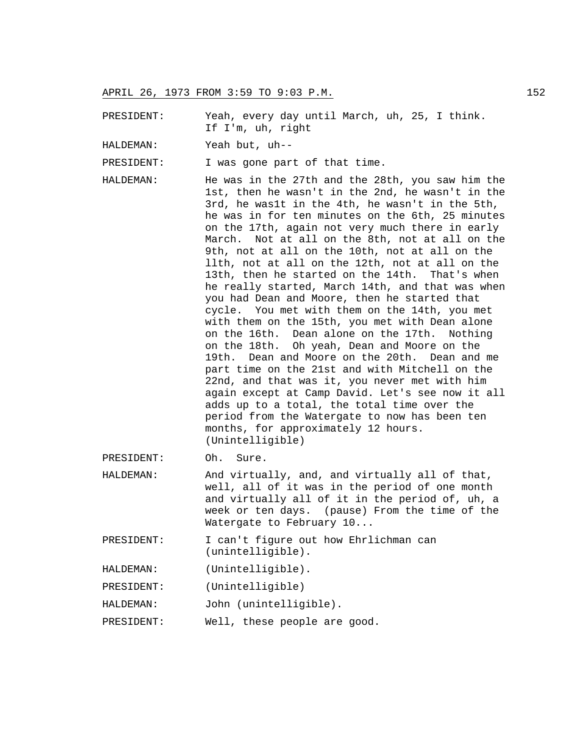PRESIDENT: Yeah, every day until March, uh, 25, I think. If I'm, uh, right

HALDEMAN: Yeah but, uh--

PRESIDENT: I was gone part of that time.

HALDEMAN: He was in the 27th and the 28th, you saw him the 1st, then he wasn't in the 2nd, he wasn't in the 3rd, he was1t in the 4th, he wasn't in the 5th, he was in for ten minutes on the 6th, 25 minutes on the 17th, again not very much there in early March. Not at all on the 8th, not at all on the 9th, not at all on the 10th, not at all on the llth, not at all on the 12th, not at all on the 13th, then he started on the 14th. That's when he really started, March 14th, and that was when you had Dean and Moore, then he started that cycle. You met with them on the 14th, you met with them on the 15th, you met with Dean alone on the 16th. Dean alone on the 17th. Nothing on the 18th. Oh yeah, Dean and Moore on the 19th. Dean and Moore on the 20th. Dean and me part time on the 21st and with Mitchell on the 22nd, and that was it, you never met with him again except at Camp David. Let's see now it all adds up to a total, the total time over the period from the Watergate to now has been ten months, for approximately 12 hours. (Unintelligible)

PRESIDENT: Oh. Sure.

HALDEMAN: And virtually, and, and virtually all of that, well, all of it was in the period of one month and virtually all of it in the period of, uh, a week or ten days. (pause) From the time of the Watergate to February 10...

PRESIDENT: I can't figure out how Ehrlichman can (unintelligible).

HALDEMAN: (Unintelligible).

PRESIDENT: (Unintelligible)

HALDEMAN: John (unintelligible).

PRESIDENT: Well, these people are good.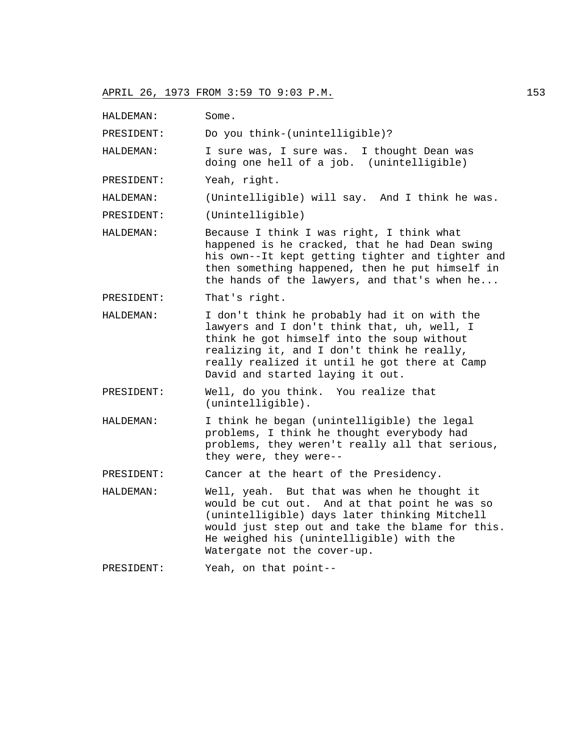HALDEMAN: Some.

PRESIDENT: Do you think-(unintelligible)?

HALDEMAN: I sure was, I sure was. I thought Dean was doing one hell of a job. (unintelligible)

PRESIDENT: Yeah, right.

HALDEMAN: (Unintelligible) will say. And I think he was.

PRESIDENT: (Unintelligible)

HALDEMAN: Because I think I was right, I think what happened is he cracked, that he had Dean swing his own--It kept getting tighter and tighter and then something happened, then he put himself in the hands of the lawyers, and that's when he...

PRESIDENT: That's right.

- HALDEMAN: I don't think he probably had it on with the lawyers and I don't think that, uh, well, I think he got himself into the soup without realizing it, and I don't think he really, really realized it until he got there at Camp David and started laying it out.
- PRESIDENT: Well, do you think. You realize that (unintelligible).
- HALDEMAN: I think he began (unintelligible) the legal problems, I think he thought everybody had problems, they weren't really all that serious, they were, they were--

PRESIDENT: Cancer at the heart of the Presidency.

HALDEMAN: Well, yeah. But that was when he thought it would be cut out. And at that point he was so (unintelligible) days later thinking Mitchell would just step out and take the blame for this. He weighed his (unintelligible) with the Watergate not the cover-up.

PRESIDENT: Yeah, on that point--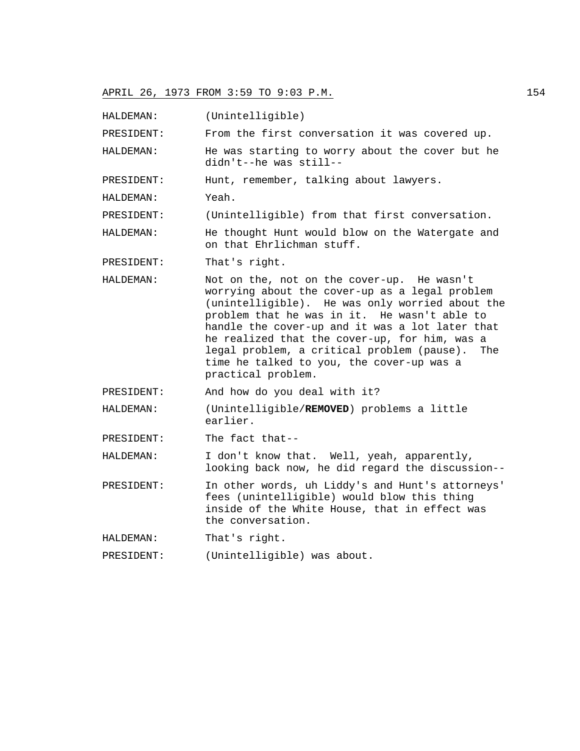- HALDEMAN: (Unintelligible)
- PRESIDENT: From the first conversation it was covered up.
- HALDEMAN: He was starting to worry about the cover but he didn't--he was still--

PRESIDENT: Hunt, remember, talking about lawyers.

HALDEMAN: Yeah.

PRESIDENT: (Unintelligible) from that first conversation.

HALDEMAN: He thought Hunt would blow on the Watergate and on that Ehrlichman stuff.

- PRESIDENT: That's right.
- HALDEMAN: Not on the, not on the cover-up. He wasn't worrying about the cover-up as a legal problem (unintelligible). He was only worried about the problem that he was in it. He wasn't able to handle the cover-up and it was a lot later that he realized that the cover-up, for him, was a legal problem, a critical problem (pause). The time he talked to you, the cover-up was a practical problem.
- PRESIDENT: And how do you deal with it?
- HALDEMAN: (Unintelligible/**REMOVED**) problems a little earlier.
- PRESIDENT: The fact that--

HALDEMAN: I don't know that. Well, yeah, apparently, looking back now, he did regard the discussion--

PRESIDENT: In other words, uh Liddy's and Hunt's attorneys' fees (unintelligible) would blow this thing inside of the White House, that in effect was the conversation.

HALDEMAN: That's right.

PRESIDENT: (Unintelligible) was about.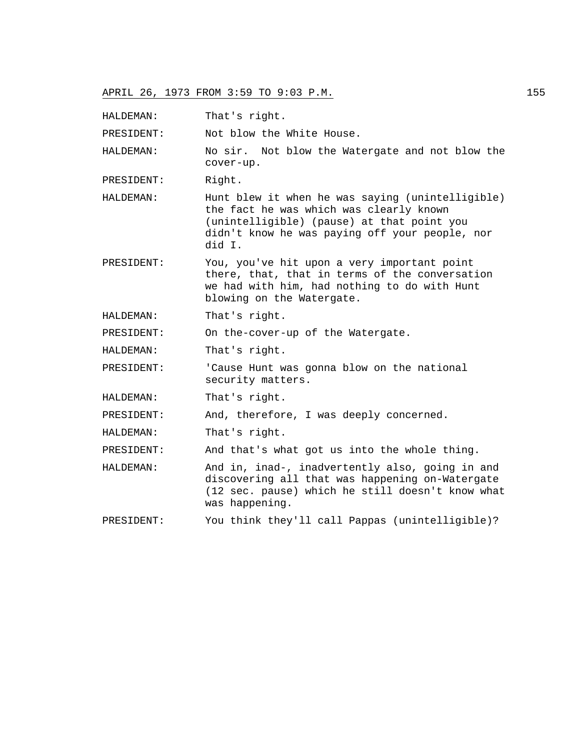HALDEMAN: That's right.

PRESIDENT: Not blow the White House.

HALDEMAN: No sir. Not blow the Watergate and not blow the cover-up.

- PRESIDENT: Right.
- HALDEMAN: Hunt blew it when he was saying (unintelligible) the fact he was which was clearly known (unintelligible) (pause) at that point you didn't know he was paying off your people, nor did I.
- PRESIDENT: You, you've hit upon a very important point there, that, that in terms of the conversation we had with him, had nothing to do with Hunt blowing on the Watergate.
- HALDEMAN: That's right.

PRESIDENT: On the-cover-up of the Watergate.

HALDEMAN: That's right.

PRESIDENT: 'Cause Hunt was gonna blow on the national security matters.

HALDEMAN: That's right.

PRESIDENT: And, therefore, I was deeply concerned.

HALDEMAN: That's right.

PRESIDENT: And that's what got us into the whole thing.

HALDEMAN: And in, inad-, inadvertently also, going in and discovering all that was happening on-Watergate (12 sec. pause) which he still doesn't know what was happening.

```
PRESIDENT: You think they'll call Pappas (unintelligible)?
```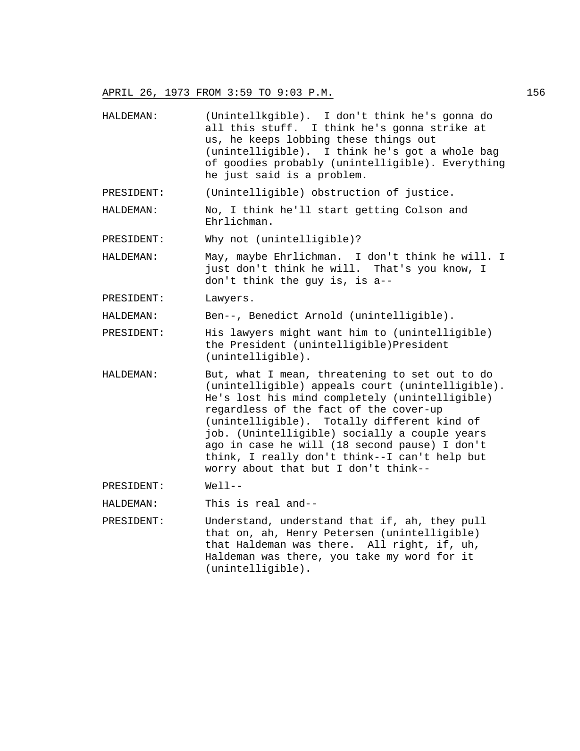HALDEMAN: (Unintellkgible). I don't think he's gonna do all this stuff. I think he's gonna strike at us, he keeps lobbing these things out (unintelligible). I think he's got a whole bag of goodies probably (unintelligible). Everything he just said is a problem. PRESIDENT: (Unintelligible) obstruction of justice. HALDEMAN: No, I think he'll start getting Colson and Ehrlichman. PRESIDENT: Why not (unintelligible)? HALDEMAN: May, maybe Ehrlichman. I don't think he will. I just don't think he will. That's you know, I don't think the guy is, is a-- PRESIDENT: Lawyers. HALDEMAN: Ben--, Benedict Arnold (unintelligible). PRESIDENT: His lawyers might want him to (unintelligible) the President (unintelligible)President (unintelligible). HALDEMAN: But, what I mean, threatening to set out to do (unintelligible) appeals court (unintelligible). He's lost his mind completely (unintelligible) regardless of the fact of the cover-up (unintelligible). Totally different kind of job. (Unintelligible) socially a couple years ago in case he will (18 second pause) I don't think, I really don't think--I can't help but worry about that but I don't think-- PRESIDENT: Well-- HALDEMAN: This is real and-- PRESIDENT: Understand, understand that if, ah, they pull that on, ah, Henry Petersen (unintelligible) that Haldeman was there. All right, if, uh, Haldeman was there, you take my word for it

(unintelligible).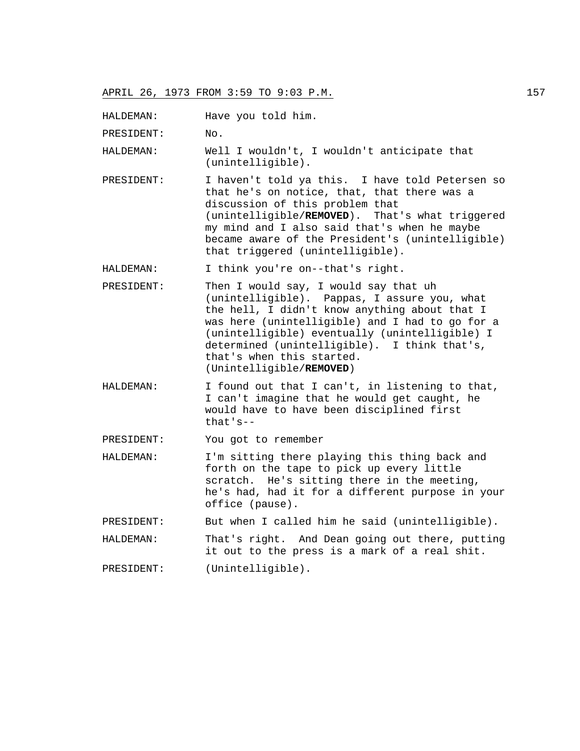HALDEMAN: Have you told him.

PRESIDENT: No.

HALDEMAN: Well I wouldn't, I wouldn't anticipate that (unintelligible).

PRESIDENT: I haven't told ya this. I have told Petersen so that he's on notice, that, that there was a discussion of this problem that (unintelligible/**REMOVED**). That's what triggered my mind and I also said that's when he maybe became aware of the President's (unintelligible) that triggered (unintelligible).

HALDEMAN: I think you're on--that's right.

- PRESIDENT: Then I would say, I would say that uh (unintelligible). Pappas, I assure you, what the hell, I didn't know anything about that I was here (unintelligible) and I had to go for a (unintelligible) eventually (unintelligible) I determined (unintelligible). I think that's, that's when this started. (Unintelligible/**REMOVED**)
- HALDEMAN: I found out that I can't, in listening to that, I can't imagine that he would get caught, he would have to have been disciplined first that's--

PRESIDENT: You got to remember

HALDEMAN: I'm sitting there playing this thing back and forth on the tape to pick up every little scratch. He's sitting there in the meeting, he's had, had it for a different purpose in your office (pause).

PRESIDENT: But when I called him he said (unintelligible).

HALDEMAN: That's right. And Dean going out there, putting it out to the press is a mark of a real shit.

PRESIDENT: (Unintelligible).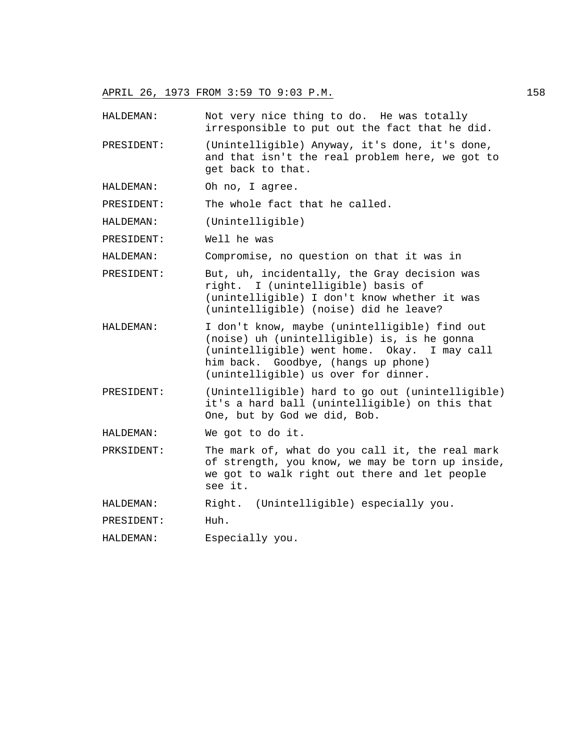- HALDEMAN: Not very nice thing to do. He was totally irresponsible to put out the fact that he did.
- PRESIDENT: (Unintelligible) Anyway, it's done, it's done, and that isn't the real problem here, we got to get back to that.
- HALDEMAN: Oh no, I agree.

PRESIDENT: The whole fact that he called.

- HALDEMAN: (Unintelligible)
- PRESIDENT: Well he was

HALDEMAN: Compromise, no question on that it was in

- PRESIDENT: But, uh, incidentally, the Gray decision was right. I (unintelligible) basis of (unintelligible) I don't know whether it was (unintelligible) (noise) did he leave?
- HALDEMAN: I don't know, maybe (unintelligible) find out (noise) uh (unintelligible) is, is he gonna (unintelligible) went home. Okay. I may call him back. Goodbye, (hangs up phone) (unintelligible) us over for dinner.
- PRESIDENT: (Unintelligible) hard to go out (unintelligible) it's a hard ball (unintelligible) on this that One, but by God we did, Bob.
- HALDEMAN: We got to do it.
- PRKSIDENT: The mark of, what do you call it, the real mark of strength, you know, we may be torn up inside, we got to walk right out there and let people see it.

HALDEMAN: Right. (Unintelligible) especially you.

PRESIDENT: Huh.

HALDEMAN: Especially you.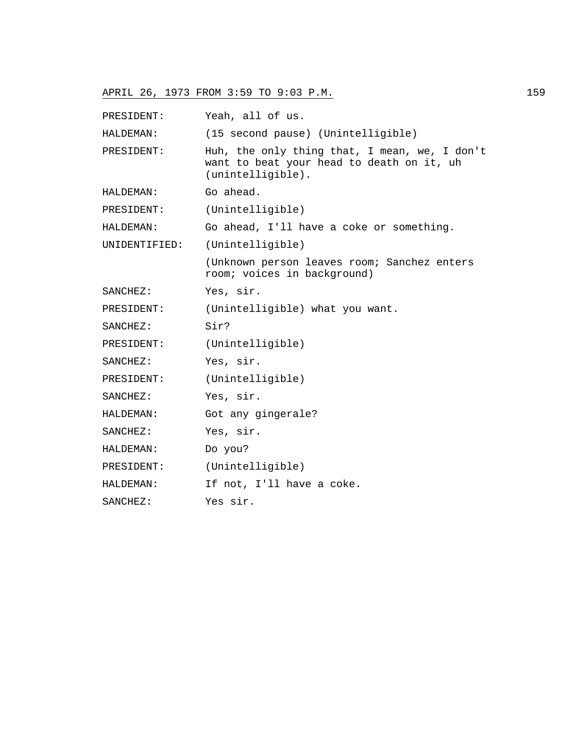| PRESIDENT:    | Yeah, all of us.                                                                                                |
|---------------|-----------------------------------------------------------------------------------------------------------------|
| HALDEMAN:     | (15 second pause) (Unintelligible)                                                                              |
| PRESIDENT:    | Huh, the only thing that, I mean, we, I don't<br>want to beat your head to death on it, uh<br>(unintelligible). |
| HALDEMAN:     | Go ahead.                                                                                                       |
| PRESIDENT:    | (Unintelligible)                                                                                                |
| HALDEMAN:     | Go ahead, I'll have a coke or something.                                                                        |
| UNIDENTIFIED: | (Unintelligible)                                                                                                |
|               | (Unknown person leaves room; Sanchez enters<br>room; voices in background)                                      |
| SANCHEZ:      | Yes, sir.                                                                                                       |
| PRESIDENT:    | (Unintelligible) what you want.                                                                                 |
| SANCHEZ:      | Sir?                                                                                                            |
| PRESIDENT:    | (Unintelligible)                                                                                                |
| SANCHEZ:      | Yes, sir.                                                                                                       |
| PRESIDENT:    | (Unintelligible)                                                                                                |
| SANCEHEZ:     | Yes, sir.                                                                                                       |
| HALDEMAN:     | Got any gingerale?                                                                                              |
| SANCHEZ:      | Yes, sir.                                                                                                       |
| HALDEMAN:     | Do you?                                                                                                         |
| PRESIDENT:    | (Unintelligible)                                                                                                |
| HALDEMAN:     | If not, I'll have a coke.                                                                                       |
| SANCHEZ:      | Yes sir.                                                                                                        |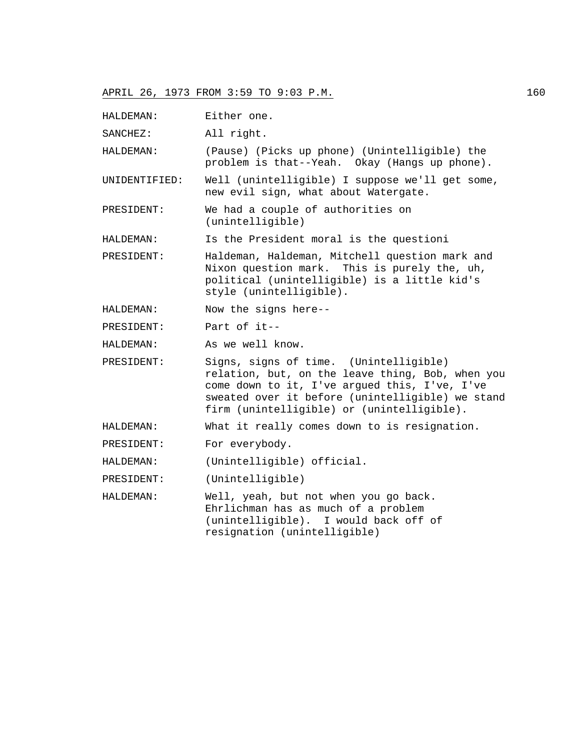- HALDEMAN: Either one.
- SANCHEZ: All right.

HALDEMAN: (Pause) (Picks up phone) (Unintelligible) the problem is that--Yeah. Okay (Hangs up phone).

- UNIDENTIFIED: Well (unintelligible) I suppose we'll get some, new evil sign, what about Watergate.
- PRESIDENT: We had a couple of authorities on (unintelligible)

HALDEMAN: Is the President moral is the questioni

PRESIDENT: Haldeman, Haldeman, Mitchell question mark and Nixon question mark. This is purely the, uh, political (unintelligible) is a little kid's style (unintelligible).

- HALDEMAN: Now the signs here--
- PRESIDENT: Part of it--
- HALDEMAN: As we well know.
- PRESIDENT: Signs, signs of time. (Unintelligible) relation, but, on the leave thing, Bob, when you come down to it, I've argued this, I've, I've sweated over it before (unintelligible) we stand firm (unintelligible) or (unintelligible).
- HALDEMAN: What it really comes down to is resignation.
- PRESIDENT: For everybody.

HALDEMAN: (Unintelligible) official.

- PRESIDENT: (Unintelligible)
- HALDEMAN: Well, yeah, but not when you go back. Ehrlichman has as much of a problem (unintelligible). I would back off of resignation (unintelligible)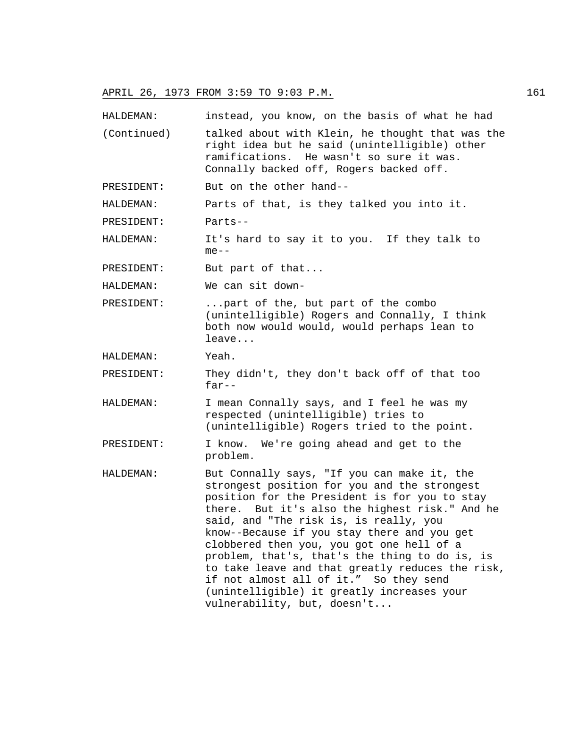HALDEMAN: instead, you know, on the basis of what he had (Continued) talked about with Klein, he thought that was the right idea but he said (unintelligible) other ramifications. He wasn't so sure it was. Connally backed off, Rogers backed off. PRESIDENT: But on the other hand-- HALDEMAN: Parts of that, is they talked you into it. PRESIDENT: Parts-- HALDEMAN: It's hard to say it to you. If they talk to  $me--$ PRESIDENT: But part of that... HALDEMAN: We can sit down-PRESIDENT: ... part of the, but part of the combo (unintelligible) Rogers and Connally, I think both now would would, would perhaps lean to leave... HALDEMAN: Yeah. PRESIDENT: They didn't, they don't back off of that too far-- HALDEMAN: I mean Connally says, and I feel he was my respected (unintelligible) tries to (unintelligible) Rogers tried to the point. PRESIDENT: I know. We're going ahead and get to the problem. HALDEMAN: But Connally says, "If you can make it, the strongest position for you and the strongest position for the President is for you to stay there. But it's also the highest risk." And he said, and "The risk is, is really, you know--Because if you stay there and you get clobbered then you, you got one hell of a problem, that's, that's the thing to do is, is to take leave and that greatly reduces the risk, if not almost all of it." So they send (unintelligible) it greatly increases your vulnerability, but, doesn't...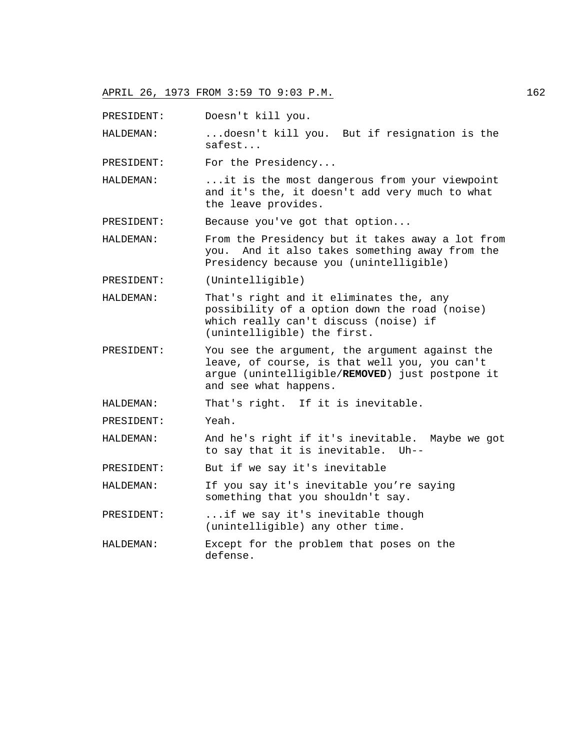PRESIDENT: Doesn't kill you.

HALDEMAN: ...doesn't kill you. But if resignation is the safest...

- PRESIDENT: For the Presidency...
- HALDEMAN: ...it is the most dangerous from your viewpoint and it's the, it doesn't add very much to what the leave provides.
- PRESIDENT: Because you've got that option...
- HALDEMAN: From the Presidency but it takes away a lot from you. And it also takes something away from the Presidency because you (unintelligible)
- PRESIDENT: (Unintelligible)
- HALDEMAN: That's right and it eliminates the, any possibility of a option down the road (noise) which really can't discuss (noise) if (unintelligible) the first.
- PRESIDENT: You see the argument, the argument against the leave, of course, is that well you, you can't argue (unintelligible/**REMOVED**) just postpone it and see what happens.

HALDEMAN: That's right. If it is inevitable.

PRESIDENT: Yeah.

- HALDEMAN: And he's right if it's inevitable. Maybe we got to say that it is inevitable. Uh--
- PRESIDENT: But if we say it's inevitable

HALDEMAN: If you say it's inevitable you're saying something that you shouldn't say.

PRESIDENT: ...if we say it's inevitable though (unintelligible) any other time.

HALDEMAN: Except for the problem that poses on the defense.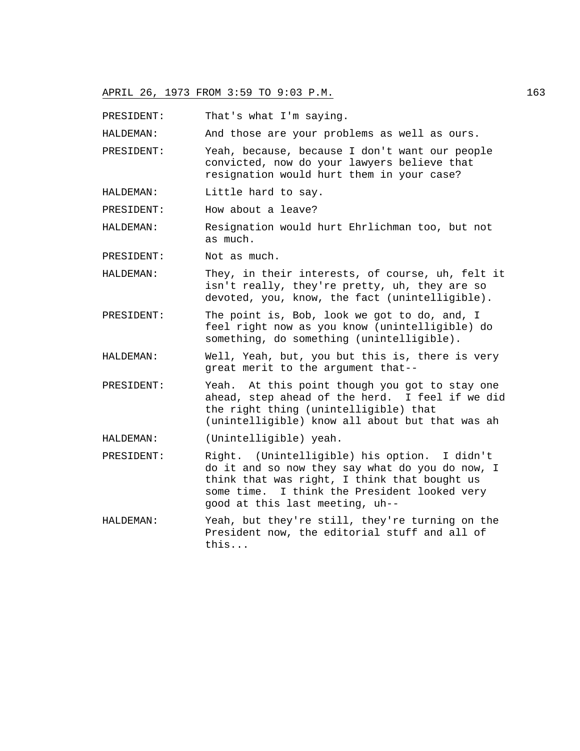PRESIDENT: That's what I'm saying.

HALDEMAN: And those are your problems as well as ours.

- PRESIDENT: Yeah, because, because I don't want our people convicted, now do your lawyers believe that resignation would hurt them in your case?
- HALDEMAN: Little hard to say.
- PRESIDENT: How about a leave?
- HALDEMAN: Resignation would hurt Ehrlichman too, but not as much.
- PRESIDENT: Not as much.
- HALDEMAN: They, in their interests, of course, uh, felt it isn't really, they're pretty, uh, they are so devoted, you, know, the fact (unintelligible).
- PRESIDENT: The point is, Bob, look we got to do, and, I feel right now as you know (unintelligible) do something, do something (unintelligible).
- HALDEMAN: Well, Yeah, but, you but this is, there is very great merit to the argument that--
- PRESIDENT: Yeah. At this point though you got to stay one ahead, step ahead of the herd. I feel if we did the right thing (unintelligible) that (unintelligible) know all about but that was ah
- HALDEMAN: (Unintelligible) yeah.
- PRESIDENT: Right. (Unintelligible) his option. I didn't do it and so now they say what do you do now, I think that was right, I think that bought us some time. I think the President looked very good at this last meeting, uh--
- HALDEMAN: Yeah, but they're still, they're turning on the President now, the editorial stuff and all of this...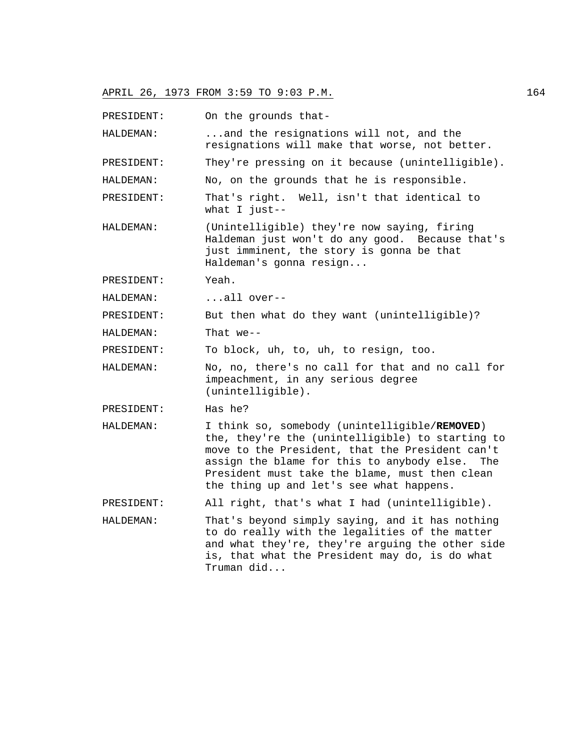PRESIDENT: On the grounds that-

HALDEMAN: ...and the resignations will not, and the resignations will make that worse, not better.

PRESIDENT: They're pressing on it because (unintelligible).

HALDEMAN: No, on the grounds that he is responsible.

PRESIDENT: That's right. Well, isn't that identical to what I just--

- HALDEMAN: (Unintelligible) they're now saying, firing Haldeman just won't do any good. Because that's just imminent, the story is gonna be that Haldeman's gonna resign...
- PRESIDENT: Yeah.

HALDEMAN: ...all over--

PRESIDENT: But then what do they want (unintelligible)?

HALDEMAN: That we--

PRESIDENT: To block, uh, to, uh, to resign, too.

HALDEMAN: No, no, there's no call for that and no call for impeachment, in any serious degree (unintelligible).

PRESIDENT: Has he?

HALDEMAN: I think so, somebody (unintelligible/**REMOVED**) the, they're the (unintelligible) to starting to move to the President, that the President can't assign the blame for this to anybody else. The President must take the blame, must then clean the thing up and let's see what happens.

PRESIDENT: All right, that's what I had (unintelligible).

HALDEMAN: That's beyond simply saying, and it has nothing to do really with the legalities of the matter and what they're, they're arguing the other side is, that what the President may do, is do what Truman did...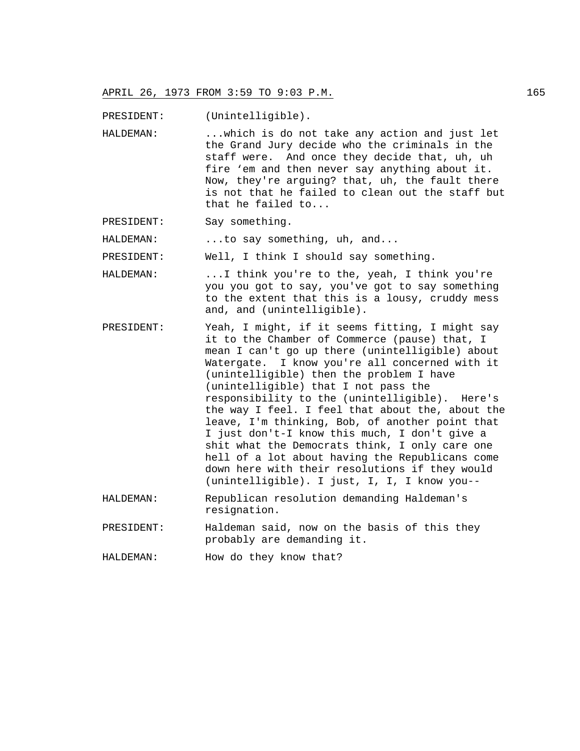PRESIDENT: (Unintelligible).

- HALDEMAN: ...which is do not take any action and just let the Grand Jury decide who the criminals in the staff were. And once they decide that, uh, uh fire 'em and then never say anything about it. Now, they're arguing? that, uh, the fault there is not that he failed to clean out the staff but that he failed to...
- PRESIDENT: Say something.

HALDEMAN: ...to say something, uh, and...

PRESIDENT: Well, I think I should say something.

- HALDEMAN: ...I think you're to the, yeah, I think you're you you got to say, you've got to say something to the extent that this is a lousy, cruddy mess and, and (unintelligible).
- PRESIDENT: Yeah, I might, if it seems fitting, I might say it to the Chamber of Commerce (pause) that, I mean I can't go up there (unintelligible) about Watergate. I know you're all concerned with it (unintelligible) then the problem I have (unintelligible) that I not pass the responsibility to the (unintelligible). Here's the way I feel. I feel that about the, about the leave, I'm thinking, Bob, of another point that I just don't-I know this much, I don't give a shit what the Democrats think, I only care one hell of a lot about having the Republicans come down here with their resolutions if they would (unintelligible). I just, I, I, I know you--
- HALDEMAN: Republican resolution demanding Haldeman's resignation.
- PRESIDENT: Haldeman said, now on the basis of this they probably are demanding it.

HALDEMAN: How do they know that?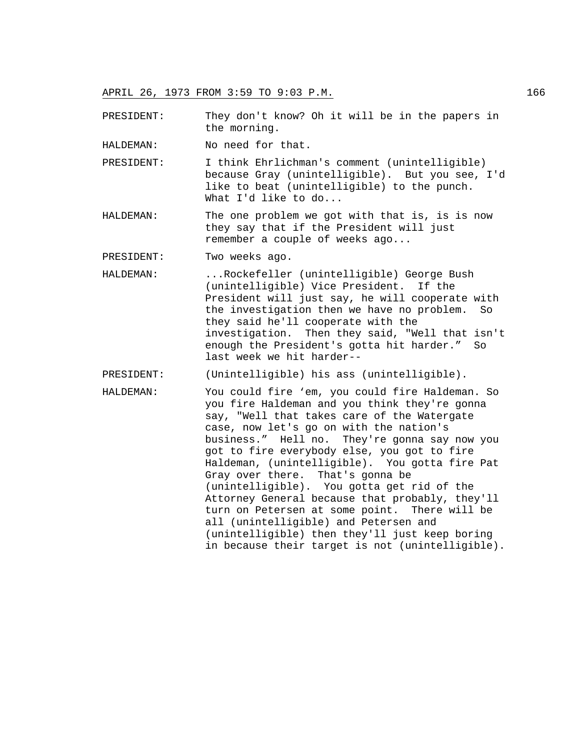PRESIDENT: They don't know? Oh it will be in the papers in the morning.

HALDEMAN: No need for that.

- PRESIDENT: I think Ehrlichman's comment (unintelligible) because Gray (unintelligible). But you see, I'd like to beat (unintelligible) to the punch. What I'd like to do...
- HALDEMAN: The one problem we got with that is, is is now they say that if the President will just remember a couple of weeks ago...

PRESIDENT: Two weeks ago.

HALDEMAN: ...Rockefeller (unintelligible) George Bush (unintelligible) Vice President. If the President will just say, he will cooperate with the investigation then we have no problem. So they said he'll cooperate with the investigation. Then they said, "Well that isn't enough the President's gotta hit harder." So last week we hit harder--

PRESIDENT: (Unintelligible) his ass (unintelligible).

HALDEMAN: You could fire 'em, you could fire Haldeman. So you fire Haldeman and you think they're gonna say, "Well that takes care of the Watergate case, now let's go on with the nation's business." Hell no. They're gonna say now you got to fire everybody else, you got to fire Haldeman, (unintelligible). You gotta fire Pat Gray over there. That's gonna be (unintelligible). You gotta get rid of the Attorney General because that probably, they'll turn on Petersen at some point. There will be all (unintelligible) and Petersen and (unintelligible) then they'll just keep boring in because their target is not (unintelligible).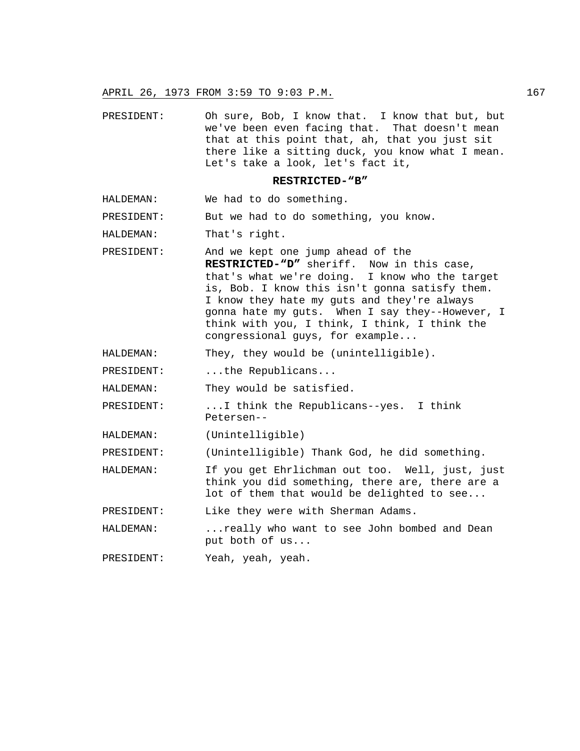PRESIDENT: Oh sure, Bob, I know that. I know that but, but we've been even facing that. That doesn't mean that at this point that, ah, that you just sit there like a sitting duck, you know what I mean. Let's take a look, let's fact it,

### **RESTRICTED-"B"**

HALDEMAN: We had to do something.

PRESIDENT: But we had to do something, you know.

HALDEMAN: That's right.

- PRESIDENT: And we kept one jump ahead of the **RESTRICTED-"D"** sheriff. Now in this case, that's what we're doing. I know who the target is, Bob. I know this isn't gonna satisfy them. I know they hate my guts and they're always gonna hate my guts. When I say they--However, I think with you, I think, I think, I think the congressional guys, for example...
- HALDEMAN: They, they would be (unintelligible).
- PRESIDENT: ...the Republicans...

HALDEMAN: They would be satisfied.

PRESIDENT: ...I think the Republicans--yes. I think Petersen--

HALDEMAN: (Unintelligible)

PRESIDENT: (Unintelligible) Thank God, he did something.

HALDEMAN: If you get Ehrlichman out too. Well, just, just think you did something, there are, there are a lot of them that would be delighted to see...

PRESIDENT: Like they were with Sherman Adams.

HALDEMAN: ...really who want to see John bombed and Dean put both of us...

PRESIDENT: Yeah, yeah, yeah.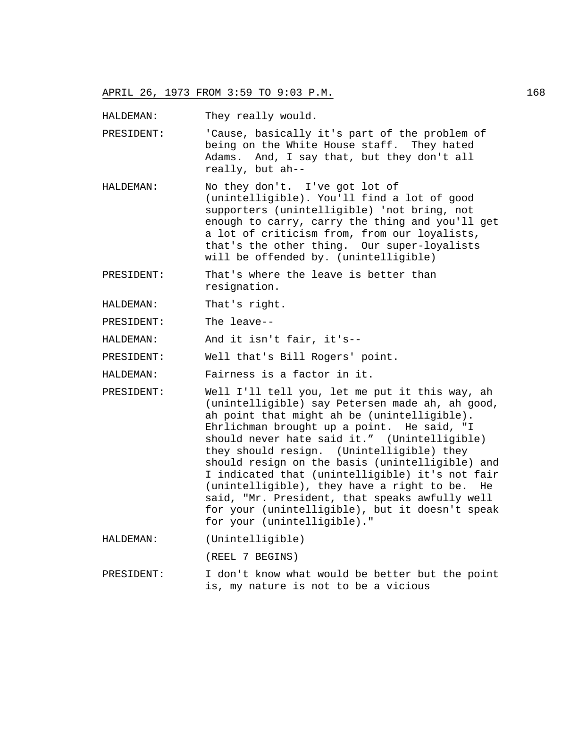HALDEMAN: They really would.

PRESIDENT: 'Cause, basically it's part of the problem of being on the White House staff. They hated Adams. And, I say that, but they don't all really, but ah--

- HALDEMAN: No they don't. I've got lot of (unintelligible). You'll find a lot of good supporters (unintelligible) 'not bring, not enough to carry, carry the thing and you'll get a lot of criticism from, from our loyalists, that's the other thing. Our super-loyalists will be offended by. (unintelligible)
- PRESIDENT: That's where the leave is better than resignation.
- HALDEMAN: That's right.
- PRESIDENT: The leave--
- HALDEMAN: And it isn't fair, it's--

PRESIDENT: Well that's Bill Rogers' point.

HALDEMAN: Fairness is a factor in it.

PRESIDENT: Well I'll tell you, let me put it this way, ah (unintelligible) say Petersen made ah, ah good, ah point that might ah be (unintelligible). Ehrlichman brought up a point. He said, "I should never hate said it." (Unintelligible) they should resign. (Unintelligible) they should resign on the basis (unintelligible) and I indicated that (unintelligible) it's not fair (unintelligible), they have a right to be. He said, "Mr. President, that speaks awfully well for your (unintelligible), but it doesn't speak for your (unintelligible)."

HALDEMAN: (Unintelligible)

(REEL 7 BEGINS)

PRESIDENT: I don't know what would be better but the point is, my nature is not to be a vicious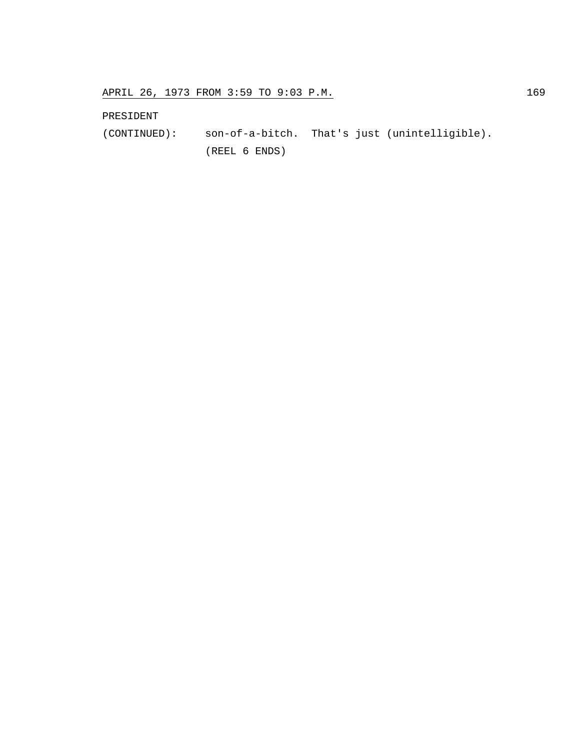PRESIDENT

(CONTINUED): son-of-a-bitch. That's just (unintelligible). (REEL 6 ENDS)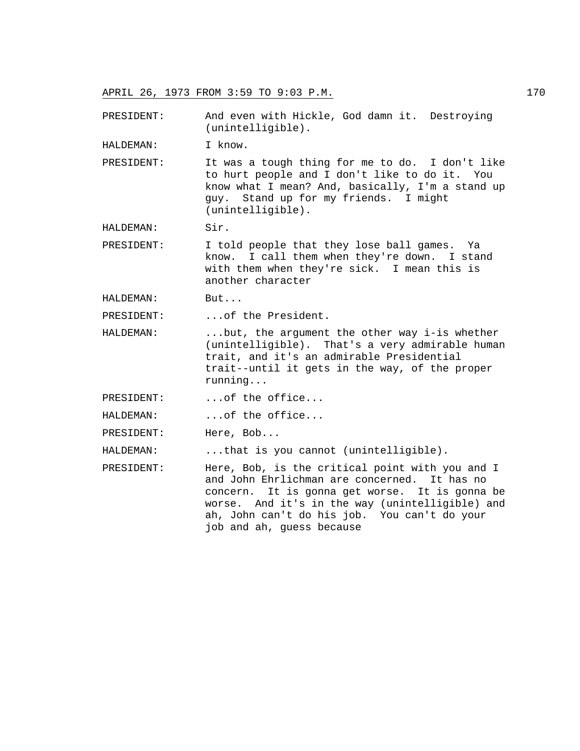PRESIDENT: And even with Hickle, God damn it. Destroying (unintelligible).

HALDEMAN: I know.

PRESIDENT: It was a tough thing for me to do. I don't like to hurt people and I don't like to do it. You know what I mean? And, basically, I'm a stand up guy. Stand up for my friends. I might (unintelligible).

HALDEMAN: Sir.

PRESIDENT: I told people that they lose ball games. Ya know. I call them when they're down. I stand with them when they're sick. I mean this is another character

HALDEMAN: But...

PRESIDENT: ... of the President.

HALDEMAN: ...but, the argument the other way i-is whether (unintelligible). That's a very admirable human trait, and it's an admirable Presidential trait--until it gets in the way, of the proper running...

PRESIDENT: ... of the office...

HALDEMAN: ...of the office...

PRESIDENT: Here, Bob...

HALDEMAN: ...that is you cannot (unintelligible).

PRESIDENT: Here, Bob, is the critical point with you and I and John Ehrlichman are concerned. It has no concern. It is gonna get worse. It is gonna be worse. And it's in the way (unintelligible) and ah, John can't do his job. You can't do your job and ah, guess because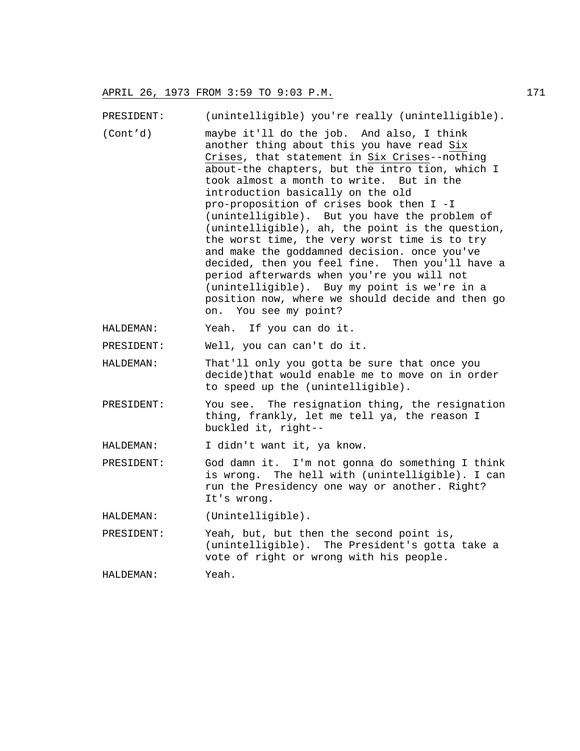PRESIDENT: (unintelligible) you're really (unintelligible).

- (Cont'd) maybe it'll do the job. And also, I think another thing about this you have read Six Crises, that statement in Six Crises--nothing about-the chapters, but the intro tion, which I took almost a month to write. But in the introduction basically on the old pro-proposition of crises book then I -I (unintelligible). But you have the problem of (unintelligible), ah, the point is the question, the worst time, the very worst time is to try and make the goddamned decision. once you've decided, then you feel fine. Then you'll have a period afterwards when you're you will not (unintelligible). Buy my point is we're in a position now, where we should decide and then go on. You see my point?
- HALDEMAN: Yeah. If you can do it.
- PRESIDENT: Well, you can can't do it.
- HALDEMAN: That'll only you gotta be sure that once you decide)that would enable me to move on in order to speed up the (unintelligible).
- PRESIDENT: You see. The resignation thing, the resignation thing, frankly, let me tell ya, the reason I buckled it, right--
- HALDEMAN: I didn't want it, ya know.
- PRESIDENT: God damn it. I'm not gonna do something I think is wrong. The hell with (unintelligible). I can run the Presidency one way or another. Right? It's wrong.

HALDEMAN: (Unintelligible).

PRESIDENT: Yeah, but, but then the second point is, (unintelligible). The President's gotta take a vote of right or wrong with his people.

HALDEMAN: Yeah.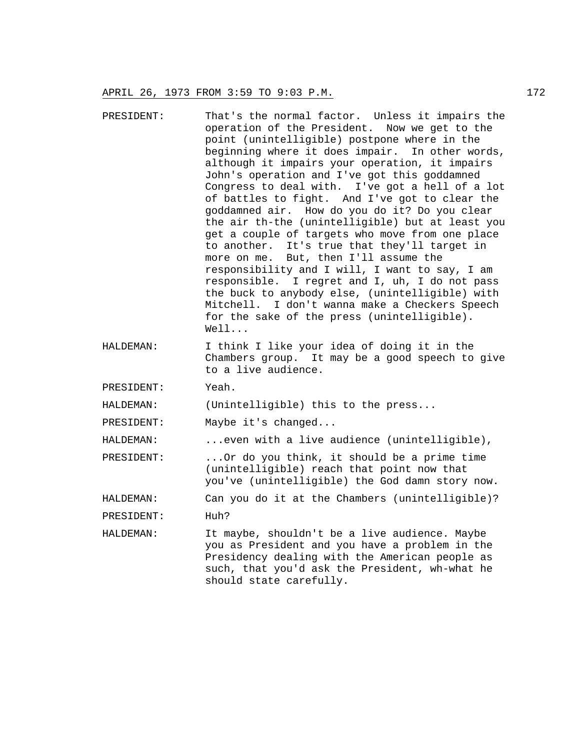- PRESIDENT: That's the normal factor. Unless it impairs the operation of the President. Now we get to the point (unintelligible) postpone where in the beginning where it does impair. In other words, although it impairs your operation, it impairs John's operation and I've got this goddamned Congress to deal with. I've got a hell of a lot of battles to fight. And I've got to clear the goddamned air. How do you do it? Do you clear the air th-the (unintelligible) but at least you get a couple of targets who move from one place to another. It's true that they'll target in more on me. But, then I'll assume the responsibility and I will, I want to say, I am responsible. I regret and I, uh, I do not pass the buck to anybody else, (unintelligible) with Mitchell. I don't wanna make a Checkers Speech for the sake of the press (unintelligible). Well...
- HALDEMAN: I think I like your idea of doing it in the Chambers group. It may be a good speech to give to a live audience.
- PRESIDENT: Yeah.

HALDEMAN: (Unintelligible) this to the press...

PRESIDENT: Maybe it's changed...

HALDEMAN: ...even with a live audience (unintelligible),

PRESIDENT: ...Or do you think, it should be a prime time (unintelligible) reach that point now that you've (unintelligible) the God damn story now.

HALDEMAN: Can you do it at the Chambers (unintelligible)?

PRESIDENT: Huh?

HALDEMAN: It maybe, shouldn't be a live audience. Maybe you as President and you have a problem in the Presidency dealing with the American people as such, that you'd ask the President, wh-what he should state carefully.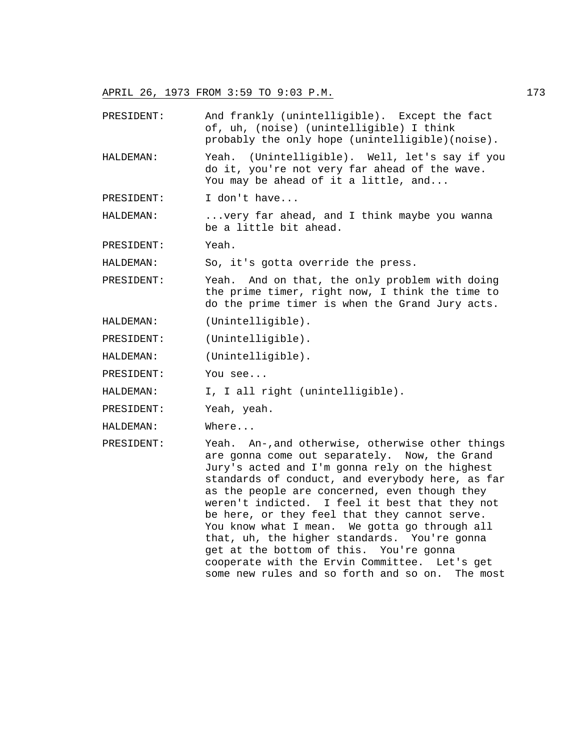PRESIDENT: And frankly (unintelligible). Except the fact of, uh, (noise) (unintelligible) I think probably the only hope (unintelligible)(noise). HALDEMAN: Yeah. (Unintelligible). Well, let's say if you do it, you're not very far ahead of the wave. You may be ahead of it a little, and... PRESIDENT: I don't have... HALDEMAN: ...very far ahead, and I think maybe you wanna be a little bit ahead. PRESIDENT: Yeah. HALDEMAN: So, it's gotta override the press. PRESIDENT: Yeah. And on that, the only problem with doing the prime timer, right now, I think the time to do the prime timer is when the Grand Jury acts. HALDEMAN: (Unintelligible). PRESIDENT: (Unintelligible). HALDEMAN: (Unintelligible). PRESIDENT: You see... HALDEMAN: I, I all right (unintelligible). PRESIDENT: Yeah, yeah. HALDEMAN: Where... PRESIDENT: Yeah. An-,and otherwise, otherwise other things are gonna come out separately. Now, the Grand Jury's acted and I'm gonna rely on the highest standards of conduct, and everybody here, as far as the people are concerned, even though they weren't indicted. I feel it best that they not be here, or they feel that they cannot serve. You know what I mean. We gotta go through all that, uh, the higher standards. You're gonna get at the bottom of this. You're gonna cooperate with the Ervin Committee. Let's get some new rules and so forth and so on. The most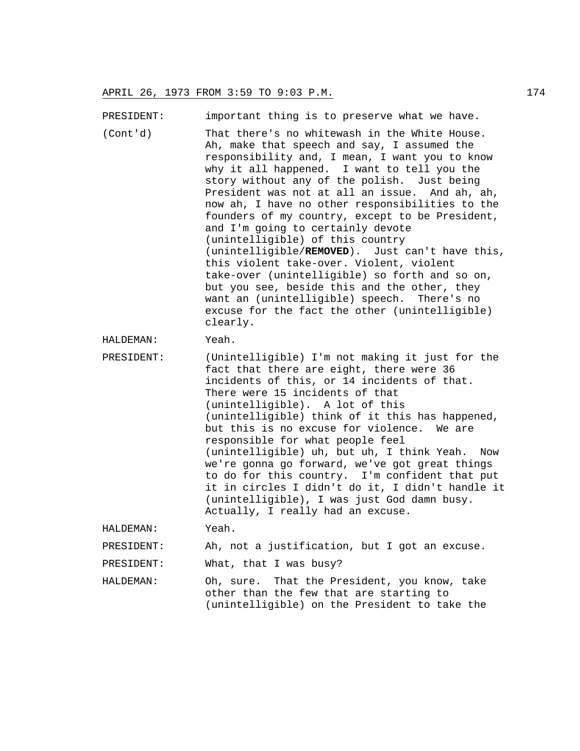PRESIDENT: important thing is to preserve what we have.

(Cont'd) That there's no whitewash in the White House. Ah, make that speech and say, I assumed the responsibility and, I mean, I want you to know why it all happened. I want to tell you the story without any of the polish. Just being President was not at all an issue. And ah, ah, now ah, I have no other responsibilities to the founders of my country, except to be President, and I'm going to certainly devote (unintelligible) of this country (unintelligible/**REMOVED**). Just can't have this, this violent take-over. Violent, violent take-over (unintelligible) so forth and so on, but you see, beside this and the other, they want an (unintelligible) speech. There's no excuse for the fact the other (unintelligible) clearly.

HALDEMAN: Yeah.

PRESIDENT: (Unintelligible) I'm not making it just for the fact that there are eight, there were 36 incidents of this, or 14 incidents of that. There were 15 incidents of that (unintelligible). A lot of this (unintelligible) think of it this has happened, but this is no excuse for violence. We are responsible for what people feel (unintelligible) uh, but uh, I think Yeah. Now we're gonna go forward, we've got great things to do for this country. I'm confident that put it in circles I didn't do it, I didn't handle it (unintelligible), I was just God damn busy. Actually, I really had an excuse.

HALDEMAN: Yeah.

PRESIDENT: Ah, not a justification, but I got an excuse.

PRESIDENT: What, that I was busy?

HALDEMAN: Oh, sure. That the President, you know, take other than the few that are starting to (unintelligible) on the President to take the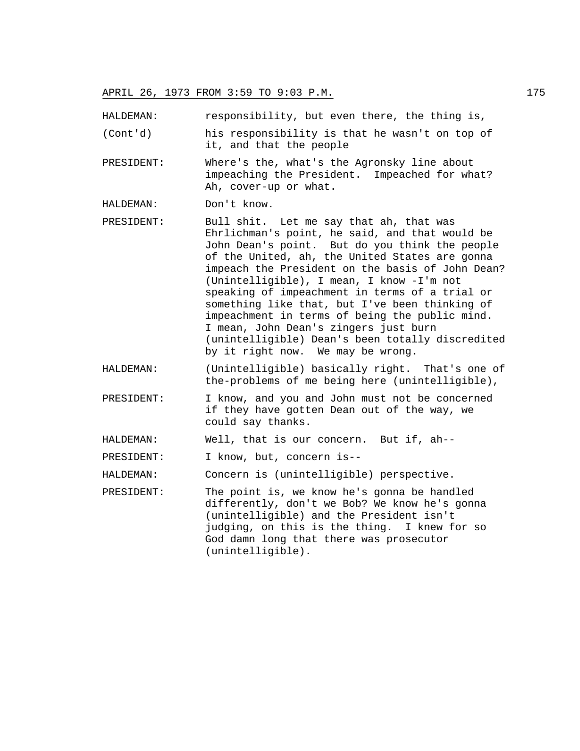HALDEMAN: responsibility, but even there, the thing is,

(Cont'd) his responsibility is that he wasn't on top of it, and that the people

- PRESIDENT: Where's the, what's the Agronsky line about impeaching the President. Impeached for what? Ah, cover-up or what.
- HALDEMAN: Don't know.
- PRESIDENT: Bull shit. Let me say that ah, that was Ehrlichman's point, he said, and that would be John Dean's point. But do you think the people of the United, ah, the United States are gonna impeach the President on the basis of John Dean? (Unintelligible), I mean, I know -I'm not speaking of impeachment in terms of a trial or something like that, but I've been thinking of impeachment in terms of being the public mind. I mean, John Dean's zingers just burn (unintelligible) Dean's been totally discredited by it right now. We may be wrong.
- HALDEMAN: (Unintelligible) basically right. That's one of the-problems of me being here (unintelligible),
- PRESIDENT: I know, and you and John must not be concerned if they have gotten Dean out of the way, we could say thanks.

HALDEMAN: Well, that is our concern. But if, ah--

PRESIDENT: I know, but, concern is--

HALDEMAN: Concern is (unintelligible) perspective.

PRESIDENT: The point is, we know he's gonna be handled differently, don't we Bob? We know he's gonna (unintelligible) and the President isn't judging, on this is the thing. I knew for so God damn long that there was prosecutor (unintelligible).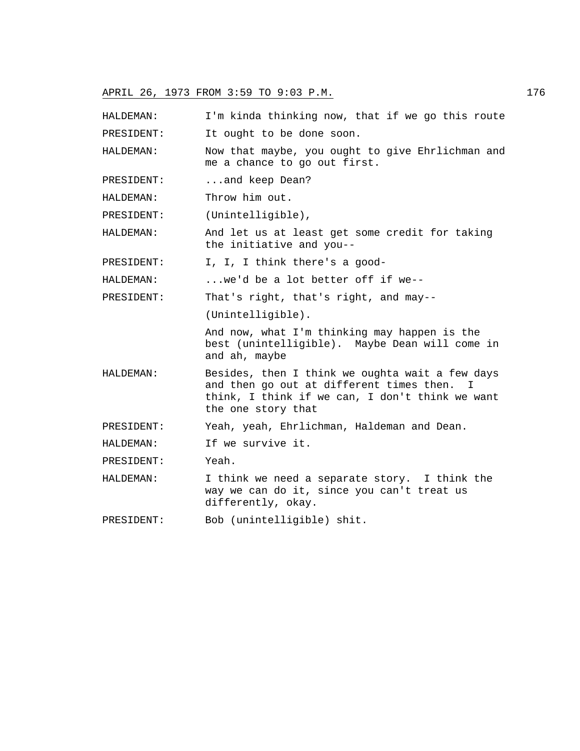HALDEMAN: I'm kinda thinking now, that if we go this route

PRESIDENT: It ought to be done soon.

HALDEMAN: Now that maybe, you ought to give Ehrlichman and me a chance to go out first.

PRESIDENT: ...and keep Dean?

HALDEMAN: Throw him out.

PRESIDENT: (Unintelligible),

HALDEMAN: And let us at least get some credit for taking the initiative and you--

PRESIDENT: I, I, I think there's a good-

HALDEMAN: ...we'd be a lot better off if we--

PRESIDENT: That's right, that's right, and may--

(Unintelligible).

And now, what I'm thinking may happen is the best (unintelligible). Maybe Dean will come in and ah, maybe

HALDEMAN: Besides, then I think we oughta wait a few days and then go out at different times then. I think, I think if we can, I don't think we want the one story that

PRESIDENT: Yeah, yeah, Ehrlichman, Haldeman and Dean.

HALDEMAN: If we survive it.

PRESIDENT: Yeah.

HALDEMAN: I think we need a separate story. I think the way we can do it, since you can't treat us differently, okay.

PRESIDENT: Bob (unintelligible) shit.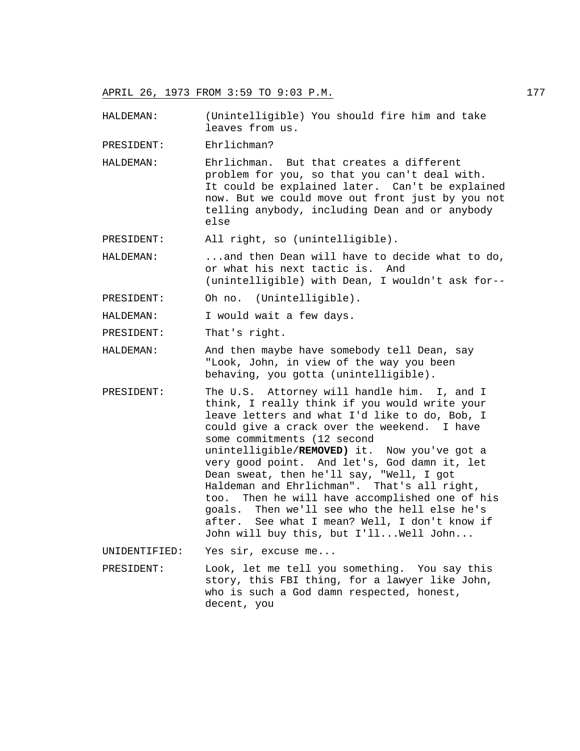HALDEMAN: (Unintelligible) You should fire him and take leaves from us.

PRESIDENT: Ehrlichman?

HALDEMAN: Ehrlichman. But that creates a different problem for you, so that you can't deal with. It could be explained later. Can't be explained now. But we could move out front just by you not telling anybody, including Dean and or anybody else

PRESIDENT: All right, so (unintelligible).

HALDEMAN: ...and then Dean will have to decide what to do, or what his next tactic is. And (unintelligible) with Dean, I wouldn't ask for--

PRESIDENT: Oh no. (Unintelligible).

HALDEMAN: I would wait a few days.

PRESIDENT: That's right.

HALDEMAN: And then maybe have somebody tell Dean, say "Look, John, in view of the way you been behaving, you gotta (unintelligible).

PRESIDENT: The U.S. Attorney will handle him. I, and I think, I really think if you would write your leave letters and what I'd like to do, Bob, I could give a crack over the weekend. I have some commitments (12 second unintelligible/**REMOVED)** it. Now you've got a very good point. And let's, God damn it, let Dean sweat, then he'll say, "Well, I got Haldeman and Ehrlichman". That's all right, too. Then he will have accomplished one of his goals. Then we'll see who the hell else he's after. See what I mean? Well, I don't know if John will buy this, but I'll...Well John...

UNIDENTIFIED: Yes sir, excuse me...

PRESIDENT: Look, let me tell you something. You say this story, this FBI thing, for a lawyer like John, who is such a God damn respected, honest, decent, you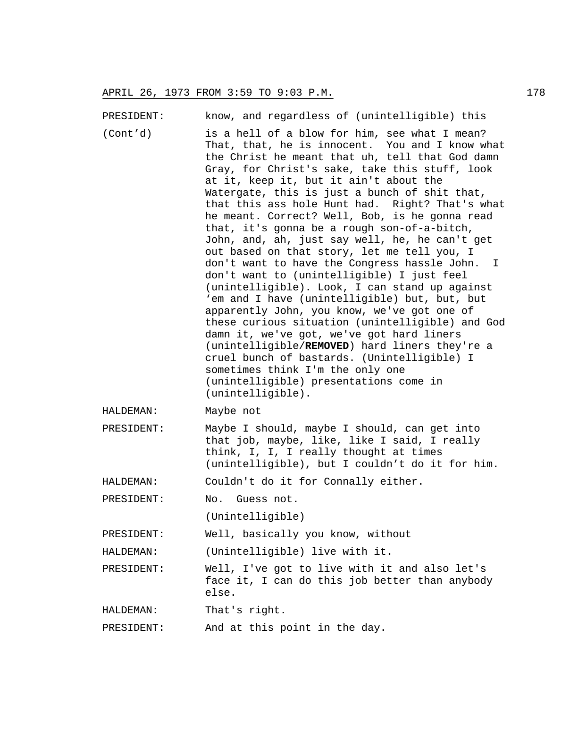PRESIDENT: know, and regardless of (unintelligible) this

- (Cont'd) is a hell of a blow for him, see what I mean? That, that, he is innocent. You and I know what the Christ he meant that uh, tell that God damn Gray, for Christ's sake, take this stuff, look at it, keep it, but it ain't about the Watergate, this is just a bunch of shit that, that this ass hole Hunt had. Right? That's what he meant. Correct? Well, Bob, is he gonna read that, it's gonna be a rough son-of-a-bitch, John, and, ah, just say well, he, he can't get out based on that story, let me tell you, I don't want to have the Congress hassle John. I don't want to (unintelligible) I just feel (unintelligible). Look, I can stand up against 'em and I have (unintelligible) but, but, but apparently John, you know, we've got one of these curious situation (unintelligible) and God damn it, we've got, we've got hard liners (unintelligible/**REMOVED**) hard liners they're a cruel bunch of bastards. (Unintelligible) I sometimes think I'm the only one (unintelligible) presentations come in (unintelligible).
- HALDEMAN: Maybe not
- PRESIDENT: Maybe I should, maybe I should, can get into that job, maybe, like, like I said, I really think, I, I, I really thought at times (unintelligible), but I couldn't do it for him.

HALDEMAN: Couldn't do it for Connally either.

PRESIDENT: No. Guess not.

(Unintelligible)

PRESIDENT: Well, basically you know, without

HALDEMAN: (Unintelligible) live with it.

PRESIDENT: Well, I've got to live with it and also let's face it, I can do this job better than anybody else.

HALDEMAN: That's right.

PRESIDENT: And at this point in the day.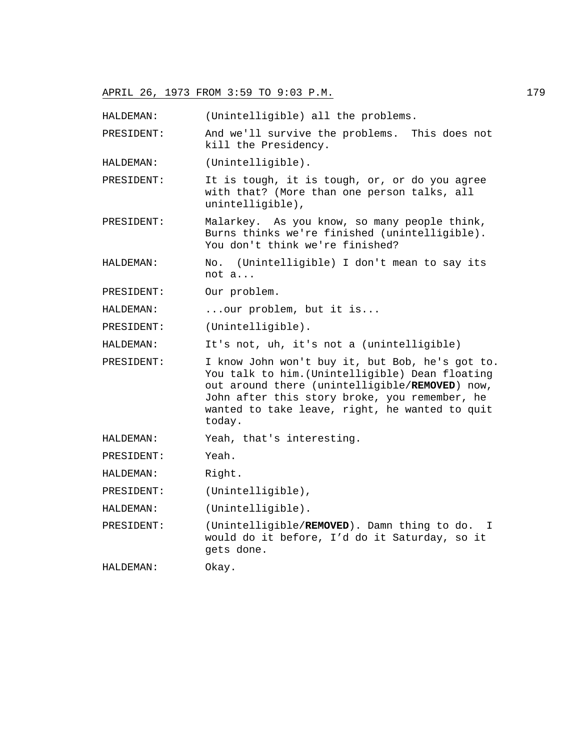HALDEMAN: (Unintelligible) all the problems.

PRESIDENT: And we'll survive the problems. This does not kill the Presidency.

HALDEMAN: (Unintelligible).

PRESIDENT: It is tough, it is tough, or, or do you agree with that? (More than one person talks, all unintelligible),

- PRESIDENT: Malarkey. As you know, so many people think, Burns thinks we're finished (unintelligible). You don't think we're finished?
- HALDEMAN: No. (Unintelligible) I don't mean to say its not a...
- PRESIDENT: Our problem.

HALDEMAN: ...our problem, but it is...

PRESIDENT: (Unintelligible).

HALDEMAN: It's not, uh, it's not a (unintelligible)

PRESIDENT: I know John won't buy it, but Bob, he's got to. You talk to him.(Unintelligible) Dean floating out around there (unintelligible/**REMOVED**) now, John after this story broke, you remember, he wanted to take leave, right, he wanted to quit today.

HALDEMAN: Yeah, that's interesting.

PRESIDENT: Yeah.

HALDEMAN: Right.

PRESIDENT: (Unintelligible),

HALDEMAN: (Unintelligible).

PRESIDENT: (Unintelligible/**REMOVED**). Damn thing to do. I would do it before, I'd do it Saturday, so it gets done.

HALDEMAN: Okay.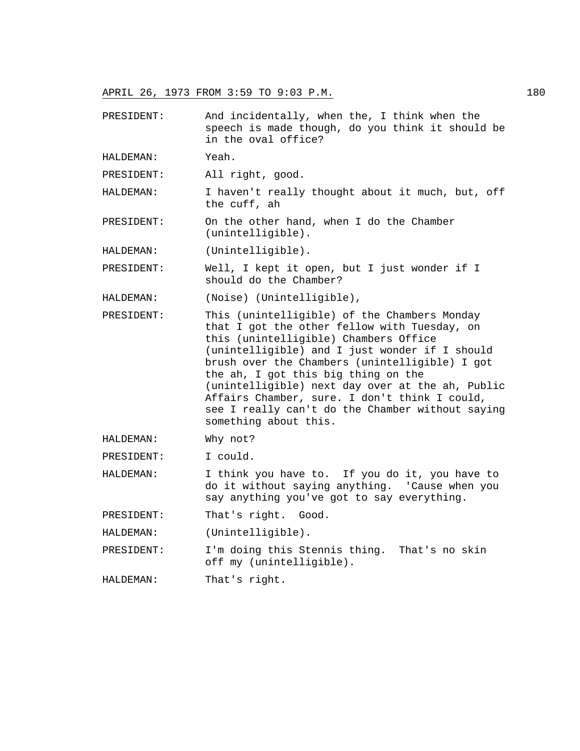- PRESIDENT: And incidentally, when the, I think when the speech is made though, do you think it should be in the oval office? HALDEMAN: Yeah. PRESIDENT: All right, good. HALDEMAN: I haven't really thought about it much, but, off the cuff, ah PRESIDENT: On the other hand, when I do the Chamber (unintelligible). HALDEMAN: (Unintelligible). PRESIDENT: Well, I kept it open, but I just wonder if I should do the Chamber? HALDEMAN: (Noise) (Unintelligible), PRESIDENT: This (unintelligible) of the Chambers Monday that I got the other fellow with Tuesday, on this (unintelligible) Chambers Office (unintelligible) and I just wonder if I should brush over the Chambers (unintelligible) I got the ah, I got this big thing on the (unintelligible) next day over at the ah, Public Affairs Chamber, sure. I don't think I could, see I really can't do the Chamber without saying something about this. HALDEMAN: Why not? PRESIDENT: I could. HALDEMAN: I think you have to. If you do it, you have to do it without saying anything. 'Cause when you say anything you've got to say everything. PRESIDENT: That's right. Good. HALDEMAN: (Unintelligible). PRESIDENT: I'm doing this Stennis thing. That's no skin off my (unintelligible).
- HALDEMAN: That's right.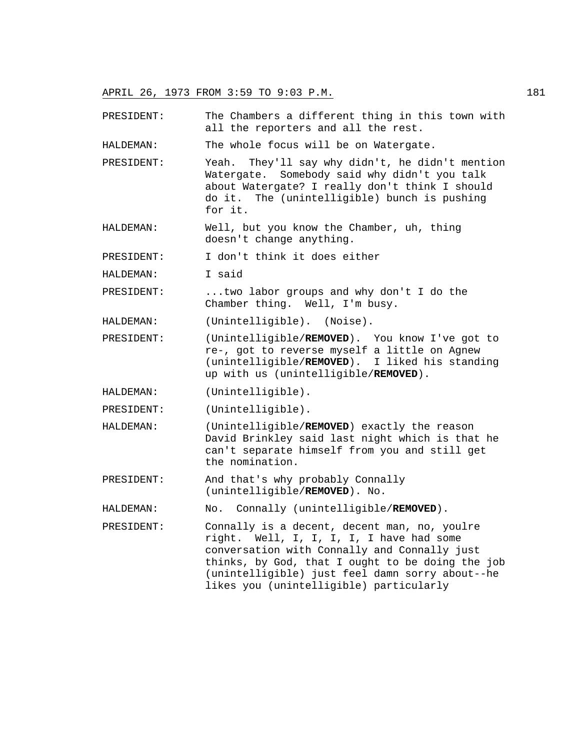PRESIDENT: The Chambers a different thing in this town with all the reporters and all the rest.

HALDEMAN: The whole focus will be on Watergate.

- PRESIDENT: Yeah. They'll say why didn't, he didn't mention Watergate. Somebody said why didn't you talk about Watergate? I really don't think I should do it. The (unintelligible) bunch is pushing for it.
- HALDEMAN: Well, but you know the Chamber, uh, thing doesn't change anything.

PRESIDENT: I don't think it does either

HALDEMAN: I said

PRESIDENT: ...two labor groups and why don't I do the Chamber thing. Well, I'm busy.

HALDEMAN: (Unintelligible). (Noise).

PRESIDENT: (Unintelligible/**REMOVED**). You know I've got to re-, got to reverse myself a little on Agnew (unintelligible/**REMOVED**). I liked his standing up with us (unintelligible/**REMOVED**).

HALDEMAN: (Unintelligible).

PRESIDENT: (Unintelligible).

HALDEMAN: (Unintelligible/**REMOVED**) exactly the reason David Brinkley said last night which is that he can't separate himself from you and still get the nomination.

PRESIDENT: And that's why probably Connally (unintelligible/**REMOVED**). No.

HALDEMAN: No. Connally (unintelligible/**REMOVED**).

PRESIDENT: Connally is a decent, decent man, no, youlre right. Well, I, I, I, I, I have had some conversation with Connally and Connally just thinks, by God, that I ought to be doing the job (unintelligible) just feel damn sorry about--he likes you (unintelligible) particularly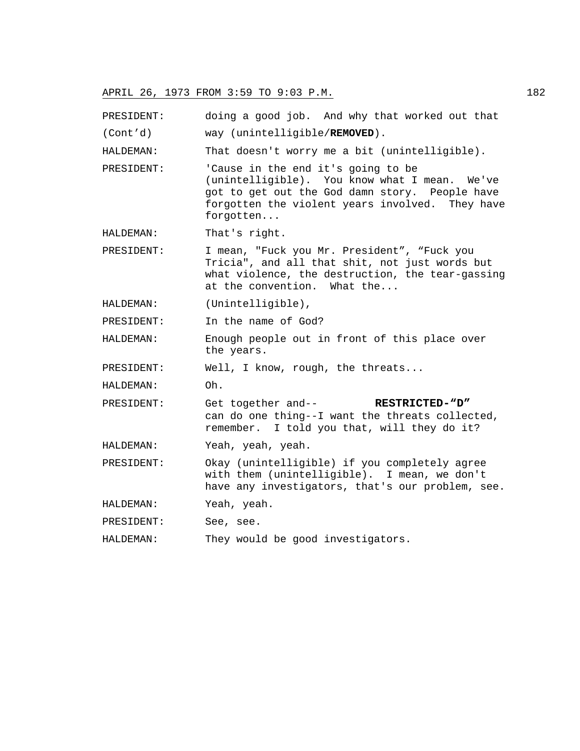PRESIDENT: doing a good job. And why that worked out that

(Cont'd) way (unintelligible/**REMOVED**).

HALDEMAN: That doesn't worry me a bit (unintelligible).

PRESIDENT: 'Cause in the end it's going to be (unintelligible). You know what I mean. We've got to get out the God damn story. People have forgotten the violent years involved. They have forgotten...

HALDEMAN: That's right.

PRESIDENT: I mean, "Fuck you Mr. President", "Fuck you Tricia", and all that shit, not just words but what violence, the destruction, the tear-gassing at the convention. What the...

HALDEMAN: (Unintelligible),

PRESIDENT: In the name of God?

HALDEMAN: Enough people out in front of this place over the years.

PRESIDENT: Well, I know, rough, the threats...

HALDEMAN: Oh.

PRESIDENT: Get together and-- **RESTRICTED-"D"** can do one thing--I want the threats collected, remember. I told you that, will they do it?

HALDEMAN: Yeah, yeah, yeah.

PRESIDENT: Okay (unintelligible) if you completely agree with them (unintelligible). I mean, we don't have any investigators, that's our problem, see.

HALDEMAN: Yeah, yeah.

PRESIDENT: See, see.

HALDEMAN: They would be good investigators.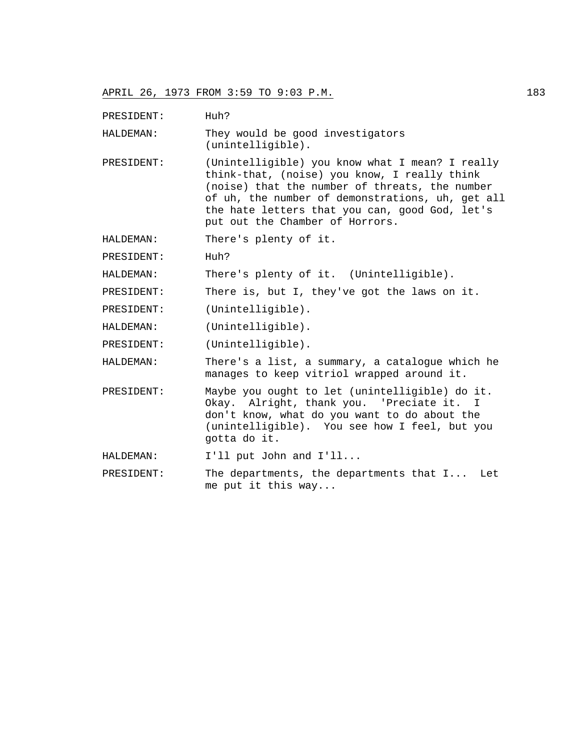PRESIDENT: Huh?

HALDEMAN: They would be good investigators (unintelligible).

PRESIDENT: (Unintelligible) you know what I mean? I really think-that, (noise) you know, I really think (noise) that the number of threats, the number of uh, the number of demonstrations, uh, get all the hate letters that you can, good God, let's put out the Chamber of Horrors.

HALDEMAN: There's plenty of it.

PRESIDENT: Huh?

HALDEMAN: There's plenty of it. (Unintelligible).

PRESIDENT: There is, but I, they've got the laws on it.

- PRESIDENT: (Unintelligible).
- HALDEMAN: (Unintelligible).
- PRESIDENT: (Unintelligible).

HALDEMAN: There's a list, a summary, a catalogue which he manages to keep vitriol wrapped around it.

- PRESIDENT: Maybe you ought to let (unintelligible) do it. Okay. Alright, thank you. 'Preciate it. I don't know, what do you want to do about the (unintelligible). You see how I feel, but you gotta do it.
- HALDEMAN: I'll put John and I'll...
- PRESIDENT: The departments, the departments that I... Let me put it this way...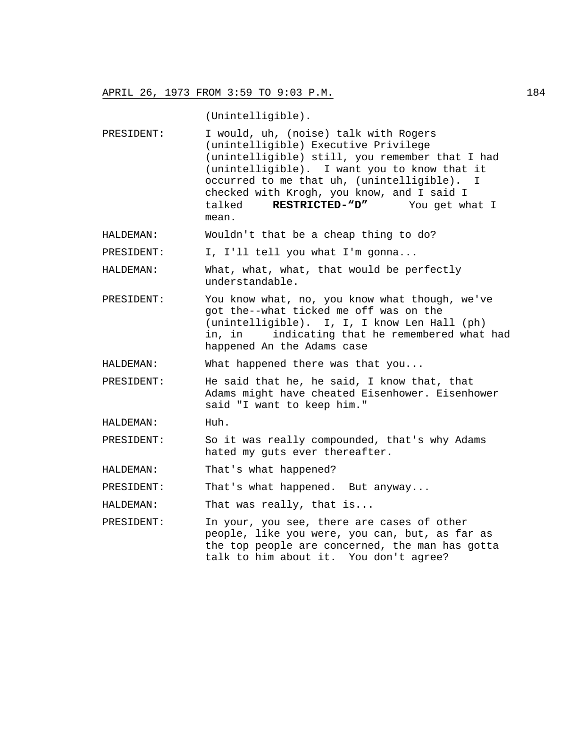(Unintelligible).

PRESIDENT: I would, uh, (noise) talk with Rogers (unintelligible) Executive Privilege (unintelligible) still, you remember that I had (unintelligible). I want you to know that it occurred to me that uh, (unintelligible). I checked with Krogh, you know, and I said I talked **RESTRICTED-"D"** You get what I mean.

HALDEMAN: Wouldn't that be a cheap thing to do?

PRESIDENT: I, I'll tell you what I'm gonna...

HALDEMAN: What, what, what, that would be perfectly understandable.

PRESIDENT: You know what, no, you know what though, we've got the--what ticked me off was on the (unintelligible). I, I, I know Len Hall (ph) in, in indicating that he remembered what had happened An the Adams case

HALDEMAN: What happened there was that you...

PRESIDENT: He said that he, he said, I know that, that Adams might have cheated Eisenhower. Eisenhower said "I want to keep him."

HALDEMAN: Huh.

PRESIDENT: So it was really compounded, that's why Adams hated my guts ever thereafter.

HALDEMAN: That's what happened?

PRESIDENT: That's what happened. But anyway...

HALDEMAN: That was really, that is...

PRESIDENT: In your, you see, there are cases of other people, like you were, you can, but, as far as the top people are concerned, the man has gotta talk to him about it. You don't agree?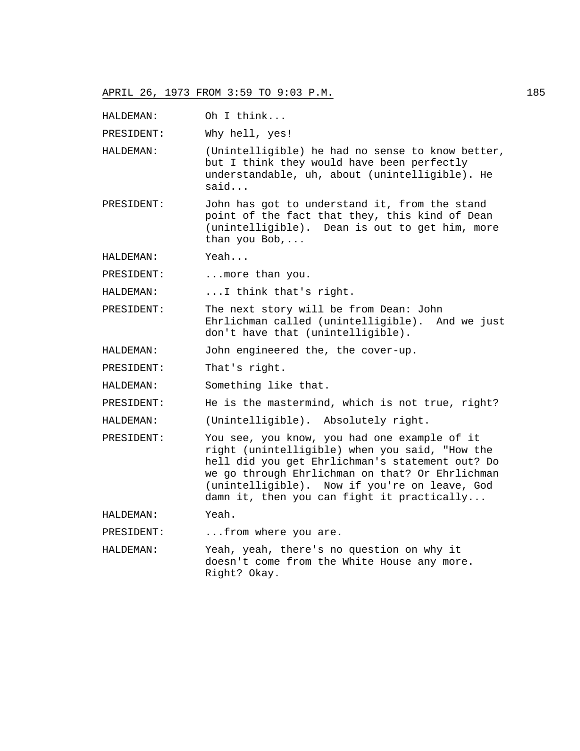HALDEMAN: Oh I think...

PRESIDENT: Why hell, yes!

- HALDEMAN: (Unintelligible) he had no sense to know better, but I think they would have been perfectly understandable, uh, about (unintelligible). He said...
- PRESIDENT: John has got to understand it, from the stand point of the fact that they, this kind of Dean (unintelligible). Dean is out to get him, more than you Bob,...

HALDEMAN: Yeah...

PRESIDENT: ... more than you.

HALDEMAN: ...I think that's right.

PRESIDENT: The next story will be from Dean: John Ehrlichman called (unintelligible). And we just don't have that (unintelligible).

HALDEMAN: John engineered the, the cover-up.

PRESIDENT: That's right.

HALDEMAN: Something like that.

PRESIDENT: He is the mastermind, which is not true, right?

HALDEMAN: (Unintelligible). Absolutely right.

PRESIDENT: You see, you know, you had one example of it right (unintelligible) when you said, "How the hell did you get Ehrlichman's statement out? Do we go through Ehrlichman on that? Or Ehrlichman (unintelligible). Now if you're on leave, God damn it, then you can fight it practically...

HALDEMAN: Yeah.

PRESIDENT: ...from where you are.

HALDEMAN: Yeah, yeah, there's no question on why it doesn't come from the White House any more. Right? Okay.